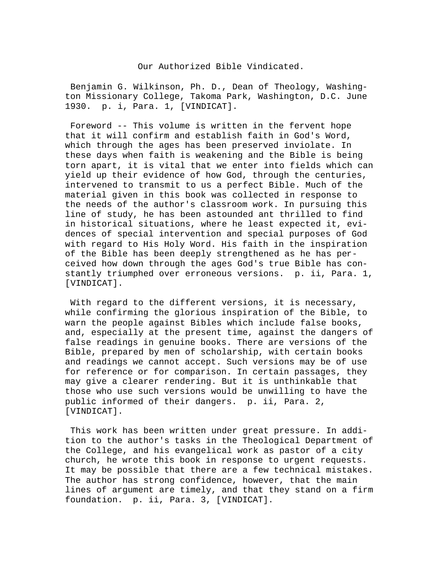## Our Authorized Bible Vindicated.

 Benjamin G. Wilkinson, Ph. D., Dean of Theology, Washington Missionary College, Takoma Park, Washington, D.C. June 1930. p. i, Para. 1, [VINDICAT].

 Foreword -- This volume is written in the fervent hope that it will confirm and establish faith in God's Word, which through the ages has been preserved inviolate. In these days when faith is weakening and the Bible is being torn apart, it is vital that we enter into fields which can yield up their evidence of how God, through the centuries, intervened to transmit to us a perfect Bible. Much of the material given in this book was collected in response to the needs of the author's classroom work. In pursuing this line of study, he has been astounded ant thrilled to find in historical situations, where he least expected it, evidences of special intervention and special purposes of God with regard to His Holy Word. His faith in the inspiration of the Bible has been deeply strengthened as he has perceived how down through the ages God's true Bible has constantly triumphed over erroneous versions. p. ii, Para. 1, [VINDICAT].

With regard to the different versions, it is necessary, while confirming the glorious inspiration of the Bible, to warn the people against Bibles which include false books, and, especially at the present time, against the dangers of false readings in genuine books. There are versions of the Bible, prepared by men of scholarship, with certain books and readings we cannot accept. Such versions may be of use for reference or for comparison. In certain passages, they may give a clearer rendering. But it is unthinkable that those who use such versions would be unwilling to have the public informed of their dangers. p. ii, Para. 2, [VINDICAT].

 This work has been written under great pressure. In addition to the author's tasks in the Theological Department of the College, and his evangelical work as pastor of a city church, he wrote this book in response to urgent requests. It may be possible that there are a few technical mistakes. The author has strong confidence, however, that the main lines of argument are timely, and that they stand on a firm foundation. p. ii, Para. 3, [VINDICAT].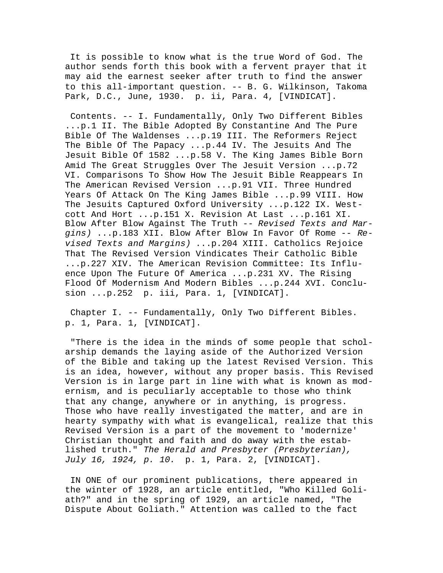It is possible to know what is the true Word of God. The author sends forth this book with a fervent prayer that it may aid the earnest seeker after truth to find the answer to this all-important question. -- B. G. Wilkinson, Takoma Park, D.C., June, 1930. p. ii, Para. 4, [VINDICAT].

 Contents. -- I. Fundamentally, Only Two Different Bibles ...p.1 II. The Bible Adopted By Constantine And The Pure Bible Of The Waldenses ...p.19 III. The Reformers Reject The Bible Of The Papacy ...p.44 IV. The Jesuits And The Jesuit Bible Of 1582 ...p.58 V. The King James Bible Born Amid The Great Struggles Over The Jesuit Version ...p.72 VI. Comparisons To Show How The Jesuit Bible Reappears In The American Revised Version ...p.91 VII. Three Hundred Years Of Attack On The King James Bible ...p.99 VIII. How The Jesuits Captured Oxford University ...p.122 IX. Westcott And Hort ...p.151 X. Revision At Last ...p.161 XI. Blow After Blow Against The Truth -- *Revised Texts and Margins)* ...p.183 XII. Blow After Blow In Favor Of Rome -- *Revised Texts and Margins)* ...p.204 XIII. Catholics Rejoice That The Revised Version Vindicates Their Catholic Bible ...p.227 XIV. The American Revision Committee: Its Influence Upon The Future Of America ...p.231 XV. The Rising Flood Of Modernism And Modern Bibles ...p.244 XVI. Conclusion ...p.252 p. iii, Para. 1, [VINDICAT].

 Chapter I. -- Fundamentally, Only Two Different Bibles. p. 1, Para. 1, [VINDICAT].

 "There is the idea in the minds of some people that scholarship demands the laying aside of the Authorized Version of the Bible and taking up the latest Revised Version. This is an idea, however, without any proper basis. This Revised Version is in large part in line with what is known as modernism, and is peculiarly acceptable to those who think that any change, anywhere or in anything, is progress. Those who have really investigated the matter, and are in hearty sympathy with what is evangelical, realize that this Revised Version is a part of the movement to 'modernize' Christian thought and faith and do away with the established truth." *The Herald and Presbyter (Presbyterian), July 16, 1924, p. 10.* p. 1, Para. 2, [VINDICAT].

 IN ONE of our prominent publications, there appeared in the winter of 1928, an article entitled, "Who Killed Goliath?" and in the spring of 1929, an article named, "The Dispute About Goliath." Attention was called to the fact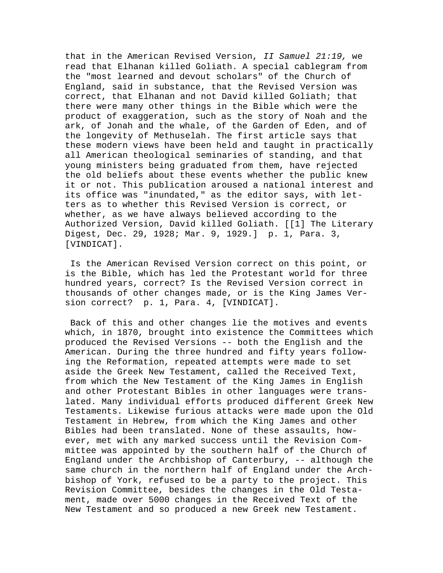that in the American Revised Version, *II Samuel 21:19,* we read that Elhanan killed Goliath. A special cablegram from the "most learned and devout scholars" of the Church of England, said in substance, that the Revised Version was correct, that Elhanan and not David killed Goliath; that there were many other things in the Bible which were the product of exaggeration, such as the story of Noah and the ark, of Jonah and the whale, of the Garden of Eden, and of the longevity of Methuselah. The first article says that these modern views have been held and taught in practically all American theological seminaries of standing, and that young ministers being graduated from them, have rejected the old beliefs about these events whether the public knew it or not. This publication aroused a national interest and its office was "inundated," as the editor says, with letters as to whether this Revised Version is correct, or whether, as we have always believed according to the Authorized Version, David killed Goliath. [[1] The Literary Digest, Dec. 29, 1928; Mar. 9, 1929.] p. 1, Para. 3, [VINDICAT].

 Is the American Revised Version correct on this point, or is the Bible, which has led the Protestant world for three hundred years, correct? Is the Revised Version correct in thousands of other changes made, or is the King James Version correct? p. 1, Para. 4, [VINDICAT].

 Back of this and other changes lie the motives and events which, in 1870, brought into existence the Committees which produced the Revised Versions -- both the English and the American. During the three hundred and fifty years following the Reformation, repeated attempts were made to set aside the Greek New Testament, called the Received Text, from which the New Testament of the King James in English and other Protestant Bibles in other languages were translated. Many individual efforts produced different Greek New Testaments. Likewise furious attacks were made upon the Old Testament in Hebrew, from which the King James and other Bibles had been translated. None of these assaults, however, met with any marked success until the Revision Committee was appointed by the southern half of the Church of England under the Archbishop of Canterbury, -- although the same church in the northern half of England under the Archbishop of York, refused to be a party to the project. This Revision Committee, besides the changes in the Old Testament, made over 5000 changes in the Received Text of the New Testament and so produced a new Greek new Testament.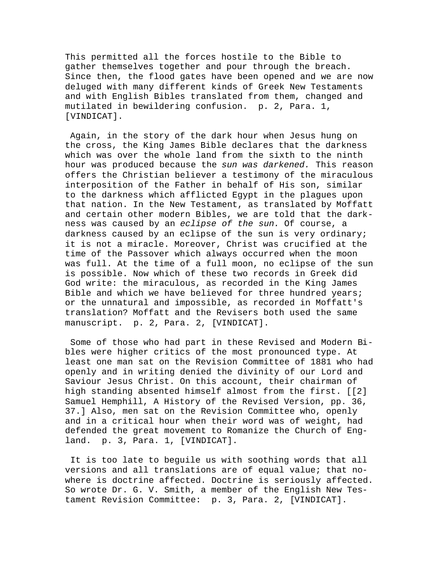This permitted all the forces hostile to the Bible to gather themselves together and pour through the breach. Since then, the flood gates have been opened and we are now deluged with many different kinds of Greek New Testaments and with English Bibles translated from them, changed and mutilated in bewildering confusion. p. 2, Para. 1, [VINDICAT].

 Again, in the story of the dark hour when Jesus hung on the cross, the King James Bible declares that the darkness which was over the whole land from the sixth to the ninth hour was produced because the *sun was darkened.* This reason offers the Christian believer a testimony of the miraculous interposition of the Father in behalf of His son, similar to the darkness which afflicted Egypt in the plagues upon that nation. In the New Testament, as translated by Moffatt and certain other modern Bibles, we are told that the darkness was caused by an *eclipse of the sun.* Of course, a darkness caused by an eclipse of the sun is very ordinary; it is not a miracle. Moreover, Christ was crucified at the time of the Passover which always occurred when the moon was full. At the time of a full moon, no eclipse of the sun is possible. Now which of these two records in Greek did God write: the miraculous, as recorded in the King James Bible and which we have believed for three hundred years; or the unnatural and impossible, as recorded in Moffatt's translation? Moffatt and the Revisers both used the same manuscript. p. 2, Para. 2, [VINDICAT].

 Some of those who had part in these Revised and Modern Bibles were higher critics of the most pronounced type. At least one man sat on the Revision Committee of 1881 who had openly and in writing denied the divinity of our Lord and Saviour Jesus Christ. On this account, their chairman of high standing absented himself almost from the first. [[2] Samuel Hemphill, A History of the Revised Version, pp. 36, 37.] Also, men sat on the Revision Committee who, openly and in a critical hour when their word was of weight, had defended the great movement to Romanize the Church of England. p. 3, Para. 1, [VINDICAT].

 It is too late to beguile us with soothing words that all versions and all translations are of equal value; that nowhere is doctrine affected. Doctrine is seriously affected. So wrote Dr. G. V. Smith, a member of the English New Testament Revision Committee: p. 3, Para. 2, [VINDICAT].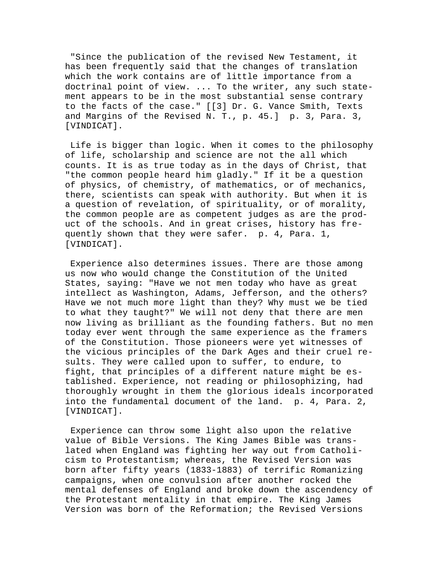"Since the publication of the revised New Testament, it has been frequently said that the changes of translation which the work contains are of little importance from a doctrinal point of view. ... To the writer, any such statement appears to be in the most substantial sense contrary to the facts of the case." [[3] Dr. G. Vance Smith, Texts and Margins of the Revised N. T., p. 45.] p. 3, Para. 3, [VINDICAT].

 Life is bigger than logic. When it comes to the philosophy of life, scholarship and science are not the all which counts. It is as true today as in the days of Christ, that "the common people heard him gladly." If it be a question of physics, of chemistry, of mathematics, or of mechanics, there, scientists can speak with authority. But when it is a question of revelation, of spirituality, or of morality, the common people are as competent judges as are the product of the schools. And in great crises, history has frequently shown that they were safer. p. 4, Para. 1, [VINDICAT].

 Experience also determines issues. There are those among us now who would change the Constitution of the United States, saying: "Have we not men today who have as great intellect as Washington, Adams, Jefferson, and the others? Have we not much more light than they? Why must we be tied to what they taught?" We will not deny that there are men now living as brilliant as the founding fathers. But no men today ever went through the same experience as the framers of the Constitution. Those pioneers were yet witnesses of the vicious principles of the Dark Ages and their cruel results. They were called upon to suffer, to endure, to fight, that principles of a different nature might be established. Experience, not reading or philosophizing, had thoroughly wrought in them the glorious ideals incorporated into the fundamental document of the land. p. 4, Para. 2, [VINDICAT].

 Experience can throw some light also upon the relative value of Bible Versions. The King James Bible was translated when England was fighting her way out from Catholicism to Protestantism; whereas, the Revised Version was born after fifty years (1833-1883) of terrific Romanizing campaigns, when one convulsion after another rocked the mental defenses of England and broke down the ascendency of the Protestant mentality in that empire. The King James Version was born of the Reformation; the Revised Versions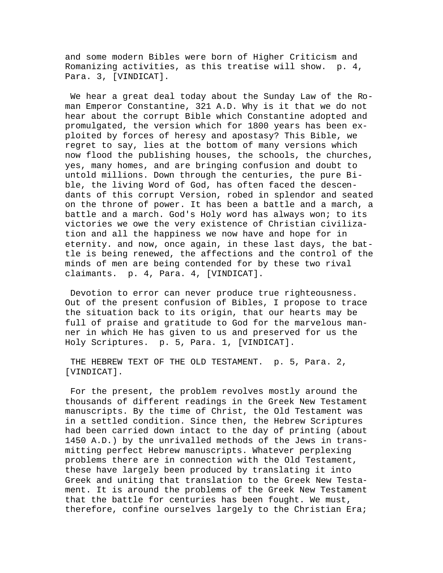and some modern Bibles were born of Higher Criticism and Romanizing activities, as this treatise will show. p. 4, Para. 3, [VINDICAT].

 We hear a great deal today about the Sunday Law of the Roman Emperor Constantine, 321 A.D. Why is it that we do not hear about the corrupt Bible which Constantine adopted and promulgated, the version which for 1800 years has been exploited by forces of heresy and apostasy? This Bible, we regret to say, lies at the bottom of many versions which now flood the publishing houses, the schools, the churches, yes, many homes, and are bringing confusion and doubt to untold millions. Down through the centuries, the pure Bible, the living Word of God, has often faced the descendants of this corrupt Version, robed in splendor and seated on the throne of power. It has been a battle and a march, a battle and a march. God's Holy word has always won; to its victories we owe the very existence of Christian civilization and all the happiness we now have and hope for in eternity. and now, once again, in these last days, the battle is being renewed, the affections and the control of the minds of men are being contended for by these two rival claimants. p. 4, Para. 4, [VINDICAT].

 Devotion to error can never produce true righteousness. Out of the present confusion of Bibles, I propose to trace the situation back to its origin, that our hearts may be full of praise and gratitude to God for the marvelous manner in which He has given to us and preserved for us the Holy Scriptures. p. 5, Para. 1, [VINDICAT].

THE HEBREW TEXT OF THE OLD TESTAMENT. p. 5, Para. 2, [VINDICAT].

 For the present, the problem revolves mostly around the thousands of different readings in the Greek New Testament manuscripts. By the time of Christ, the Old Testament was in a settled condition. Since then, the Hebrew Scriptures had been carried down intact to the day of printing (about 1450 A.D.) by the unrivalled methods of the Jews in transmitting perfect Hebrew manuscripts. Whatever perplexing problems there are in connection with the Old Testament, these have largely been produced by translating it into Greek and uniting that translation to the Greek New Testament. It is around the problems of the Greek New Testament that the battle for centuries has been fought. We must, therefore, confine ourselves largely to the Christian Era;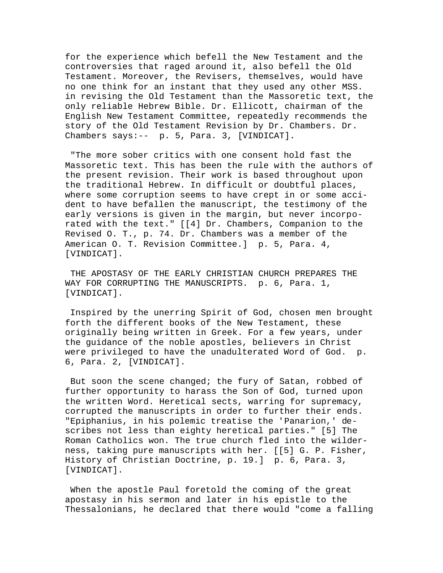for the experience which befell the New Testament and the controversies that raged around it, also befell the Old Testament. Moreover, the Revisers, themselves, would have no one think for an instant that they used any other MSS. in revising the Old Testament than the Massoretic text, the only reliable Hebrew Bible. Dr. Ellicott, chairman of the English New Testament Committee, repeatedly recommends the story of the Old Testament Revision by Dr. Chambers. Dr. Chambers says:-- p. 5, Para. 3, [VINDICAT].

 "The more sober critics with one consent hold fast the Massoretic text. This has been the rule with the authors of the present revision. Their work is based throughout upon the traditional Hebrew. In difficult or doubtful places, where some corruption seems to have crept in or some accident to have befallen the manuscript, the testimony of the early versions is given in the margin, but never incorporated with the text." [[4] Dr. Chambers, Companion to the Revised O. T., p. 74. Dr. Chambers was a member of the American O. T. Revision Committee.] p. 5, Para. 4, [VINDICAT].

 THE APOSTASY OF THE EARLY CHRISTIAN CHURCH PREPARES THE WAY FOR CORRUPTING THE MANUSCRIPTS. p. 6, Para. 1, [VINDICAT].

 Inspired by the unerring Spirit of God, chosen men brought forth the different books of the New Testament, these originally being written in Greek. For a few years, under the guidance of the noble apostles, believers in Christ were privileged to have the unadulterated Word of God. p. 6, Para. 2, [VINDICAT].

 But soon the scene changed; the fury of Satan, robbed of further opportunity to harass the Son of God, turned upon the written Word. Heretical sects, warring for supremacy, corrupted the manuscripts in order to further their ends. "Epiphanius, in his polemic treatise the 'Panarion,' describes not less than eighty heretical parties." [5] The Roman Catholics won. The true church fled into the wilderness, taking pure manuscripts with her. [[5] G. P. Fisher, History of Christian Doctrine, p. 19.] p. 6, Para. 3, [VINDICAT].

 When the apostle Paul foretold the coming of the great apostasy in his sermon and later in his epistle to the Thessalonians, he declared that there would "come a falling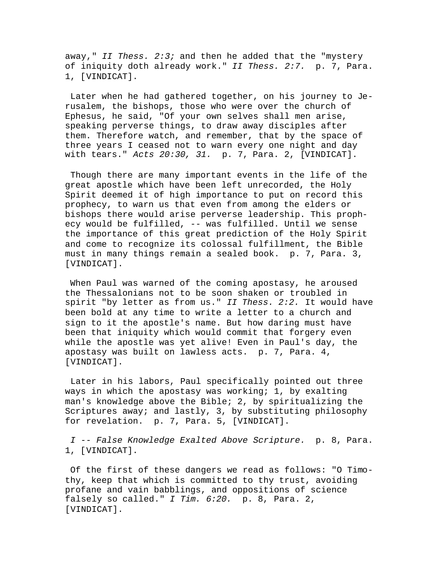away," *II Thess. 2:3;* and then he added that the "mystery of iniquity doth already work." *II Thess. 2:7.* p. 7, Para. 1, [VINDICAT].

 Later when he had gathered together, on his journey to Jerusalem, the bishops, those who were over the church of Ephesus, he said, "Of your own selves shall men arise, speaking perverse things, to draw away disciples after them. Therefore watch, and remember, that by the space of three years I ceased not to warn every one night and day with tears." *Acts 20:30, 31.* p. 7, Para. 2, [VINDICAT].

 Though there are many important events in the life of the great apostle which have been left unrecorded, the Holy Spirit deemed it of high importance to put on record this prophecy, to warn us that even from among the elders or bishops there would arise perverse leadership. This prophecy would be fulfilled, -- was fulfilled. Until we sense the importance of this great prediction of the Holy Spirit and come to recognize its colossal fulfillment, the Bible must in many things remain a sealed book. p. 7, Para. 3, [VINDICAT].

 When Paul was warned of the coming apostasy, he aroused the Thessalonians not to be soon shaken or troubled in spirit "by letter as from us." *II Thess. 2:2.* It would have been bold at any time to write a letter to a church and sign to it the apostle's name. But how daring must have been that iniquity which would commit that forgery even while the apostle was yet alive! Even in Paul's day, the apostasy was built on lawless acts. p. 7, Para. 4, [VINDICAT].

 Later in his labors, Paul specifically pointed out three ways in which the apostasy was working; 1, by exalting man's knowledge above the Bible; 2, by spiritualizing the Scriptures away; and lastly, 3, by substituting philosophy for revelation. p. 7, Para. 5, [VINDICAT].

 *I -- False Knowledge Exalted Above Scripture.* p. 8, Para. 1, [VINDICAT].

 Of the first of these dangers we read as follows: "O Timothy, keep that which is committed to thy trust, avoiding profane and vain babblings, and oppositions of science falsely so called." *I Tim. 6:20.* p. 8, Para. 2, [VINDICAT].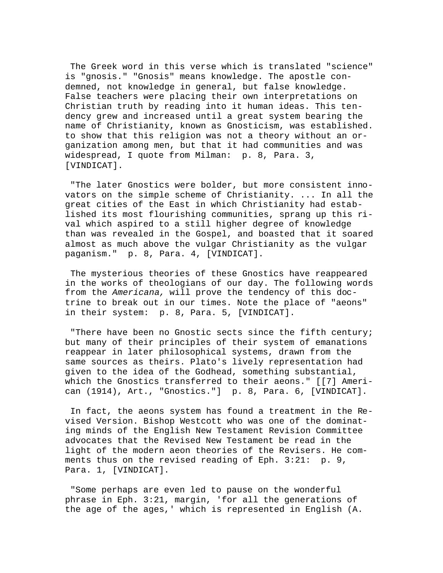The Greek word in this verse which is translated "science" is "gnosis." "Gnosis" means knowledge. The apostle condemned, not knowledge in general, but false knowledge. False teachers were placing their own interpretations on Christian truth by reading into it human ideas. This tendency grew and increased until a great system bearing the name of Christianity, known as Gnosticism, was established. to show that this religion was not a theory without an organization among men, but that it had communities and was widespread, I quote from Milman: p. 8, Para. 3, [VINDICAT].

 "The later Gnostics were bolder, but more consistent innovators on the simple scheme of Christianity. ... In all the great cities of the East in which Christianity had established its most flourishing communities, sprang up this rival which aspired to a still higher degree of knowledge than was revealed in the Gospel, and boasted that it soared almost as much above the vulgar Christianity as the vulgar paganism." p. 8, Para. 4, [VINDICAT].

 The mysterious theories of these Gnostics have reappeared in the works of theologians of our day. The following words from the *Americana,* will prove the tendency of this doctrine to break out in our times. Note the place of "aeons" in their system: p. 8, Para. 5, [VINDICAT].

 "There have been no Gnostic sects since the fifth century; but many of their principles of their system of emanations reappear in later philosophical systems, drawn from the same sources as theirs. Plato's lively representation had given to the idea of the Godhead, something substantial, which the Gnostics transferred to their aeons." [[7] American (1914), Art., "Gnostics."] p. 8, Para. 6, [VINDICAT].

 In fact, the aeons system has found a treatment in the Revised Version. Bishop Westcott who was one of the dominating minds of the English New Testament Revision Committee advocates that the Revised New Testament be read in the light of the modern aeon theories of the Revisers. He comments thus on the revised reading of Eph. 3:21: p. 9, Para. 1, [VINDICAT].

 "Some perhaps are even led to pause on the wonderful phrase in Eph. 3:21, margin, 'for all the generations of the age of the ages,' which is represented in English (A.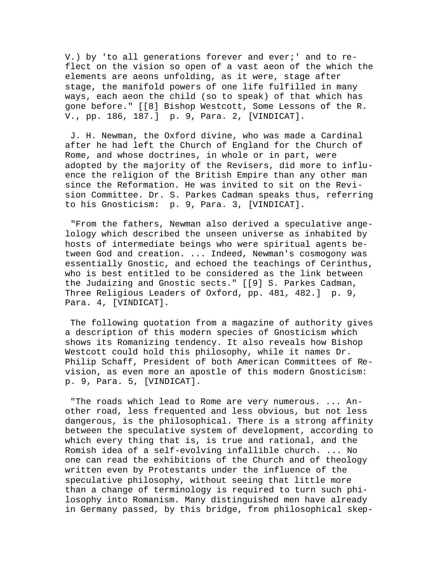V.) by 'to all generations forever and ever;' and to reflect on the vision so open of a vast aeon of the which the elements are aeons unfolding, as it were, stage after stage, the manifold powers of one life fulfilled in many ways, each aeon the child (so to speak) of that which has gone before." [[8] Bishop Westcott, Some Lessons of the R. V., pp. 186, 187.] p. 9, Para. 2, [VINDICAT].

 J. H. Newman, the Oxford divine, who was made a Cardinal after he had left the Church of England for the Church of Rome, and whose doctrines, in whole or in part, were adopted by the majority of the Revisers, did more to influence the religion of the British Empire than any other man since the Reformation. He was invited to sit on the Revision Committee. Dr. S. Parkes Cadman speaks thus, referring to his Gnosticism: p. 9, Para. 3, [VINDICAT].

 "From the fathers, Newman also derived a speculative angelology which described the unseen universe as inhabited by hosts of intermediate beings who were spiritual agents between God and creation. ... Indeed, Newman's cosmogony was essentially Gnostic, and echoed the teachings of Cerinthus, who is best entitled to be considered as the link between the Judaizing and Gnostic sects." [[9] S. Parkes Cadman, Three Religious Leaders of Oxford, pp. 481, 482.] p. 9, Para. 4, [VINDICAT].

 The following quotation from a magazine of authority gives a description of this modern species of Gnosticism which shows its Romanizing tendency. It also reveals how Bishop Westcott could hold this philosophy, while it names Dr. Philip Schaff, President of both American Committees of Revision, as even more an apostle of this modern Gnosticism: p. 9, Para. 5, [VINDICAT].

 "The roads which lead to Rome are very numerous. ... Another road, less frequented and less obvious, but not less dangerous, is the philosophical. There is a strong affinity between the speculative system of development, according to which every thing that is, is true and rational, and the Romish idea of a self-evolving infallible church. ... No one can read the exhibitions of the Church and of theology written even by Protestants under the influence of the speculative philosophy, without seeing that little more than a change of terminology is required to turn such philosophy into Romanism. Many distinguished men have already in Germany passed, by this bridge, from philosophical skep-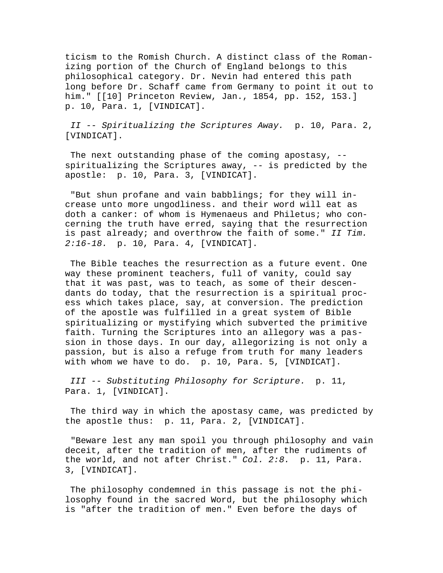ticism to the Romish Church. A distinct class of the Romanizing portion of the Church of England belongs to this philosophical category. Dr. Nevin had entered this path long before Dr. Schaff came from Germany to point it out to him." [[10] Princeton Review, Jan., 1854, pp. 152, 153.] p. 10, Para. 1, [VINDICAT].

 *II -- Spiritualizing the Scriptures Away.* p. 10, Para. 2, [VINDICAT].

The next outstanding phase of the coming apostasy, -spiritualizing the Scriptures away, -- is predicted by the apostle: p. 10, Para. 3, [VINDICAT].

 "But shun profane and vain babblings; for they will increase unto more ungodliness. and their word will eat as doth a canker: of whom is Hymenaeus and Philetus; who concerning the truth have erred, saying that the resurrection is past already; and overthrow the faith of some." *II Tim. 2:16-18.* p. 10, Para. 4, [VINDICAT].

 The Bible teaches the resurrection as a future event. One way these prominent teachers, full of vanity, could say that it was past, was to teach, as some of their descendants do today, that the resurrection is a spiritual process which takes place, say, at conversion. The prediction of the apostle was fulfilled in a great system of Bible spiritualizing or mystifying which subverted the primitive faith. Turning the Scriptures into an allegory was a passion in those days. In our day, allegorizing is not only a passion, but is also a refuge from truth for many leaders with whom we have to do. p. 10, Para. 5, [VINDICAT].

 *III -- Substituting Philosophy for Scripture.* p. 11, Para. 1, [VINDICAT].

 The third way in which the apostasy came, was predicted by the apostle thus: p. 11, Para. 2, [VINDICAT].

 "Beware lest any man spoil you through philosophy and vain deceit, after the tradition of men, after the rudiments of the world, and not after Christ." *Col. 2:8.* p. 11, Para. 3, [VINDICAT].

 The philosophy condemned in this passage is not the philosophy found in the sacred Word, but the philosophy which is "after the tradition of men." Even before the days of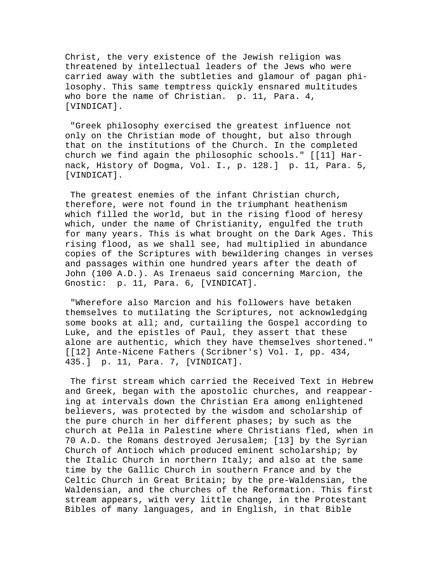Christ, the very existence of the Jewish religion was threatened by intellectual leaders of the Jews who were carried away with the subtleties and glamour of pagan philosophy. This same temptress quickly ensnared multitudes who bore the name of Christian. p. 11, Para. 4, [VINDICAT].

 "Greek philosophy exercised the greatest influence not only on the Christian mode of thought, but also through that on the institutions of the Church. In the completed church we find again the philosophic schools." [[11] Harnack, History of Dogma, Vol. I., p. 128.] p. 11, Para. 5, [VINDICAT].

 The greatest enemies of the infant Christian church, therefore, were not found in the triumphant heathenism which filled the world, but in the rising flood of heresy which, under the name of Christianity, engulfed the truth for many years. This is what brought on the Dark Ages. This rising flood, as we shall see, had multiplied in abundance copies of the Scriptures with bewildering changes in verses and passages within one hundred years after the death of John (100 A.D.). As Irenaeus said concerning Marcion, the Gnostic: p. 11, Para. 6, [VINDICAT].

 "Wherefore also Marcion and his followers have betaken themselves to mutilating the Scriptures, not acknowledging some books at all; and, curtailing the Gospel according to Luke, and the epistles of Paul, they assert that these alone are authentic, which they have themselves shortened." [[12] Ante-Nicene Fathers (Scribner's) Vol. I, pp. 434, 435.] p. 11, Para. 7, [VINDICAT].

 The first stream which carried the Received Text in Hebrew and Greek, began with the apostolic churches, and reappearing at intervals down the Christian Era among enlightened believers, was protected by the wisdom and scholarship of the pure church in her different phases; by such as the church at Pella in Palestine where Christians fled, when in 70 A.D. the Romans destroyed Jerusalem; [13] by the Syrian Church of Antioch which produced eminent scholarship; by the Italic Church in northern Italy; and also at the same time by the Gallic Church in southern France and by the Celtic Church in Great Britain; by the pre-Waldensian, the Waldensian, and the churches of the Reformation. This first stream appears, with very little change, in the Protestant Bibles of many languages, and in English, in that Bible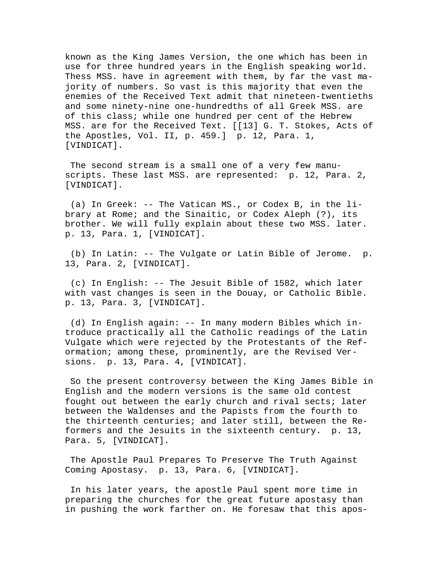known as the King James Version, the one which has been in use for three hundred years in the English speaking world. Thess MSS. have in agreement with them, by far the vast majority of numbers. So vast is this majority that even the enemies of the Received Text admit that nineteen-twentieths and some ninety-nine one-hundredths of all Greek MSS. are of this class; while one hundred per cent of the Hebrew MSS. are for the Received Text. [[13] G. T. Stokes, Acts of the Apostles, Vol. II, p. 459.] p. 12, Para. 1, [VINDICAT].

 The second stream is a small one of a very few manuscripts. These last MSS. are represented: p. 12, Para. 2, [VINDICAT].

 (a) In Greek: -- The Vatican MS., or Codex B, in the library at Rome; and the Sinaitic, or Codex Aleph (?), its brother. We will fully explain about these two MSS. later. p. 13, Para. 1, [VINDICAT].

 (b) In Latin: -- The Vulgate or Latin Bible of Jerome. p. 13, Para. 2, [VINDICAT].

 (c) In English: -- The Jesuit Bible of 1582, which later with vast changes is seen in the Douay, or Catholic Bible. p. 13, Para. 3, [VINDICAT].

 (d) In English again: -- In many modern Bibles which introduce practically all the Catholic readings of the Latin Vulgate which were rejected by the Protestants of the Reformation; among these, prominently, are the Revised Versions. p. 13, Para. 4, [VINDICAT].

 So the present controversy between the King James Bible in English and the modern versions is the same old contest fought out between the early church and rival sects; later between the Waldenses and the Papists from the fourth to the thirteenth centuries; and later still, between the Reformers and the Jesuits in the sixteenth century. p. 13, Para. 5, [VINDICAT].

 The Apostle Paul Prepares To Preserve The Truth Against Coming Apostasy. p. 13, Para. 6, [VINDICAT].

 In his later years, the apostle Paul spent more time in preparing the churches for the great future apostasy than in pushing the work farther on. He foresaw that this apos-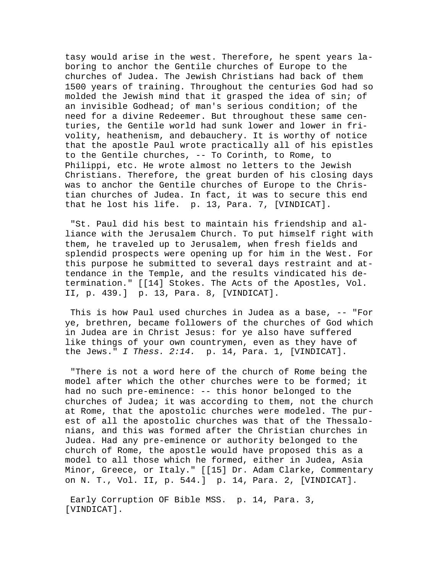tasy would arise in the west. Therefore, he spent years laboring to anchor the Gentile churches of Europe to the churches of Judea. The Jewish Christians had back of them 1500 years of training. Throughout the centuries God had so molded the Jewish mind that it grasped the idea of sin; of an invisible Godhead; of man's serious condition; of the need for a divine Redeemer. But throughout these same centuries, the Gentile world had sunk lower and lower in frivolity, heathenism, and debauchery. It is worthy of notice that the apostle Paul wrote practically all of his epistles to the Gentile churches, -- To Corinth, to Rome, to Philippi, etc. He wrote almost no letters to the Jewish Christians. Therefore, the great burden of his closing days was to anchor the Gentile churches of Europe to the Christian churches of Judea. In fact, it was to secure this end that he lost his life. p. 13, Para. 7, [VINDICAT].

 "St. Paul did his best to maintain his friendship and alliance with the Jerusalem Church. To put himself right with them, he traveled up to Jerusalem, when fresh fields and splendid prospects were opening up for him in the West. For this purpose he submitted to several days restraint and attendance in the Temple, and the results vindicated his determination." [[14] Stokes. The Acts of the Apostles, Vol. II, p. 439.] p. 13, Para. 8, [VINDICAT].

 This is how Paul used churches in Judea as a base, -- "For ye, brethren, became followers of the churches of God which in Judea are in Christ Jesus: for ye also have suffered like things of your own countrymen, even as they have of the Jews." *I Thess. 2:14.* p. 14, Para. 1, [VINDICAT].

 "There is not a word here of the church of Rome being the model after which the other churches were to be formed; it had no such pre-eminence: -- this honor belonged to the churches of Judea; it was according to them, not the church at Rome, that the apostolic churches were modeled. The purest of all the apostolic churches was that of the Thessalonians, and this was formed after the Christian churches in Judea. Had any pre-eminence or authority belonged to the church of Rome, the apostle would have proposed this as a model to all those which he formed, either in Judea, Asia Minor, Greece, or Italy." [[15] Dr. Adam Clarke, Commentary on N. T., Vol. II, p. 544.] p. 14, Para. 2, [VINDICAT].

 Early Corruption OF Bible MSS. p. 14, Para. 3, [VINDICAT].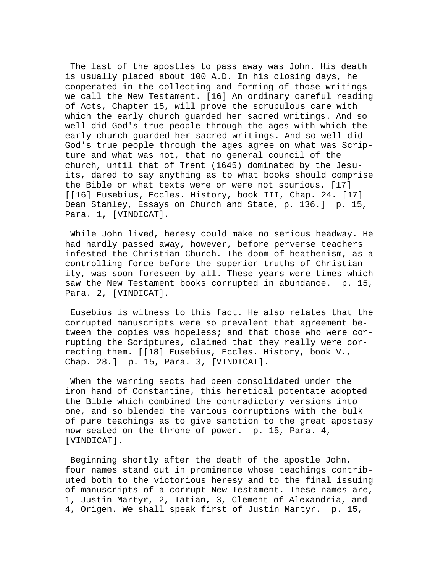The last of the apostles to pass away was John. His death is usually placed about 100 A.D. In his closing days, he cooperated in the collecting and forming of those writings we call the New Testament. [16] An ordinary careful reading of Acts, Chapter 15, will prove the scrupulous care with which the early church guarded her sacred writings. And so well did God's true people through the ages with which the early church guarded her sacred writings. And so well did God's true people through the ages agree on what was Scripture and what was not, that no general council of the church, until that of Trent (1645) dominated by the Jesuits, dared to say anything as to what books should comprise the Bible or what texts were or were not spurious. [17] [[16] Eusebius, Eccles. History, book III, Chap. 24. [17] Dean Stanley, Essays on Church and State, p. 136.] p. 15, Para. 1, [VINDICAT].

 While John lived, heresy could make no serious headway. He had hardly passed away, however, before perverse teachers infested the Christian Church. The doom of heathenism, as a controlling force before the superior truths of Christianity, was soon foreseen by all. These years were times which saw the New Testament books corrupted in abundance. p. 15, Para. 2, [VINDICAT].

 Eusebius is witness to this fact. He also relates that the corrupted manuscripts were so prevalent that agreement between the copies was hopeless; and that those who were corrupting the Scriptures, claimed that they really were correcting them. [[18] Eusebius, Eccles. History, book V., Chap. 28.] p. 15, Para. 3, [VINDICAT].

 When the warring sects had been consolidated under the iron hand of Constantine, this heretical potentate adopted the Bible which combined the contradictory versions into one, and so blended the various corruptions with the bulk of pure teachings as to give sanction to the great apostasy now seated on the throne of power. p. 15, Para. 4, [VINDICAT].

 Beginning shortly after the death of the apostle John, four names stand out in prominence whose teachings contributed both to the victorious heresy and to the final issuing of manuscripts of a corrupt New Testament. These names are, 1, Justin Martyr, 2, Tatian, 3, Clement of Alexandria, and 4, Origen. We shall speak first of Justin Martyr. p. 15,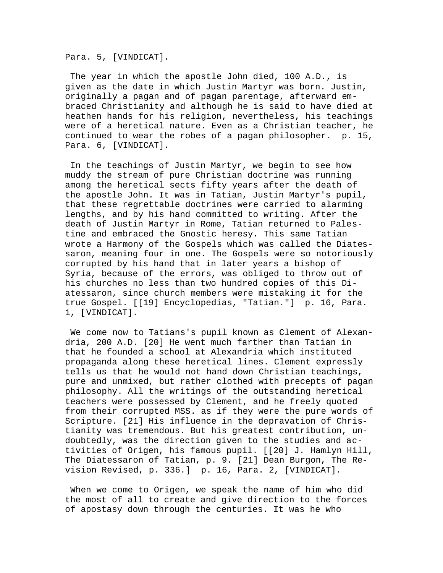Para. 5, [VINDICAT].

 The year in which the apostle John died, 100 A.D., is given as the date in which Justin Martyr was born. Justin, originally a pagan and of pagan parentage, afterward embraced Christianity and although he is said to have died at heathen hands for his religion, nevertheless, his teachings were of a heretical nature. Even as a Christian teacher, he continued to wear the robes of a pagan philosopher. p. 15, Para. 6, [VINDICAT].

 In the teachings of Justin Martyr, we begin to see how muddy the stream of pure Christian doctrine was running among the heretical sects fifty years after the death of the apostle John. It was in Tatian, Justin Martyr's pupil, that these regrettable doctrines were carried to alarming lengths, and by his hand committed to writing. After the death of Justin Martyr in Rome, Tatian returned to Palestine and embraced the Gnostic heresy. This same Tatian wrote a Harmony of the Gospels which was called the Diatessaron, meaning four in one. The Gospels were so notoriously corrupted by his hand that in later years a bishop of Syria, because of the errors, was obliged to throw out of his churches no less than two hundred copies of this Diatessaron, since church members were mistaking it for the true Gospel. [[19] Encyclopedias, "Tatian."] p. 16, Para. 1, [VINDICAT].

We come now to Tatians's pupil known as Clement of Alexandria, 200 A.D. [20] He went much farther than Tatian in that he founded a school at Alexandria which instituted propaganda along these heretical lines. Clement expressly tells us that he would not hand down Christian teachings, pure and unmixed, but rather clothed with precepts of pagan philosophy. All the writings of the outstanding heretical teachers were possessed by Clement, and he freely quoted from their corrupted MSS. as if they were the pure words of Scripture. [21] His influence in the depravation of Christianity was tremendous. But his greatest contribution, undoubtedly, was the direction given to the studies and activities of Origen, his famous pupil. [[20] J. Hamlyn Hill, The Diatessaron of Tatian, p. 9. [21] Dean Burgon, The Revision Revised, p. 336.] p. 16, Para. 2, [VINDICAT].

 When we come to Origen, we speak the name of him who did the most of all to create and give direction to the forces of apostasy down through the centuries. It was he who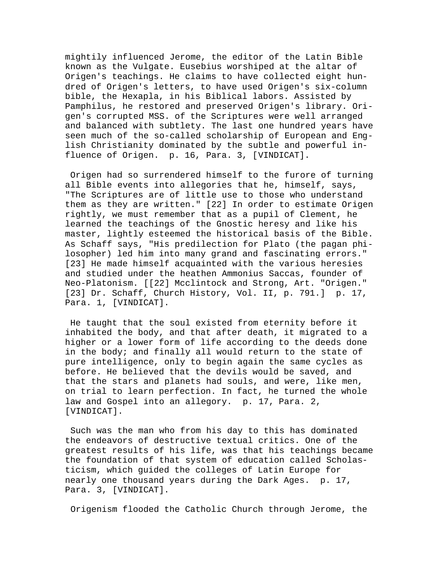mightily influenced Jerome, the editor of the Latin Bible known as the Vulgate. Eusebius worshiped at the altar of Origen's teachings. He claims to have collected eight hundred of Origen's letters, to have used Origen's six-column bible, the Hexapla, in his Biblical labors. Assisted by Pamphilus, he restored and preserved Origen's library. Origen's corrupted MSS. of the Scriptures were well arranged and balanced with subtlety. The last one hundred years have seen much of the so-called scholarship of European and English Christianity dominated by the subtle and powerful influence of Origen. p. 16, Para. 3, [VINDICAT].

 Origen had so surrendered himself to the furore of turning all Bible events into allegories that he, himself, says, "The Scriptures are of little use to those who understand them as they are written." [22] In order to estimate Origen rightly, we must remember that as a pupil of Clement, he learned the teachings of the Gnostic heresy and like his master, lightly esteemed the historical basis of the Bible. As Schaff says, "His predilection for Plato (the pagan philosopher) led him into many grand and fascinating errors." [23] He made himself acquainted with the various heresies and studied under the heathen Ammonius Saccas, founder of Neo-Platonism. [[22] Mcclintock and Strong, Art. "Origen." [23] Dr. Schaff, Church History, Vol. II, p. 791.] p. 17, Para. 1, [VINDICAT].

 He taught that the soul existed from eternity before it inhabited the body, and that after death, it migrated to a higher or a lower form of life according to the deeds done in the body; and finally all would return to the state of pure intelligence, only to begin again the same cycles as before. He believed that the devils would be saved, and that the stars and planets had souls, and were, like men, on trial to learn perfection. In fact, he turned the whole law and Gospel into an allegory. p. 17, Para. 2, [VINDICAT].

 Such was the man who from his day to this has dominated the endeavors of destructive textual critics. One of the greatest results of his life, was that his teachings became the foundation of that system of education called Scholasticism, which guided the colleges of Latin Europe for nearly one thousand years during the Dark Ages. p. 17, Para. 3, [VINDICAT].

Origenism flooded the Catholic Church through Jerome, the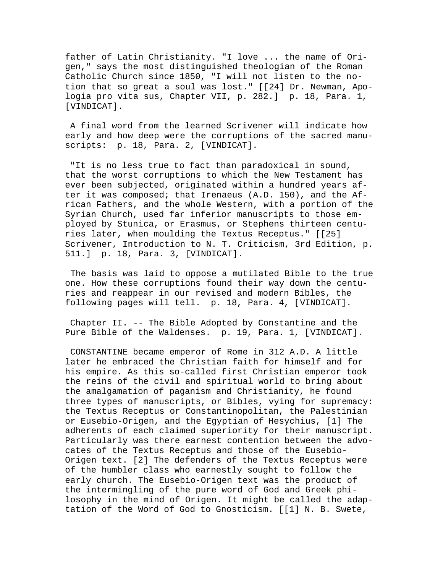father of Latin Christianity. "I love ... the name of Origen," says the most distinguished theologian of the Roman Catholic Church since 1850, "I will not listen to the notion that so great a soul was lost." [[24] Dr. Newman, Apologia pro vita sus, Chapter VII, p. 282.] p. 18, Para. 1, [VINDICAT].

 A final word from the learned Scrivener will indicate how early and how deep were the corruptions of the sacred manuscripts: p. 18, Para. 2, [VINDICAT].

 "It is no less true to fact than paradoxical in sound, that the worst corruptions to which the New Testament has ever been subjected, originated within a hundred years after it was composed; that Irenaeus (A.D. 150), and the African Fathers, and the whole Western, with a portion of the Syrian Church, used far inferior manuscripts to those employed by Stunica, or Erasmus, or Stephens thirteen centuries later, when moulding the Textus Receptus." [[25] Scrivener, Introduction to N. T. Criticism, 3rd Edition, p. 511.] p. 18, Para. 3, [VINDICAT].

 The basis was laid to oppose a mutilated Bible to the true one. How these corruptions found their way down the centuries and reappear in our revised and modern Bibles, the following pages will tell. p. 18, Para. 4, [VINDICAT].

 Chapter II. -- The Bible Adopted by Constantine and the Pure Bible of the Waldenses. p. 19, Para. 1, [VINDICAT].

 CONSTANTINE became emperor of Rome in 312 A.D. A little later he embraced the Christian faith for himself and for his empire. As this so-called first Christian emperor took the reins of the civil and spiritual world to bring about the amalgamation of paganism and Christianity, he found three types of manuscripts, or Bibles, vying for supremacy: the Textus Receptus or Constantinopolitan, the Palestinian or Eusebio-Origen, and the Egyptian of Hesychius, [1] The adherents of each claimed superiority for their manuscript. Particularly was there earnest contention between the advocates of the Textus Receptus and those of the Eusebio-Origen text. [2] The defenders of the Textus Receptus were of the humbler class who earnestly sought to follow the early church. The Eusebio-Origen text was the product of the intermingling of the pure word of God and Greek philosophy in the mind of Origen. It might be called the adaptation of the Word of God to Gnosticism. [[1] N. B. Swete,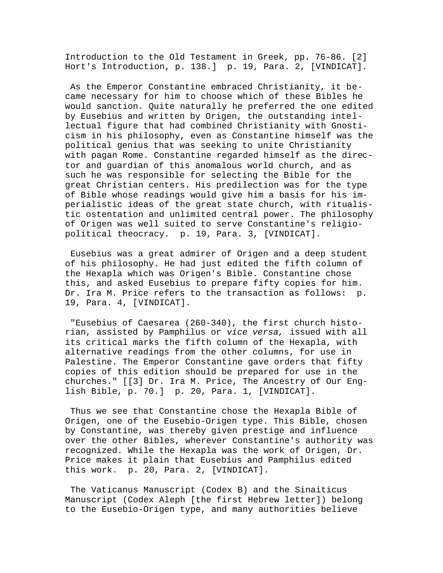Introduction to the Old Testament in Greek, pp. 76-86. [2] Hort's Introduction, p. 138.] p. 19, Para. 2, [VINDICAT].

 As the Emperor Constantine embraced Christianity, it became necessary for him to choose which of these Bibles he would sanction. Quite naturally he preferred the one edited by Eusebius and written by Origen, the outstanding intellectual figure that had combined Christianity with Gnosticism in his philosophy, even as Constantine himself was the political genius that was seeking to unite Christianity with pagan Rome. Constantine regarded himself as the director and guardian of this anomalous world church, and as such he was responsible for selecting the Bible for the great Christian centers. His predilection was for the type of Bible whose readings would give him a basis for his imperialistic ideas of the great state church, with ritualistic ostentation and unlimited central power. The philosophy of Origen was well suited to serve Constantine's religiopolitical theocracy. p. 19, Para. 3, [VINDICAT].

 Eusebius was a great admirer of Origen and a deep student of his philosophy. He had just edited the fifth column of the Hexapla which was Origen's Bible. Constantine chose this, and asked Eusebius to prepare fifty copies for him. Dr. Ira M. Price refers to the transaction as follows: p. 19, Para. 4, [VINDICAT].

 "Eusebius of Caesarea (260-340), the first church historian, assisted by Pamphilus or *vice versa,* issued with all its critical marks the fifth column of the Hexapla, with alternative readings from the other columns, for use in Palestine. The Emperor Constantine gave orders that fifty copies of this edition should be prepared for use in the churches." [[3] Dr. Ira M. Price, The Ancestry of Our English Bible, p. 70.] p. 20, Para. 1, [VINDICAT].

 Thus we see that Constantine chose the Hexapla Bible of Origen, one of the Eusebio-Origen type. This Bible, chosen by Constantine, was thereby given prestige and influence over the other Bibles, wherever Constantine's authority was recognized. While the Hexapla was the work of Origen, Dr. Price makes it plain that Eusebius and Pamphilus edited this work. p. 20, Para. 2, [VINDICAT].

 The Vaticanus Manuscript (Codex B) and the Sinaiticus Manuscript (Codex Aleph [the first Hebrew letter]) belong to the Eusebio-Origen type, and many authorities believe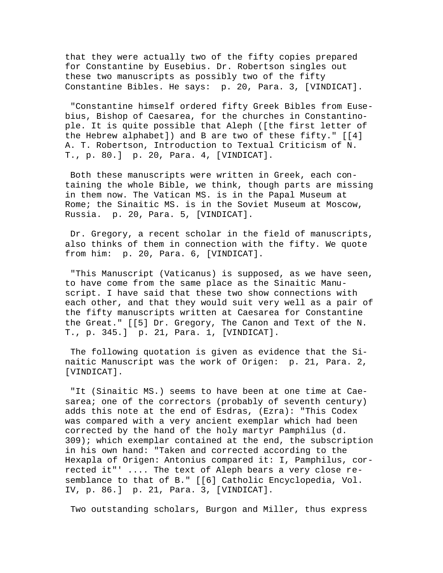that they were actually two of the fifty copies prepared for Constantine by Eusebius. Dr. Robertson singles out these two manuscripts as possibly two of the fifty Constantine Bibles. He says: p. 20, Para. 3, [VINDICAT].

 "Constantine himself ordered fifty Greek Bibles from Eusebius, Bishop of Caesarea, for the churches in Constantinople. It is quite possible that Aleph ([the first letter of the Hebrew alphabet]) and B are two of these fifty." [[4] A. T. Robertson, Introduction to Textual Criticism of N. T., p. 80.] p. 20, Para. 4, [VINDICAT].

 Both these manuscripts were written in Greek, each containing the whole Bible, we think, though parts are missing in them now. The Vatican MS. is in the Papal Museum at Rome; the Sinaitic MS. is in the Soviet Museum at Moscow, Russia. p. 20, Para. 5, [VINDICAT].

 Dr. Gregory, a recent scholar in the field of manuscripts, also thinks of them in connection with the fifty. We quote from him: p. 20, Para. 6, [VINDICAT].

 "This Manuscript (Vaticanus) is supposed, as we have seen, to have come from the same place as the Sinaitic Manuscript. I have said that these two show connections with each other, and that they would suit very well as a pair of the fifty manuscripts written at Caesarea for Constantine the Great." [[5] Dr. Gregory, The Canon and Text of the N. T., p. 345.] p. 21, Para. 1, [VINDICAT].

 The following quotation is given as evidence that the Sinaitic Manuscript was the work of Origen: p. 21, Para. 2, [VINDICAT].

 "It (Sinaitic MS.) seems to have been at one time at Caesarea; one of the correctors (probably of seventh century) adds this note at the end of Esdras, (Ezra): "This Codex was compared with a very ancient exemplar which had been corrected by the hand of the holy martyr Pamphilus (d. 309); which exemplar contained at the end, the subscription in his own hand: "Taken and corrected according to the Hexapla of Origen: Antonius compared it: I, Pamphilus, corrected it"' .... The text of Aleph bears a very close resemblance to that of B." [[6] Catholic Encyclopedia, Vol. IV, p. 86.] p. 21, Para. 3, [VINDICAT].

Two outstanding scholars, Burgon and Miller, thus express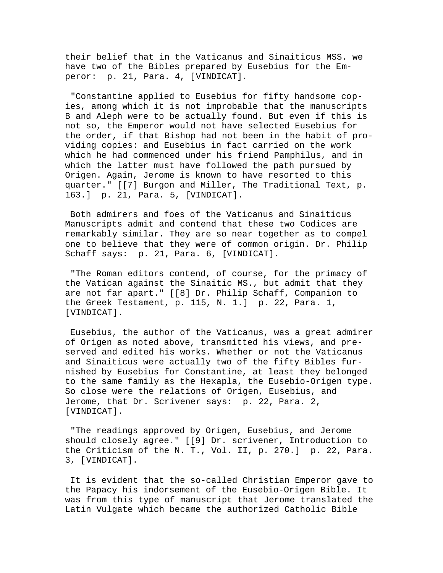their belief that in the Vaticanus and Sinaiticus MSS. we have two of the Bibles prepared by Eusebius for the Emperor: p. 21, Para. 4, [VINDICAT].

 "Constantine applied to Eusebius for fifty handsome copies, among which it is not improbable that the manuscripts B and Aleph were to be actually found. But even if this is not so, the Emperor would not have selected Eusebius for the order, if that Bishop had not been in the habit of providing copies: and Eusebius in fact carried on the work which he had commenced under his friend Pamphilus, and in which the latter must have followed the path pursued by Origen. Again, Jerome is known to have resorted to this quarter." [[7] Burgon and Miller, The Traditional Text, p. 163.] p. 21, Para. 5, [VINDICAT].

 Both admirers and foes of the Vaticanus and Sinaiticus Manuscripts admit and contend that these two Codices are remarkably similar. They are so near together as to compel one to believe that they were of common origin. Dr. Philip Schaff says: p. 21, Para. 6, [VINDICAT].

 "The Roman editors contend, of course, for the primacy of the Vatican against the Sinaitic MS., but admit that they are not far apart." [[8] Dr. Philip Schaff, Companion to the Greek Testament, p. 115, N. 1.] p. 22, Para. 1, [VINDICAT].

 Eusebius, the author of the Vaticanus, was a great admirer of Origen as noted above, transmitted his views, and preserved and edited his works. Whether or not the Vaticanus and Sinaiticus were actually two of the fifty Bibles furnished by Eusebius for Constantine, at least they belonged to the same family as the Hexapla, the Eusebio-Origen type. So close were the relations of Origen, Eusebius, and Jerome, that Dr. Scrivener says: p. 22, Para. 2, [VINDICAT].

 "The readings approved by Origen, Eusebius, and Jerome should closely agree." [[9] Dr. scrivener, Introduction to the Criticism of the N. T., Vol. II, p. 270.] p. 22, Para. 3, [VINDICAT].

 It is evident that the so-called Christian Emperor gave to the Papacy his indorsement of the Eusebio-Origen Bible. It was from this type of manuscript that Jerome translated the Latin Vulgate which became the authorized Catholic Bible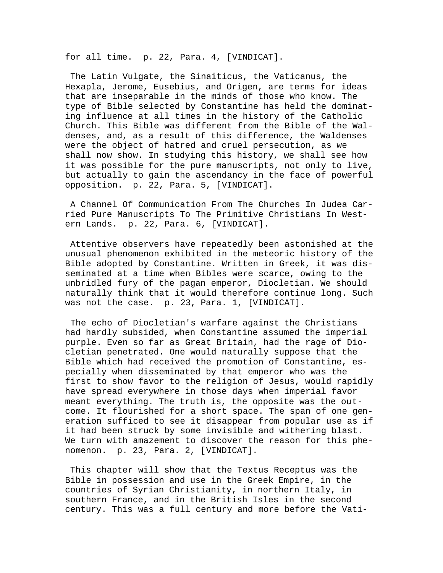for all time. p. 22, Para. 4, [VINDICAT].

 The Latin Vulgate, the Sinaiticus, the Vaticanus, the Hexapla, Jerome, Eusebius, and Origen, are terms for ideas that are inseparable in the minds of those who know. The type of Bible selected by Constantine has held the dominating influence at all times in the history of the Catholic Church. This Bible was different from the Bible of the Waldenses, and, as a result of this difference, the Waldenses were the object of hatred and cruel persecution, as we shall now show. In studying this history, we shall see how it was possible for the pure manuscripts, not only to live, but actually to gain the ascendancy in the face of powerful opposition. p. 22, Para. 5, [VINDICAT].

 A Channel Of Communication From The Churches In Judea Carried Pure Manuscripts To The Primitive Christians In Western Lands. p. 22, Para. 6, [VINDICAT].

 Attentive observers have repeatedly been astonished at the unusual phenomenon exhibited in the meteoric history of the Bible adopted by Constantine. Written in Greek, it was disseminated at a time when Bibles were scarce, owing to the unbridled fury of the pagan emperor, Diocletian. We should naturally think that it would therefore continue long. Such was not the case. p. 23, Para. 1, [VINDICAT].

 The echo of Diocletian's warfare against the Christians had hardly subsided, when Constantine assumed the imperial purple. Even so far as Great Britain, had the rage of Diocletian penetrated. One would naturally suppose that the Bible which had received the promotion of Constantine, especially when disseminated by that emperor who was the first to show favor to the religion of Jesus, would rapidly have spread everywhere in those days when imperial favor meant everything. The truth is, the opposite was the outcome. It flourished for a short space. The span of one generation sufficed to see it disappear from popular use as if it had been struck by some invisible and withering blast. We turn with amazement to discover the reason for this phenomenon. p. 23, Para. 2, [VINDICAT].

 This chapter will show that the Textus Receptus was the Bible in possession and use in the Greek Empire, in the countries of Syrian Christianity, in northern Italy, in southern France, and in the British Isles in the second century. This was a full century and more before the Vati-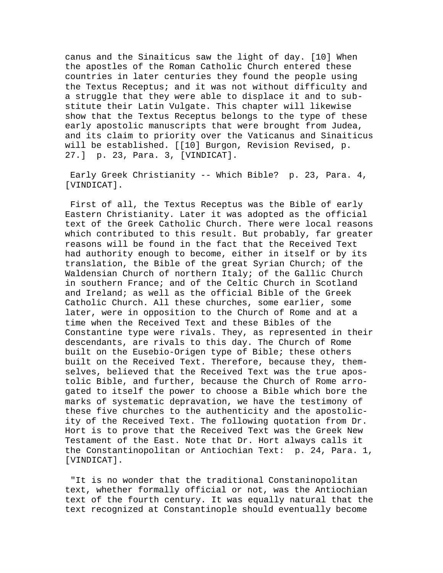canus and the Sinaiticus saw the light of day. [10] When the apostles of the Roman Catholic Church entered these countries in later centuries they found the people using the Textus Receptus; and it was not without difficulty and a struggle that they were able to displace it and to substitute their Latin Vulgate. This chapter will likewise show that the Textus Receptus belongs to the type of these early apostolic manuscripts that were brought from Judea, and its claim to priority over the Vaticanus and Sinaiticus will be established. [[10] Burgon, Revision Revised, p. 27.] p. 23, Para. 3, [VINDICAT].

 Early Greek Christianity -- Which Bible? p. 23, Para. 4, [VINDICAT].

 First of all, the Textus Receptus was the Bible of early Eastern Christianity. Later it was adopted as the official text of the Greek Catholic Church. There were local reasons which contributed to this result. But probably, far greater reasons will be found in the fact that the Received Text had authority enough to become, either in itself or by its translation, the Bible of the great Syrian Church; of the Waldensian Church of northern Italy; of the Gallic Church in southern France; and of the Celtic Church in Scotland and Ireland; as well as the official Bible of the Greek Catholic Church. All these churches, some earlier, some later, were in opposition to the Church of Rome and at a time when the Received Text and these Bibles of the Constantine type were rivals. They, as represented in their descendants, are rivals to this day. The Church of Rome built on the Eusebio-Origen type of Bible; these others built on the Received Text. Therefore, because they, themselves, believed that the Received Text was the true apostolic Bible, and further, because the Church of Rome arrogated to itself the power to choose a Bible which bore the marks of systematic depravation, we have the testimony of these five churches to the authenticity and the apostolicity of the Received Text. The following quotation from Dr. Hort is to prove that the Received Text was the Greek New Testament of the East. Note that Dr. Hort always calls it the Constantinopolitan or Antiochian Text: p. 24, Para. 1, [VINDICAT].

 "It is no wonder that the traditional Constaninopolitan text, whether formally official or not, was the Antiochian text of the fourth century. It was equally natural that the text recognized at Constantinople should eventually become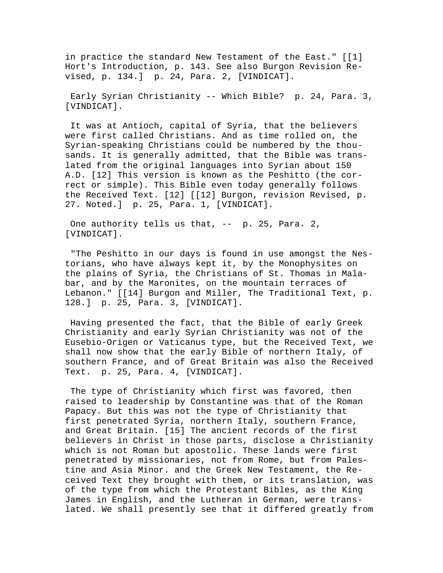in practice the standard New Testament of the East." [[1] Hort's Introduction, p. 143. See also Burgon Revision Revised, p. 134.] p. 24, Para. 2, [VINDICAT].

 Early Syrian Christianity -- Which Bible? p. 24, Para. 3, [VINDICAT].

 It was at Antioch, capital of Syria, that the believers were first called Christians. And as time rolled on, the Syrian-speaking Christians could be numbered by the thousands. It is generally admitted, that the Bible was translated from the original languages into Syrian about 150 A.D. [12] This version is known as the Peshitto (the correct or simple). This Bible even today generally follows the Received Text. [12] [[12] Burgon, revision Revised, p. 27. Noted.] p. 25, Para. 1, [VINDICAT].

 One authority tells us that, -- p. 25, Para. 2, [VINDICAT].

 "The Peshitto in our days is found in use amongst the Nestorians, who have always kept it, by the Monophysites on the plains of Syria, the Christians of St. Thomas in Malabar, and by the Maronites, on the mountain terraces of Lebanon." [[14] Burgon and Miller, The Traditional Text, p. 128.] p. 25, Para. 3, [VINDICAT].

 Having presented the fact, that the Bible of early Greek Christianity and early Syrian Christianity was not of the Eusebio-Origen or Vaticanus type, but the Received Text, we shall now show that the early Bible of northern Italy, of southern France, and of Great Britain was also the Received Text. p. 25, Para. 4, [VINDICAT].

 The type of Christianity which first was favored, then raised to leadership by Constantine was that of the Roman Papacy. But this was not the type of Christianity that first penetrated Syria, northern Italy, southern France, and Great Britain. [15] The ancient records of the first believers in Christ in those parts, disclose a Christianity which is not Roman but apostolic. These lands were first penetrated by missionaries, not from Rome, but from Palestine and Asia Minor. and the Greek New Testament, the Received Text they brought with them, or its translation, was of the type from which the Protestant Bibles, as the King James in English, and the Lutheran in German, were translated. We shall presently see that it differed greatly from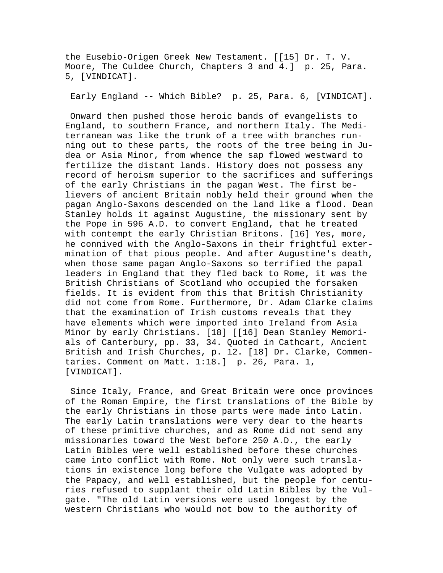the Eusebio-Origen Greek New Testament. [[15] Dr. T. V. Moore, The Culdee Church, Chapters 3 and 4.] p. 25, Para. 5, [VINDICAT].

Early England -- Which Bible? p. 25, Para. 6, [VINDICAT].

 Onward then pushed those heroic bands of evangelists to England, to southern France, and northern Italy. The Mediterranean was like the trunk of a tree with branches running out to these parts, the roots of the tree being in Judea or Asia Minor, from whence the sap flowed westward to fertilize the distant lands. History does not possess any record of heroism superior to the sacrifices and sufferings of the early Christians in the pagan West. The first believers of ancient Britain nobly held their ground when the pagan Anglo-Saxons descended on the land like a flood. Dean Stanley holds it against Augustine, the missionary sent by the Pope in 596 A.D. to convert England, that he treated with contempt the early Christian Britons. [16] Yes, more, he connived with the Anglo-Saxons in their frightful extermination of that pious people. And after Augustine's death, when those same pagan Anglo-Saxons so terrified the papal leaders in England that they fled back to Rome, it was the British Christians of Scotland who occupied the forsaken fields. It is evident from this that British Christianity did not come from Rome. Furthermore, Dr. Adam Clarke claims that the examination of Irish customs reveals that they have elements which were imported into Ireland from Asia Minor by early Christians. [18] [[16] Dean Stanley Memorials of Canterbury, pp. 33, 34. Quoted in Cathcart, Ancient British and Irish Churches, p. 12. [18] Dr. Clarke, Commentaries. Comment on Matt. 1:18.] p. 26, Para. 1, [VINDICAT].

 Since Italy, France, and Great Britain were once provinces of the Roman Empire, the first translations of the Bible by the early Christians in those parts were made into Latin. The early Latin translations were very dear to the hearts of these primitive churches, and as Rome did not send any missionaries toward the West before 250 A.D., the early Latin Bibles were well established before these churches came into conflict with Rome. Not only were such translations in existence long before the Vulgate was adopted by the Papacy, and well established, but the people for centuries refused to supplant their old Latin Bibles by the Vulgate. "The old Latin versions were used longest by the western Christians who would not bow to the authority of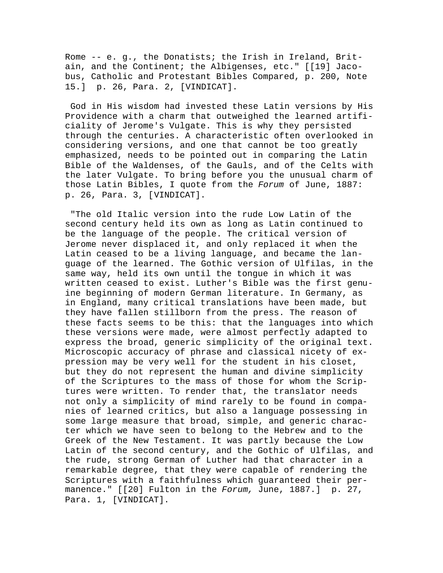Rome -- e. g., the Donatists; the Irish in Ireland, Britain, and the Continent; the Albigenses, etc." [[19] Jacobus, Catholic and Protestant Bibles Compared, p. 200, Note 15.] p. 26, Para. 2, [VINDICAT].

 God in His wisdom had invested these Latin versions by His Providence with a charm that outweighed the learned artificiality of Jerome's Vulgate. This is why they persisted through the centuries. A characteristic often overlooked in considering versions, and one that cannot be too greatly emphasized, needs to be pointed out in comparing the Latin Bible of the Waldenses, of the Gauls, and of the Celts with the later Vulgate. To bring before you the unusual charm of those Latin Bibles, I quote from the *Forum* of June, 1887: p. 26, Para. 3, [VINDICAT].

 "The old Italic version into the rude Low Latin of the second century held its own as long as Latin continued to be the language of the people. The critical version of Jerome never displaced it, and only replaced it when the Latin ceased to be a living language, and became the language of the learned. The Gothic version of Ulfilas, in the same way, held its own until the tongue in which it was written ceased to exist. Luther's Bible was the first genuine beginning of modern German literature. In Germany, as in England, many critical translations have been made, but they have fallen stillborn from the press. The reason of these facts seems to be this: that the languages into which these versions were made, were almost perfectly adapted to express the broad, generic simplicity of the original text. Microscopic accuracy of phrase and classical nicety of expression may be very well for the student in his closet, but they do not represent the human and divine simplicity of the Scriptures to the mass of those for whom the Scriptures were written. To render that, the translator needs not only a simplicity of mind rarely to be found in companies of learned critics, but also a language possessing in some large measure that broad, simple, and generic character which we have seen to belong to the Hebrew and to the Greek of the New Testament. It was partly because the Low Latin of the second century, and the Gothic of Ulfilas, and the rude, strong German of Luther had that character in a remarkable degree, that they were capable of rendering the Scriptures with a faithfulness which guaranteed their permanence." [[20] Fulton in the *Forum,* June, 1887.] p. 27, Para. 1, [VINDICAT].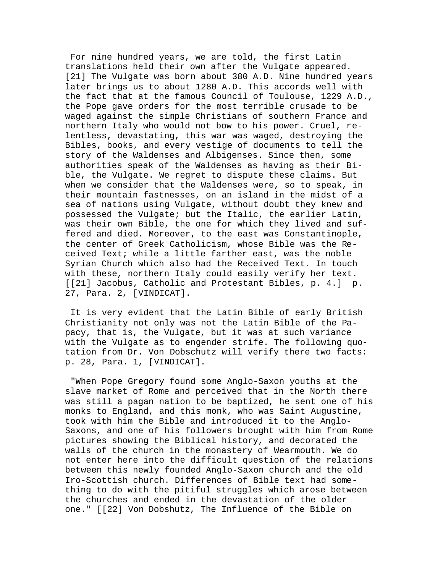For nine hundred years, we are told, the first Latin translations held their own after the Vulgate appeared. [21] The Vulgate was born about 380 A.D. Nine hundred years later brings us to about 1280 A.D. This accords well with the fact that at the famous Council of Toulouse, 1229 A.D., the Pope gave orders for the most terrible crusade to be waged against the simple Christians of southern France and northern Italy who would not bow to his power. Cruel, relentless, devastating, this war was waged, destroying the Bibles, books, and every vestige of documents to tell the story of the Waldenses and Albigenses. Since then, some authorities speak of the Waldenses as having as their Bible, the Vulgate. We regret to dispute these claims. But when we consider that the Waldenses were, so to speak, in their mountain fastnesses, on an island in the midst of a sea of nations using Vulgate, without doubt they knew and possessed the Vulgate; but the Italic, the earlier Latin, was their own Bible, the one for which they lived and suffered and died. Moreover, to the east was Constantinople, the center of Greek Catholicism, whose Bible was the Received Text; while a little farther east, was the noble Syrian Church which also had the Received Text. In touch with these, northern Italy could easily verify her text. [[21] Jacobus, Catholic and Protestant Bibles, p. 4.] p. 27, Para. 2, [VINDICAT].

 It is very evident that the Latin Bible of early British Christianity not only was not the Latin Bible of the Papacy, that is, the Vulgate, but it was at such variance with the Vulgate as to engender strife. The following quotation from Dr. Von Dobschutz will verify there two facts: p. 28, Para. 1, [VINDICAT].

 "When Pope Gregory found some Anglo-Saxon youths at the slave market of Rome and perceived that in the North there was still a pagan nation to be baptized, he sent one of his monks to England, and this monk, who was Saint Augustine, took with him the Bible and introduced it to the Anglo-Saxons, and one of his followers brought with him from Rome pictures showing the Biblical history, and decorated the walls of the church in the monastery of Wearmouth. We do not enter here into the difficult question of the relations between this newly founded Anglo-Saxon church and the old Iro-Scottish church. Differences of Bible text had something to do with the pitiful struggles which arose between the churches and ended in the devastation of the older one." [[22] Von Dobshutz, The Influence of the Bible on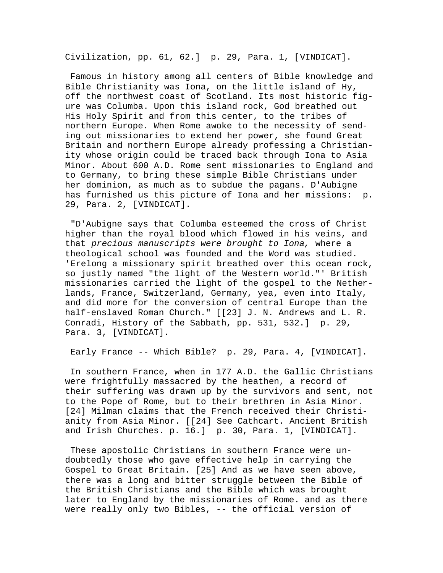Civilization, pp. 61, 62.] p. 29, Para. 1, [VINDICAT].

 Famous in history among all centers of Bible knowledge and Bible Christianity was Iona, on the little island of Hy, off the northwest coast of Scotland. Its most historic figure was Columba. Upon this island rock, God breathed out His Holy Spirit and from this center, to the tribes of northern Europe. When Rome awoke to the necessity of sending out missionaries to extend her power, she found Great Britain and northern Europe already professing a Christianity whose origin could be traced back through Iona to Asia Minor. About 600 A.D. Rome sent missionaries to England and to Germany, to bring these simple Bible Christians under her dominion, as much as to subdue the pagans. D'Aubigne has furnished us this picture of Iona and her missions: p. 29, Para. 2, [VINDICAT].

 "D'Aubigne says that Columba esteemed the cross of Christ higher than the royal blood which flowed in his veins, and that *precious manuscripts were brought to Iona,* where a theological school was founded and the Word was studied. 'Erelong a missionary spirit breathed over this ocean rock, so justly named "the light of the Western world."' British missionaries carried the light of the gospel to the Netherlands, France, Switzerland, Germany, yea, even into Italy, and did more for the conversion of central Europe than the half-enslaved Roman Church." [[23] J. N. Andrews and L. R. Conradi, History of the Sabbath, pp. 531, 532.] p. 29, Para. 3, [VINDICAT].

Early France -- Which Bible? p. 29, Para. 4, [VINDICAT].

 In southern France, when in 177 A.D. the Gallic Christians were frightfully massacred by the heathen, a record of their suffering was drawn up by the survivors and sent, not to the Pope of Rome, but to their brethren in Asia Minor. [24] Milman claims that the French received their Christianity from Asia Minor. [[24] See Cathcart. Ancient British and Irish Churches. p. 16.] p. 30, Para. 1, [VINDICAT].

 These apostolic Christians in southern France were undoubtedly those who gave effective help in carrying the Gospel to Great Britain. [25] And as we have seen above, there was a long and bitter struggle between the Bible of the British Christians and the Bible which was brought later to England by the missionaries of Rome. and as there were really only two Bibles, -- the official version of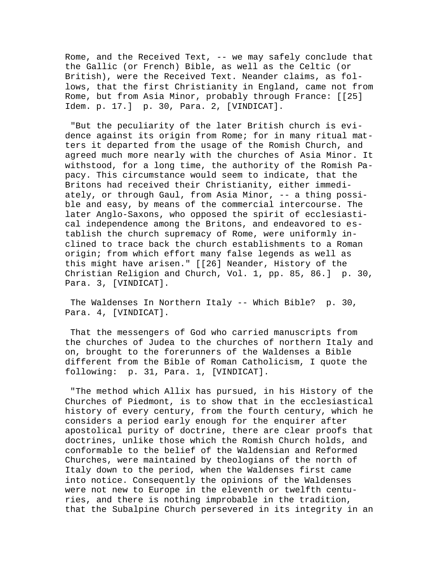Rome, and the Received Text, -- we may safely conclude that the Gallic (or French) Bible, as well as the Celtic (or British), were the Received Text. Neander claims, as follows, that the first Christianity in England, came not from Rome, but from Asia Minor, probably through France: [[25] Idem. p. 17.] p. 30, Para. 2, [VINDICAT].

 "But the peculiarity of the later British church is evidence against its origin from Rome; for in many ritual matters it departed from the usage of the Romish Church, and agreed much more nearly with the churches of Asia Minor. It withstood, for a long time, the authority of the Romish Papacy. This circumstance would seem to indicate, that the Britons had received their Christianity, either immediately, or through Gaul, from Asia Minor, -- a thing possible and easy, by means of the commercial intercourse. The later Anglo-Saxons, who opposed the spirit of ecclesiastical independence among the Britons, and endeavored to establish the church supremacy of Rome, were uniformly inclined to trace back the church establishments to a Roman origin; from which effort many false legends as well as this might have arisen." [[26] Neander, History of the Christian Religion and Church, Vol. 1, pp. 85, 86.] p. 30, Para. 3, [VINDICAT].

 The Waldenses In Northern Italy -- Which Bible? p. 30, Para. 4, [VINDICAT].

 That the messengers of God who carried manuscripts from the churches of Judea to the churches of northern Italy and on, brought to the forerunners of the Waldenses a Bible different from the Bible of Roman Catholicism, I quote the following: p. 31, Para. 1, [VINDICAT].

 "The method which Allix has pursued, in his History of the Churches of Piedmont, is to show that in the ecclesiastical history of every century, from the fourth century, which he considers a period early enough for the enquirer after apostolical purity of doctrine, there are clear proofs that doctrines, unlike those which the Romish Church holds, and conformable to the belief of the Waldensian and Reformed Churches, were maintained by theologians of the north of Italy down to the period, when the Waldenses first came into notice. Consequently the opinions of the Waldenses were not new to Europe in the eleventh or twelfth centuries, and there is nothing improbable in the tradition, that the Subalpine Church persevered in its integrity in an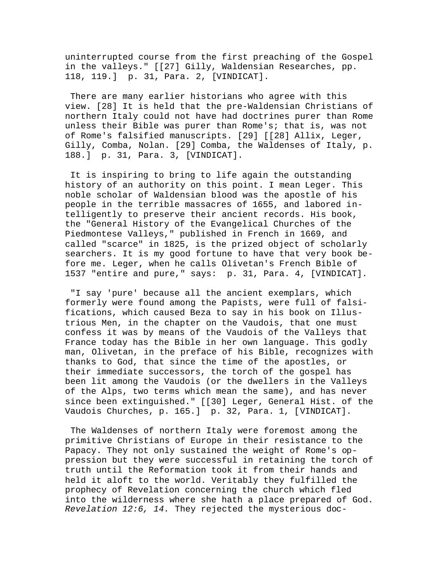uninterrupted course from the first preaching of the Gospel in the valleys." [[27] Gilly, Waldensian Researches, pp. 118, 119.] p. 31, Para. 2, [VINDICAT].

 There are many earlier historians who agree with this view. [28] It is held that the pre-Waldensian Christians of northern Italy could not have had doctrines purer than Rome unless their Bible was purer than Rome's; that is, was not of Rome's falsified manuscripts. [29] [[28] Allix, Leger, Gilly, Comba, Nolan. [29] Comba, the Waldenses of Italy, p. 188.] p. 31, Para. 3, [VINDICAT].

 It is inspiring to bring to life again the outstanding history of an authority on this point. I mean Leger. This noble scholar of Waldensian blood was the apostle of his people in the terrible massacres of 1655, and labored intelligently to preserve their ancient records. His book, the "General History of the Evangelical Churches of the Piedmontese Valleys," published in French in 1669, and called "scarce" in 1825, is the prized object of scholarly searchers. It is my good fortune to have that very book before me. Leger, when he calls Olivetan's French Bible of 1537 "entire and pure," says: p. 31, Para. 4, [VINDICAT].

 "I say 'pure' because all the ancient exemplars, which formerly were found among the Papists, were full of falsifications, which caused Beza to say in his book on Illustrious Men, in the chapter on the Vaudois, that one must confess it was by means of the Vaudois of the Valleys that France today has the Bible in her own language. This godly man, Olivetan, in the preface of his Bible, recognizes with thanks to God, that since the time of the apostles, or their immediate successors, the torch of the gospel has been lit among the Vaudois (or the dwellers in the Valleys of the Alps, two terms which mean the same), and has never since been extinguished." [[30] Leger, General Hist. of the Vaudois Churches, p. 165.] p. 32, Para. 1, [VINDICAT].

 The Waldenses of northern Italy were foremost among the primitive Christians of Europe in their resistance to the Papacy. They not only sustained the weight of Rome's oppression but they were successful in retaining the torch of truth until the Reformation took it from their hands and held it aloft to the world. Veritably they fulfilled the prophecy of Revelation concerning the church which fled into the wilderness where she hath a place prepared of God. *Revelation 12:6, 14.* They rejected the mysterious doc-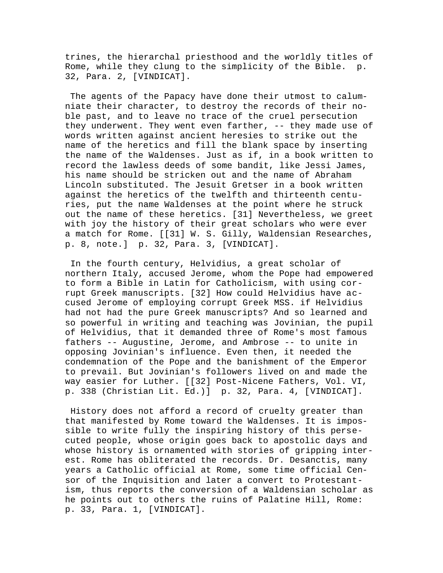trines, the hierarchal priesthood and the worldly titles of Rome, while they clung to the simplicity of the Bible. p. 32, Para. 2, [VINDICAT].

 The agents of the Papacy have done their utmost to calumniate their character, to destroy the records of their noble past, and to leave no trace of the cruel persecution they underwent. They went even farther,  $-$ - they made use of words written against ancient heresies to strike out the name of the heretics and fill the blank space by inserting the name of the Waldenses. Just as if, in a book written to record the lawless deeds of some bandit, like Jessi James, his name should be stricken out and the name of Abraham Lincoln substituted. The Jesuit Gretser in a book written against the heretics of the twelfth and thirteenth centuries, put the name Waldenses at the point where he struck out the name of these heretics. [31] Nevertheless, we greet with joy the history of their great scholars who were ever a match for Rome. [[31] W. S. Gilly, Waldensian Researches, p. 8, note.] p. 32, Para. 3, [VINDICAT].

 In the fourth century, Helvidius, a great scholar of northern Italy, accused Jerome, whom the Pope had empowered to form a Bible in Latin for Catholicism, with using corrupt Greek manuscripts. [32] How could Helvidius have accused Jerome of employing corrupt Greek MSS. if Helvidius had not had the pure Greek manuscripts? And so learned and so powerful in writing and teaching was Jovinian, the pupil of Helvidius, that it demanded three of Rome's most famous fathers -- Augustine, Jerome, and Ambrose -- to unite in opposing Jovinian's influence. Even then, it needed the condemnation of the Pope and the banishment of the Emperor to prevail. But Jovinian's followers lived on and made the way easier for Luther. [[32] Post-Nicene Fathers, Vol. VI, p. 338 (Christian Lit. Ed.)] p. 32, Para. 4, [VINDICAT].

 History does not afford a record of cruelty greater than that manifested by Rome toward the Waldenses. It is impossible to write fully the inspiring history of this persecuted people, whose origin goes back to apostolic days and whose history is ornamented with stories of gripping interest. Rome has obliterated the records. Dr. Desanctis, many years a Catholic official at Rome, some time official Censor of the Inquisition and later a convert to Protestantism, thus reports the conversion of a Waldensian scholar as he points out to others the ruins of Palatine Hill, Rome: p. 33, Para. 1, [VINDICAT].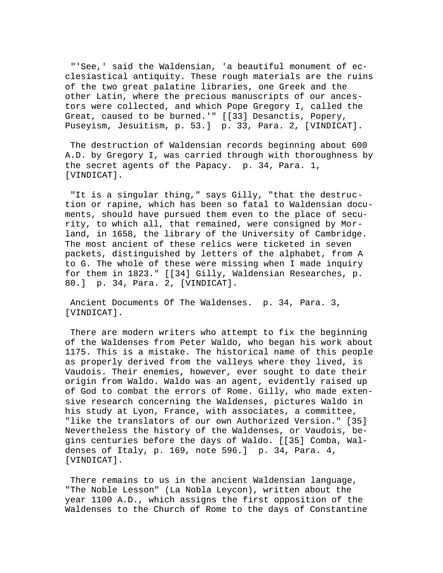"'See,' said the Waldensian, 'a beautiful monument of ecclesiastical antiquity. These rough materials are the ruins of the two great palatine libraries, one Greek and the other Latin, where the precious manuscripts of our ancestors were collected, and which Pope Gregory I, called the Great, caused to be burned.'" [[33] Desanctis, Popery, Puseyism, Jesuitism, p. 53.] p. 33, Para. 2, [VINDICAT].

 The destruction of Waldensian records beginning about 600 A.D. by Gregory I, was carried through with thoroughness by the secret agents of the Papacy. p. 34, Para. 1, [VINDICAT].

 "It is a singular thing," says Gilly, "that the destruction or rapine, which has been so fatal to Waldensian documents, should have pursued them even to the place of security, to which all, that remained, were consigned by Morland, in 1658, the library of the University of Cambridge. The most ancient of these relics were ticketed in seven packets, distinguished by letters of the alphabet, from A to G. The whole of these were missing when I made inquiry for them in 1823." [[34] Gilly, Waldensian Researches, p. 80.] p. 34, Para. 2, [VINDICAT].

 Ancient Documents Of The Waldenses. p. 34, Para. 3, [VINDICAT].

 There are modern writers who attempt to fix the beginning of the Waldenses from Peter Waldo, who began his work about 1175. This is a mistake. The historical name of this people as properly derived from the valleys where they lived, is Vaudois. Their enemies, however, ever sought to date their origin from Waldo. Waldo was an agent, evidently raised up of God to combat the errors of Rome. Gilly, who made extensive research concerning the Waldenses, pictures Waldo in his study at Lyon, France, with associates, a committee, "like the translators of our own Authorized Version." [35] Nevertheless the history of the Waldenses, or Vaudois, begins centuries before the days of Waldo. [[35] Comba, Waldenses of Italy, p. 169, note 596.] p. 34, Para. 4, [VINDICAT].

 There remains to us in the ancient Waldensian language, "The Noble Lesson" (La Nobla Leycon), written about the year 1100 A.D., which assigns the first opposition of the Waldenses to the Church of Rome to the days of Constantine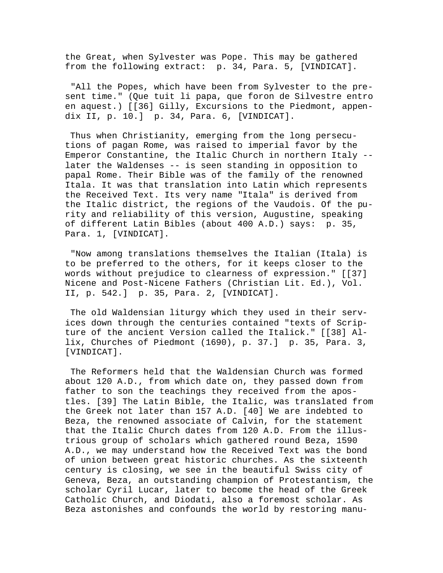the Great, when Sylvester was Pope. This may be gathered from the following extract: p. 34, Para. 5, [VINDICAT].

 "All the Popes, which have been from Sylvester to the present time." (Que tuit li papa, que foron de Silvestre entro en aquest.) [[36] Gilly, Excursions to the Piedmont, appendix II, p. 10.] p. 34, Para. 6, [VINDICAT].

 Thus when Christianity, emerging from the long persecutions of pagan Rome, was raised to imperial favor by the Emperor Constantine, the Italic Church in northern Italy - later the Waldenses -- is seen standing in opposition to papal Rome. Their Bible was of the family of the renowned Itala. It was that translation into Latin which represents the Received Text. Its very name "Itala" is derived from the Italic district, the regions of the Vaudois. Of the purity and reliability of this version, Augustine, speaking of different Latin Bibles (about 400 A.D.) says: p. 35, Para. 1, [VINDICAT].

 "Now among translations themselves the Italian (Itala) is to be preferred to the others, for it keeps closer to the words without prejudice to clearness of expression." [[37] Nicene and Post-Nicene Fathers (Christian Lit. Ed.), Vol. II, p. 542.] p. 35, Para. 2, [VINDICAT].

 The old Waldensian liturgy which they used in their services down through the centuries contained "texts of Scripture of the ancient Version called the Italick." [[38] Allix, Churches of Piedmont (1690), p. 37.] p. 35, Para. 3, [VINDICAT].

 The Reformers held that the Waldensian Church was formed about 120 A.D., from which date on, they passed down from father to son the teachings they received from the apostles. [39] The Latin Bible, the Italic, was translated from the Greek not later than 157 A.D. [40] We are indebted to Beza, the renowned associate of Calvin, for the statement that the Italic Church dates from 120 A.D. From the illustrious group of scholars which gathered round Beza, 1590 A.D., we may understand how the Received Text was the bond of union between great historic churches. As the sixteenth century is closing, we see in the beautiful Swiss city of Geneva, Beza, an outstanding champion of Protestantism, the scholar Cyril Lucar, later to become the head of the Greek Catholic Church, and Diodati, also a foremost scholar. As Beza astonishes and confounds the world by restoring manu-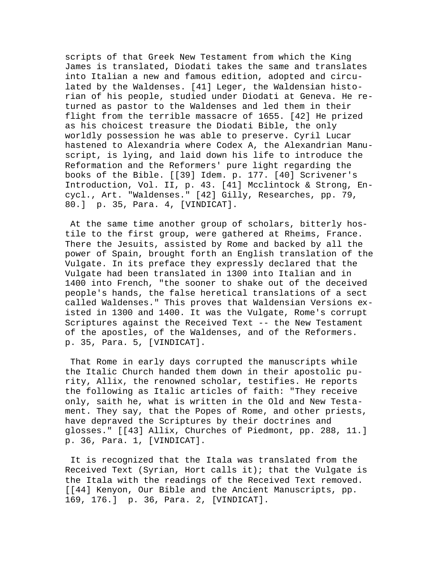scripts of that Greek New Testament from which the King James is translated, Diodati takes the same and translates into Italian a new and famous edition, adopted and circulated by the Waldenses. [41] Leger, the Waldensian historian of his people, studied under Diodati at Geneva. He returned as pastor to the Waldenses and led them in their flight from the terrible massacre of 1655. [42] He prized as his choicest treasure the Diodati Bible, the only worldly possession he was able to preserve. Cyril Lucar hastened to Alexandria where Codex A, the Alexandrian Manuscript, is lying, and laid down his life to introduce the Reformation and the Reformers' pure light regarding the books of the Bible. [[39] Idem. p. 177. [40] Scrivener's Introduction, Vol. II, p. 43. [41] Mcclintock & Strong, Encycl., Art. "Waldenses." [42] Gilly, Researches, pp. 79, 80.] p. 35, Para. 4, [VINDICAT].

 At the same time another group of scholars, bitterly hostile to the first group, were gathered at Rheims, France. There the Jesuits, assisted by Rome and backed by all the power of Spain, brought forth an English translation of the Vulgate. In its preface they expressly declared that the Vulgate had been translated in 1300 into Italian and in 1400 into French, "the sooner to shake out of the deceived people's hands, the false heretical translations of a sect called Waldenses." This proves that Waldensian Versions existed in 1300 and 1400. It was the Vulgate, Rome's corrupt Scriptures against the Received Text -- the New Testament of the apostles, of the Waldenses, and of the Reformers. p. 35, Para. 5, [VINDICAT].

 That Rome in early days corrupted the manuscripts while the Italic Church handed them down in their apostolic purity, Allix, the renowned scholar, testifies. He reports the following as Italic articles of faith: "They receive only, saith he, what is written in the Old and New Testament. They say, that the Popes of Rome, and other priests, have depraved the Scriptures by their doctrines and glosses." [[43] Allix, Churches of Piedmont, pp. 288, 11.] p. 36, Para. 1, [VINDICAT].

 It is recognized that the Itala was translated from the Received Text (Syrian, Hort calls it); that the Vulgate is the Itala with the readings of the Received Text removed. [[44] Kenyon, Our Bible and the Ancient Manuscripts, pp. 169, 176.] p. 36, Para. 2, [VINDICAT].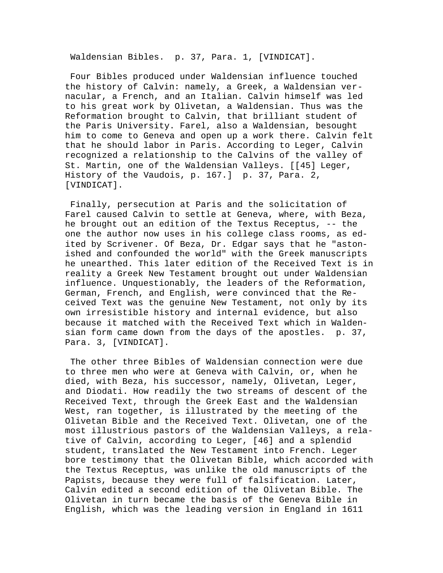Waldensian Bibles. p. 37, Para. 1, [VINDICAT].

 Four Bibles produced under Waldensian influence touched the history of Calvin: namely, a Greek, a Waldensian vernacular, a French, and an Italian. Calvin himself was led to his great work by Olivetan, a Waldensian. Thus was the Reformation brought to Calvin, that brilliant student of the Paris University. Farel, also a Waldensian, besought him to come to Geneva and open up a work there. Calvin felt that he should labor in Paris. According to Leger, Calvin recognized a relationship to the Calvins of the valley of St. Martin, one of the Waldensian Valleys. [[45] Leger, History of the Vaudois, p. 167.] p. 37, Para. 2, [VINDICAT].

 Finally, persecution at Paris and the solicitation of Farel caused Calvin to settle at Geneva, where, with Beza, he brought out an edition of the Textus Receptus, -- the one the author now uses in his college class rooms, as edited by Scrivener. Of Beza, Dr. Edgar says that he "astonished and confounded the world" with the Greek manuscripts he unearthed. This later edition of the Received Text is in reality a Greek New Testament brought out under Waldensian influence. Unquestionably, the leaders of the Reformation, German, French, and English, were convinced that the Received Text was the genuine New Testament, not only by its own irresistible history and internal evidence, but also because it matched with the Received Text which in Waldensian form came down from the days of the apostles. p. 37, Para. 3, [VINDICAT].

 The other three Bibles of Waldensian connection were due to three men who were at Geneva with Calvin, or, when he died, with Beza, his successor, namely, Olivetan, Leger, and Diodati. How readily the two streams of descent of the Received Text, through the Greek East and the Waldensian West, ran together, is illustrated by the meeting of the Olivetan Bible and the Received Text. Olivetan, one of the most illustrious pastors of the Waldensian Valleys, a relative of Calvin, according to Leger, [46] and a splendid student, translated the New Testament into French. Leger bore testimony that the Olivetan Bible, which accorded with the Textus Receptus, was unlike the old manuscripts of the Papists, because they were full of falsification. Later, Calvin edited a second edition of the Olivetan Bible. The Olivetan in turn became the basis of the Geneva Bible in English, which was the leading version in England in 1611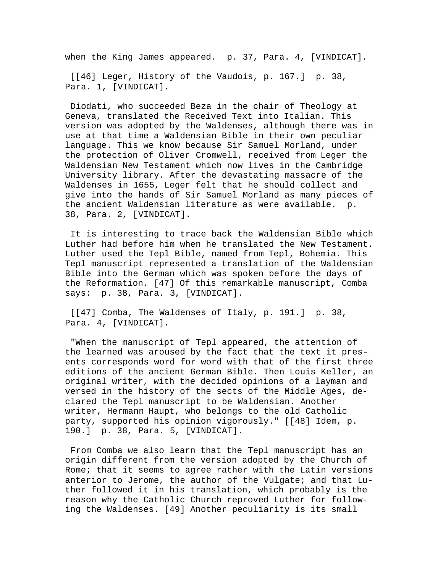when the King James appeared. p. 37, Para. 4, [VINDICAT].

 [[46] Leger, History of the Vaudois, p. 167.] p. 38, Para. 1, [VINDICAT].

Diodati, who succeeded Beza in the chair of Theology at Geneva, translated the Received Text into Italian. This version was adopted by the Waldenses, although there was in use at that time a Waldensian Bible in their own peculiar language. This we know because Sir Samuel Morland, under the protection of Oliver Cromwell, received from Leger the Waldensian New Testament which now lives in the Cambridge University library. After the devastating massacre of the Waldenses in 1655, Leger felt that he should collect and give into the hands of Sir Samuel Morland as many pieces of the ancient Waldensian literature as were available. p. 38, Para. 2, [VINDICAT].

 It is interesting to trace back the Waldensian Bible which Luther had before him when he translated the New Testament. Luther used the Tepl Bible, named from Tepl, Bohemia. This Tepl manuscript represented a translation of the Waldensian Bible into the German which was spoken before the days of the Reformation. [47] Of this remarkable manuscript, Comba says: p. 38, Para. 3, [VINDICAT].

 [[47] Comba, The Waldenses of Italy, p. 191.] p. 38, Para. 4, [VINDICAT].

 "When the manuscript of Tepl appeared, the attention of the learned was aroused by the fact that the text it presents corresponds word for word with that of the first three editions of the ancient German Bible. Then Louis Keller, an original writer, with the decided opinions of a layman and versed in the history of the sects of the Middle Ages, declared the Tepl manuscript to be Waldensian. Another writer, Hermann Haupt, who belongs to the old Catholic party, supported his opinion vigorously." [[48] Idem, p. 190.] p. 38, Para. 5, [VINDICAT].

 From Comba we also learn that the Tepl manuscript has an origin different from the version adopted by the Church of Rome; that it seems to agree rather with the Latin versions anterior to Jerome, the author of the Vulgate; and that Luther followed it in his translation, which probably is the reason why the Catholic Church reproved Luther for following the Waldenses. [49] Another peculiarity is its small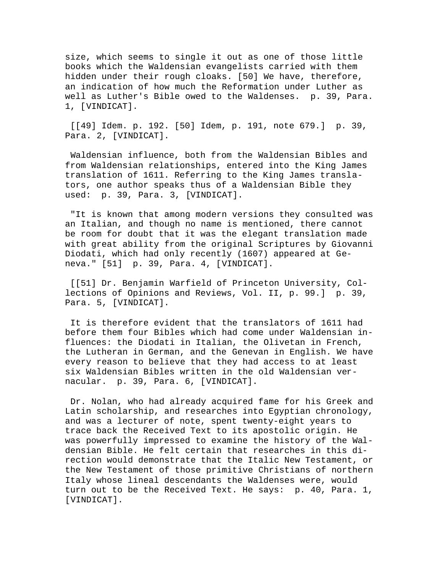size, which seems to single it out as one of those little books which the Waldensian evangelists carried with them hidden under their rough cloaks. [50] We have, therefore, an indication of how much the Reformation under Luther as well as Luther's Bible owed to the Waldenses. p. 39, Para. 1, [VINDICAT].

 [[49] Idem. p. 192. [50] Idem, p. 191, note 679.] p. 39, Para. 2, [VINDICAT].

 Waldensian influence, both from the Waldensian Bibles and from Waldensian relationships, entered into the King James translation of 1611. Referring to the King James translators, one author speaks thus of a Waldensian Bible they used: p. 39, Para. 3, [VINDICAT].

 "It is known that among modern versions they consulted was an Italian, and though no name is mentioned, there cannot be room for doubt that it was the elegant translation made with great ability from the original Scriptures by Giovanni Diodati, which had only recently (1607) appeared at Geneva." [51] p. 39, Para. 4, [VINDICAT].

 [[51] Dr. Benjamin Warfield of Princeton University, Collections of Opinions and Reviews, Vol. II, p. 99.] p. 39, Para. 5, [VINDICAT].

 It is therefore evident that the translators of 1611 had before them four Bibles which had come under Waldensian influences: the Diodati in Italian, the Olivetan in French, the Lutheran in German, and the Genevan in English. We have every reason to believe that they had access to at least six Waldensian Bibles written in the old Waldensian vernacular. p. 39, Para. 6, [VINDICAT].

 Dr. Nolan, who had already acquired fame for his Greek and Latin scholarship, and researches into Egyptian chronology, and was a lecturer of note, spent twenty-eight years to trace back the Received Text to its apostolic origin. He was powerfully impressed to examine the history of the Waldensian Bible. He felt certain that researches in this direction would demonstrate that the Italic New Testament, or the New Testament of those primitive Christians of northern Italy whose lineal descendants the Waldenses were, would turn out to be the Received Text. He says: p. 40, Para. 1, [VINDICAT].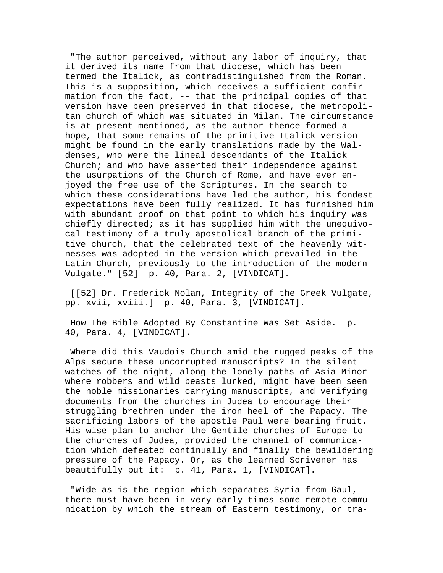"The author perceived, without any labor of inquiry, that it derived its name from that diocese, which has been termed the Italick, as contradistinguished from the Roman. This is a supposition, which receives a sufficient confirmation from the fact, -- that the principal copies of that version have been preserved in that diocese, the metropolitan church of which was situated in Milan. The circumstance is at present mentioned, as the author thence formed a hope, that some remains of the primitive Italick version might be found in the early translations made by the Waldenses, who were the lineal descendants of the Italick Church; and who have asserted their independence against the usurpations of the Church of Rome, and have ever enjoyed the free use of the Scriptures. In the search to which these considerations have led the author, his fondest expectations have been fully realized. It has furnished him with abundant proof on that point to which his inquiry was chiefly directed; as it has supplied him with the unequivocal testimony of a truly apostolical branch of the primitive church, that the celebrated text of the heavenly witnesses was adopted in the version which prevailed in the Latin Church, previously to the introduction of the modern Vulgate." [52] p. 40, Para. 2, [VINDICAT].

 [[52] Dr. Frederick Nolan, Integrity of the Greek Vulgate, pp. xvii, xviii.] p. 40, Para. 3, [VINDICAT].

 How The Bible Adopted By Constantine Was Set Aside. p. 40, Para. 4, [VINDICAT].

 Where did this Vaudois Church amid the rugged peaks of the Alps secure these uncorrupted manuscripts? In the silent watches of the night, along the lonely paths of Asia Minor where robbers and wild beasts lurked, might have been seen the noble missionaries carrying manuscripts, and verifying documents from the churches in Judea to encourage their struggling brethren under the iron heel of the Papacy. The sacrificing labors of the apostle Paul were bearing fruit. His wise plan to anchor the Gentile churches of Europe to the churches of Judea, provided the channel of communication which defeated continually and finally the bewildering pressure of the Papacy. Or, as the learned Scrivener has beautifully put it: p. 41, Para. 1, [VINDICAT].

 "Wide as is the region which separates Syria from Gaul, there must have been in very early times some remote communication by which the stream of Eastern testimony, or tra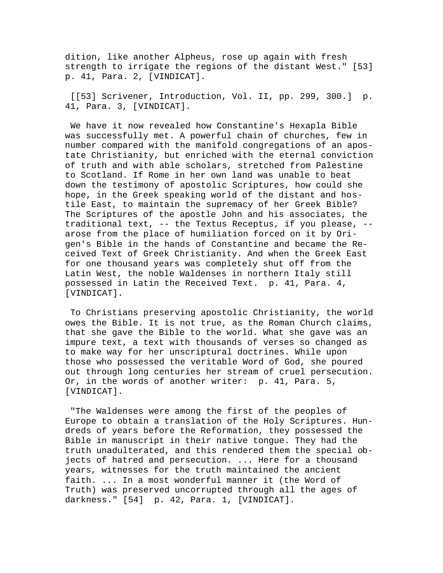dition, like another Alpheus, rose up again with fresh strength to irrigate the regions of the distant West." [53] p. 41, Para. 2, [VINDICAT].

 [[53] Scrivener, Introduction, Vol. II, pp. 299, 300.] p. 41, Para. 3, [VINDICAT].

 We have it now revealed how Constantine's Hexapla Bible was successfully met. A powerful chain of churches, few in number compared with the manifold congregations of an apostate Christianity, but enriched with the eternal conviction of truth and with able scholars, stretched from Palestine to Scotland. If Rome in her own land was unable to beat down the testimony of apostolic Scriptures, how could she hope, in the Greek speaking world of the distant and hostile East, to maintain the supremacy of her Greek Bible? The Scriptures of the apostle John and his associates, the traditional text, -- the Textus Receptus, if you please, - arose from the place of humiliation forced on it by Origen's Bible in the hands of Constantine and became the Received Text of Greek Christianity. And when the Greek East for one thousand years was completely shut off from the Latin West, the noble Waldenses in northern Italy still possessed in Latin the Received Text. p. 41, Para. 4, [VINDICAT].

 To Christians preserving apostolic Christianity, the world owes the Bible. It is not true, as the Roman Church claims, that she gave the Bible to the world. What she gave was an impure text, a text with thousands of verses so changed as to make way for her unscriptural doctrines. While upon those who possessed the veritable Word of God, she poured out through long centuries her stream of cruel persecution. Or, in the words of another writer: p. 41, Para. 5, [VINDICAT].

 "The Waldenses were among the first of the peoples of Europe to obtain a translation of the Holy Scriptures. Hundreds of years before the Reformation, they possessed the Bible in manuscript in their native tongue. They had the truth unadulterated, and this rendered them the special objects of hatred and persecution. ... Here for a thousand years, witnesses for the truth maintained the ancient faith. ... In a most wonderful manner it (the Word of Truth) was preserved uncorrupted through all the ages of darkness." [54] p. 42, Para. 1, [VINDICAT].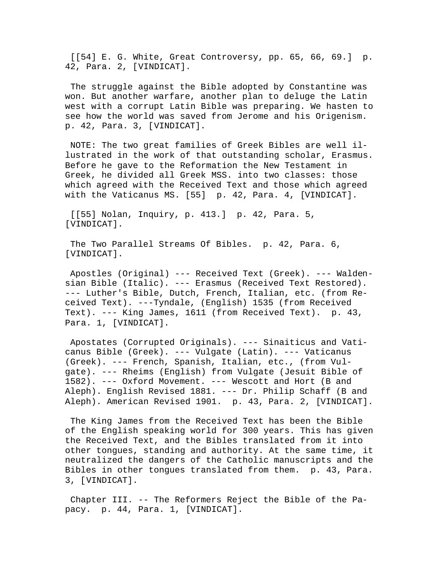[[54] E. G. White, Great Controversy, pp. 65, 66, 69.] p. 42, Para. 2, [VINDICAT].

 The struggle against the Bible adopted by Constantine was won. But another warfare, another plan to deluge the Latin west with a corrupt Latin Bible was preparing. We hasten to see how the world was saved from Jerome and his Origenism. p. 42, Para. 3, [VINDICAT].

 NOTE: The two great families of Greek Bibles are well illustrated in the work of that outstanding scholar, Erasmus. Before he gave to the Reformation the New Testament in Greek, he divided all Greek MSS. into two classes: those which agreed with the Received Text and those which agreed with the Vaticanus MS. [55] p. 42, Para. 4, [VINDICAT].

 [[55] Nolan, Inquiry, p. 413.] p. 42, Para. 5, [VINDICAT].

 The Two Parallel Streams Of Bibles. p. 42, Para. 6, [VINDICAT].

 Apostles (Original) --- Received Text (Greek). --- Waldensian Bible (Italic). --- Erasmus (Received Text Restored). --- Luther's Bible, Dutch, French, Italian, etc. (from Received Text). ---Tyndale, (English) 1535 (from Received Text). --- King James, 1611 (from Received Text). p. 43, Para. 1, [VINDICAT].

 Apostates (Corrupted Originals). --- Sinaiticus and Vaticanus Bible (Greek). --- Vulgate (Latin). --- Vaticanus (Greek). --- French, Spanish, Italian, etc., (from Vulgate). --- Rheims (English) from Vulgate (Jesuit Bible of 1582). --- Oxford Movement. --- Wescott and Hort (B and Aleph). English Revised 1881. --- Dr. Philip Schaff (B and Aleph). American Revised 1901. p. 43, Para. 2, [VINDICAT].

 The King James from the Received Text has been the Bible of the English speaking world for 300 years. This has given the Received Text, and the Bibles translated from it into other tongues, standing and authority. At the same time, it neutralized the dangers of the Catholic manuscripts and the Bibles in other tongues translated from them. p. 43, Para. 3, [VINDICAT].

 Chapter III. -- The Reformers Reject the Bible of the Papacy. p. 44, Para. 1, [VINDICAT].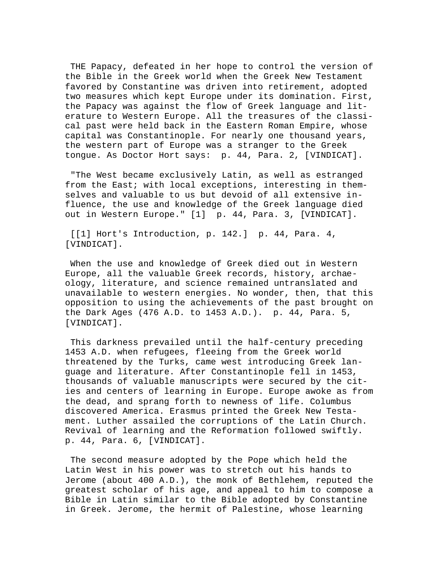THE Papacy, defeated in her hope to control the version of the Bible in the Greek world when the Greek New Testament favored by Constantine was driven into retirement, adopted two measures which kept Europe under its domination. First, the Papacy was against the flow of Greek language and literature to Western Europe. All the treasures of the classical past were held back in the Eastern Roman Empire, whose capital was Constantinople. For nearly one thousand years, the western part of Europe was a stranger to the Greek tongue. As Doctor Hort says: p. 44, Para. 2, [VINDICAT].

 "The West became exclusively Latin, as well as estranged from the East; with local exceptions, interesting in themselves and valuable to us but devoid of all extensive influence, the use and knowledge of the Greek language died out in Western Europe." [1] p. 44, Para. 3, [VINDICAT].

 [[1] Hort's Introduction, p. 142.] p. 44, Para. 4, [VINDICAT].

 When the use and knowledge of Greek died out in Western Europe, all the valuable Greek records, history, archaeology, literature, and science remained untranslated and unavailable to western energies. No wonder, then, that this opposition to using the achievements of the past brought on the Dark Ages (476 A.D. to 1453 A.D.). p. 44, Para. 5, [VINDICAT].

 This darkness prevailed until the half-century preceding 1453 A.D. when refugees, fleeing from the Greek world threatened by the Turks, came west introducing Greek language and literature. After Constantinople fell in 1453, thousands of valuable manuscripts were secured by the cities and centers of learning in Europe. Europe awoke as from the dead, and sprang forth to newness of life. Columbus discovered America. Erasmus printed the Greek New Testament. Luther assailed the corruptions of the Latin Church. Revival of learning and the Reformation followed swiftly. p. 44, Para. 6, [VINDICAT].

 The second measure adopted by the Pope which held the Latin West in his power was to stretch out his hands to Jerome (about 400 A.D.), the monk of Bethlehem, reputed the greatest scholar of his age, and appeal to him to compose a Bible in Latin similar to the Bible adopted by Constantine in Greek. Jerome, the hermit of Palestine, whose learning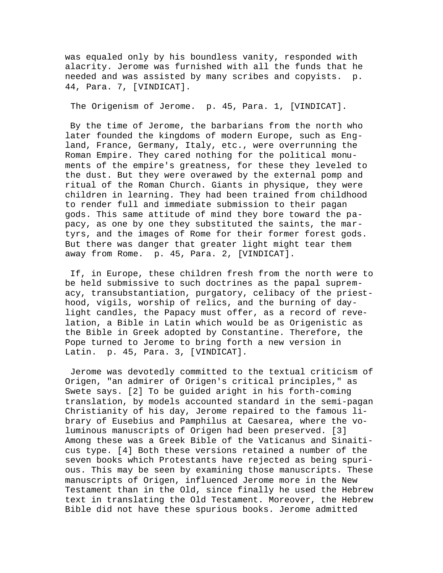was equaled only by his boundless vanity, responded with alacrity. Jerome was furnished with all the funds that he needed and was assisted by many scribes and copyists. p. 44, Para. 7, [VINDICAT].

The Origenism of Jerome. p. 45, Para. 1, [VINDICAT].

 By the time of Jerome, the barbarians from the north who later founded the kingdoms of modern Europe, such as England, France, Germany, Italy, etc., were overrunning the Roman Empire. They cared nothing for the political monuments of the empire's greatness, for these they leveled to the dust. But they were overawed by the external pomp and ritual of the Roman Church. Giants in physique, they were children in learning. They had been trained from childhood to render full and immediate submission to their pagan gods. This same attitude of mind they bore toward the papacy, as one by one they substituted the saints, the martyrs, and the images of Rome for their former forest gods. But there was danger that greater light might tear them away from Rome. p. 45, Para. 2, [VINDICAT].

 If, in Europe, these children fresh from the north were to be held submissive to such doctrines as the papal supremacy, transubstantiation, purgatory, celibacy of the priesthood, vigils, worship of relics, and the burning of daylight candles, the Papacy must offer, as a record of revelation, a Bible in Latin which would be as Origenistic as the Bible in Greek adopted by Constantine. Therefore, the Pope turned to Jerome to bring forth a new version in Latin. p. 45, Para. 3, [VINDICAT].

 Jerome was devotedly committed to the textual criticism of Origen, "an admirer of Origen's critical principles," as Swete says. [2] To be guided aright in his forth-coming translation, by models accounted standard in the semi-pagan Christianity of his day, Jerome repaired to the famous library of Eusebius and Pamphilus at Caesarea, where the voluminous manuscripts of Origen had been preserved. [3] Among these was a Greek Bible of the Vaticanus and Sinaiticus type. [4] Both these versions retained a number of the seven books which Protestants have rejected as being spurious. This may be seen by examining those manuscripts. These manuscripts of Origen, influenced Jerome more in the New Testament than in the Old, since finally he used the Hebrew text in translating the Old Testament. Moreover, the Hebrew Bible did not have these spurious books. Jerome admitted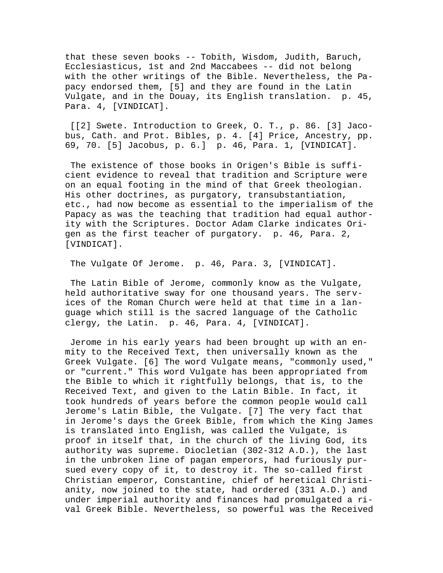that these seven books -- Tobith, Wisdom, Judith, Baruch, Ecclesiasticus, 1st and 2nd Maccabees -- did not belong with the other writings of the Bible. Nevertheless, the Papacy endorsed them, [5] and they are found in the Latin Vulgate, and in the Douay, its English translation. p. 45, Para. 4, [VINDICAT].

 [[2] Swete. Introduction to Greek, O. T., p. 86. [3] Jacobus, Cath. and Prot. Bibles, p. 4. [4] Price, Ancestry, pp. 69, 70. [5] Jacobus, p. 6.] p. 46, Para. 1, [VINDICAT].

 The existence of those books in Origen's Bible is sufficient evidence to reveal that tradition and Scripture were on an equal footing in the mind of that Greek theologian. His other doctrines, as purgatory, transubstantiation, etc., had now become as essential to the imperialism of the Papacy as was the teaching that tradition had equal authority with the Scriptures. Doctor Adam Clarke indicates Origen as the first teacher of purgatory. p. 46, Para. 2, [VINDICAT].

The Vulgate Of Jerome. p. 46, Para. 3, [VINDICAT].

 The Latin Bible of Jerome, commonly know as the Vulgate, held authoritative sway for one thousand years. The services of the Roman Church were held at that time in a language which still is the sacred language of the Catholic clergy, the Latin. p. 46, Para. 4, [VINDICAT].

 Jerome in his early years had been brought up with an enmity to the Received Text, then universally known as the Greek Vulgate. [6] The word Vulgate means, "commonly used," or "current." This word Vulgate has been appropriated from the Bible to which it rightfully belongs, that is, to the Received Text, and given to the Latin Bible. In fact, it took hundreds of years before the common people would call Jerome's Latin Bible, the Vulgate. [7] The very fact that in Jerome's days the Greek Bible, from which the King James is translated into English, was called the Vulgate, is proof in itself that, in the church of the living God, its authority was supreme. Diocletian (302-312 A.D.), the last in the unbroken line of pagan emperors, had furiously pursued every copy of it, to destroy it. The so-called first Christian emperor, Constantine, chief of heretical Christianity, now joined to the state, had ordered (331 A.D.) and under imperial authority and finances had promulgated a rival Greek Bible. Nevertheless, so powerful was the Received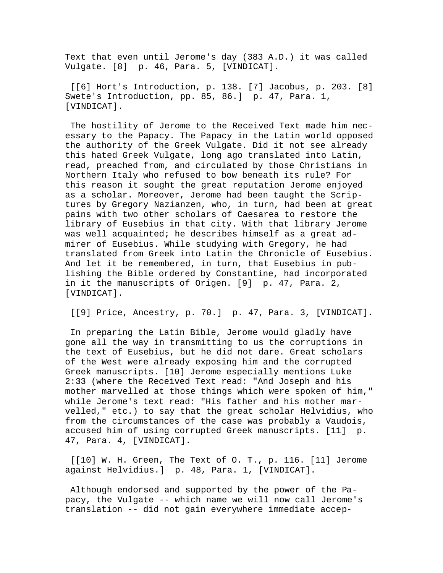Text that even until Jerome's day (383 A.D.) it was called Vulgate. [8] p. 46, Para. 5, [VINDICAT].

 [[6] Hort's Introduction, p. 138. [7] Jacobus, p. 203. [8] Swete's Introduction, pp. 85, 86.] p. 47, Para. 1, [VINDICAT].

 The hostility of Jerome to the Received Text made him necessary to the Papacy. The Papacy in the Latin world opposed the authority of the Greek Vulgate. Did it not see already this hated Greek Vulgate, long ago translated into Latin, read, preached from, and circulated by those Christians in Northern Italy who refused to bow beneath its rule? For this reason it sought the great reputation Jerome enjoyed as a scholar. Moreover, Jerome had been taught the Scriptures by Gregory Nazianzen, who, in turn, had been at great pains with two other scholars of Caesarea to restore the library of Eusebius in that city. With that library Jerome was well acquainted; he describes himself as a great admirer of Eusebius. While studying with Gregory, he had translated from Greek into Latin the Chronicle of Eusebius. And let it be remembered, in turn, that Eusebius in publishing the Bible ordered by Constantine, had incorporated in it the manuscripts of Origen. [9] p. 47, Para. 2, [VINDICAT].

[[9] Price, Ancestry, p. 70.] p. 47, Para. 3, [VINDICAT].

 In preparing the Latin Bible, Jerome would gladly have gone all the way in transmitting to us the corruptions in the text of Eusebius, but he did not dare. Great scholars of the West were already exposing him and the corrupted Greek manuscripts. [10] Jerome especially mentions Luke 2:33 (where the Received Text read: "And Joseph and his mother marvelled at those things which were spoken of him," while Jerome's text read: "His father and his mother marvelled," etc.) to say that the great scholar Helvidius, who from the circumstances of the case was probably a Vaudois, accused him of using corrupted Greek manuscripts. [11] p. 47, Para. 4, [VINDICAT].

 [[10] W. H. Green, The Text of O. T., p. 116. [11] Jerome against Helvidius.] p. 48, Para. 1, [VINDICAT].

 Although endorsed and supported by the power of the Papacy, the Vulgate -- which name we will now call Jerome's translation -- did not gain everywhere immediate accep-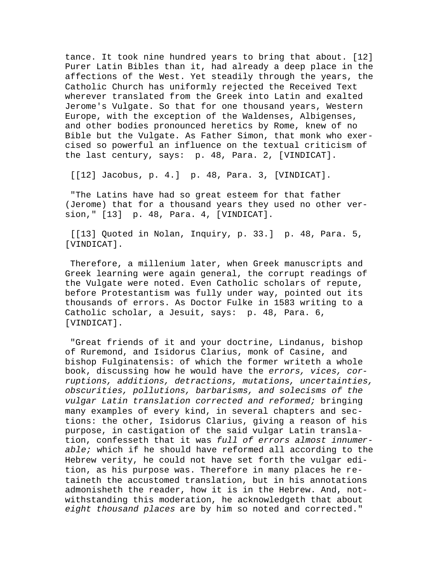tance. It took nine hundred years to bring that about. [12] Purer Latin Bibles than it, had already a deep place in the affections of the West. Yet steadily through the years, the Catholic Church has uniformly rejected the Received Text wherever translated from the Greek into Latin and exalted Jerome's Vulgate. So that for one thousand years, Western Europe, with the exception of the Waldenses, Albigenses, and other bodies pronounced heretics by Rome, knew of no Bible but the Vulgate. As Father Simon, that monk who exercised so powerful an influence on the textual criticism of the last century, says: p. 48, Para. 2, [VINDICAT].

[[12] Jacobus, p. 4.] p. 48, Para. 3, [VINDICAT].

 "The Latins have had so great esteem for that father (Jerome) that for a thousand years they used no other version," [13] p. 48, Para. 4, [VINDICAT].

 [[13] Quoted in Nolan, Inquiry, p. 33.] p. 48, Para. 5, [VINDICAT].

 Therefore, a millenium later, when Greek manuscripts and Greek learning were again general, the corrupt readings of the Vulgate were noted. Even Catholic scholars of repute, before Protestantism was fully under way, pointed out its thousands of errors. As Doctor Fulke in 1583 writing to a Catholic scholar, a Jesuit, says: p. 48, Para. 6, [VINDICAT].

 "Great friends of it and your doctrine, Lindanus, bishop of Ruremond, and Isidorus Clarius, monk of Casine, and bishop Fulginatensis: of which the former writeth a whole book, discussing how he would have the *errors, vices, corruptions, additions, detractions, mutations, uncertainties, obscurities, pollutions, barbarisms, and solecisms of the vulgar Latin translation corrected and reformed;* bringing many examples of every kind, in several chapters and sections: the other, Isidorus Clarius, giving a reason of his purpose, in castigation of the said vulgar Latin translation, confesseth that it was *full of errors almost innumerable;* which if he should have reformed all according to the Hebrew verity, he could not have set forth the vulgar edition, as his purpose was. Therefore in many places he retaineth the accustomed translation, but in his annotations admonisheth the reader, how it is in the Hebrew. And, notwithstanding this moderation, he acknowledgeth that about *eight thousand places* are by him so noted and corrected."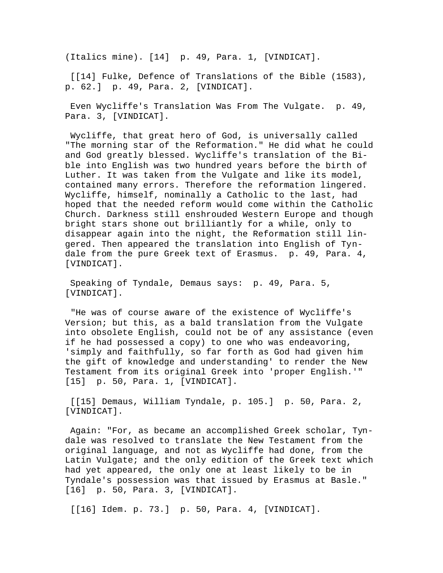(Italics mine). [14] p. 49, Para. 1, [VINDICAT].

 [[14] Fulke, Defence of Translations of the Bible (1583), p. 62.] p. 49, Para. 2, [VINDICAT].

 Even Wycliffe's Translation Was From The Vulgate. p. 49, Para. 3, [VINDICAT].

 Wycliffe, that great hero of God, is universally called "The morning star of the Reformation." He did what he could and God greatly blessed. Wycliffe's translation of the Bible into English was two hundred years before the birth of Luther. It was taken from the Vulgate and like its model, contained many errors. Therefore the reformation lingered. Wycliffe, himself, nominally a Catholic to the last, had hoped that the needed reform would come within the Catholic Church. Darkness still enshrouded Western Europe and though bright stars shone out brilliantly for a while, only to disappear again into the night, the Reformation still lingered. Then appeared the translation into English of Tyndale from the pure Greek text of Erasmus. p. 49, Para. 4, [VINDICAT].

 Speaking of Tyndale, Demaus says: p. 49, Para. 5, [VINDICAT].

 "He was of course aware of the existence of Wycliffe's Version; but this, as a bald translation from the Vulgate into obsolete English, could not be of any assistance (even if he had possessed a copy) to one who was endeavoring, 'simply and faithfully, so far forth as God had given him the gift of knowledge and understanding' to render the New Testament from its original Greek into 'proper English.'" [15] p. 50, Para. 1, [VINDICAT].

 [[15] Demaus, William Tyndale, p. 105.] p. 50, Para. 2, [VINDICAT].

 Again: "For, as became an accomplished Greek scholar, Tyndale was resolved to translate the New Testament from the original language, and not as Wycliffe had done, from the Latin Vulgate; and the only edition of the Greek text which had yet appeared, the only one at least likely to be in Tyndale's possession was that issued by Erasmus at Basle." [16] p. 50, Para. 3, [VINDICAT].

[[16] Idem. p. 73.] p. 50, Para. 4, [VINDICAT].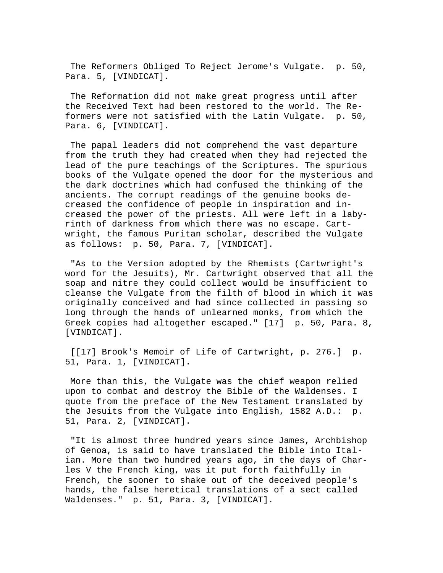The Reformers Obliged To Reject Jerome's Vulgate. p. 50, Para. 5, [VINDICAT].

 The Reformation did not make great progress until after the Received Text had been restored to the world. The Reformers were not satisfied with the Latin Vulgate. p. 50, Para. 6, [VINDICAT].

 The papal leaders did not comprehend the vast departure from the truth they had created when they had rejected the lead of the pure teachings of the Scriptures. The spurious books of the Vulgate opened the door for the mysterious and the dark doctrines which had confused the thinking of the ancients. The corrupt readings of the genuine books decreased the confidence of people in inspiration and increased the power of the priests. All were left in a labyrinth of darkness from which there was no escape. Cartwright, the famous Puritan scholar, described the Vulgate as follows: p. 50, Para. 7, [VINDICAT].

 "As to the Version adopted by the Rhemists (Cartwright's word for the Jesuits), Mr. Cartwright observed that all the soap and nitre they could collect would be insufficient to cleanse the Vulgate from the filth of blood in which it was originally conceived and had since collected in passing so long through the hands of unlearned monks, from which the Greek copies had altogether escaped." [17] p. 50, Para. 8, [VINDICAT].

 [[17] Brook's Memoir of Life of Cartwright, p. 276.] p. 51, Para. 1, [VINDICAT].

 More than this, the Vulgate was the chief weapon relied upon to combat and destroy the Bible of the Waldenses. I quote from the preface of the New Testament translated by the Jesuits from the Vulgate into English, 1582 A.D.: p. 51, Para. 2, [VINDICAT].

 "It is almost three hundred years since James, Archbishop of Genoa, is said to have translated the Bible into Italian. More than two hundred years ago, in the days of Charles V the French king, was it put forth faithfully in French, the sooner to shake out of the deceived people's hands, the false heretical translations of a sect called Waldenses." p. 51, Para. 3, [VINDICAT].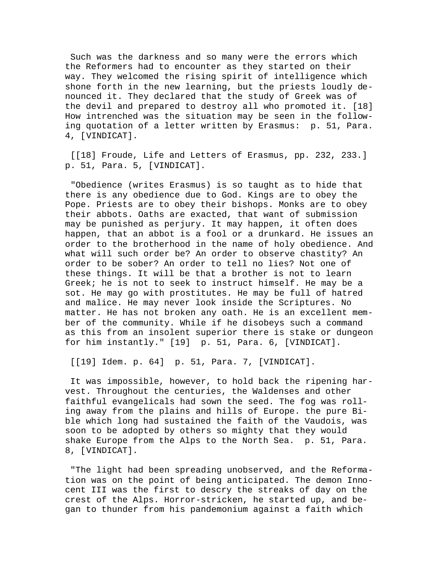Such was the darkness and so many were the errors which the Reformers had to encounter as they started on their way. They welcomed the rising spirit of intelligence which shone forth in the new learning, but the priests loudly denounced it. They declared that the study of Greek was of the devil and prepared to destroy all who promoted it. [18] How intrenched was the situation may be seen in the following quotation of a letter written by Erasmus: p. 51, Para. 4, [VINDICAT].

 [[18] Froude, Life and Letters of Erasmus, pp. 232, 233.] p. 51, Para. 5, [VINDICAT].

 "Obedience (writes Erasmus) is so taught as to hide that there is any obedience due to God. Kings are to obey the Pope. Priests are to obey their bishops. Monks are to obey their abbots. Oaths are exacted, that want of submission may be punished as perjury. It may happen, it often does happen, that an abbot is a fool or a drunkard. He issues an order to the brotherhood in the name of holy obedience. And what will such order be? An order to observe chastity? An order to be sober? An order to tell no lies? Not one of these things. It will be that a brother is not to learn Greek; he is not to seek to instruct himself. He may be a sot. He may go with prostitutes. He may be full of hatred and malice. He may never look inside the Scriptures. No matter. He has not broken any oath. He is an excellent member of the community. While if he disobeys such a command as this from an insolent superior there is stake or dungeon for him instantly." [19] p. 51, Para. 6, [VINDICAT].

[[19] Idem. p. 64] p. 51, Para. 7, [VINDICAT].

 It was impossible, however, to hold back the ripening harvest. Throughout the centuries, the Waldenses and other faithful evangelicals had sown the seed. The fog was rolling away from the plains and hills of Europe. the pure Bible which long had sustained the faith of the Vaudois, was soon to be adopted by others so mighty that they would shake Europe from the Alps to the North Sea. p. 51, Para. 8, [VINDICAT].

 "The light had been spreading unobserved, and the Reformation was on the point of being anticipated. The demon Innocent III was the first to descry the streaks of day on the crest of the Alps. Horror-stricken, he started up, and began to thunder from his pandemonium against a faith which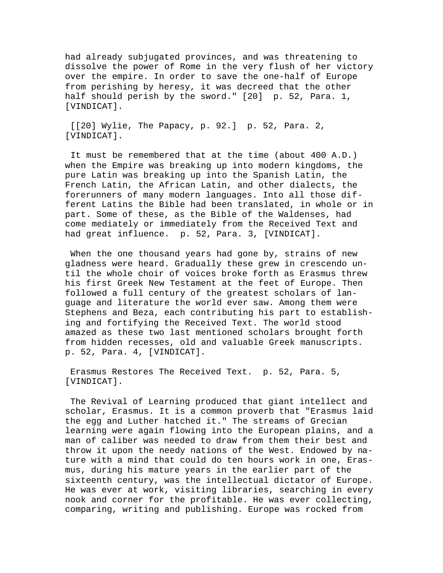had already subjugated provinces, and was threatening to dissolve the power of Rome in the very flush of her victory over the empire. In order to save the one-half of Europe from perishing by heresy, it was decreed that the other half should perish by the sword." [20] p. 52, Para. 1, [VINDICAT].

 [[20] Wylie, The Papacy, p. 92.] p. 52, Para. 2, [VINDICAT].

 It must be remembered that at the time (about 400 A.D.) when the Empire was breaking up into modern kingdoms, the pure Latin was breaking up into the Spanish Latin, the French Latin, the African Latin, and other dialects, the forerunners of many modern languages. Into all those different Latins the Bible had been translated, in whole or in part. Some of these, as the Bible of the Waldenses, had come mediately or immediately from the Received Text and had great influence. p. 52, Para. 3, [VINDICAT].

When the one thousand years had gone by, strains of new gladness were heard. Gradually these grew in crescendo until the whole choir of voices broke forth as Erasmus threw his first Greek New Testament at the feet of Europe. Then followed a full century of the greatest scholars of language and literature the world ever saw. Among them were Stephens and Beza, each contributing his part to establishing and fortifying the Received Text. The world stood amazed as these two last mentioned scholars brought forth from hidden recesses, old and valuable Greek manuscripts. p. 52, Para. 4, [VINDICAT].

 Erasmus Restores The Received Text. p. 52, Para. 5, [VINDICAT].

 The Revival of Learning produced that giant intellect and scholar, Erasmus. It is a common proverb that "Erasmus laid the egg and Luther hatched it." The streams of Grecian learning were again flowing into the European plains, and a man of caliber was needed to draw from them their best and throw it upon the needy nations of the West. Endowed by nature with a mind that could do ten hours work in one, Erasmus, during his mature years in the earlier part of the sixteenth century, was the intellectual dictator of Europe. He was ever at work, visiting libraries, searching in every nook and corner for the profitable. He was ever collecting, comparing, writing and publishing. Europe was rocked from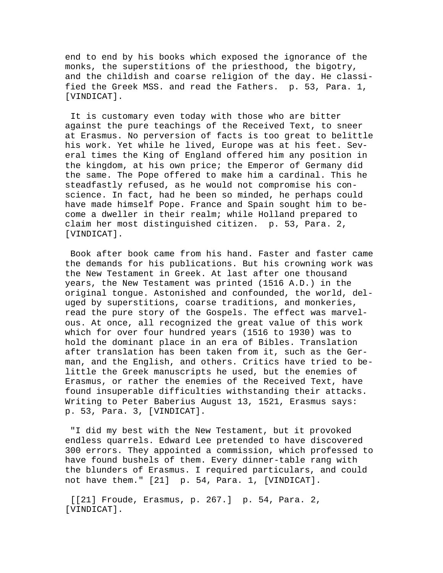end to end by his books which exposed the ignorance of the monks, the superstitions of the priesthood, the bigotry, and the childish and coarse religion of the day. He classified the Greek MSS. and read the Fathers. p. 53, Para. 1, [VINDICAT].

 It is customary even today with those who are bitter against the pure teachings of the Received Text, to sneer at Erasmus. No perversion of facts is too great to belittle his work. Yet while he lived, Europe was at his feet. Several times the King of England offered him any position in the kingdom, at his own price; the Emperor of Germany did the same. The Pope offered to make him a cardinal. This he steadfastly refused, as he would not compromise his conscience. In fact, had he been so minded, he perhaps could have made himself Pope. France and Spain sought him to become a dweller in their realm; while Holland prepared to claim her most distinguished citizen. p. 53, Para. 2, [VINDICAT].

 Book after book came from his hand. Faster and faster came the demands for his publications. But his crowning work was the New Testament in Greek. At last after one thousand years, the New Testament was printed (1516 A.D.) in the original tongue. Astonished and confounded, the world, deluged by superstitions, coarse traditions, and monkeries, read the pure story of the Gospels. The effect was marvelous. At once, all recognized the great value of this work which for over four hundred years (1516 to 1930) was to hold the dominant place in an era of Bibles. Translation after translation has been taken from it, such as the German, and the English, and others. Critics have tried to belittle the Greek manuscripts he used, but the enemies of Erasmus, or rather the enemies of the Received Text, have found insuperable difficulties withstanding their attacks. Writing to Peter Baberius August 13, 1521, Erasmus says: p. 53, Para. 3, [VINDICAT].

 "I did my best with the New Testament, but it provoked endless quarrels. Edward Lee pretended to have discovered 300 errors. They appointed a commission, which professed to have found bushels of them. Every dinner-table rang with the blunders of Erasmus. I required particulars, and could not have them." [21] p. 54, Para. 1, [VINDICAT].

 [[21] Froude, Erasmus, p. 267.] p. 54, Para. 2, [VINDICAT].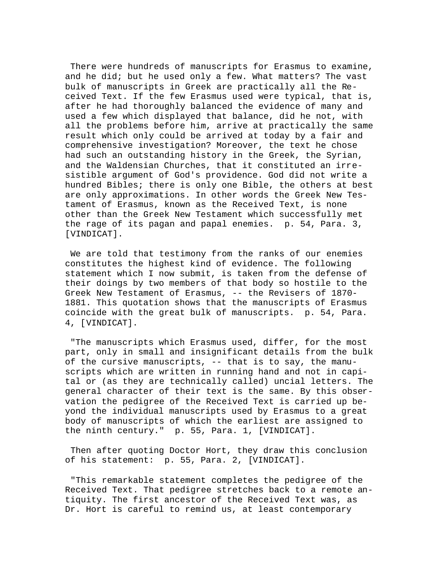There were hundreds of manuscripts for Erasmus to examine, and he did; but he used only a few. What matters? The vast bulk of manuscripts in Greek are practically all the Received Text. If the few Erasmus used were typical, that is, after he had thoroughly balanced the evidence of many and used a few which displayed that balance, did he not, with all the problems before him, arrive at practically the same result which only could be arrived at today by a fair and comprehensive investigation? Moreover, the text he chose had such an outstanding history in the Greek, the Syrian, and the Waldensian Churches, that it constituted an irresistible argument of God's providence. God did not write a hundred Bibles; there is only one Bible, the others at best are only approximations. In other words the Greek New Testament of Erasmus, known as the Received Text, is none other than the Greek New Testament which successfully met the rage of its pagan and papal enemies. p. 54, Para. 3, [VINDICAT].

 We are told that testimony from the ranks of our enemies constitutes the highest kind of evidence. The following statement which I now submit, is taken from the defense of their doings by two members of that body so hostile to the Greek New Testament of Erasmus, -- the Revisers of 1870- 1881. This quotation shows that the manuscripts of Erasmus coincide with the great bulk of manuscripts. p. 54, Para. 4, [VINDICAT].

 "The manuscripts which Erasmus used, differ, for the most part, only in small and insignificant details from the bulk of the cursive manuscripts, -- that is to say, the manuscripts which are written in running hand and not in capital or (as they are technically called) uncial letters. The general character of their text is the same. By this observation the pedigree of the Received Text is carried up beyond the individual manuscripts used by Erasmus to a great body of manuscripts of which the earliest are assigned to the ninth century." p. 55, Para. 1, [VINDICAT].

 Then after quoting Doctor Hort, they draw this conclusion of his statement: p. 55, Para. 2, [VINDICAT].

 "This remarkable statement completes the pedigree of the Received Text. That pedigree stretches back to a remote antiquity. The first ancestor of the Received Text was, as Dr. Hort is careful to remind us, at least contemporary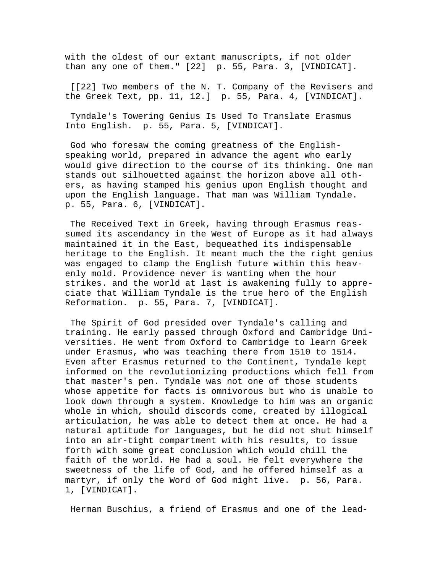with the oldest of our extant manuscripts, if not older than any one of them." [22] p. 55, Para. 3, [VINDICAT].

 [[22] Two members of the N. T. Company of the Revisers and the Greek Text, pp. 11, 12.] p. 55, Para. 4, [VINDICAT].

Tyndale's Towering Genius Is Used To Translate Erasmus Into English. p. 55, Para. 5, [VINDICAT].

 God who foresaw the coming greatness of the Englishspeaking world, prepared in advance the agent who early would give direction to the course of its thinking. One man stands out silhouetted against the horizon above all others, as having stamped his genius upon English thought and upon the English language. That man was William Tyndale. p. 55, Para. 6, [VINDICAT].

 The Received Text in Greek, having through Erasmus reassumed its ascendancy in the West of Europe as it had always maintained it in the East, bequeathed its indispensable heritage to the English. It meant much the the right genius was engaged to clamp the English future within this heavenly mold. Providence never is wanting when the hour strikes. and the world at last is awakening fully to appreciate that William Tyndale is the true hero of the English Reformation. p. 55, Para. 7, [VINDICAT].

 The Spirit of God presided over Tyndale's calling and training. He early passed through Oxford and Cambridge Universities. He went from Oxford to Cambridge to learn Greek under Erasmus, who was teaching there from 1510 to 1514. Even after Erasmus returned to the Continent, Tyndale kept informed on the revolutionizing productions which fell from that master's pen. Tyndale was not one of those students whose appetite for facts is omnivorous but who is unable to look down through a system. Knowledge to him was an organic whole in which, should discords come, created by illogical articulation, he was able to detect them at once. He had a natural aptitude for languages, but he did not shut himself into an air-tight compartment with his results, to issue forth with some great conclusion which would chill the faith of the world. He had a soul. He felt everywhere the sweetness of the life of God, and he offered himself as a martyr, if only the Word of God might live. p. 56, Para. 1, [VINDICAT].

Herman Buschius, a friend of Erasmus and one of the lead-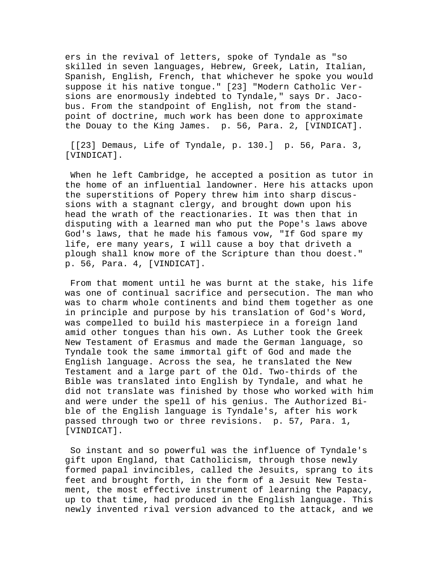ers in the revival of letters, spoke of Tyndale as "so skilled in seven languages, Hebrew, Greek, Latin, Italian, Spanish, English, French, that whichever he spoke you would suppose it his native tongue." [23] "Modern Catholic Versions are enormously indebted to Tyndale," says Dr. Jacobus. From the standpoint of English, not from the standpoint of doctrine, much work has been done to approximate the Douay to the King James. p. 56, Para. 2, [VINDICAT].

 [[23] Demaus, Life of Tyndale, p. 130.] p. 56, Para. 3, [VINDICAT].

 When he left Cambridge, he accepted a position as tutor in the home of an influential landowner. Here his attacks upon the superstitions of Popery threw him into sharp discussions with a stagnant clergy, and brought down upon his head the wrath of the reactionaries. It was then that in disputing with a learned man who put the Pope's laws above God's laws, that he made his famous vow, "If God spare my life, ere many years, I will cause a boy that driveth a plough shall know more of the Scripture than thou doest." p. 56, Para. 4, [VINDICAT].

 From that moment until he was burnt at the stake, his life was one of continual sacrifice and persecution. The man who was to charm whole continents and bind them together as one in principle and purpose by his translation of God's Word, was compelled to build his masterpiece in a foreign land amid other tongues than his own. As Luther took the Greek New Testament of Erasmus and made the German language, so Tyndale took the same immortal gift of God and made the English language. Across the sea, he translated the New Testament and a large part of the Old. Two-thirds of the Bible was translated into English by Tyndale, and what he did not translate was finished by those who worked with him and were under the spell of his genius. The Authorized Bible of the English language is Tyndale's, after his work passed through two or three revisions. p. 57, Para. 1, [VINDICAT].

 So instant and so powerful was the influence of Tyndale's gift upon England, that Catholicism, through those newly formed papal invincibles, called the Jesuits, sprang to its feet and brought forth, in the form of a Jesuit New Testament, the most effective instrument of learning the Papacy, up to that time, had produced in the English language. This newly invented rival version advanced to the attack, and we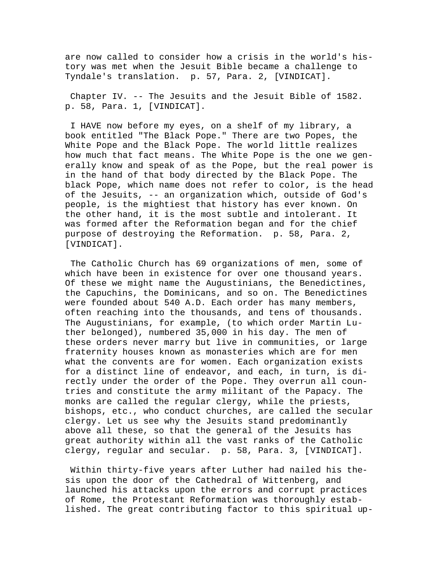are now called to consider how a crisis in the world's history was met when the Jesuit Bible became a challenge to Tyndale's translation. p. 57, Para. 2, [VINDICAT].

 Chapter IV. -- The Jesuits and the Jesuit Bible of 1582. p. 58, Para. 1, [VINDICAT].

 I HAVE now before my eyes, on a shelf of my library, a book entitled "The Black Pope." There are two Popes, the White Pope and the Black Pope. The world little realizes how much that fact means. The White Pope is the one we generally know and speak of as the Pope, but the real power is in the hand of that body directed by the Black Pope. The black Pope, which name does not refer to color, is the head of the Jesuits, -- an organization which, outside of God's people, is the mightiest that history has ever known. On the other hand, it is the most subtle and intolerant. It was formed after the Reformation began and for the chief purpose of destroying the Reformation. p. 58, Para. 2, [VINDICAT].

 The Catholic Church has 69 organizations of men, some of which have been in existence for over one thousand years. Of these we might name the Augustinians, the Benedictines, the Capuchins, the Dominicans, and so on. The Benedictines were founded about 540 A.D. Each order has many members, often reaching into the thousands, and tens of thousands. The Augustinians, for example, (to which order Martin Luther belonged), numbered 35,000 in his day. The men of these orders never marry but live in communities, or large fraternity houses known as monasteries which are for men what the convents are for women. Each organization exists for a distinct line of endeavor, and each, in turn, is directly under the order of the Pope. They overrun all countries and constitute the army militant of the Papacy. The monks are called the regular clergy, while the priests, bishops, etc., who conduct churches, are called the secular clergy. Let us see why the Jesuits stand predominantly above all these, so that the general of the Jesuits has great authority within all the vast ranks of the Catholic clergy, regular and secular. p. 58, Para. 3, [VINDICAT].

 Within thirty-five years after Luther had nailed his thesis upon the door of the Cathedral of Wittenberg, and launched his attacks upon the errors and corrupt practices of Rome, the Protestant Reformation was thoroughly established. The great contributing factor to this spiritual up-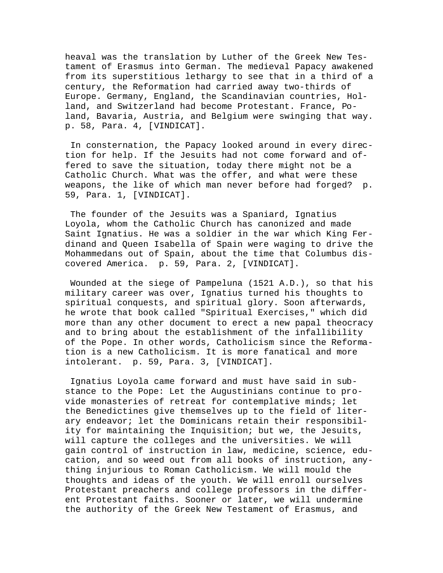heaval was the translation by Luther of the Greek New Testament of Erasmus into German. The medieval Papacy awakened from its superstitious lethargy to see that in a third of a century, the Reformation had carried away two-thirds of Europe. Germany, England, the Scandinavian countries, Holland, and Switzerland had become Protestant. France, Poland, Bavaria, Austria, and Belgium were swinging that way. p. 58, Para. 4, [VINDICAT].

 In consternation, the Papacy looked around in every direction for help. If the Jesuits had not come forward and offered to save the situation, today there might not be a Catholic Church. What was the offer, and what were these weapons, the like of which man never before had forged? p. 59, Para. 1, [VINDICAT].

 The founder of the Jesuits was a Spaniard, Ignatius Loyola, whom the Catholic Church has canonized and made Saint Ignatius. He was a soldier in the war which King Ferdinand and Queen Isabella of Spain were waging to drive the Mohammedans out of Spain, about the time that Columbus discovered America. p. 59, Para. 2, [VINDICAT].

 Wounded at the siege of Pampeluna (1521 A.D.), so that his military career was over, Ignatius turned his thoughts to spiritual conquests, and spiritual glory. Soon afterwards, he wrote that book called "Spiritual Exercises," which did more than any other document to erect a new papal theocracy and to bring about the establishment of the infallibility of the Pope. In other words, Catholicism since the Reformation is a new Catholicism. It is more fanatical and more intolerant. p. 59, Para. 3, [VINDICAT].

 Ignatius Loyola came forward and must have said in substance to the Pope: Let the Augustinians continue to provide monasteries of retreat for contemplative minds; let the Benedictines give themselves up to the field of literary endeavor; let the Dominicans retain their responsibility for maintaining the Inquisition; but we, the Jesuits, will capture the colleges and the universities. We will gain control of instruction in law, medicine, science, education, and so weed out from all books of instruction, anything injurious to Roman Catholicism. We will mould the thoughts and ideas of the youth. We will enroll ourselves Protestant preachers and college professors in the different Protestant faiths. Sooner or later, we will undermine the authority of the Greek New Testament of Erasmus, and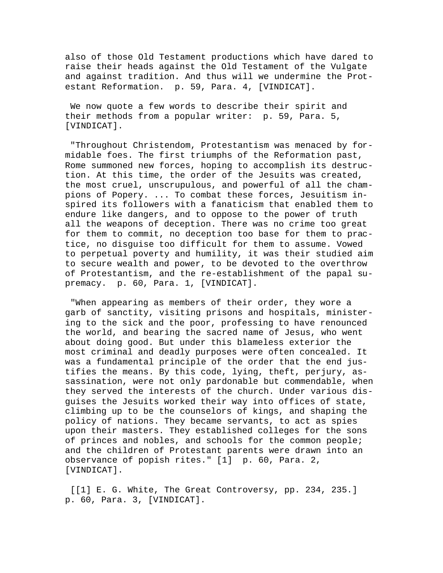also of those Old Testament productions which have dared to raise their heads against the Old Testament of the Vulgate and against tradition. And thus will we undermine the Protestant Reformation. p. 59, Para. 4, [VINDICAT].

 We now quote a few words to describe their spirit and their methods from a popular writer: p. 59, Para. 5, [VINDICAT].

 "Throughout Christendom, Protestantism was menaced by formidable foes. The first triumphs of the Reformation past, Rome summoned new forces, hoping to accomplish its destruction. At this time, the order of the Jesuits was created, the most cruel, unscrupulous, and powerful of all the champions of Popery. ... To combat these forces, Jesuitism inspired its followers with a fanaticism that enabled them to endure like dangers, and to oppose to the power of truth all the weapons of deception. There was no crime too great for them to commit, no deception too base for them to practice, no disguise too difficult for them to assume. Vowed to perpetual poverty and humility, it was their studied aim to secure wealth and power, to be devoted to the overthrow of Protestantism, and the re-establishment of the papal supremacy. p. 60, Para. 1, [VINDICAT].

 "When appearing as members of their order, they wore a garb of sanctity, visiting prisons and hospitals, ministering to the sick and the poor, professing to have renounced the world, and bearing the sacred name of Jesus, who went about doing good. But under this blameless exterior the most criminal and deadly purposes were often concealed. It was a fundamental principle of the order that the end justifies the means. By this code, lying, theft, perjury, assassination, were not only pardonable but commendable, when they served the interests of the church. Under various disguises the Jesuits worked their way into offices of state, climbing up to be the counselors of kings, and shaping the policy of nations. They became servants, to act as spies upon their masters. They established colleges for the sons of princes and nobles, and schools for the common people; and the children of Protestant parents were drawn into an observance of popish rites." [1] p. 60, Para. 2, [VINDICAT].

 [[1] E. G. White, The Great Controversy, pp. 234, 235.] p. 60, Para. 3, [VINDICAT].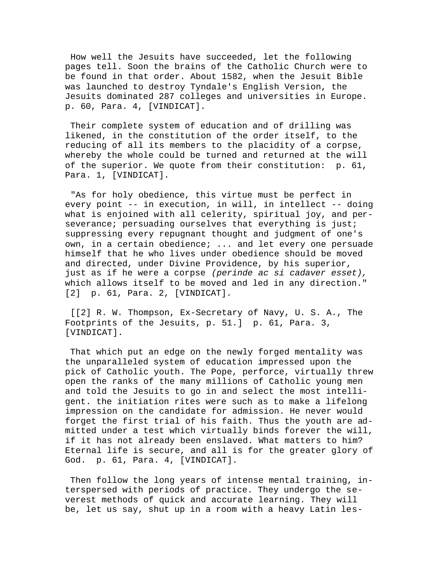How well the Jesuits have succeeded, let the following pages tell. Soon the brains of the Catholic Church were to be found in that order. About 1582, when the Jesuit Bible was launched to destroy Tyndale's English Version, the Jesuits dominated 287 colleges and universities in Europe. p. 60, Para. 4, [VINDICAT].

 Their complete system of education and of drilling was likened, in the constitution of the order itself, to the reducing of all its members to the placidity of a corpse, whereby the whole could be turned and returned at the will of the superior. We quote from their constitution: p. 61, Para. 1, [VINDICAT].

 "As for holy obedience, this virtue must be perfect in every point -- in execution, in will, in intellect -- doing what is enjoined with all celerity, spiritual joy, and perseverance; persuading ourselves that everything is just; suppressing every repugnant thought and judgment of one's own, in a certain obedience; ... and let every one persuade himself that he who lives under obedience should be moved and directed, under Divine Providence, by his superior, just as if he were a corpse *(perinde ac si cadaver esset),* which allows itself to be moved and led in any direction." [2] p. 61, Para. 2, [VINDICAT].

 [[2] R. W. Thompson, Ex-Secretary of Navy, U. S. A., The Footprints of the Jesuits, p. 51.] p. 61, Para. 3, [VINDICAT].

 That which put an edge on the newly forged mentality was the unparalleled system of education impressed upon the pick of Catholic youth. The Pope, perforce, virtually threw open the ranks of the many millions of Catholic young men and told the Jesuits to go in and select the most intelligent. the initiation rites were such as to make a lifelong impression on the candidate for admission. He never would forget the first trial of his faith. Thus the youth are admitted under a test which virtually binds forever the will, if it has not already been enslaved. What matters to him? Eternal life is secure, and all is for the greater glory of God. p. 61, Para. 4, [VINDICAT].

 Then follow the long years of intense mental training, interspersed with periods of practice. They undergo the severest methods of quick and accurate learning. They will be, let us say, shut up in a room with a heavy Latin les-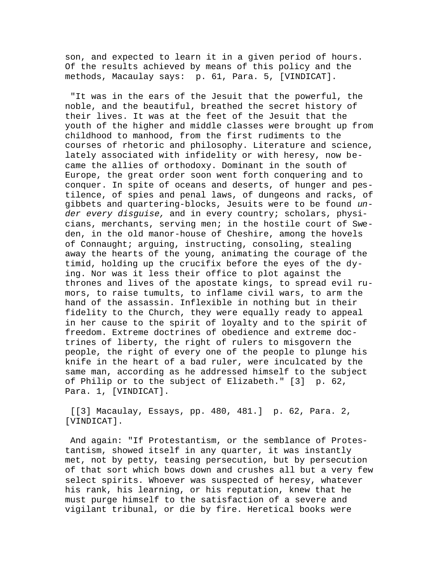son, and expected to learn it in a given period of hours. Of the results achieved by means of this policy and the methods, Macaulay says: p. 61, Para. 5, [VINDICAT].

 "It was in the ears of the Jesuit that the powerful, the noble, and the beautiful, breathed the secret history of their lives. It was at the feet of the Jesuit that the youth of the higher and middle classes were brought up from childhood to manhood, from the first rudiments to the courses of rhetoric and philosophy. Literature and science, lately associated with infidelity or with heresy, now became the allies of orthodoxy. Dominant in the south of Europe, the great order soon went forth conquering and to conquer. In spite of oceans and deserts, of hunger and pestilence, of spies and penal laws, of dungeons and racks, of gibbets and quartering-blocks, Jesuits were to be found *under every disguise,* and in every country; scholars, physicians, merchants, serving men; in the hostile court of Sweden, in the old manor-house of Cheshire, among the hovels of Connaught; arguing, instructing, consoling, stealing away the hearts of the young, animating the courage of the timid, holding up the crucifix before the eyes of the dying. Nor was it less their office to plot against the thrones and lives of the apostate kings, to spread evil rumors, to raise tumults, to inflame civil wars, to arm the hand of the assassin. Inflexible in nothing but in their fidelity to the Church, they were equally ready to appeal in her cause to the spirit of loyalty and to the spirit of freedom. Extreme doctrines of obedience and extreme doctrines of liberty, the right of rulers to misgovern the people, the right of every one of the people to plunge his knife in the heart of a bad ruler, were inculcated by the same man, according as he addressed himself to the subject of Philip or to the subject of Elizabeth." [3] p. 62, Para. 1, [VINDICAT].

 [[3] Macaulay, Essays, pp. 480, 481.] p. 62, Para. 2, [VINDICAT].

 And again: "If Protestantism, or the semblance of Protestantism, showed itself in any quarter, it was instantly met, not by petty, teasing persecution, but by persecution of that sort which bows down and crushes all but a very few select spirits. Whoever was suspected of heresy, whatever his rank, his learning, or his reputation, knew that he must purge himself to the satisfaction of a severe and vigilant tribunal, or die by fire. Heretical books were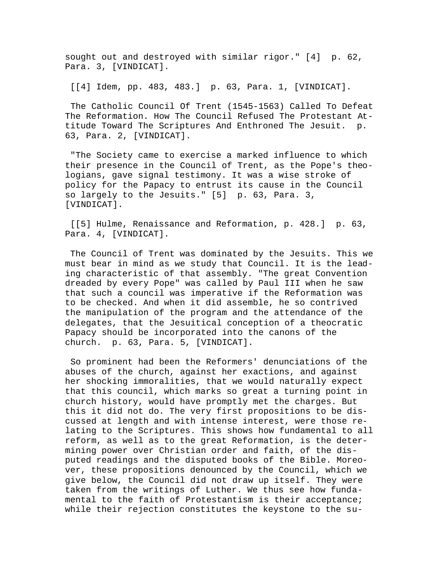sought out and destroyed with similar rigor." [4] p. 62, Para. 3, [VINDICAT].

[[4] Idem, pp. 483, 483.] p. 63, Para. 1, [VINDICAT].

 The Catholic Council Of Trent (1545-1563) Called To Defeat The Reformation. How The Council Refused The Protestant Attitude Toward The Scriptures And Enthroned The Jesuit. p. 63, Para. 2, [VINDICAT].

 "The Society came to exercise a marked influence to which their presence in the Council of Trent, as the Pope's theologians, gave signal testimony. It was a wise stroke of policy for the Papacy to entrust its cause in the Council so largely to the Jesuits." [5] p. 63, Para. 3, [VINDICAT].

 [[5] Hulme, Renaissance and Reformation, p. 428.] p. 63, Para. 4, [VINDICAT].

 The Council of Trent was dominated by the Jesuits. This we must bear in mind as we study that Council. It is the leading characteristic of that assembly. "The great Convention dreaded by every Pope" was called by Paul III when he saw that such a council was imperative if the Reformation was to be checked. And when it did assemble, he so contrived the manipulation of the program and the attendance of the delegates, that the Jesuitical conception of a theocratic Papacy should be incorporated into the canons of the church. p. 63, Para. 5, [VINDICAT].

 So prominent had been the Reformers' denunciations of the abuses of the church, against her exactions, and against her shocking immoralities, that we would naturally expect that this council, which marks so great a turning point in church history, would have promptly met the charges. But this it did not do. The very first propositions to be discussed at length and with intense interest, were those relating to the Scriptures. This shows how fundamental to all reform, as well as to the great Reformation, is the determining power over Christian order and faith, of the disputed readings and the disputed books of the Bible. Moreover, these propositions denounced by the Council, which we give below, the Council did not draw up itself. They were taken from the writings of Luther. We thus see how fundamental to the faith of Protestantism is their acceptance; while their rejection constitutes the keystone to the su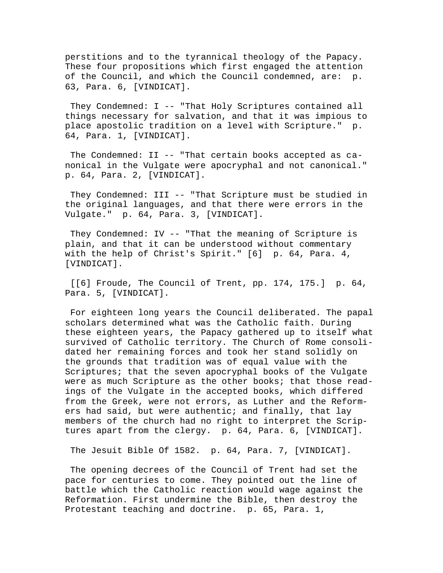perstitions and to the tyrannical theology of the Papacy. These four propositions which first engaged the attention of the Council, and which the Council condemned, are: p. 63, Para. 6, [VINDICAT].

They Condemned: I -- "That Holy Scriptures contained all things necessary for salvation, and that it was impious to place apostolic tradition on a level with Scripture." p. 64, Para. 1, [VINDICAT].

The Condemned: II -- "That certain books accepted as canonical in the Vulgate were apocryphal and not canonical." p. 64, Para. 2, [VINDICAT].

 They Condemned: III -- "That Scripture must be studied in the original languages, and that there were errors in the Vulgate." p. 64, Para. 3, [VINDICAT].

 They Condemned: IV -- "That the meaning of Scripture is plain, and that it can be understood without commentary with the help of Christ's Spirit." [6] p. 64, Para. 4, [VINDICAT].

 [[6] Froude, The Council of Trent, pp. 174, 175.] p. 64, Para. 5, [VINDICAT].

 For eighteen long years the Council deliberated. The papal scholars determined what was the Catholic faith. During these eighteen years, the Papacy gathered up to itself what survived of Catholic territory. The Church of Rome consolidated her remaining forces and took her stand solidly on the grounds that tradition was of equal value with the Scriptures; that the seven apocryphal books of the Vulgate were as much Scripture as the other books; that those readings of the Vulgate in the accepted books, which differed from the Greek, were not errors, as Luther and the Reformers had said, but were authentic; and finally, that lay members of the church had no right to interpret the Scriptures apart from the clergy. p. 64, Para. 6, [VINDICAT].

The Jesuit Bible Of 1582. p. 64, Para. 7, [VINDICAT].

 The opening decrees of the Council of Trent had set the pace for centuries to come. They pointed out the line of battle which the Catholic reaction would wage against the Reformation. First undermine the Bible, then destroy the Protestant teaching and doctrine. p. 65, Para. 1,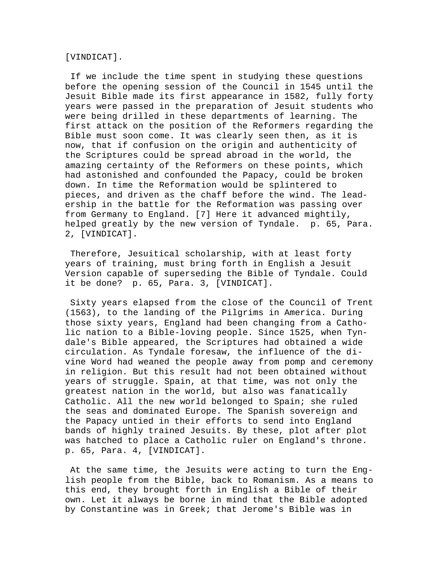[VINDICAT].

 If we include the time spent in studying these questions before the opening session of the Council in 1545 until the Jesuit Bible made its first appearance in 1582, fully forty years were passed in the preparation of Jesuit students who were being drilled in these departments of learning. The first attack on the position of the Reformers regarding the Bible must soon come. It was clearly seen then, as it is now, that if confusion on the origin and authenticity of the Scriptures could be spread abroad in the world, the amazing certainty of the Reformers on these points, which had astonished and confounded the Papacy, could be broken down. In time the Reformation would be splintered to pieces, and driven as the chaff before the wind. The leadership in the battle for the Reformation was passing over from Germany to England. [7] Here it advanced mightily, helped greatly by the new version of Tyndale. p. 65, Para. 2, [VINDICAT].

 Therefore, Jesuitical scholarship, with at least forty years of training, must bring forth in English a Jesuit Version capable of superseding the Bible of Tyndale. Could it be done? p. 65, Para. 3, [VINDICAT].

 Sixty years elapsed from the close of the Council of Trent (1563), to the landing of the Pilgrims in America. During those sixty years, England had been changing from a Catholic nation to a Bible-loving people. Since 1525, when Tyndale's Bible appeared, the Scriptures had obtained a wide circulation. As Tyndale foresaw, the influence of the divine Word had weaned the people away from pomp and ceremony in religion. But this result had not been obtained without years of struggle. Spain, at that time, was not only the greatest nation in the world, but also was fanatically Catholic. All the new world belonged to Spain; she ruled the seas and dominated Europe. The Spanish sovereign and the Papacy untied in their efforts to send into England bands of highly trained Jesuits. By these, plot after plot was hatched to place a Catholic ruler on England's throne. p. 65, Para. 4, [VINDICAT].

 At the same time, the Jesuits were acting to turn the English people from the Bible, back to Romanism. As a means to this end, they brought forth in English a Bible of their own. Let it always be borne in mind that the Bible adopted by Constantine was in Greek; that Jerome's Bible was in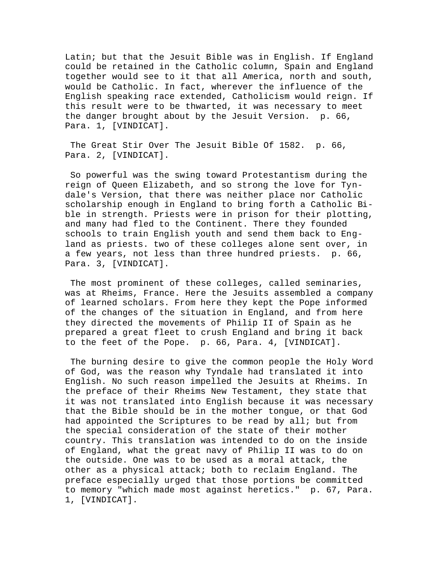Latin; but that the Jesuit Bible was in English. If England could be retained in the Catholic column, Spain and England together would see to it that all America, north and south, would be Catholic. In fact, wherever the influence of the English speaking race extended, Catholicism would reign. If this result were to be thwarted, it was necessary to meet the danger brought about by the Jesuit Version. p. 66, Para. 1, [VINDICAT].

 The Great Stir Over The Jesuit Bible Of 1582. p. 66, Para. 2, [VINDICAT].

 So powerful was the swing toward Protestantism during the reign of Queen Elizabeth, and so strong the love for Tyndale's Version, that there was neither place nor Catholic scholarship enough in England to bring forth a Catholic Bible in strength. Priests were in prison for their plotting, and many had fled to the Continent. There they founded schools to train English youth and send them back to England as priests. two of these colleges alone sent over, in a few years, not less than three hundred priests. p. 66, Para. 3, [VINDICAT].

 The most prominent of these colleges, called seminaries, was at Rheims, France. Here the Jesuits assembled a company of learned scholars. From here they kept the Pope informed of the changes of the situation in England, and from here they directed the movements of Philip II of Spain as he prepared a great fleet to crush England and bring it back to the feet of the Pope. p. 66, Para. 4, [VINDICAT].

 The burning desire to give the common people the Holy Word of God, was the reason why Tyndale had translated it into English. No such reason impelled the Jesuits at Rheims. In the preface of their Rheims New Testament, they state that it was not translated into English because it was necessary that the Bible should be in the mother tongue, or that God had appointed the Scriptures to be read by all; but from the special consideration of the state of their mother country. This translation was intended to do on the inside of England, what the great navy of Philip II was to do on the outside. One was to be used as a moral attack, the other as a physical attack; both to reclaim England. The preface especially urged that those portions be committed to memory "which made most against heretics." p. 67, Para. 1, [VINDICAT].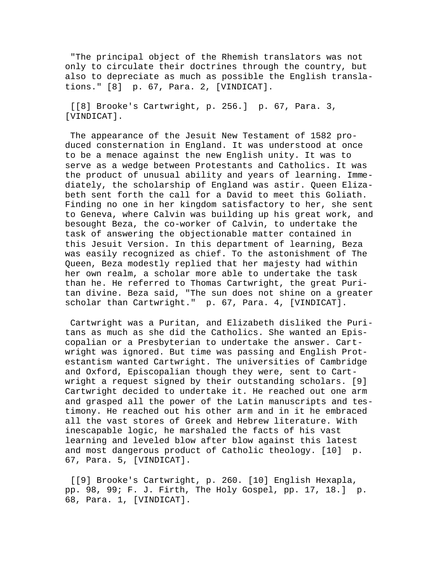"The principal object of the Rhemish translators was not only to circulate their doctrines through the country, but also to depreciate as much as possible the English translations." [8] p. 67, Para. 2, [VINDICAT].

 [[8] Brooke's Cartwright, p. 256.] p. 67, Para. 3, [VINDICAT].

 The appearance of the Jesuit New Testament of 1582 produced consternation in England. It was understood at once to be a menace against the new English unity. It was to serve as a wedge between Protestants and Catholics. It was the product of unusual ability and years of learning. Immediately, the scholarship of England was astir. Queen Elizabeth sent forth the call for a David to meet this Goliath. Finding no one in her kingdom satisfactory to her, she sent to Geneva, where Calvin was building up his great work, and besought Beza, the co-worker of Calvin, to undertake the task of answering the objectionable matter contained in this Jesuit Version. In this department of learning, Beza was easily recognized as chief. To the astonishment of The Queen, Beza modestly replied that her majesty had within her own realm, a scholar more able to undertake the task than he. He referred to Thomas Cartwright, the great Puritan divine. Beza said, "The sun does not shine on a greater scholar than Cartwright." p. 67, Para. 4, [VINDICAT].

 Cartwright was a Puritan, and Elizabeth disliked the Puritans as much as she did the Catholics. She wanted an Episcopalian or a Presbyterian to undertake the answer. Cartwright was ignored. But time was passing and English Protestantism wanted Cartwright. The universities of Cambridge and Oxford, Episcopalian though they were, sent to Cartwright a request signed by their outstanding scholars. [9] Cartwright decided to undertake it. He reached out one arm and grasped all the power of the Latin manuscripts and testimony. He reached out his other arm and in it he embraced all the vast stores of Greek and Hebrew literature. With inescapable logic, he marshaled the facts of his vast learning and leveled blow after blow against this latest and most dangerous product of Catholic theology. [10] p. 67, Para. 5, [VINDICAT].

 [[9] Brooke's Cartwright, p. 260. [10] English Hexapla, pp. 98, 99; F. J. Firth, The Holy Gospel, pp. 17, 18.] p. 68, Para. 1, [VINDICAT].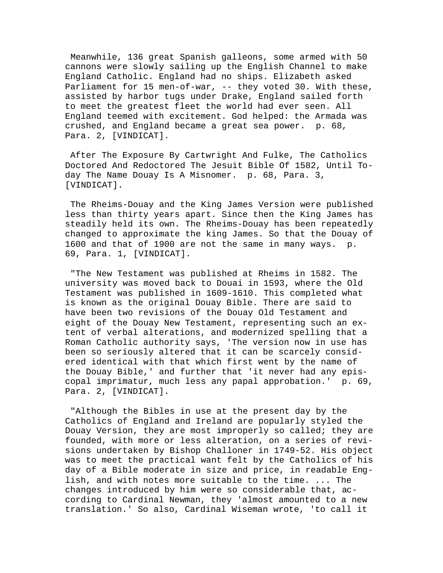Meanwhile, 136 great Spanish galleons, some armed with 50 cannons were slowly sailing up the English Channel to make England Catholic. England had no ships. Elizabeth asked Parliament for 15 men-of-war, -- they voted 30. With these, assisted by harbor tugs under Drake, England sailed forth to meet the greatest fleet the world had ever seen. All England teemed with excitement. God helped: the Armada was crushed, and England became a great sea power. p. 68, Para. 2, [VINDICAT].

 After The Exposure By Cartwright And Fulke, The Catholics Doctored And Redoctored The Jesuit Bible Of 1582, Until Today The Name Douay Is A Misnomer. p. 68, Para. 3, [VINDICAT].

 The Rheims-Douay and the King James Version were published less than thirty years apart. Since then the King James has steadily held its own. The Rheims-Douay has been repeatedly changed to approximate the king James. So that the Douay of 1600 and that of 1900 are not the same in many ways. p. 69, Para. 1, [VINDICAT].

 "The New Testament was published at Rheims in 1582. The university was moved back to Douai in 1593, where the Old Testament was published in 1609-1610. This completed what is known as the original Douay Bible. There are said to have been two revisions of the Douay Old Testament and eight of the Douay New Testament, representing such an extent of verbal alterations, and modernized spelling that a Roman Catholic authority says, 'The version now in use has been so seriously altered that it can be scarcely considered identical with that which first went by the name of the Douay Bible,' and further that 'it never had any episcopal imprimatur, much less any papal approbation.' p. 69, Para. 2, [VINDICAT].

 "Although the Bibles in use at the present day by the Catholics of England and Ireland are popularly styled the Douay Version, they are most improperly so called; they are founded, with more or less alteration, on a series of revisions undertaken by Bishop Challoner in 1749-52. His object was to meet the practical want felt by the Catholics of his day of a Bible moderate in size and price, in readable English, and with notes more suitable to the time. ... The changes introduced by him were so considerable that, according to Cardinal Newman, they 'almost amounted to a new translation.' So also, Cardinal Wiseman wrote, 'to call it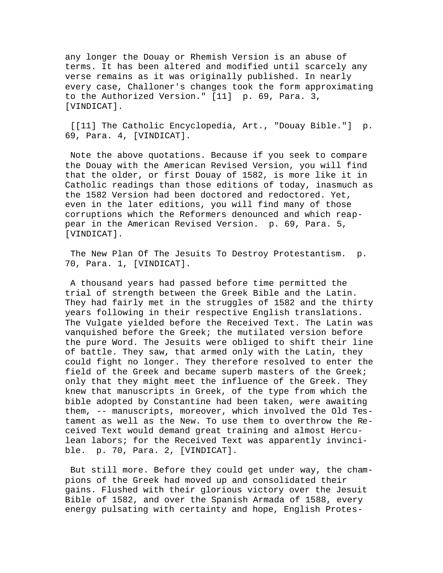any longer the Douay or Rhemish Version is an abuse of terms. It has been altered and modified until scarcely any verse remains as it was originally published. In nearly every case, Challoner's changes took the form approximating to the Authorized Version." [11] p. 69, Para. 3, [VINDICAT].

 [[11] The Catholic Encyclopedia, Art., "Douay Bible."] p. 69, Para. 4, [VINDICAT].

 Note the above quotations. Because if you seek to compare the Douay with the American Revised Version, you will find that the older, or first Douay of 1582, is more like it in Catholic readings than those editions of today, inasmuch as the 1582 Version had been doctored and redoctored. Yet, even in the later editions, you will find many of those corruptions which the Reformers denounced and which reappear in the American Revised Version. p. 69, Para. 5, [VINDICAT].

 The New Plan Of The Jesuits To Destroy Protestantism. p. 70, Para. 1, [VINDICAT].

 A thousand years had passed before time permitted the trial of strength between the Greek Bible and the Latin. They had fairly met in the struggles of 1582 and the thirty years following in their respective English translations. The Vulgate yielded before the Received Text. The Latin was vanquished before the Greek; the mutilated version before the pure Word. The Jesuits were obliged to shift their line of battle. They saw, that armed only with the Latin, they could fight no longer. They therefore resolved to enter the field of the Greek and became superb masters of the Greek; only that they might meet the influence of the Greek. They knew that manuscripts in Greek, of the type from which the bible adopted by Constantine had been taken, were awaiting them, -- manuscripts, moreover, which involved the Old Testament as well as the New. To use them to overthrow the Received Text would demand great training and almost Herculean labors; for the Received Text was apparently invincible. p. 70, Para. 2, [VINDICAT].

 But still more. Before they could get under way, the champions of the Greek had moved up and consolidated their gains. Flushed with their glorious victory over the Jesuit Bible of 1582, and over the Spanish Armada of 1588, every energy pulsating with certainty and hope, English Protes-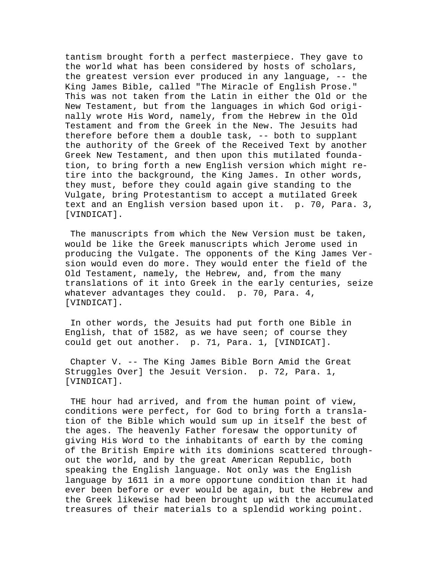tantism brought forth a perfect masterpiece. They gave to the world what has been considered by hosts of scholars, the greatest version ever produced in any language, -- the King James Bible, called "The Miracle of English Prose." This was not taken from the Latin in either the Old or the New Testament, but from the languages in which God originally wrote His Word, namely, from the Hebrew in the Old Testament and from the Greek in the New. The Jesuits had therefore before them a double task, -- both to supplant the authority of the Greek of the Received Text by another Greek New Testament, and then upon this mutilated foundation, to bring forth a new English version which might retire into the background, the King James. In other words, they must, before they could again give standing to the Vulgate, bring Protestantism to accept a mutilated Greek text and an English version based upon it. p. 70, Para. 3, [VINDICAT].

 The manuscripts from which the New Version must be taken, would be like the Greek manuscripts which Jerome used in producing the Vulgate. The opponents of the King James Version would even do more. They would enter the field of the Old Testament, namely, the Hebrew, and, from the many translations of it into Greek in the early centuries, seize whatever advantages they could. p. 70, Para. 4, [VINDICAT].

 In other words, the Jesuits had put forth one Bible in English, that of 1582, as we have seen; of course they could get out another. p. 71, Para. 1, [VINDICAT].

 Chapter V. -- The King James Bible Born Amid the Great Struggles Over] the Jesuit Version. p. 72, Para. 1, [VINDICAT].

 THE hour had arrived, and from the human point of view, conditions were perfect, for God to bring forth a translation of the Bible which would sum up in itself the best of the ages. The heavenly Father foresaw the opportunity of giving His Word to the inhabitants of earth by the coming of the British Empire with its dominions scattered throughout the world, and by the great American Republic, both speaking the English language. Not only was the English language by 1611 in a more opportune condition than it had ever been before or ever would be again, but the Hebrew and the Greek likewise had been brought up with the accumulated treasures of their materials to a splendid working point.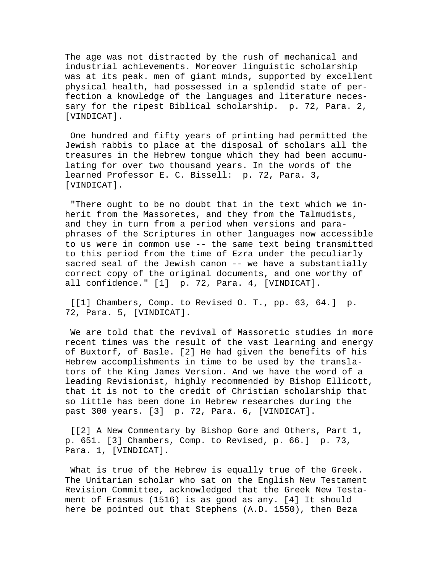The age was not distracted by the rush of mechanical and industrial achievements. Moreover linguistic scholarship was at its peak. men of giant minds, supported by excellent physical health, had possessed in a splendid state of perfection a knowledge of the languages and literature necessary for the ripest Biblical scholarship. p. 72, Para. 2, [VINDICAT].

 One hundred and fifty years of printing had permitted the Jewish rabbis to place at the disposal of scholars all the treasures in the Hebrew tongue which they had been accumulating for over two thousand years. In the words of the learned Professor E. C. Bissell: p. 72, Para. 3, [VINDICAT].

 "There ought to be no doubt that in the text which we inherit from the Massoretes, and they from the Talmudists, and they in turn from a period when versions and paraphrases of the Scriptures in other languages now accessible to us were in common use -- the same text being transmitted to this period from the time of Ezra under the peculiarly sacred seal of the Jewish canon -- we have a substantially correct copy of the original documents, and one worthy of all confidence." [1] p. 72, Para. 4, [VINDICAT].

 [[1] Chambers, Comp. to Revised O. T., pp. 63, 64.] p. 72, Para. 5, [VINDICAT].

 We are told that the revival of Massoretic studies in more recent times was the result of the vast learning and energy of Buxtorf, of Basle. [2] He had given the benefits of his Hebrew accomplishments in time to be used by the translators of the King James Version. And we have the word of a leading Revisionist, highly recommended by Bishop Ellicott, that it is not to the credit of Christian scholarship that so little has been done in Hebrew researches during the past 300 years. [3] p. 72, Para. 6, [VINDICAT].

 [[2] A New Commentary by Bishop Gore and Others, Part 1, p. 651. [3] Chambers, Comp. to Revised, p. 66.] p. 73, Para. 1, [VINDICAT].

What is true of the Hebrew is equally true of the Greek. The Unitarian scholar who sat on the English New Testament Revision Committee, acknowledged that the Greek New Testament of Erasmus (1516) is as good as any. [4] It should here be pointed out that Stephens (A.D. 1550), then Beza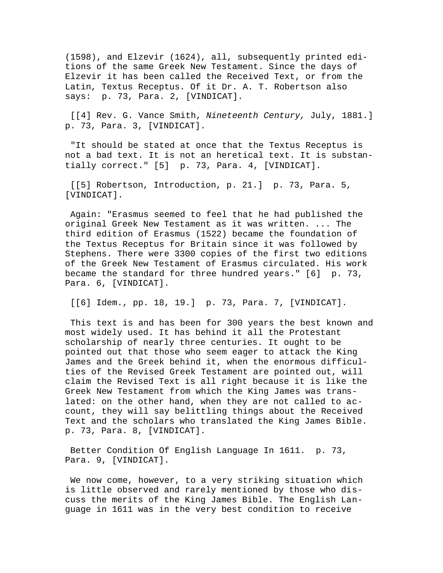(1598), and Elzevir (1624), all, subsequently printed editions of the same Greek New Testament. Since the days of Elzevir it has been called the Received Text, or from the Latin, Textus Receptus. Of it Dr. A. T. Robertson also says: p. 73, Para. 2, [VINDICAT].

 [[4] Rev. G. Vance Smith, *Nineteenth Century,* July, 1881.] p. 73, Para. 3, [VINDICAT].

 "It should be stated at once that the Textus Receptus is not a bad text. It is not an heretical text. It is substantially correct." [5] p. 73, Para. 4, [VINDICAT].

 [[5] Robertson, Introduction, p. 21.] p. 73, Para. 5, [VINDICAT].

 Again: "Erasmus seemed to feel that he had published the original Greek New Testament as it was written. ... The third edition of Erasmus (1522) became the foundation of the Textus Receptus for Britain since it was followed by Stephens. There were 3300 copies of the first two editions of the Greek New Testament of Erasmus circulated. His work became the standard for three hundred years." [6] p. 73, Para. 6, [VINDICAT].

[[6] Idem., pp. 18, 19.] p. 73, Para. 7, [VINDICAT].

 This text is and has been for 300 years the best known and most widely used. It has behind it all the Protestant scholarship of nearly three centuries. It ought to be pointed out that those who seem eager to attack the King James and the Greek behind it, when the enormous difficulties of the Revised Greek Testament are pointed out, will claim the Revised Text is all right because it is like the Greek New Testament from which the King James was translated: on the other hand, when they are not called to account, they will say belittling things about the Received Text and the scholars who translated the King James Bible. p. 73, Para. 8, [VINDICAT].

 Better Condition Of English Language In 1611. p. 73, Para. 9, [VINDICAT].

 We now come, however, to a very striking situation which is little observed and rarely mentioned by those who discuss the merits of the King James Bible. The English Language in 1611 was in the very best condition to receive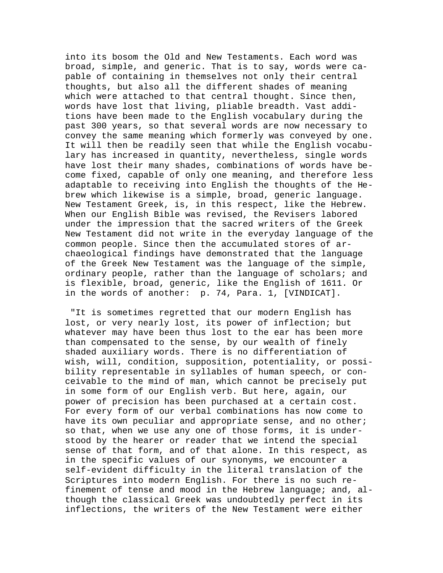into its bosom the Old and New Testaments. Each word was broad, simple, and generic. That is to say, words were capable of containing in themselves not only their central thoughts, but also all the different shades of meaning which were attached to that central thought. Since then, words have lost that living, pliable breadth. Vast additions have been made to the English vocabulary during the past 300 years, so that several words are now necessary to convey the same meaning which formerly was conveyed by one. It will then be readily seen that while the English vocabulary has increased in quantity, nevertheless, single words have lost their many shades, combinations of words have become fixed, capable of only one meaning, and therefore less adaptable to receiving into English the thoughts of the Hebrew which likewise is a simple, broad, generic language. New Testament Greek, is, in this respect, like the Hebrew. When our English Bible was revised, the Revisers labored under the impression that the sacred writers of the Greek New Testament did not write in the everyday language of the common people. Since then the accumulated stores of archaeological findings have demonstrated that the language of the Greek New Testament was the language of the simple, ordinary people, rather than the language of scholars; and is flexible, broad, generic, like the English of 1611. Or in the words of another: p. 74, Para. 1, [VINDICAT].

 "It is sometimes regretted that our modern English has lost, or very nearly lost, its power of inflection; but whatever may have been thus lost to the ear has been more than compensated to the sense, by our wealth of finely shaded auxiliary words. There is no differentiation of wish, will, condition, supposition, potentiality, or possibility representable in syllables of human speech, or conceivable to the mind of man, which cannot be precisely put in some form of our English verb. But here, again, our power of precision has been purchased at a certain cost. For every form of our verbal combinations has now come to have its own peculiar and appropriate sense, and no other; so that, when we use any one of those forms, it is understood by the hearer or reader that we intend the special sense of that form, and of that alone. In this respect, as in the specific values of our synonyms, we encounter a self-evident difficulty in the literal translation of the Scriptures into modern English. For there is no such refinement of tense and mood in the Hebrew language; and, although the classical Greek was undoubtedly perfect in its inflections, the writers of the New Testament were either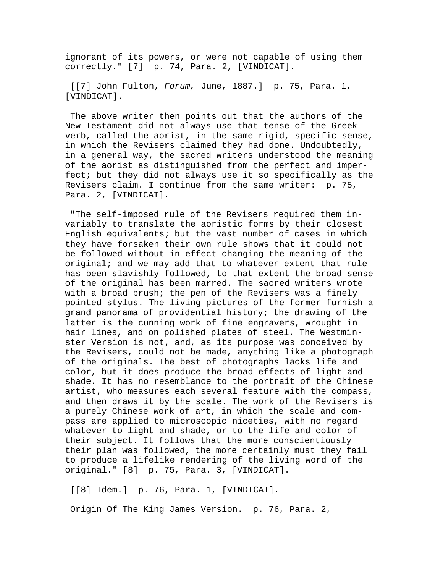ignorant of its powers, or were not capable of using them correctly." [7] p. 74, Para. 2, [VINDICAT].

 [[7] John Fulton, *Forum,* June, 1887.] p. 75, Para. 1, [VINDICAT].

 The above writer then points out that the authors of the New Testament did not always use that tense of the Greek verb, called the aorist, in the same rigid, specific sense, in which the Revisers claimed they had done. Undoubtedly, in a general way, the sacred writers understood the meaning of the aorist as distinguished from the perfect and imperfect; but they did not always use it so specifically as the Revisers claim. I continue from the same writer: p. 75, Para. 2, [VINDICAT].

 "The self-imposed rule of the Revisers required them invariably to translate the aoristic forms by their closest English equivalents; but the vast number of cases in which they have forsaken their own rule shows that it could not be followed without in effect changing the meaning of the original; and we may add that to whatever extent that rule has been slavishly followed, to that extent the broad sense of the original has been marred. The sacred writers wrote with a broad brush; the pen of the Revisers was a finely pointed stylus. The living pictures of the former furnish a grand panorama of providential history; the drawing of the latter is the cunning work of fine engravers, wrought in hair lines, and on polished plates of steel. The Westminster Version is not, and, as its purpose was conceived by the Revisers, could not be made, anything like a photograph of the originals. The best of photographs lacks life and color, but it does produce the broad effects of light and shade. It has no resemblance to the portrait of the Chinese artist, who measures each several feature with the compass, and then draws it by the scale. The work of the Revisers is a purely Chinese work of art, in which the scale and compass are applied to microscopic niceties, with no regard whatever to light and shade, or to the life and color of their subject. It follows that the more conscientiously their plan was followed, the more certainly must they fail to produce a lifelike rendering of the living word of the original." [8] p. 75, Para. 3, [VINDICAT].

[[8] Idem.] p. 76, Para. 1, [VINDICAT].

Origin Of The King James Version. p. 76, Para. 2,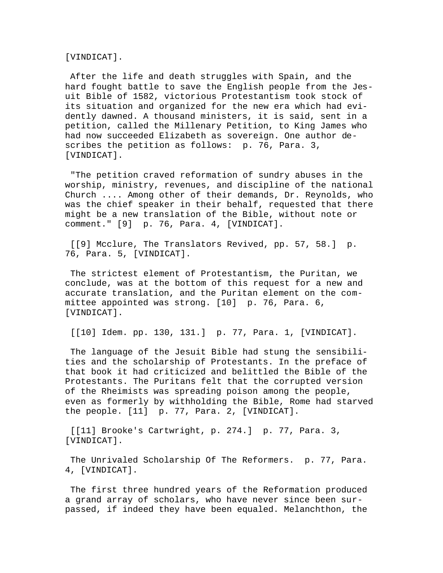[VINDICAT].

 After the life and death struggles with Spain, and the hard fought battle to save the English people from the Jesuit Bible of 1582, victorious Protestantism took stock of its situation and organized for the new era which had evidently dawned. A thousand ministers, it is said, sent in a petition, called the Millenary Petition, to King James who had now succeeded Elizabeth as sovereign. One author describes the petition as follows: p. 76, Para. 3, [VINDICAT].

 "The petition craved reformation of sundry abuses in the worship, ministry, revenues, and discipline of the national Church .... Among other of their demands, Dr. Reynolds, who was the chief speaker in their behalf, requested that there might be a new translation of the Bible, without note or comment." [9] p. 76, Para. 4, [VINDICAT].

 [[9] Mcclure, The Translators Revived, pp. 57, 58.] p. 76, Para. 5, [VINDICAT].

 The strictest element of Protestantism, the Puritan, we conclude, was at the bottom of this request for a new and accurate translation, and the Puritan element on the committee appointed was strong. [10] p. 76, Para. 6, [VINDICAT].

[[10] Idem. pp. 130, 131.] p. 77, Para. 1, [VINDICAT].

 The language of the Jesuit Bible had stung the sensibilities and the scholarship of Protestants. In the preface of that book it had criticized and belittled the Bible of the Protestants. The Puritans felt that the corrupted version of the Rheimists was spreading poison among the people, even as formerly by withholding the Bible, Rome had starved the people. [11] p. 77, Para. 2, [VINDICAT].

 [[11] Brooke's Cartwright, p. 274.] p. 77, Para. 3, [VINDICAT].

 The Unrivaled Scholarship Of The Reformers. p. 77, Para. 4, [VINDICAT].

 The first three hundred years of the Reformation produced a grand array of scholars, who have never since been surpassed, if indeed they have been equaled. Melanchthon, the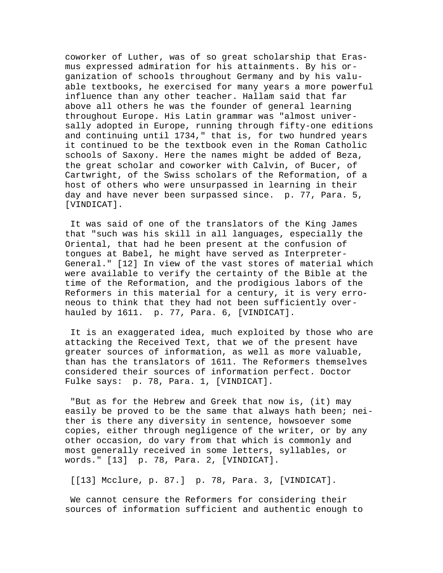coworker of Luther, was of so great scholarship that Erasmus expressed admiration for his attainments. By his organization of schools throughout Germany and by his valuable textbooks, he exercised for many years a more powerful influence than any other teacher. Hallam said that far above all others he was the founder of general learning throughout Europe. His Latin grammar was "almost universally adopted in Europe, running through fifty-one editions and continuing until 1734," that is, for two hundred years it continued to be the textbook even in the Roman Catholic schools of Saxony. Here the names might be added of Beza, the great scholar and coworker with Calvin, of Bucer, of Cartwright, of the Swiss scholars of the Reformation, of a host of others who were unsurpassed in learning in their day and have never been surpassed since. p. 77, Para. 5, [VINDICAT].

 It was said of one of the translators of the King James that "such was his skill in all languages, especially the Oriental, that had he been present at the confusion of tongues at Babel, he might have served as Interpreter-General." [12] In view of the vast stores of material which were available to verify the certainty of the Bible at the time of the Reformation, and the prodigious labors of the Reformers in this material for a century, it is very erroneous to think that they had not been sufficiently overhauled by 1611. p. 77, Para. 6, [VINDICAT].

 It is an exaggerated idea, much exploited by those who are attacking the Received Text, that we of the present have greater sources of information, as well as more valuable, than has the translators of 1611. The Reformers themselves considered their sources of information perfect. Doctor Fulke says: p. 78, Para. 1, [VINDICAT].

 "But as for the Hebrew and Greek that now is, (it) may easily be proved to be the same that always hath been; neither is there any diversity in sentence, howsoever some copies, either through negligence of the writer, or by any other occasion, do vary from that which is commonly and most generally received in some letters, syllables, or words." [13] p. 78, Para. 2, [VINDICAT].

[[13] Mcclure, p. 87.] p. 78, Para. 3, [VINDICAT].

 We cannot censure the Reformers for considering their sources of information sufficient and authentic enough to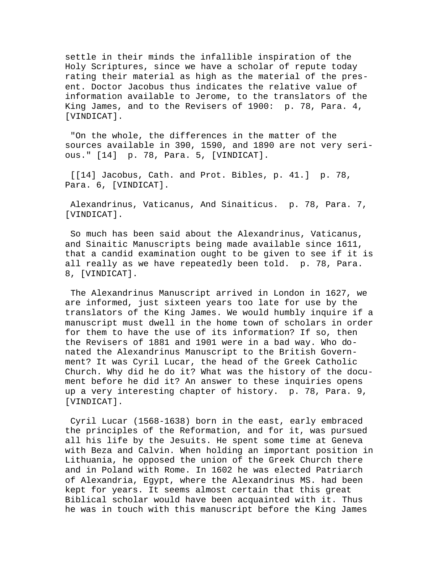settle in their minds the infallible inspiration of the Holy Scriptures, since we have a scholar of repute today rating their material as high as the material of the present. Doctor Jacobus thus indicates the relative value of information available to Jerome, to the translators of the King James, and to the Revisers of 1900: p. 78, Para. 4, [VINDICAT].

 "On the whole, the differences in the matter of the sources available in 390, 1590, and 1890 are not very serious." [14] p. 78, Para. 5, [VINDICAT].

 [[14] Jacobus, Cath. and Prot. Bibles, p. 41.] p. 78, Para. 6, [VINDICAT].

 Alexandrinus, Vaticanus, And Sinaiticus. p. 78, Para. 7, [VINDICAT].

 So much has been said about the Alexandrinus, Vaticanus, and Sinaitic Manuscripts being made available since 1611, that a candid examination ought to be given to see if it is all really as we have repeatedly been told. p. 78, Para. 8, [VINDICAT].

 The Alexandrinus Manuscript arrived in London in 1627, we are informed, just sixteen years too late for use by the translators of the King James. We would humbly inquire if a manuscript must dwell in the home town of scholars in order for them to have the use of its information? If so, then the Revisers of 1881 and 1901 were in a bad way. Who donated the Alexandrinus Manuscript to the British Government? It was Cyril Lucar, the head of the Greek Catholic Church. Why did he do it? What was the history of the document before he did it? An answer to these inquiries opens up a very interesting chapter of history. p. 78, Para. 9, [VINDICAT].

 Cyril Lucar (1568-1638) born in the east, early embraced the principles of the Reformation, and for it, was pursued all his life by the Jesuits. He spent some time at Geneva with Beza and Calvin. When holding an important position in Lithuania, he opposed the union of the Greek Church there and in Poland with Rome. In 1602 he was elected Patriarch of Alexandria, Egypt, where the Alexandrinus MS. had been kept for years. It seems almost certain that this great Biblical scholar would have been acquainted with it. Thus he was in touch with this manuscript before the King James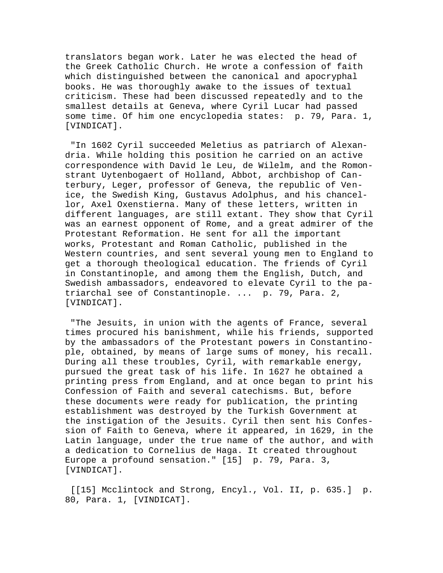translators began work. Later he was elected the head of the Greek Catholic Church. He wrote a confession of faith which distinguished between the canonical and apocryphal books. He was thoroughly awake to the issues of textual criticism. These had been discussed repeatedly and to the smallest details at Geneva, where Cyril Lucar had passed some time. Of him one encyclopedia states: p. 79, Para. 1, [VINDICAT].

 "In 1602 Cyril succeeded Meletius as patriarch of Alexandria. While holding this position he carried on an active correspondence with David le Leu, de Wilelm, and the Romonstrant Uytenbogaert of Holland, Abbot, archbishop of Canterbury, Leger, professor of Geneva, the republic of Venice, the Swedish King, Gustavus Adolphus, and his chancellor, Axel Oxenstierna. Many of these letters, written in different languages, are still extant. They show that Cyril was an earnest opponent of Rome, and a great admirer of the Protestant Reformation. He sent for all the important works, Protestant and Roman Catholic, published in the Western countries, and sent several young men to England to get a thorough theological education. The friends of Cyril in Constantinople, and among them the English, Dutch, and Swedish ambassadors, endeavored to elevate Cyril to the patriarchal see of Constantinople. ... p. 79, Para. 2, [VINDICAT].

 "The Jesuits, in union with the agents of France, several times procured his banishment, while his friends, supported by the ambassadors of the Protestant powers in Constantinople, obtained, by means of large sums of money, his recall. During all these troubles, Cyril, with remarkable energy, pursued the great task of his life. In 1627 he obtained a printing press from England, and at once began to print his Confession of Faith and several catechisms. But, before these documents were ready for publication, the printing establishment was destroyed by the Turkish Government at the instigation of the Jesuits. Cyril then sent his Confession of Faith to Geneva, where it appeared, in 1629, in the Latin language, under the true name of the author, and with a dedication to Cornelius de Haga. It created throughout Europe a profound sensation." [15] p. 79, Para. 3, [VINDICAT].

 [[15] Mcclintock and Strong, Encyl., Vol. II, p. 635.] p. 80, Para. 1, [VINDICAT].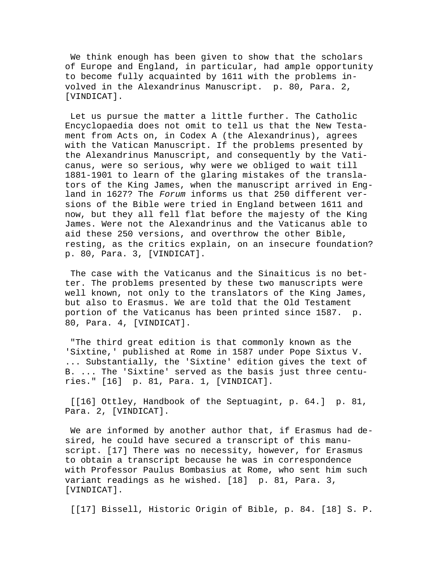We think enough has been given to show that the scholars of Europe and England, in particular, had ample opportunity to become fully acquainted by 1611 with the problems involved in the Alexandrinus Manuscript. p. 80, Para. 2, [VINDICAT].

 Let us pursue the matter a little further. The Catholic Encyclopaedia does not omit to tell us that the New Testament from Acts on, in Codex A (the Alexandrinus), agrees with the Vatican Manuscript. If the problems presented by the Alexandrinus Manuscript, and consequently by the Vaticanus, were so serious, why were we obliged to wait till 1881-1901 to learn of the glaring mistakes of the translators of the King James, when the manuscript arrived in England in 1627? The *Forum* informs us that 250 different versions of the Bible were tried in England between 1611 and now, but they all fell flat before the majesty of the King James. Were not the Alexandrinus and the Vaticanus able to aid these 250 versions, and overthrow the other Bible, resting, as the critics explain, on an insecure foundation? p. 80, Para. 3, [VINDICAT].

 The case with the Vaticanus and the Sinaiticus is no better. The problems presented by these two manuscripts were well known, not only to the translators of the King James, but also to Erasmus. We are told that the Old Testament portion of the Vaticanus has been printed since 1587. p. 80, Para. 4, [VINDICAT].

 "The third great edition is that commonly known as the 'Sixtine,' published at Rome in 1587 under Pope Sixtus V. ... Substantially, the 'Sixtine' edition gives the text of B. ... The 'Sixtine' served as the basis just three centuries." [16] p. 81, Para. 1, [VINDICAT].

 [[16] Ottley, Handbook of the Septuagint, p. 64.] p. 81, Para. 2, [VINDICAT].

 We are informed by another author that, if Erasmus had desired, he could have secured a transcript of this manuscript. [17] There was no necessity, however, for Erasmus to obtain a transcript because he was in correspondence with Professor Paulus Bombasius at Rome, who sent him such variant readings as he wished. [18] p. 81, Para. 3, [VINDICAT].

[[17] Bissell, Historic Origin of Bible, p. 84. [18] S. P.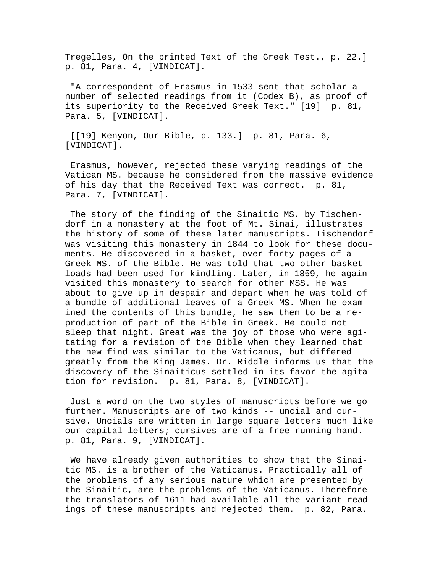Tregelles, On the printed Text of the Greek Test., p. 22.] p. 81, Para. 4, [VINDICAT].

 "A correspondent of Erasmus in 1533 sent that scholar a number of selected readings from it (Codex B), as proof of its superiority to the Received Greek Text." [19] p. 81, Para. 5, [VINDICAT].

 [[19] Kenyon, Our Bible, p. 133.] p. 81, Para. 6, [VINDICAT].

 Erasmus, however, rejected these varying readings of the Vatican MS. because he considered from the massive evidence of his day that the Received Text was correct. p. 81, Para. 7, [VINDICAT].

 The story of the finding of the Sinaitic MS. by Tischendorf in a monastery at the foot of Mt. Sinai, illustrates the history of some of these later manuscripts. Tischendorf was visiting this monastery in 1844 to look for these documents. He discovered in a basket, over forty pages of a Greek MS. of the Bible. He was told that two other basket loads had been used for kindling. Later, in 1859, he again visited this monastery to search for other MSS. He was about to give up in despair and depart when he was told of a bundle of additional leaves of a Greek MS. When he examined the contents of this bundle, he saw them to be a reproduction of part of the Bible in Greek. He could not sleep that night. Great was the joy of those who were agitating for a revision of the Bible when they learned that the new find was similar to the Vaticanus, but differed greatly from the King James. Dr. Riddle informs us that the discovery of the Sinaiticus settled in its favor the agitation for revision. p. 81, Para. 8, [VINDICAT].

 Just a word on the two styles of manuscripts before we go further. Manuscripts are of two kinds -- uncial and cursive. Uncials are written in large square letters much like our capital letters; cursives are of a free running hand. p. 81, Para. 9, [VINDICAT].

 We have already given authorities to show that the Sinaitic MS. is a brother of the Vaticanus. Practically all of the problems of any serious nature which are presented by the Sinaitic, are the problems of the Vaticanus. Therefore the translators of 1611 had available all the variant readings of these manuscripts and rejected them. p. 82, Para.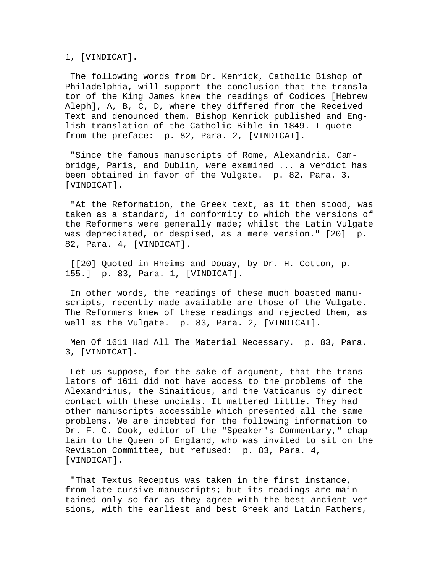1, [VINDICAT].

 The following words from Dr. Kenrick, Catholic Bishop of Philadelphia, will support the conclusion that the translator of the King James knew the readings of Codices [Hebrew Aleph], A, B, C, D, where they differed from the Received Text and denounced them. Bishop Kenrick published and English translation of the Catholic Bible in 1849. I quote from the preface: p. 82, Para. 2, [VINDICAT].

 "Since the famous manuscripts of Rome, Alexandria, Cambridge, Paris, and Dublin, were examined ... a verdict has been obtained in favor of the Vulgate. p. 82, Para. 3, [VINDICAT].

 "At the Reformation, the Greek text, as it then stood, was taken as a standard, in conformity to which the versions of the Reformers were generally made; whilst the Latin Vulgate was depreciated, or despised, as a mere version." [20] p. 82, Para. 4, [VINDICAT].

 [[20] Quoted in Rheims and Douay, by Dr. H. Cotton, p. 155.] p. 83, Para. 1, [VINDICAT].

 In other words, the readings of these much boasted manuscripts, recently made available are those of the Vulgate. The Reformers knew of these readings and rejected them, as well as the Vulgate. p. 83, Para. 2, [VINDICAT].

 Men Of 1611 Had All The Material Necessary. p. 83, Para. 3, [VINDICAT].

 Let us suppose, for the sake of argument, that the translators of 1611 did not have access to the problems of the Alexandrinus, the Sinaiticus, and the Vaticanus by direct contact with these uncials. It mattered little. They had other manuscripts accessible which presented all the same problems. We are indebted for the following information to Dr. F. C. Cook, editor of the "Speaker's Commentary," chaplain to the Queen of England, who was invited to sit on the Revision Committee, but refused: p. 83, Para. 4, [VINDICAT].

 "That Textus Receptus was taken in the first instance, from late cursive manuscripts; but its readings are maintained only so far as they agree with the best ancient versions, with the earliest and best Greek and Latin Fathers,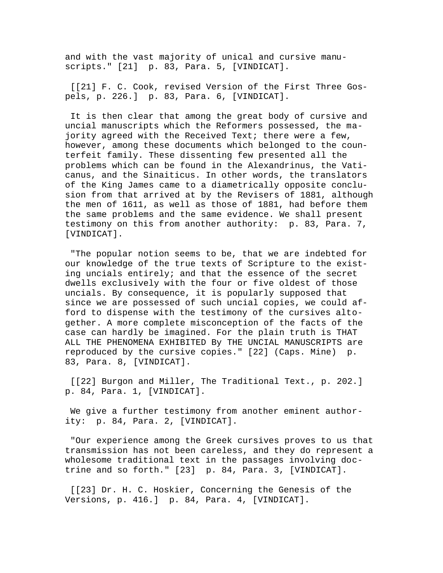and with the vast majority of unical and cursive manuscripts." [21] p. 83, Para. 5, [VINDICAT].

 [[21] F. C. Cook, revised Version of the First Three Gospels, p. 226.] p. 83, Para. 6, [VINDICAT].

 It is then clear that among the great body of cursive and uncial manuscripts which the Reformers possessed, the majority agreed with the Received Text; there were a few, however, among these documents which belonged to the counterfeit family. These dissenting few presented all the problems which can be found in the Alexandrinus, the Vaticanus, and the Sinaiticus. In other words, the translators of the King James came to a diametrically opposite conclusion from that arrived at by the Revisers of 1881, although the men of 1611, as well as those of 1881, had before them the same problems and the same evidence. We shall present testimony on this from another authority: p. 83, Para. 7, [VINDICAT].

 "The popular notion seems to be, that we are indebted for our knowledge of the true texts of Scripture to the existing uncials entirely; and that the essence of the secret dwells exclusively with the four or five oldest of those uncials. By consequence, it is popularly supposed that since we are possessed of such uncial copies, we could afford to dispense with the testimony of the cursives altogether. A more complete misconception of the facts of the case can hardly be imagined. For the plain truth is THAT ALL THE PHENOMENA EXHIBITED By THE UNCIAL MANUSCRIPTS are reproduced by the cursive copies." [22] (Caps. Mine) p. 83, Para. 8, [VINDICAT].

 [[22] Burgon and Miller, The Traditional Text., p. 202.] p. 84, Para. 1, [VINDICAT].

We give a further testimony from another eminent authority: p. 84, Para. 2, [VINDICAT].

 "Our experience among the Greek cursives proves to us that transmission has not been careless, and they do represent a wholesome traditional text in the passages involving doctrine and so forth." [23] p. 84, Para. 3, [VINDICAT].

 [[23] Dr. H. C. Hoskier, Concerning the Genesis of the Versions, p. 416.] p. 84, Para. 4, [VINDICAT].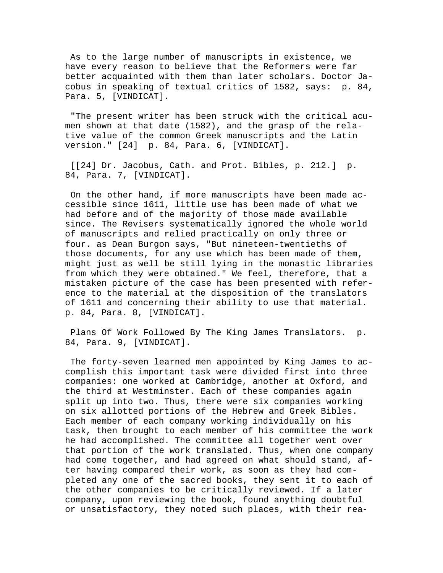As to the large number of manuscripts in existence, we have every reason to believe that the Reformers were far better acquainted with them than later scholars. Doctor Jacobus in speaking of textual critics of 1582, says: p. 84, Para. 5, [VINDICAT].

 "The present writer has been struck with the critical acumen shown at that date (1582), and the grasp of the relative value of the common Greek manuscripts and the Latin version." [24] p. 84, Para. 6, [VINDICAT].

 [[24] Dr. Jacobus, Cath. and Prot. Bibles, p. 212.] p. 84, Para. 7, [VINDICAT].

 On the other hand, if more manuscripts have been made accessible since 1611, little use has been made of what we had before and of the majority of those made available since. The Revisers systematically ignored the whole world of manuscripts and relied practically on only three or four. as Dean Burgon says, "But nineteen-twentieths of those documents, for any use which has been made of them, might just as well be still lying in the monastic libraries from which they were obtained." We feel, therefore, that a mistaken picture of the case has been presented with reference to the material at the disposition of the translators of 1611 and concerning their ability to use that material. p. 84, Para. 8, [VINDICAT].

 Plans Of Work Followed By The King James Translators. p. 84, Para. 9, [VINDICAT].

 The forty-seven learned men appointed by King James to accomplish this important task were divided first into three companies: one worked at Cambridge, another at Oxford, and the third at Westminster. Each of these companies again split up into two. Thus, there were six companies working on six allotted portions of the Hebrew and Greek Bibles. Each member of each company working individually on his task, then brought to each member of his committee the work he had accomplished. The committee all together went over that portion of the work translated. Thus, when one company had come together, and had agreed on what should stand, after having compared their work, as soon as they had completed any one of the sacred books, they sent it to each of the other companies to be critically reviewed. If a later company, upon reviewing the book, found anything doubtful or unsatisfactory, they noted such places, with their rea-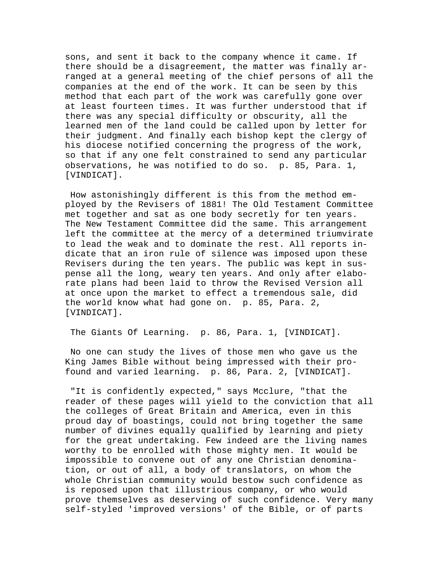sons, and sent it back to the company whence it came. If there should be a disagreement, the matter was finally arranged at a general meeting of the chief persons of all the companies at the end of the work. It can be seen by this method that each part of the work was carefully gone over at least fourteen times. It was further understood that if there was any special difficulty or obscurity, all the learned men of the land could be called upon by letter for their judgment. And finally each bishop kept the clergy of his diocese notified concerning the progress of the work, so that if any one felt constrained to send any particular observations, he was notified to do so. p. 85, Para. 1, [VINDICAT].

 How astonishingly different is this from the method employed by the Revisers of 1881! The Old Testament Committee met together and sat as one body secretly for ten years. The New Testament Committee did the same. This arrangement left the committee at the mercy of a determined triumvirate to lead the weak and to dominate the rest. All reports indicate that an iron rule of silence was imposed upon these Revisers during the ten years. The public was kept in suspense all the long, weary ten years. And only after elaborate plans had been laid to throw the Revised Version all at once upon the market to effect a tremendous sale, did the world know what had gone on. p. 85, Para. 2, [VINDICAT].

The Giants Of Learning. p. 86, Para. 1, [VINDICAT].

 No one can study the lives of those men who gave us the King James Bible without being impressed with their profound and varied learning. p. 86, Para. 2, [VINDICAT].

 "It is confidently expected," says Mcclure, "that the reader of these pages will yield to the conviction that all the colleges of Great Britain and America, even in this proud day of boastings, could not bring together the same number of divines equally qualified by learning and piety for the great undertaking. Few indeed are the living names worthy to be enrolled with those mighty men. It would be impossible to convene out of any one Christian denomination, or out of all, a body of translators, on whom the whole Christian community would bestow such confidence as is reposed upon that illustrious company, or who would prove themselves as deserving of such confidence. Very many self-styled 'improved versions' of the Bible, or of parts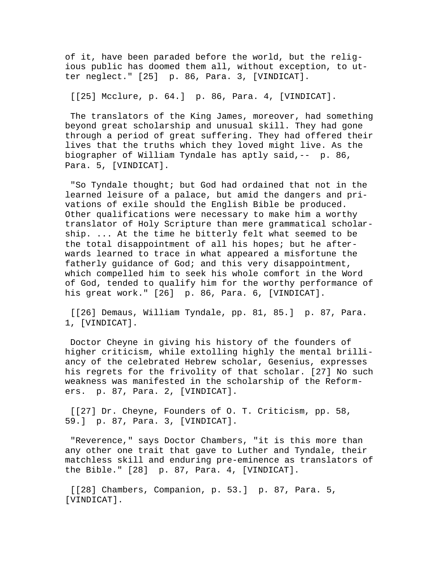of it, have been paraded before the world, but the religious public has doomed them all, without exception, to utter neglect." [25] p. 86, Para. 3, [VINDICAT].

[[25] Mcclure, p. 64.] p. 86, Para. 4, [VINDICAT].

 The translators of the King James, moreover, had something beyond great scholarship and unusual skill. They had gone through a period of great suffering. They had offered their lives that the truths which they loved might live. As the biographer of William Tyndale has aptly said,-- p. 86, Para. 5, [VINDICAT].

 "So Tyndale thought; but God had ordained that not in the learned leisure of a palace, but amid the dangers and privations of exile should the English Bible be produced. Other qualifications were necessary to make him a worthy translator of Holy Scripture than mere grammatical scholarship. ... At the time he bitterly felt what seemed to be the total disappointment of all his hopes; but he afterwards learned to trace in what appeared a misfortune the fatherly guidance of God; and this very disappointment, which compelled him to seek his whole comfort in the Word of God, tended to qualify him for the worthy performance of his great work." [26] p. 86, Para. 6, [VINDICAT].

 [[26] Demaus, William Tyndale, pp. 81, 85.] p. 87, Para. 1, [VINDICAT].

 Doctor Cheyne in giving his history of the founders of higher criticism, while extolling highly the mental brilliancy of the celebrated Hebrew scholar, Gesenius, expresses his regrets for the frivolity of that scholar. [27] No such weakness was manifested in the scholarship of the Reformers. p. 87, Para. 2, [VINDICAT].

 [[27] Dr. Cheyne, Founders of O. T. Criticism, pp. 58, 59.] p. 87, Para. 3, [VINDICAT].

 "Reverence," says Doctor Chambers, "it is this more than any other one trait that gave to Luther and Tyndale, their matchless skill and enduring pre-eminence as translators of the Bible." [28] p. 87, Para. 4, [VINDICAT].

 [[28] Chambers, Companion, p. 53.] p. 87, Para. 5, [VINDICAT].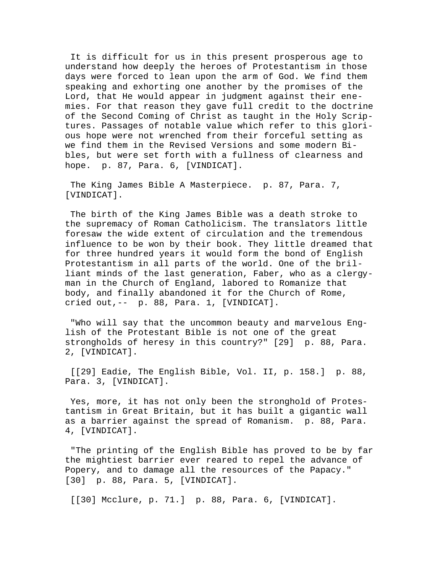It is difficult for us in this present prosperous age to understand how deeply the heroes of Protestantism in those days were forced to lean upon the arm of God. We find them speaking and exhorting one another by the promises of the Lord, that He would appear in judgment against their enemies. For that reason they gave full credit to the doctrine of the Second Coming of Christ as taught in the Holy Scriptures. Passages of notable value which refer to this glorious hope were not wrenched from their forceful setting as we find them in the Revised Versions and some modern Bibles, but were set forth with a fullness of clearness and hope. p. 87, Para. 6, [VINDICAT].

 The King James Bible A Masterpiece. p. 87, Para. 7, [VINDICAT].

 The birth of the King James Bible was a death stroke to the supremacy of Roman Catholicism. The translators little foresaw the wide extent of circulation and the tremendous influence to be won by their book. They little dreamed that for three hundred years it would form the bond of English Protestantism in all parts of the world. One of the brilliant minds of the last generation, Faber, who as a clergyman in the Church of England, labored to Romanize that body, and finally abandoned it for the Church of Rome, cried out,-- p. 88, Para. 1, [VINDICAT].

 "Who will say that the uncommon beauty and marvelous English of the Protestant Bible is not one of the great strongholds of heresy in this country?" [29] p. 88, Para. 2, [VINDICAT].

 [[29] Eadie, The English Bible, Vol. II, p. 158.] p. 88, Para. 3, [VINDICAT].

 Yes, more, it has not only been the stronghold of Protestantism in Great Britain, but it has built a gigantic wall as a barrier against the spread of Romanism. p. 88, Para. 4, [VINDICAT].

 "The printing of the English Bible has proved to be by far the mightiest barrier ever reared to repel the advance of Popery, and to damage all the resources of the Papacy." [30] p. 88, Para. 5, [VINDICAT].

[[30] Mcclure, p. 71.] p. 88, Para. 6, [VINDICAT].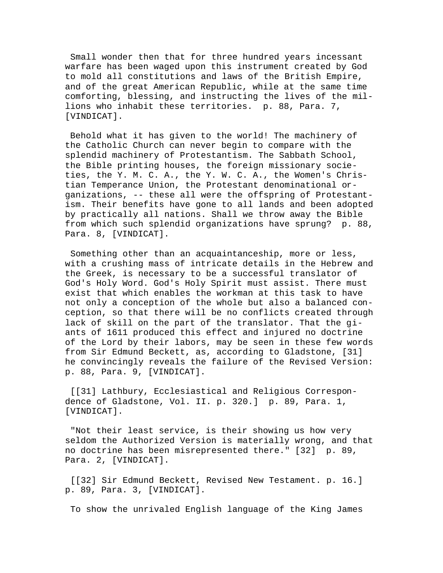Small wonder then that for three hundred years incessant warfare has been waged upon this instrument created by God to mold all constitutions and laws of the British Empire, and of the great American Republic, while at the same time comforting, blessing, and instructing the lives of the millions who inhabit these territories. p. 88, Para. 7, [VINDICAT].

 Behold what it has given to the world! The machinery of the Catholic Church can never begin to compare with the splendid machinery of Protestantism. The Sabbath School, the Bible printing houses, the foreign missionary societies, the Y. M. C. A., the Y. W. C. A., the Women's Christian Temperance Union, the Protestant denominational organizations, -- these all were the offspring of Protestantism. Their benefits have gone to all lands and been adopted by practically all nations. Shall we throw away the Bible from which such splendid organizations have sprung? p. 88, Para. 8, [VINDICAT].

 Something other than an acquaintanceship, more or less, with a crushing mass of intricate details in the Hebrew and the Greek, is necessary to be a successful translator of God's Holy Word. God's Holy Spirit must assist. There must exist that which enables the workman at this task to have not only a conception of the whole but also a balanced conception, so that there will be no conflicts created through lack of skill on the part of the translator. That the giants of 1611 produced this effect and injured no doctrine of the Lord by their labors, may be seen in these few words from Sir Edmund Beckett, as, according to Gladstone, [31] he convincingly reveals the failure of the Revised Version: p. 88, Para. 9, [VINDICAT].

 [[31] Lathbury, Ecclesiastical and Religious Correspondence of Gladstone, Vol. II. p. 320.] p. 89, Para. 1, [VINDICAT].

 "Not their least service, is their showing us how very seldom the Authorized Version is materially wrong, and that no doctrine has been misrepresented there." [32] p. 89, Para. 2, [VINDICAT].

 [[32] Sir Edmund Beckett, Revised New Testament. p. 16.] p. 89, Para. 3, [VINDICAT].

To show the unrivaled English language of the King James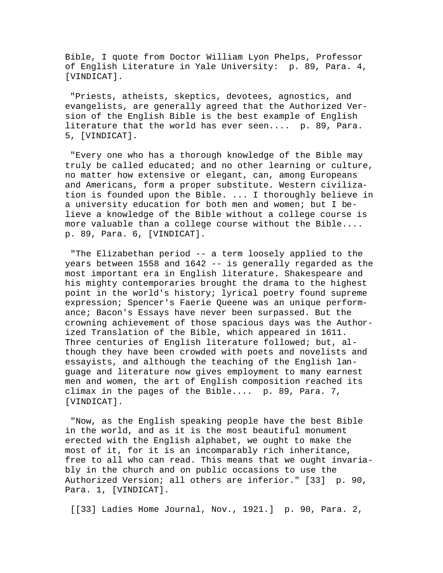Bible, I quote from Doctor William Lyon Phelps, Professor of English Literature in Yale University: p. 89, Para. 4, [VINDICAT].

 "Priests, atheists, skeptics, devotees, agnostics, and evangelists, are generally agreed that the Authorized Version of the English Bible is the best example of English literature that the world has ever seen.... p. 89, Para. 5, [VINDICAT].

 "Every one who has a thorough knowledge of the Bible may truly be called educated; and no other learning or culture, no matter how extensive or elegant, can, among Europeans and Americans, form a proper substitute. Western civilization is founded upon the Bible. ... I thoroughly believe in a university education for both men and women; but I believe a knowledge of the Bible without a college course is more valuable than a college course without the Bible.... p. 89, Para. 6, [VINDICAT].

 "The Elizabethan period -- a term loosely applied to the years between 1558 and 1642 -- is generally regarded as the most important era in English literature. Shakespeare and his mighty contemporaries brought the drama to the highest point in the world's history; lyrical poetry found supreme expression; Spencer's Faerie Queene was an unique performance; Bacon's Essays have never been surpassed. But the crowning achievement of those spacious days was the Authorized Translation of the Bible, which appeared in 1611. Three centuries of English literature followed; but, although they have been crowded with poets and novelists and essayists, and although the teaching of the English language and literature now gives employment to many earnest men and women, the art of English composition reached its climax in the pages of the Bible.... p. 89, Para. 7, [VINDICAT].

 "Now, as the English speaking people have the best Bible in the world, and as it is the most beautiful monument erected with the English alphabet, we ought to make the most of it, for it is an incomparably rich inheritance, free to all who can read. This means that we ought invariably in the church and on public occasions to use the Authorized Version; all others are inferior." [33] p. 90, Para. 1, [VINDICAT].

[[33] Ladies Home Journal, Nov., 1921.] p. 90, Para. 2,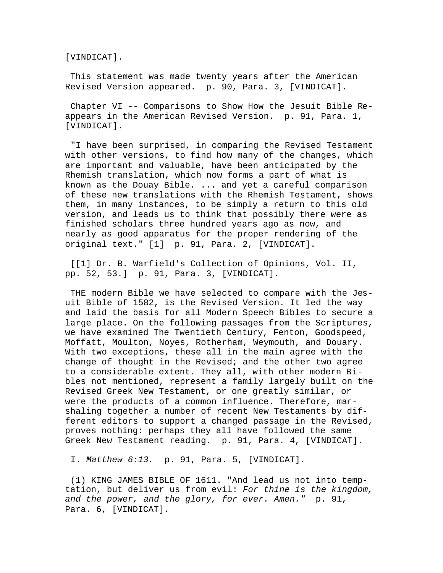[VINDICAT].

 This statement was made twenty years after the American Revised Version appeared. p. 90, Para. 3, [VINDICAT].

 Chapter VI -- Comparisons to Show How the Jesuit Bible Reappears in the American Revised Version. p. 91, Para. 1, [VINDICAT].

 "I have been surprised, in comparing the Revised Testament with other versions, to find how many of the changes, which are important and valuable, have been anticipated by the Rhemish translation, which now forms a part of what is known as the Douay Bible. ... and yet a careful comparison of these new translations with the Rhemish Testament, shows them, in many instances, to be simply a return to this old version, and leads us to think that possibly there were as finished scholars three hundred years ago as now, and nearly as good apparatus for the proper rendering of the original text." [1] p. 91, Para. 2, [VINDICAT].

 [[1] Dr. B. Warfield's Collection of Opinions, Vol. II, pp. 52, 53.] p. 91, Para. 3, [VINDICAT].

 THE modern Bible we have selected to compare with the Jesuit Bible of 1582, is the Revised Version. It led the way and laid the basis for all Modern Speech Bibles to secure a large place. On the following passages from the Scriptures, we have examined The Twentieth Century, Fenton, Goodspeed, Moffatt, Moulton, Noyes, Rotherham, Weymouth, and Douary. With two exceptions, these all in the main agree with the change of thought in the Revised; and the other two agree to a considerable extent. They all, with other modern Bibles not mentioned, represent a family largely built on the Revised Greek New Testament, or one greatly similar, or were the products of a common influence. Therefore, marshaling together a number of recent New Testaments by different editors to support a changed passage in the Revised, proves nothing: perhaps they all have followed the same Greek New Testament reading. p. 91, Para. 4, [VINDICAT].

I. *Matthew 6:13.* p. 91, Para. 5, [VINDICAT].

 (1) KING JAMES BIBLE OF 1611. "And lead us not into temptation, but deliver us from evil: *For thine is the kingdom, and the power, and the glory, for ever. Amen."* p. 91, Para. 6, [VINDICAT].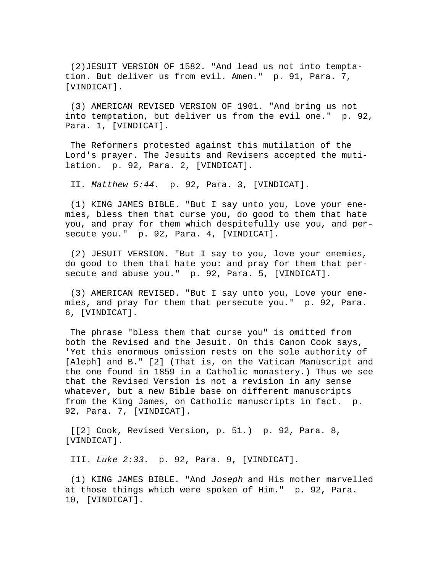(2)JESUIT VERSION OF 1582. "And lead us not into temptation. But deliver us from evil. Amen." p. 91, Para. 7, [VINDICAT].

 (3) AMERICAN REVISED VERSION OF 1901. "And bring us not into temptation, but deliver us from the evil one." p. 92, Para. 1, [VINDICAT].

 The Reformers protested against this mutilation of the Lord's prayer. The Jesuits and Revisers accepted the mutilation. p. 92, Para. 2, [VINDICAT].

II. *Matthew 5:44.* p. 92, Para. 3, [VINDICAT].

 (1) KING JAMES BIBLE. "But I say unto you, Love your enemies, bless them that curse you, do good to them that hate you, and pray for them which despitefully use you, and persecute you." p. 92, Para. 4, [VINDICAT].

 (2) JESUIT VERSION. "But I say to you, love your enemies, do good to them that hate you: and pray for them that persecute and abuse you." p. 92, Para. 5, [VINDICAT].

 (3) AMERICAN REVISED. "But I say unto you, Love your enemies, and pray for them that persecute you." p. 92, Para. 6, [VINDICAT].

 The phrase "bless them that curse you" is omitted from both the Revised and the Jesuit. On this Canon Cook says, 'Yet this enormous omission rests on the sole authority of [Aleph] and B." [2] (That is, on the Vatican Manuscript and the one found in 1859 in a Catholic monastery.) Thus we see that the Revised Version is not a revision in any sense whatever, but a new Bible base on different manuscripts from the King James, on Catholic manuscripts in fact. p. 92, Para. 7, [VINDICAT].

 [[2] Cook, Revised Version, p. 51.) p. 92, Para. 8, [VINDICAT].

III. *Luke 2:33.* p. 92, Para. 9, [VINDICAT].

 (1) KING JAMES BIBLE. "And *Joseph* and His mother marvelled at those things which were spoken of Him." p. 92, Para. 10, [VINDICAT].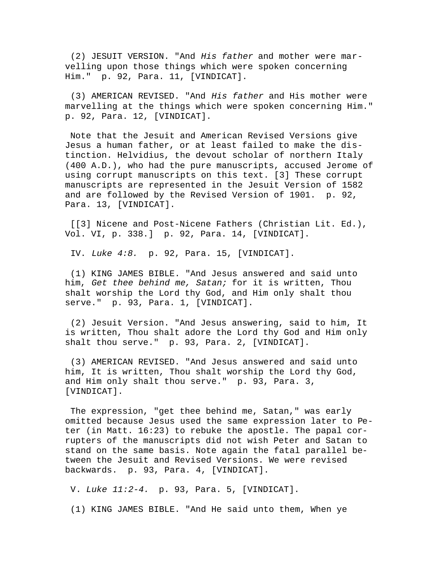(2) JESUIT VERSION. "And *His father* and mother were marvelling upon those things which were spoken concerning Him." p. 92, Para. 11, [VINDICAT].

 (3) AMERICAN REVISED. "And *His father* and His mother were marvelling at the things which were spoken concerning Him." p. 92, Para. 12, [VINDICAT].

 Note that the Jesuit and American Revised Versions give Jesus a human father, or at least failed to make the distinction. Helvidius, the devout scholar of northern Italy (400 A.D.), who had the pure manuscripts, accused Jerome of using corrupt manuscripts on this text. [3] These corrupt manuscripts are represented in the Jesuit Version of 1582 and are followed by the Revised Version of 1901. p. 92, Para. 13, [VINDICAT].

 [[3] Nicene and Post-Nicene Fathers (Christian Lit. Ed.), Vol. VI, p. 338.] p. 92, Para. 14, [VINDICAT].

IV. *Luke 4:8.* p. 92, Para. 15, [VINDICAT].

 (1) KING JAMES BIBLE. "And Jesus answered and said unto him, *Get thee behind me, Satan;* for it is written, Thou shalt worship the Lord thy God, and Him only shalt thou serve." p. 93, Para. 1, [VINDICAT].

 (2) Jesuit Version. "And Jesus answering, said to him, It is written, Thou shalt adore the Lord thy God and Him only shalt thou serve." p. 93, Para. 2, [VINDICAT].

 (3) AMERICAN REVISED. "And Jesus answered and said unto him, It is written, Thou shalt worship the Lord thy God, and Him only shalt thou serve." p. 93, Para. 3, [VINDICAT].

 The expression, "get thee behind me, Satan," was early omitted because Jesus used the same expression later to Peter (in Matt. 16:23) to rebuke the apostle. The papal corrupters of the manuscripts did not wish Peter and Satan to stand on the same basis. Note again the fatal parallel between the Jesuit and Revised Versions. We were revised backwards. p. 93, Para. 4, [VINDICAT].

V. *Luke 11:2-4.* p. 93, Para. 5, [VINDICAT].

(1) KING JAMES BIBLE. "And He said unto them, When ye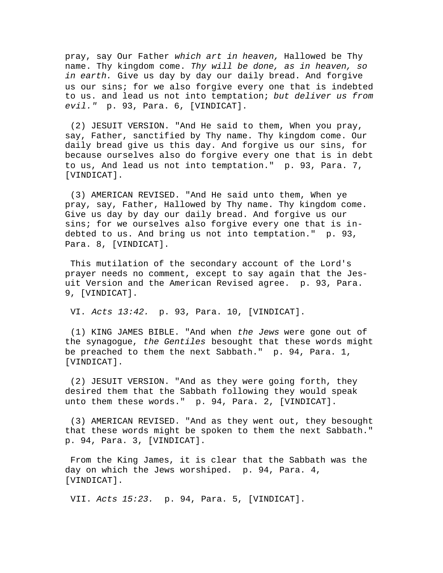pray, say Our Father *which art in heaven,* Hallowed be Thy name. Thy kingdom come. *Thy will be done, as in heaven, so in earth.* Give us day by day our daily bread. And forgive us our sins; for we also forgive every one that is indebted to us. and lead us not into temptation; *but deliver us from evil."* p. 93, Para. 6, [VINDICAT].

 (2) JESUIT VERSION. "And He said to them, When you pray, say, Father, sanctified by Thy name. Thy kingdom come. Our daily bread give us this day. And forgive us our sins, for because ourselves also do forgive every one that is in debt to us, And lead us not into temptation." p. 93, Para. 7, [VINDICAT].

 (3) AMERICAN REVISED. "And He said unto them, When ye pray, say, Father, Hallowed by Thy name. Thy kingdom come. Give us day by day our daily bread. And forgive us our sins; for we ourselves also forgive every one that is indebted to us. And bring us not into temptation." p. 93, Para. 8, [VINDICAT].

 This mutilation of the secondary account of the Lord's prayer needs no comment, except to say again that the Jesuit Version and the American Revised agree. p. 93, Para. 9, [VINDICAT].

VI. *Acts 13:42.* p. 93, Para. 10, [VINDICAT].

 (1) KING JAMES BIBLE. "And when *the Jews* were gone out of the synagogue, *the Gentiles* besought that these words might be preached to them the next Sabbath." p. 94, Para. 1, [VINDICAT].

 (2) JESUIT VERSION. "And as they were going forth, they desired them that the Sabbath following they would speak unto them these words." p. 94, Para. 2, [VINDICAT].

 (3) AMERICAN REVISED. "And as they went out, they besought that these words might be spoken to them the next Sabbath." p. 94, Para. 3, [VINDICAT].

 From the King James, it is clear that the Sabbath was the day on which the Jews worshiped. p. 94, Para. 4, [VINDICAT].

VII. *Acts 15:23.* p. 94, Para. 5, [VINDICAT].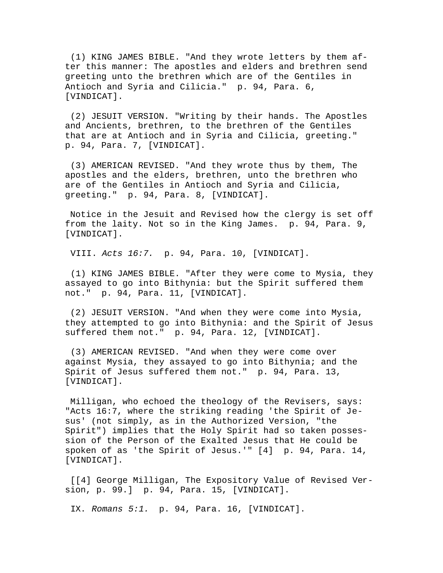(1) KING JAMES BIBLE. "And they wrote letters by them after this manner: The apostles and elders and brethren send greeting unto the brethren which are of the Gentiles in Antioch and Syria and Cilicia." p. 94, Para. 6, [VINDICAT].

 (2) JESUIT VERSION. "Writing by their hands. The Apostles and Ancients, brethren, to the brethren of the Gentiles that are at Antioch and in Syria and Cilicia, greeting." p. 94, Para. 7, [VINDICAT].

 (3) AMERICAN REVISED. "And they wrote thus by them, The apostles and the elders, brethren, unto the brethren who are of the Gentiles in Antioch and Syria and Cilicia, greeting." p. 94, Para. 8, [VINDICAT].

 Notice in the Jesuit and Revised how the clergy is set off from the laity. Not so in the King James. p. 94, Para. 9, [VINDICAT].

VIII. *Acts 16:7.* p. 94, Para. 10, [VINDICAT].

 (1) KING JAMES BIBLE. "After they were come to Mysia, they assayed to go into Bithynia: but the Spirit suffered them not." p. 94, Para. 11, [VINDICAT].

 (2) JESUIT VERSION. "And when they were come into Mysia, they attempted to go into Bithynia: and the Spirit of Jesus suffered them not." p. 94, Para. 12, [VINDICAT].

 (3) AMERICAN REVISED. "And when they were come over against Mysia, they assayed to go into Bithynia; and the Spirit of Jesus suffered them not." p. 94, Para. 13, [VINDICAT].

 Milligan, who echoed the theology of the Revisers, says: "Acts 16:7, where the striking reading 'the Spirit of Jesus' (not simply, as in the Authorized Version, "the Spirit") implies that the Holy Spirit had so taken possession of the Person of the Exalted Jesus that He could be spoken of as 'the Spirit of Jesus.'" [4] p. 94, Para. 14, [VINDICAT].

 [[4] George Milligan, The Expository Value of Revised Version, p. 99.] p. 94, Para. 15, [VINDICAT].

IX. *Romans 5:1.* p. 94, Para. 16, [VINDICAT].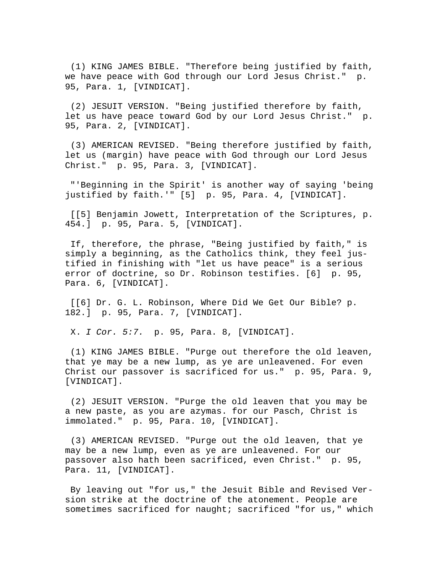(1) KING JAMES BIBLE. "Therefore being justified by faith, we have peace with God through our Lord Jesus Christ." p. 95, Para. 1, [VINDICAT].

 (2) JESUIT VERSION. "Being justified therefore by faith, let us have peace toward God by our Lord Jesus Christ." p. 95, Para. 2, [VINDICAT].

 (3) AMERICAN REVISED. "Being therefore justified by faith, let us (margin) have peace with God through our Lord Jesus Christ." p. 95, Para. 3, [VINDICAT].

 "'Beginning in the Spirit' is another way of saying 'being justified by faith.'" [5] p. 95, Para. 4, [VINDICAT].

 [[5] Benjamin Jowett, Interpretation of the Scriptures, p. 454.] p. 95, Para. 5, [VINDICAT].

 If, therefore, the phrase, "Being justified by faith," is simply a beginning, as the Catholics think, they feel justified in finishing with "let us have peace" is a serious error of doctrine, so Dr. Robinson testifies. [6] p. 95, Para. 6, [VINDICAT].

 [[6] Dr. G. L. Robinson, Where Did We Get Our Bible? p. 182.] p. 95, Para. 7, [VINDICAT].

X. *I Cor. 5:7.* p. 95, Para. 8, [VINDICAT].

 (1) KING JAMES BIBLE. "Purge out therefore the old leaven, that ye may be a new lump, as ye are unleavened. For even Christ our passover is sacrificed for us." p. 95, Para. 9, [VINDICAT].

 (2) JESUIT VERSION. "Purge the old leaven that you may be a new paste, as you are azymas. for our Pasch, Christ is immolated." p. 95, Para. 10, [VINDICAT].

 (3) AMERICAN REVISED. "Purge out the old leaven, that ye may be a new lump, even as ye are unleavened. For our passover also hath been sacrificed, even Christ." p. 95, Para. 11, [VINDICAT].

 By leaving out "for us," the Jesuit Bible and Revised Version strike at the doctrine of the atonement. People are sometimes sacrificed for naught; sacrificed "for us," which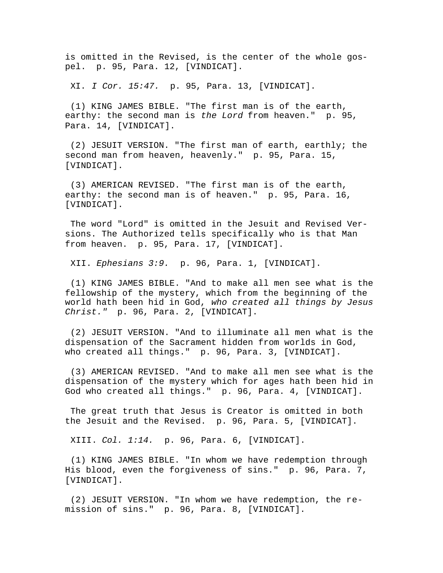is omitted in the Revised, is the center of the whole gospel. p. 95, Para. 12, [VINDICAT].

XI. *I Cor. 15:47.* p. 95, Para. 13, [VINDICAT].

 (1) KING JAMES BIBLE. "The first man is of the earth, earthy: the second man is *the Lord* from heaven." p. 95, Para. 14, [VINDICAT].

 (2) JESUIT VERSION. "The first man of earth, earthly; the second man from heaven, heavenly." p. 95, Para. 15, [VINDICAT].

 (3) AMERICAN REVISED. "The first man is of the earth, earthy: the second man is of heaven." p. 95, Para. 16, [VINDICAT].

 The word "Lord" is omitted in the Jesuit and Revised Versions. The Authorized tells specifically who is that Man from heaven. p. 95, Para. 17, [VINDICAT].

XII. *Ephesians 3:9.* p. 96, Para. 1, [VINDICAT].

 (1) KING JAMES BIBLE. "And to make all men see what is the fellowship of the mystery, which from the beginning of the world hath been hid in God, *who created all things by Jesus Christ."* p. 96, Para. 2, [VINDICAT].

 (2) JESUIT VERSION. "And to illuminate all men what is the dispensation of the Sacrament hidden from worlds in God, who created all things." p. 96, Para. 3, [VINDICAT].

 (3) AMERICAN REVISED. "And to make all men see what is the dispensation of the mystery which for ages hath been hid in God who created all things." p. 96, Para. 4, [VINDICAT].

 The great truth that Jesus is Creator is omitted in both the Jesuit and the Revised. p. 96, Para. 5, [VINDICAT].

XIII. *Col. 1:14.* p. 96, Para. 6, [VINDICAT].

 (1) KING JAMES BIBLE. "In whom we have redemption through His blood, even the forgiveness of sins." p. 96, Para. 7, [VINDICAT].

 (2) JESUIT VERSION. "In whom we have redemption, the remission of sins." p. 96, Para. 8, [VINDICAT].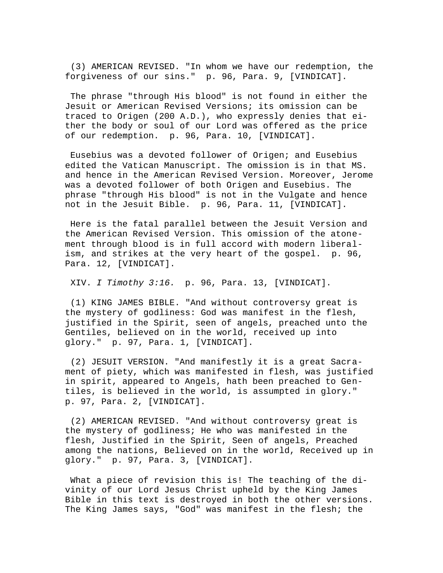(3) AMERICAN REVISED. "In whom we have our redemption, the forgiveness of our sins." p. 96, Para. 9, [VINDICAT].

 The phrase "through His blood" is not found in either the Jesuit or American Revised Versions; its omission can be traced to Origen (200 A.D.), who expressly denies that either the body or soul of our Lord was offered as the price of our redemption. p. 96, Para. 10, [VINDICAT].

 Eusebius was a devoted follower of Origen; and Eusebius edited the Vatican Manuscript. The omission is in that MS. and hence in the American Revised Version. Moreover, Jerome was a devoted follower of both Origen and Eusebius. The phrase "through His blood" is not in the Vulgate and hence not in the Jesuit Bible. p. 96, Para. 11, [VINDICAT].

 Here is the fatal parallel between the Jesuit Version and the American Revised Version. This omission of the atonement through blood is in full accord with modern liberalism, and strikes at the very heart of the gospel. p. 96, Para. 12, [VINDICAT].

XIV. *I Timothy 3:16.* p. 96, Para. 13, [VINDICAT].

 (1) KING JAMES BIBLE. "And without controversy great is the mystery of godliness: God was manifest in the flesh, justified in the Spirit, seen of angels, preached unto the Gentiles, believed on in the world, received up into glory." p. 97, Para. 1, [VINDICAT].

 (2) JESUIT VERSION. "And manifestly it is a great Sacrament of piety, which was manifested in flesh, was justified in spirit, appeared to Angels, hath been preached to Gentiles, is believed in the world, is assumpted in glory." p. 97, Para. 2, [VINDICAT].

 (2) AMERICAN REVISED. "And without controversy great is the mystery of godliness; He who was manifested in the flesh, Justified in the Spirit, Seen of angels, Preached among the nations, Believed on in the world, Received up in glory." p. 97, Para. 3, [VINDICAT].

 What a piece of revision this is! The teaching of the divinity of our Lord Jesus Christ upheld by the King James Bible in this text is destroyed in both the other versions. The King James says, "God" was manifest in the flesh; the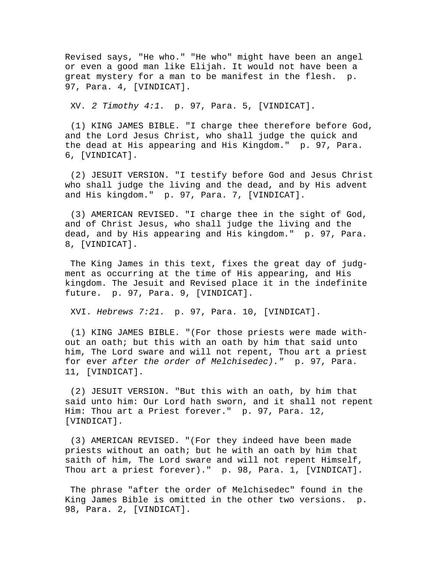Revised says, "He who." "He who" might have been an angel or even a good man like Elijah. It would not have been a great mystery for a man to be manifest in the flesh. p. 97, Para. 4, [VINDICAT].

XV. *2 Timothy 4:1.* p. 97, Para. 5, [VINDICAT].

 (1) KING JAMES BIBLE. "I charge thee therefore before God, and the Lord Jesus Christ, who shall judge the quick and the dead at His appearing and His Kingdom." p. 97, Para. 6, [VINDICAT].

 (2) JESUIT VERSION. "I testify before God and Jesus Christ who shall judge the living and the dead, and by His advent and His kingdom." p. 97, Para. 7, [VINDICAT].

 (3) AMERICAN REVISED. "I charge thee in the sight of God, and of Christ Jesus, who shall judge the living and the dead, and by His appearing and His kingdom." p. 97, Para. 8, [VINDICAT].

 The King James in this text, fixes the great day of judgment as occurring at the time of His appearing, and His kingdom. The Jesuit and Revised place it in the indefinite future. p. 97, Para. 9, [VINDICAT].

XVI. *Hebrews 7:21.* p. 97, Para. 10, [VINDICAT].

 (1) KING JAMES BIBLE. "(For those priests were made without an oath; but this with an oath by him that said unto him, The Lord sware and will not repent, Thou art a priest for ever *after the order of Melchisedec)."* p. 97, Para. 11, [VINDICAT].

 (2) JESUIT VERSION. "But this with an oath, by him that said unto him: Our Lord hath sworn, and it shall not repent Him: Thou art a Priest forever." p. 97, Para. 12, [VINDICAT].

 (3) AMERICAN REVISED. "(For they indeed have been made priests without an oath; but he with an oath by him that saith of him, The Lord sware and will not repent Himself, Thou art a priest forever)." p. 98, Para. 1, [VINDICAT].

 The phrase "after the order of Melchisedec" found in the King James Bible is omitted in the other two versions. p. 98, Para. 2, [VINDICAT].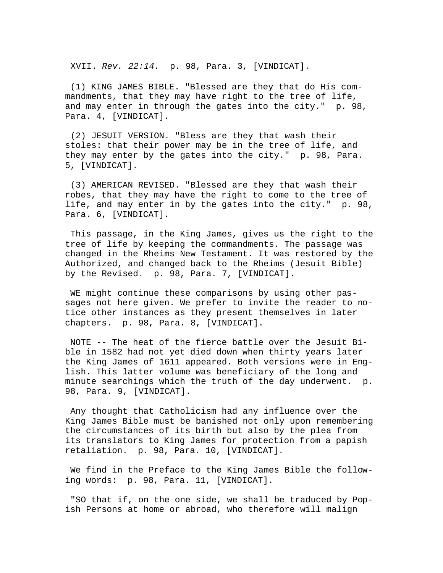XVII. *Rev. 22:14.* p. 98, Para. 3, [VINDICAT].

 (1) KING JAMES BIBLE. "Blessed are they that do His commandments, that they may have right to the tree of life, and may enter in through the gates into the city." p. 98, Para. 4, [VINDICAT].

 (2) JESUIT VERSION. "Bless are they that wash their stoles: that their power may be in the tree of life, and they may enter by the gates into the city." p. 98, Para. 5, [VINDICAT].

 (3) AMERICAN REVISED. "Blessed are they that wash their robes, that they may have the right to come to the tree of life, and may enter in by the gates into the city." p. 98, Para. 6, [VINDICAT].

 This passage, in the King James, gives us the right to the tree of life by keeping the commandments. The passage was changed in the Rheims New Testament. It was restored by the Authorized, and changed back to the Rheims (Jesuit Bible) by the Revised. p. 98, Para. 7, [VINDICAT].

 WE might continue these comparisons by using other passages not here given. We prefer to invite the reader to notice other instances as they present themselves in later chapters. p. 98, Para. 8, [VINDICAT].

 NOTE -- The heat of the fierce battle over the Jesuit Bible in 1582 had not yet died down when thirty years later the King James of 1611 appeared. Both versions were in English. This latter volume was beneficiary of the long and minute searchings which the truth of the day underwent. p. 98, Para. 9, [VINDICAT].

 Any thought that Catholicism had any influence over the King James Bible must be banished not only upon remembering the circumstances of its birth but also by the plea from its translators to King James for protection from a papish retaliation. p. 98, Para. 10, [VINDICAT].

 We find in the Preface to the King James Bible the following words: p. 98, Para. 11, [VINDICAT].

 "SO that if, on the one side, we shall be traduced by Popish Persons at home or abroad, who therefore will malign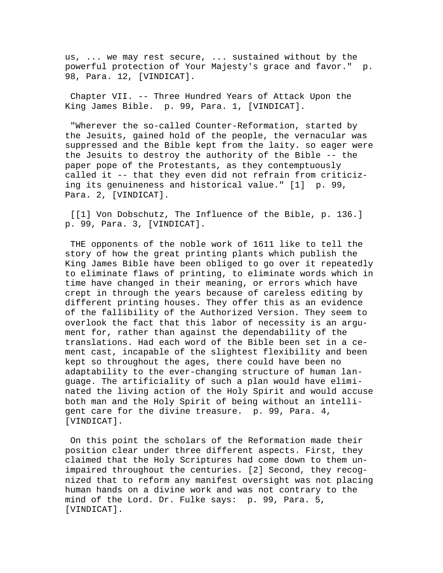us, ... we may rest secure, ... sustained without by the powerful protection of Your Majesty's grace and favor." p. 98, Para. 12, [VINDICAT].

 Chapter VII. -- Three Hundred Years of Attack Upon the King James Bible. p. 99, Para. 1, [VINDICAT].

 "Wherever the so-called Counter-Reformation, started by the Jesuits, gained hold of the people, the vernacular was suppressed and the Bible kept from the laity. so eager were the Jesuits to destroy the authority of the Bible -- the paper pope of the Protestants, as they contemptuously called it -- that they even did not refrain from criticizing its genuineness and historical value." [1] p. 99, Para. 2, [VINDICAT].

 [[1] Von Dobschutz, The Influence of the Bible, p. 136.] p. 99, Para. 3, [VINDICAT].

 THE opponents of the noble work of 1611 like to tell the story of how the great printing plants which publish the King James Bible have been obliged to go over it repeatedly to eliminate flaws of printing, to eliminate words which in time have changed in their meaning, or errors which have crept in through the years because of careless editing by different printing houses. They offer this as an evidence of the fallibility of the Authorized Version. They seem to overlook the fact that this labor of necessity is an argument for, rather than against the dependability of the translations. Had each word of the Bible been set in a cement cast, incapable of the slightest flexibility and been kept so throughout the ages, there could have been no adaptability to the ever-changing structure of human language. The artificiality of such a plan would have eliminated the living action of the Holy Spirit and would accuse both man and the Holy Spirit of being without an intelligent care for the divine treasure. p. 99, Para. 4, [VINDICAT].

 On this point the scholars of the Reformation made their position clear under three different aspects. First, they claimed that the Holy Scriptures had come down to them unimpaired throughout the centuries. [2] Second, they recognized that to reform any manifest oversight was not placing human hands on a divine work and was not contrary to the mind of the Lord. Dr. Fulke says: p. 99, Para. 5, [VINDICAT].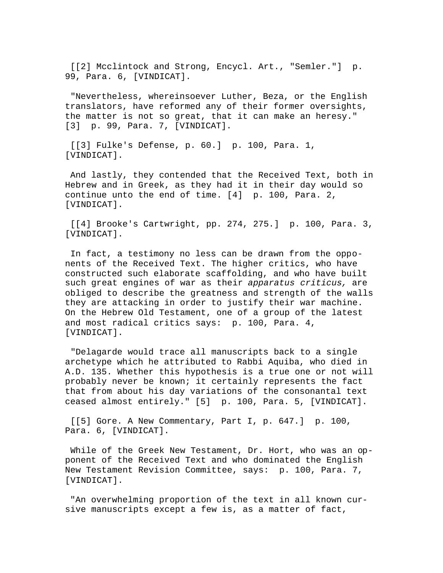[[2] Mcclintock and Strong, Encycl. Art., "Semler."] p. 99, Para. 6, [VINDICAT].

 "Nevertheless, whereinsoever Luther, Beza, or the English translators, have reformed any of their former oversights, the matter is not so great, that it can make an heresy." [3] p. 99, Para. 7, [VINDICAT].

 [[3] Fulke's Defense, p. 60.] p. 100, Para. 1, [VINDICAT].

 And lastly, they contended that the Received Text, both in Hebrew and in Greek, as they had it in their day would so continue unto the end of time. [4] p. 100, Para. 2, [VINDICAT].

 [[4] Brooke's Cartwright, pp. 274, 275.] p. 100, Para. 3, [VINDICAT].

 In fact, a testimony no less can be drawn from the opponents of the Received Text. The higher critics, who have constructed such elaborate scaffolding, and who have built such great engines of war as their *apparatus criticus,* are obliged to describe the greatness and strength of the walls they are attacking in order to justify their war machine. On the Hebrew Old Testament, one of a group of the latest and most radical critics says: p. 100, Para. 4, [VINDICAT].

 "Delagarde would trace all manuscripts back to a single archetype which he attributed to Rabbi Aquiba, who died in A.D. 135. Whether this hypothesis is a true one or not will probably never be known; it certainly represents the fact that from about his day variations of the consonantal text ceased almost entirely." [5] p. 100, Para. 5, [VINDICAT].

 [[5] Gore. A New Commentary, Part I, p. 647.] p. 100, Para. 6, [VINDICAT].

 While of the Greek New Testament, Dr. Hort, who was an opponent of the Received Text and who dominated the English New Testament Revision Committee, says: p. 100, Para. 7, [VINDICAT].

 "An overwhelming proportion of the text in all known cursive manuscripts except a few is, as a matter of fact,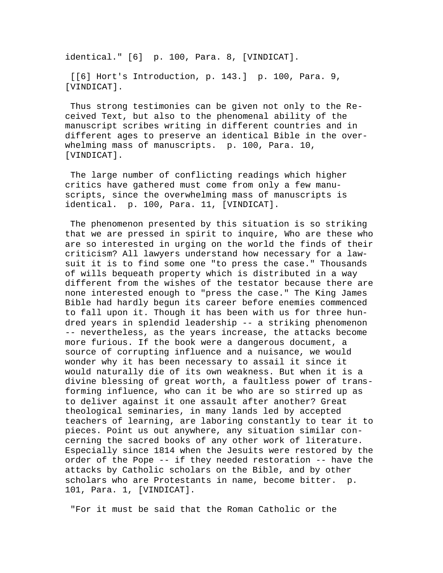identical." [6] p. 100, Para. 8, [VINDICAT].

 [[6] Hort's Introduction, p. 143.] p. 100, Para. 9, [VINDICAT].

 Thus strong testimonies can be given not only to the Received Text, but also to the phenomenal ability of the manuscript scribes writing in different countries and in different ages to preserve an identical Bible in the overwhelming mass of manuscripts. p. 100, Para. 10, [VINDICAT].

 The large number of conflicting readings which higher critics have gathered must come from only a few manuscripts, since the overwhelming mass of manuscripts is identical. p. 100, Para. 11, [VINDICAT].

 The phenomenon presented by this situation is so striking that we are pressed in spirit to inquire, Who are these who are so interested in urging on the world the finds of their criticism? All lawyers understand how necessary for a lawsuit it is to find some one "to press the case." Thousands of wills bequeath property which is distributed in a way different from the wishes of the testator because there are none interested enough to "press the case." The King James Bible had hardly begun its career before enemies commenced to fall upon it. Though it has been with us for three hundred years in splendid leadership -- a striking phenomenon -- nevertheless, as the years increase, the attacks become more furious. If the book were a dangerous document, a source of corrupting influence and a nuisance, we would wonder why it has been necessary to assail it since it would naturally die of its own weakness. But when it is a divine blessing of great worth, a faultless power of transforming influence, who can it be who are so stirred up as to deliver against it one assault after another? Great theological seminaries, in many lands led by accepted teachers of learning, are laboring constantly to tear it to pieces. Point us out anywhere, any situation similar concerning the sacred books of any other work of literature. Especially since 1814 when the Jesuits were restored by the order of the Pope -- if they needed restoration -- have the attacks by Catholic scholars on the Bible, and by other scholars who are Protestants in name, become bitter. p. 101, Para. 1, [VINDICAT].

"For it must be said that the Roman Catholic or the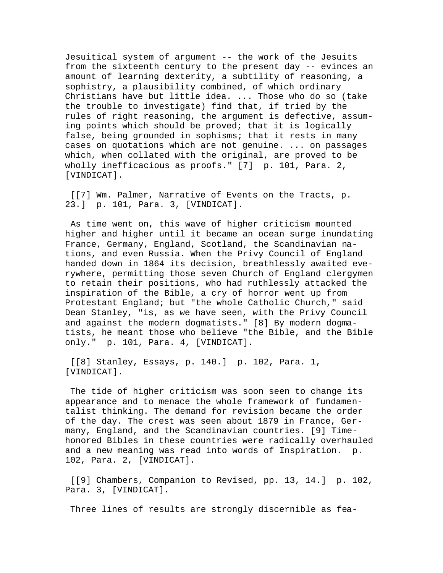Jesuitical system of argument -- the work of the Jesuits from the sixteenth century to the present day -- evinces an amount of learning dexterity, a subtility of reasoning, a sophistry, a plausibility combined, of which ordinary Christians have but little idea. ... Those who do so (take the trouble to investigate) find that, if tried by the rules of right reasoning, the argument is defective, assuming points which should be proved; that it is logically false, being grounded in sophisms; that it rests in many cases on quotations which are not genuine. ... on passages which, when collated with the original, are proved to be wholly inefficacious as proofs." [7] p. 101, Para. 2, [VINDICAT].

 [[7] Wm. Palmer, Narrative of Events on the Tracts, p. 23.] p. 101, Para. 3, [VINDICAT].

 As time went on, this wave of higher criticism mounted higher and higher until it became an ocean surge inundating France, Germany, England, Scotland, the Scandinavian nations, and even Russia. When the Privy Council of England handed down in 1864 its decision, breathlessly awaited everywhere, permitting those seven Church of England clergymen to retain their positions, who had ruthlessly attacked the inspiration of the Bible, a cry of horror went up from Protestant England; but "the whole Catholic Church," said Dean Stanley, "is, as we have seen, with the Privy Council and against the modern dogmatists." [8] By modern dogmatists, he meant those who believe "the Bible, and the Bible only." p. 101, Para. 4, [VINDICAT].

 [[8] Stanley, Essays, p. 140.] p. 102, Para. 1, [VINDICAT].

 The tide of higher criticism was soon seen to change its appearance and to menace the whole framework of fundamentalist thinking. The demand for revision became the order of the day. The crest was seen about 1879 in France, Germany, England, and the Scandinavian countries. [9] Timehonored Bibles in these countries were radically overhauled and a new meaning was read into words of Inspiration. p. 102, Para. 2, [VINDICAT].

 [[9] Chambers, Companion to Revised, pp. 13, 14.] p. 102, Para. 3, [VINDICAT].

Three lines of results are strongly discernible as fea-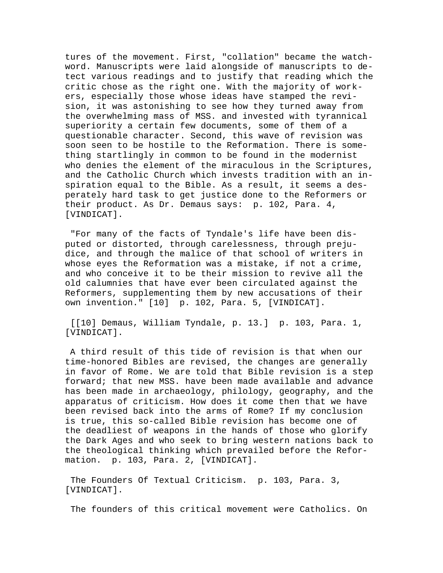tures of the movement. First, "collation" became the watchword. Manuscripts were laid alongside of manuscripts to detect various readings and to justify that reading which the critic chose as the right one. With the majority of workers, especially those whose ideas have stamped the revision, it was astonishing to see how they turned away from the overwhelming mass of MSS. and invested with tyrannical superiority a certain few documents, some of them of a questionable character. Second, this wave of revision was soon seen to be hostile to the Reformation. There is something startlingly in common to be found in the modernist who denies the element of the miraculous in the Scriptures, and the Catholic Church which invests tradition with an inspiration equal to the Bible. As a result, it seems a desperately hard task to get justice done to the Reformers or their product. As Dr. Demaus says: p. 102, Para. 4, [VINDICAT].

 "For many of the facts of Tyndale's life have been disputed or distorted, through carelessness, through prejudice, and through the malice of that school of writers in whose eyes the Reformation was a mistake, if not a crime, and who conceive it to be their mission to revive all the old calumnies that have ever been circulated against the Reformers, supplementing them by new accusations of their own invention." [10] p. 102, Para. 5, [VINDICAT].

 [[10] Demaus, William Tyndale, p. 13.] p. 103, Para. 1, [VINDICAT].

 A third result of this tide of revision is that when our time-honored Bibles are revised, the changes are generally in favor of Rome. We are told that Bible revision is a step forward; that new MSS. have been made available and advance has been made in archaeology, philology, geography, and the apparatus of criticism. How does it come then that we have been revised back into the arms of Rome? If my conclusion is true, this so-called Bible revision has become one of the deadliest of weapons in the hands of those who glorify the Dark Ages and who seek to bring western nations back to the theological thinking which prevailed before the Reformation. p. 103, Para. 2, [VINDICAT].

 The Founders Of Textual Criticism. p. 103, Para. 3, [VINDICAT].

The founders of this critical movement were Catholics. On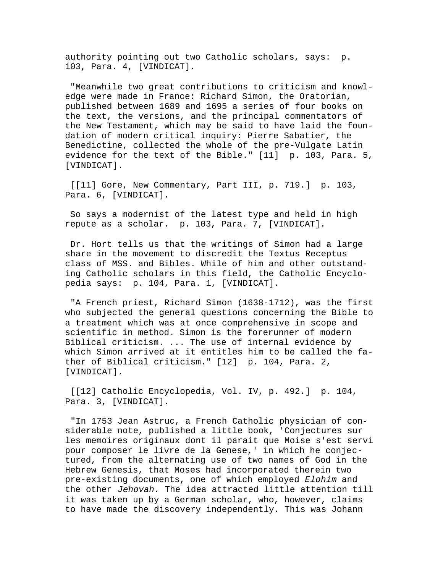authority pointing out two Catholic scholars, says: p. 103, Para. 4, [VINDICAT].

 "Meanwhile two great contributions to criticism and knowledge were made in France: Richard Simon, the Oratorian, published between 1689 and 1695 a series of four books on the text, the versions, and the principal commentators of the New Testament, which may be said to have laid the foundation of modern critical inquiry: Pierre Sabatier, the Benedictine, collected the whole of the pre-Vulgate Latin evidence for the text of the Bible." [11] p. 103, Para. 5, [VINDICAT].

 [[11] Gore, New Commentary, Part III, p. 719.] p. 103, Para. 6, [VINDICAT].

 So says a modernist of the latest type and held in high repute as a scholar. p. 103, Para. 7, [VINDICAT].

 Dr. Hort tells us that the writings of Simon had a large share in the movement to discredit the Textus Receptus class of MSS. and Bibles. While of him and other outstanding Catholic scholars in this field, the Catholic Encyclopedia says: p. 104, Para. 1, [VINDICAT].

 "A French priest, Richard Simon (1638-1712), was the first who subjected the general questions concerning the Bible to a treatment which was at once comprehensive in scope and scientific in method. Simon is the forerunner of modern Biblical criticism. ... The use of internal evidence by which Simon arrived at it entitles him to be called the father of Biblical criticism." [12] p. 104, Para. 2, [VINDICAT].

 [[12] Catholic Encyclopedia, Vol. IV, p. 492.] p. 104, Para. 3, [VINDICAT].

 "In 1753 Jean Astruc, a French Catholic physician of considerable note, published a little book, 'Conjectures sur les memoires originaux dont il parait que Moise s'est servi pour composer le livre de la Genese,' in which he conjectured, from the alternating use of two names of God in the Hebrew Genesis, that Moses had incorporated therein two pre-existing documents, one of which employed *Elohim* and the other *Jehovah.* The idea attracted little attention till it was taken up by a German scholar, who, however, claims to have made the discovery independently. This was Johann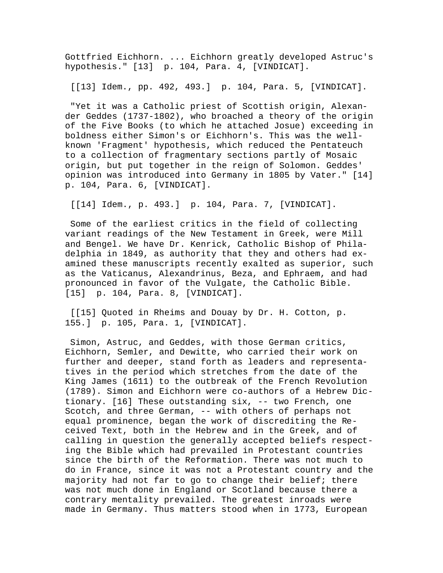Gottfried Eichhorn. ... Eichhorn greatly developed Astruc's hypothesis." [13] p. 104, Para. 4, [VINDICAT].

[[13] Idem., pp. 492, 493.] p. 104, Para. 5, [VINDICAT].

 "Yet it was a Catholic priest of Scottish origin, Alexander Geddes (1737-1802), who broached a theory of the origin of the Five Books (to which he attached Josue) exceeding in boldness either Simon's or Eichhorn's. This was the wellknown 'Fragment' hypothesis, which reduced the Pentateuch to a collection of fragmentary sections partly of Mosaic origin, but put together in the reign of Solomon. Geddes' opinion was introduced into Germany in 1805 by Vater." [14] p. 104, Para. 6, [VINDICAT].

[[14] Idem., p. 493.] p. 104, Para. 7, [VINDICAT].

 Some of the earliest critics in the field of collecting variant readings of the New Testament in Greek, were Mill and Bengel. We have Dr. Kenrick, Catholic Bishop of Philadelphia in 1849, as authority that they and others had examined these manuscripts recently exalted as superior, such as the Vaticanus, Alexandrinus, Beza, and Ephraem, and had pronounced in favor of the Vulgate, the Catholic Bible. [15] p. 104, Para. 8, [VINDICAT].

 [[15] Quoted in Rheims and Douay by Dr. H. Cotton, p. 155.] p. 105, Para. 1, [VINDICAT].

 Simon, Astruc, and Geddes, with those German critics, Eichhorn, Semler, and Dewitte, who carried their work on further and deeper, stand forth as leaders and representatives in the period which stretches from the date of the King James (1611) to the outbreak of the French Revolution (1789). Simon and Eichhorn were co-authors of a Hebrew Dictionary. [16] These outstanding six, -- two French, one Scotch, and three German, -- with others of perhaps not equal prominence, began the work of discrediting the Received Text, both in the Hebrew and in the Greek, and of calling in question the generally accepted beliefs respecting the Bible which had prevailed in Protestant countries since the birth of the Reformation. There was not much to do in France, since it was not a Protestant country and the majority had not far to go to change their belief; there was not much done in England or Scotland because there a contrary mentality prevailed. The greatest inroads were made in Germany. Thus matters stood when in 1773, European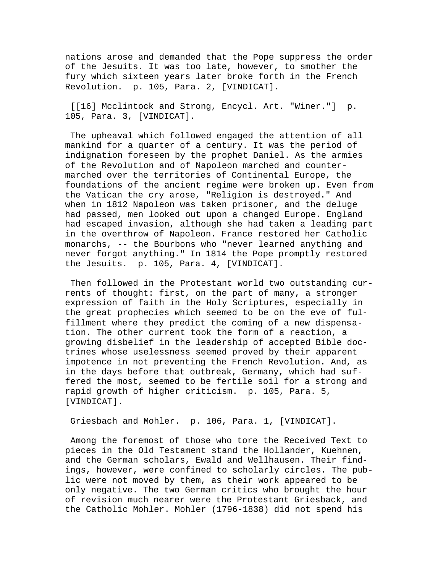nations arose and demanded that the Pope suppress the order of the Jesuits. It was too late, however, to smother the fury which sixteen years later broke forth in the French Revolution. p. 105, Para. 2, [VINDICAT].

 [[16] Mcclintock and Strong, Encycl. Art. "Winer."] p. 105, Para. 3, [VINDICAT].

 The upheaval which followed engaged the attention of all mankind for a quarter of a century. It was the period of indignation foreseen by the prophet Daniel. As the armies of the Revolution and of Napoleon marched and countermarched over the territories of Continental Europe, the foundations of the ancient regime were broken up. Even from the Vatican the cry arose, "Religion is destroyed." And when in 1812 Napoleon was taken prisoner, and the deluge had passed, men looked out upon a changed Europe. England had escaped invasion, although she had taken a leading part in the overthrow of Napoleon. France restored her Catholic monarchs, -- the Bourbons who "never learned anything and never forgot anything." In 1814 the Pope promptly restored the Jesuits. p. 105, Para. 4, [VINDICAT].

 Then followed in the Protestant world two outstanding currents of thought: first, on the part of many, a stronger expression of faith in the Holy Scriptures, especially in the great prophecies which seemed to be on the eve of fulfillment where they predict the coming of a new dispensation. The other current took the form of a reaction, a growing disbelief in the leadership of accepted Bible doctrines whose uselessness seemed proved by their apparent impotence in not preventing the French Revolution. And, as in the days before that outbreak, Germany, which had suffered the most, seemed to be fertile soil for a strong and rapid growth of higher criticism. p. 105, Para. 5, [VINDICAT].

Griesbach and Mohler. p. 106, Para. 1, [VINDICAT].

 Among the foremost of those who tore the Received Text to pieces in the Old Testament stand the Hollander, Kuehnen, and the German scholars, Ewald and Wellhausen. Their findings, however, were confined to scholarly circles. The public were not moved by them, as their work appeared to be only negative. The two German critics who brought the hour of revision much nearer were the Protestant Griesback, and the Catholic Mohler. Mohler (1796-1838) did not spend his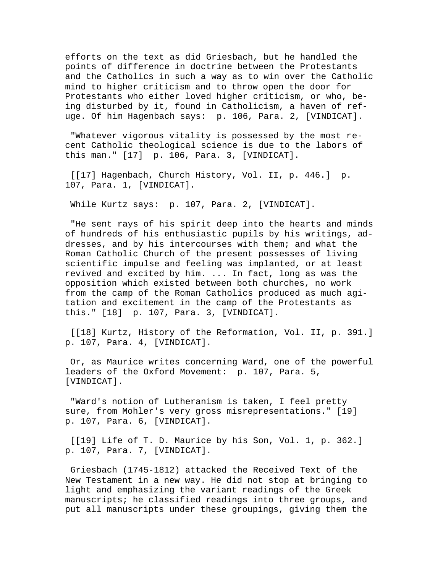efforts on the text as did Griesbach, but he handled the points of difference in doctrine between the Protestants and the Catholics in such a way as to win over the Catholic mind to higher criticism and to throw open the door for Protestants who either loved higher criticism, or who, being disturbed by it, found in Catholicism, a haven of refuge. Of him Hagenbach says: p. 106, Para. 2, [VINDICAT].

 "Whatever vigorous vitality is possessed by the most recent Catholic theological science is due to the labors of this man." [17] p. 106, Para. 3, [VINDICAT].

 [[17] Hagenbach, Church History, Vol. II, p. 446.] p. 107, Para. 1, [VINDICAT].

While Kurtz says: p. 107, Para. 2, [VINDICAT].

 "He sent rays of his spirit deep into the hearts and minds of hundreds of his enthusiastic pupils by his writings, addresses, and by his intercourses with them; and what the Roman Catholic Church of the present possesses of living scientific impulse and feeling was implanted, or at least revived and excited by him. ... In fact, long as was the opposition which existed between both churches, no work from the camp of the Roman Catholics produced as much agitation and excitement in the camp of the Protestants as this." [18] p. 107, Para. 3, [VINDICAT].

 [[18] Kurtz, History of the Reformation, Vol. II, p. 391.] p. 107, Para. 4, [VINDICAT].

 Or, as Maurice writes concerning Ward, one of the powerful leaders of the Oxford Movement: p. 107, Para. 5, [VINDICAT].

 "Ward's notion of Lutheranism is taken, I feel pretty sure, from Mohler's very gross misrepresentations." [19] p. 107, Para. 6, [VINDICAT].

 [[19] Life of T. D. Maurice by his Son, Vol. 1, p. 362.] p. 107, Para. 7, [VINDICAT].

 Griesbach (1745-1812) attacked the Received Text of the New Testament in a new way. He did not stop at bringing to light and emphasizing the variant readings of the Greek manuscripts; he classified readings into three groups, and put all manuscripts under these groupings, giving them the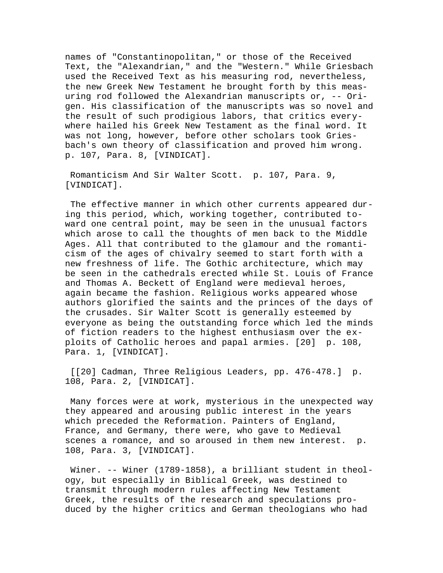names of "Constantinopolitan," or those of the Received Text, the "Alexandrian," and the "Western." While Griesbach used the Received Text as his measuring rod, nevertheless, the new Greek New Testament he brought forth by this measuring rod followed the Alexandrian manuscripts or, -- Origen. His classification of the manuscripts was so novel and the result of such prodigious labors, that critics everywhere hailed his Greek New Testament as the final word. It was not long, however, before other scholars took Griesbach's own theory of classification and proved him wrong. p. 107, Para. 8, [VINDICAT].

 Romanticism And Sir Walter Scott. p. 107, Para. 9, [VINDICAT].

 The effective manner in which other currents appeared during this period, which, working together, contributed toward one central point, may be seen in the unusual factors which arose to call the thoughts of men back to the Middle Ages. All that contributed to the glamour and the romanticism of the ages of chivalry seemed to start forth with a new freshness of life. The Gothic architecture, which may be seen in the cathedrals erected while St. Louis of France and Thomas A. Beckett of England were medieval heroes, again became the fashion. Religious works appeared whose authors glorified the saints and the princes of the days of the crusades. Sir Walter Scott is generally esteemed by everyone as being the outstanding force which led the minds of fiction readers to the highest enthusiasm over the exploits of Catholic heroes and papal armies. [20] p. 108, Para. 1, [VINDICAT].

 [[20] Cadman, Three Religious Leaders, pp. 476-478.] p. 108, Para. 2, [VINDICAT].

 Many forces were at work, mysterious in the unexpected way they appeared and arousing public interest in the years which preceded the Reformation. Painters of England, France, and Germany, there were, who gave to Medieval scenes a romance, and so aroused in them new interest. p. 108, Para. 3, [VINDICAT].

Winer. -- Winer (1789-1858), a brilliant student in theology, but especially in Biblical Greek, was destined to transmit through modern rules affecting New Testament Greek, the results of the research and speculations produced by the higher critics and German theologians who had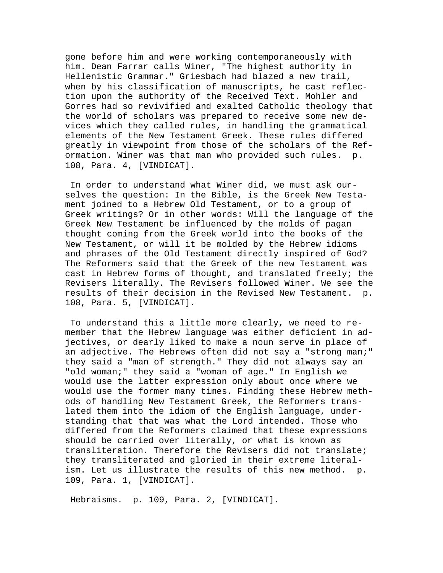gone before him and were working contemporaneously with him. Dean Farrar calls Winer, "The highest authority in Hellenistic Grammar." Griesbach had blazed a new trail, when by his classification of manuscripts, he cast reflection upon the authority of the Received Text. Mohler and Gorres had so revivified and exalted Catholic theology that the world of scholars was prepared to receive some new devices which they called rules, in handling the grammatical elements of the New Testament Greek. These rules differed greatly in viewpoint from those of the scholars of the Reformation. Winer was that man who provided such rules. p. 108, Para. 4, [VINDICAT].

 In order to understand what Winer did, we must ask ourselves the question: In the Bible, is the Greek New Testament joined to a Hebrew Old Testament, or to a group of Greek writings? Or in other words: Will the language of the Greek New Testament be influenced by the molds of pagan thought coming from the Greek world into the books of the New Testament, or will it be molded by the Hebrew idioms and phrases of the Old Testament directly inspired of God? The Reformers said that the Greek of the new Testament was cast in Hebrew forms of thought, and translated freely; the Revisers literally. The Revisers followed Winer. We see the results of their decision in the Revised New Testament. p. 108, Para. 5, [VINDICAT].

 To understand this a little more clearly, we need to remember that the Hebrew language was either deficient in adjectives, or dearly liked to make a noun serve in place of an adjective. The Hebrews often did not say a "strong man;" they said a "man of strength." They did not always say an "old woman;" they said a "woman of age." In English we would use the latter expression only about once where we would use the former many times. Finding these Hebrew methods of handling New Testament Greek, the Reformers translated them into the idiom of the English language, understanding that that was what the Lord intended. Those who differed from the Reformers claimed that these expressions should be carried over literally, or what is known as transliteration. Therefore the Revisers did not translate; they transliterated and gloried in their extreme literalism. Let us illustrate the results of this new method. p. 109, Para. 1, [VINDICAT].

Hebraisms. p. 109, Para. 2, [VINDICAT].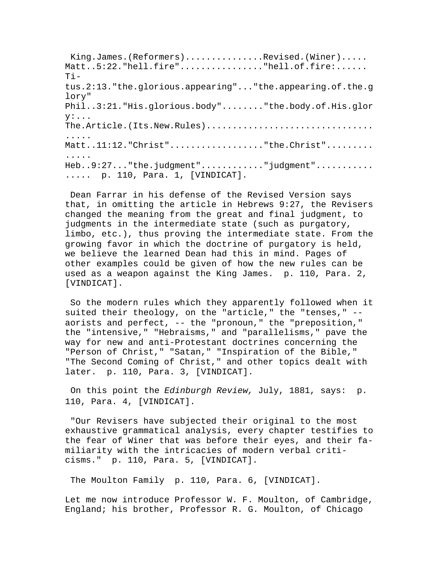King.James.(Reformers)...............Revised.(Winer)..... Matt..5:22."hell.fire"................."hell.of.fire:....... Titus.2:13."the.glorious.appearing"..."the.appearing.of.the.g lory" Phil..3:21."His.glorious.body"........"the.body.of.His.glor y:... The.Article.(Its.New.Rules)................................... ..... Matt..11:12."Christ"..................."the.Christ"......... ..... Heb..9:27..."the.judgment"..........."judgment"........... ..... p. 110, Para. 1, [VINDICAT].

 Dean Farrar in his defense of the Revised Version says that, in omitting the article in Hebrews 9:27, the Revisers changed the meaning from the great and final judgment, to judgments in the intermediate state (such as purgatory, limbo, etc.), thus proving the intermediate state. From the growing favor in which the doctrine of purgatory is held, we believe the learned Dean had this in mind. Pages of other examples could be given of how the new rules can be used as a weapon against the King James. p. 110, Para. 2, [VINDICAT].

 So the modern rules which they apparently followed when it suited their theology, on the "article," the "tenses," - aorists and perfect, -- the "pronoun," the "preposition," the "intensive," "Hebraisms," and "parallelisms," pave the way for new and anti-Protestant doctrines concerning the "Person of Christ," "Satan," "Inspiration of the Bible," "The Second Coming of Christ," and other topics dealt with later. p. 110, Para. 3, [VINDICAT].

 On this point the *Edinburgh Review,* July, 1881, says: p. 110, Para. 4, [VINDICAT].

 "Our Revisers have subjected their original to the most exhaustive grammatical analysis, every chapter testifies to the fear of Winer that was before their eyes, and their familiarity with the intricacies of modern verbal criticisms." p. 110, Para. 5, [VINDICAT].

The Moulton Family p. 110, Para. 6, [VINDICAT].

Let me now introduce Professor W. F. Moulton, of Cambridge, England; his brother, Professor R. G. Moulton, of Chicago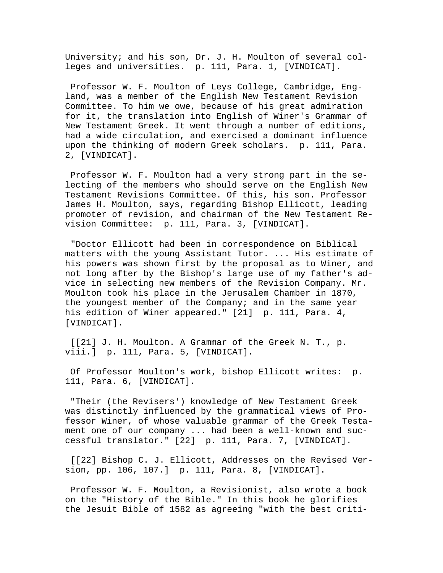University; and his son, Dr. J. H. Moulton of several colleges and universities. p. 111, Para. 1, [VINDICAT].

 Professor W. F. Moulton of Leys College, Cambridge, England, was a member of the English New Testament Revision Committee. To him we owe, because of his great admiration for it, the translation into English of Winer's Grammar of New Testament Greek. It went through a number of editions, had a wide circulation, and exercised a dominant influence upon the thinking of modern Greek scholars. p. 111, Para. 2, [VINDICAT].

 Professor W. F. Moulton had a very strong part in the selecting of the members who should serve on the English New Testament Revisions Committee. Of this, his son. Professor James H. Moulton, says, regarding Bishop Ellicott, leading promoter of revision, and chairman of the New Testament Revision Committee: p. 111, Para. 3, [VINDICAT].

 "Doctor Ellicott had been in correspondence on Biblical matters with the young Assistant Tutor. ... His estimate of his powers was shown first by the proposal as to Winer, and not long after by the Bishop's large use of my father's advice in selecting new members of the Revision Company. Mr. Moulton took his place in the Jerusalem Chamber in 1870, the youngest member of the Company; and in the same year his edition of Winer appeared." [21] p. 111, Para. 4, [VINDICAT].

 [[21] J. H. Moulton. A Grammar of the Greek N. T., p. viii.] p. 111, Para. 5, [VINDICAT].

 Of Professor Moulton's work, bishop Ellicott writes: p. 111, Para. 6, [VINDICAT].

 "Their (the Revisers') knowledge of New Testament Greek was distinctly influenced by the grammatical views of Professor Winer, of whose valuable grammar of the Greek Testament one of our company ... had been a well-known and successful translator." [22] p. 111, Para. 7, [VINDICAT].

 [[22] Bishop C. J. Ellicott, Addresses on the Revised Version, pp. 106, 107.] p. 111, Para. 8, [VINDICAT].

 Professor W. F. Moulton, a Revisionist, also wrote a book on the "History of the Bible." In this book he glorifies the Jesuit Bible of 1582 as agreeing "with the best criti-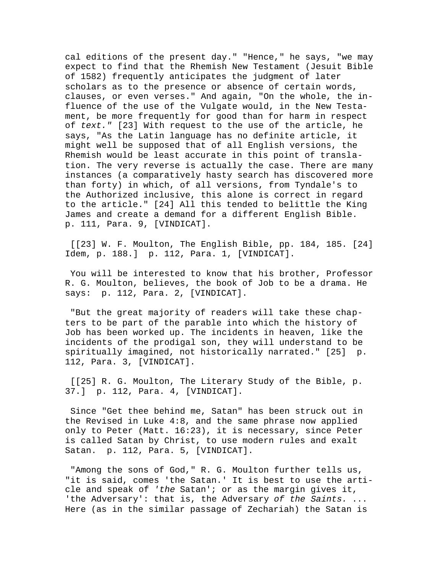cal editions of the present day." "Hence," he says, "we may expect to find that the Rhemish New Testament (Jesuit Bible of 1582) frequently anticipates the judgment of later scholars as to the presence or absence of certain words, clauses, or even verses." And again, "On the whole, the influence of the use of the Vulgate would, in the New Testament, be more frequently for good than for harm in respect of *text."* [23] With request to the use of the article, he says, "As the Latin language has no definite article, it might well be supposed that of all English versions, the Rhemish would be least accurate in this point of translation. The very reverse is actually the case. There are many instances (a comparatively hasty search has discovered more than forty) in which, of all versions, from Tyndale's to the Authorized inclusive, this alone is correct in regard to the article." [24] All this tended to belittle the King James and create a demand for a different English Bible. p. 111, Para. 9, [VINDICAT].

 [[23] W. F. Moulton, The English Bible, pp. 184, 185. [24] Idem, p. 188.] p. 112, Para. 1, [VINDICAT].

 You will be interested to know that his brother, Professor R. G. Moulton, believes, the book of Job to be a drama. He says: p. 112, Para. 2, [VINDICAT].

 "But the great majority of readers will take these chapters to be part of the parable into which the history of Job has been worked up. The incidents in heaven, like the incidents of the prodigal son, they will understand to be spiritually imagined, not historically narrated." [25] p. 112, Para. 3, [VINDICAT].

 [[25] R. G. Moulton, The Literary Study of the Bible, p. 37.] p. 112, Para. 4, [VINDICAT].

 Since "Get thee behind me, Satan" has been struck out in the Revised in Luke 4:8, and the same phrase now applied only to Peter (Matt. 16:23), it is necessary, since Peter is called Satan by Christ, to use modern rules and exalt Satan. p. 112, Para. 5, [VINDICAT].

 "Among the sons of God," R. G. Moulton further tells us, "it is said, comes 'the Satan.' It is best to use the article and speak of *'the* Satan'; or as the margin gives it, 'the Adversary': that is, the Adversary *of the Saints.* ... Here (as in the similar passage of Zechariah) the Satan is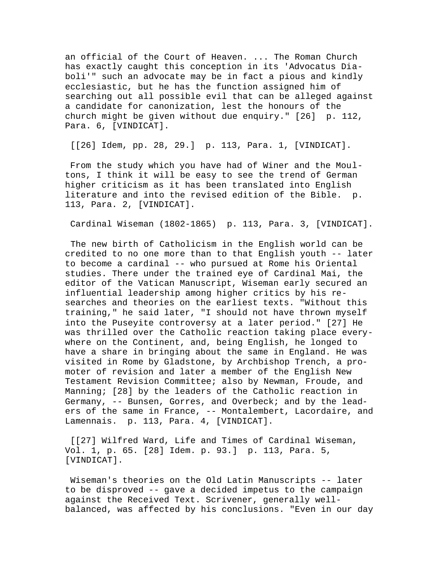an official of the Court of Heaven. ... The Roman Church has exactly caught this conception in its 'Advocatus Diaboli'" such an advocate may be in fact a pious and kindly ecclesiastic, but he has the function assigned him of searching out all possible evil that can be alleged against a candidate for canonization, lest the honours of the church might be given without due enquiry." [26] p. 112, Para. 6, [VINDICAT].

[[26] Idem, pp. 28, 29.] p. 113, Para. 1, [VINDICAT].

 From the study which you have had of Winer and the Moultons, I think it will be easy to see the trend of German higher criticism as it has been translated into English literature and into the revised edition of the Bible. p. 113, Para. 2, [VINDICAT].

Cardinal Wiseman (1802-1865) p. 113, Para. 3, [VINDICAT].

 The new birth of Catholicism in the English world can be credited to no one more than to that English youth -- later to become a cardinal -- who pursued at Rome his Oriental studies. There under the trained eye of Cardinal Mai, the editor of the Vatican Manuscript, Wiseman early secured an influential leadership among higher critics by his researches and theories on the earliest texts. "Without this training," he said later, "I should not have thrown myself into the Puseyite controversy at a later period." [27] He was thrilled over the Catholic reaction taking place everywhere on the Continent, and, being English, he longed to have a share in bringing about the same in England. He was visited in Rome by Gladstone, by Archbishop Trench, a promoter of revision and later a member of the English New Testament Revision Committee; also by Newman, Froude, and Manning; [28] by the leaders of the Catholic reaction in Germany, -- Bunsen, Gorres, and Overbeck; and by the leaders of the same in France, -- Montalembert, Lacordaire, and Lamennais. p. 113, Para. 4, [VINDICAT].

 [[27] Wilfred Ward, Life and Times of Cardinal Wiseman, Vol. 1, p. 65. [28] Idem. p. 93.] p. 113, Para. 5, [VINDICAT].

 Wiseman's theories on the Old Latin Manuscripts -- later to be disproved -- gave a decided impetus to the campaign against the Received Text. Scrivener, generally wellbalanced, was affected by his conclusions. "Even in our day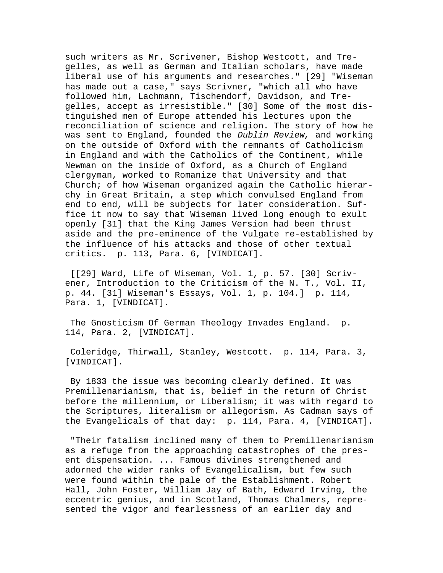such writers as Mr. Scrivener, Bishop Westcott, and Tregelles, as well as German and Italian scholars, have made liberal use of his arguments and researches." [29] "Wiseman has made out a case," says Scrivner, "which all who have followed him, Lachmann, Tischendorf, Davidson, and Tregelles, accept as irresistible." [30] Some of the most distinguished men of Europe attended his lectures upon the reconciliation of science and religion. The story of how he was sent to England, founded the *Dublin Review,* and working on the outside of Oxford with the remnants of Catholicism in England and with the Catholics of the Continent, while Newman on the inside of Oxford, as a Church of England clergyman, worked to Romanize that University and that Church; of how Wiseman organized again the Catholic hierarchy in Great Britain, a step which convulsed England from end to end, will be subjects for later consideration. Suffice it now to say that Wiseman lived long enough to exult openly [31] that the King James Version had been thrust aside and the pre-eminence of the Vulgate re-established by the influence of his attacks and those of other textual critics. p. 113, Para. 6, [VINDICAT].

 [[29] Ward, Life of Wiseman, Vol. 1, p. 57. [30] Scrivener, Introduction to the Criticism of the N. T., Vol. II, p. 44. [31] Wiseman's Essays, Vol. 1, p. 104.] p. 114, Para. 1, [VINDICAT].

 The Gnosticism Of German Theology Invades England. p. 114, Para. 2, [VINDICAT].

 Coleridge, Thirwall, Stanley, Westcott. p. 114, Para. 3, [VINDICAT].

 By 1833 the issue was becoming clearly defined. It was Premillenarianism, that is, belief in the return of Christ before the millennium, or Liberalism; it was with regard to the Scriptures, literalism or allegorism. As Cadman says of the Evangelicals of that day: p. 114, Para. 4, [VINDICAT].

 "Their fatalism inclined many of them to Premillenarianism as a refuge from the approaching catastrophes of the present dispensation. ... Famous divines strengthened and adorned the wider ranks of Evangelicalism, but few such were found within the pale of the Establishment. Robert Hall, John Foster, William Jay of Bath, Edward Irving, the eccentric genius, and in Scotland, Thomas Chalmers, represented the vigor and fearlessness of an earlier day and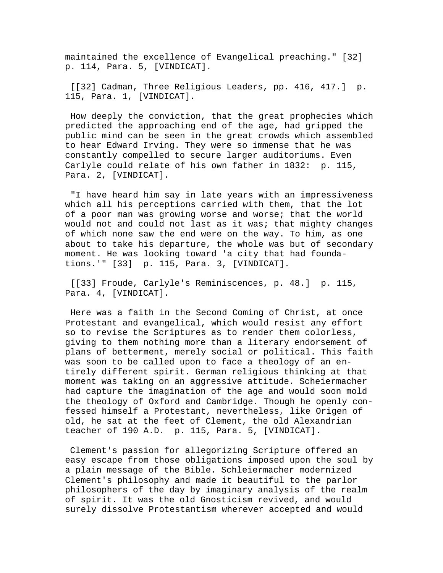maintained the excellence of Evangelical preaching." [32] p. 114, Para. 5, [VINDICAT].

 [[32] Cadman, Three Religious Leaders, pp. 416, 417.] p. 115, Para. 1, [VINDICAT].

 How deeply the conviction, that the great prophecies which predicted the approaching end of the age, had gripped the public mind can be seen in the great crowds which assembled to hear Edward Irving. They were so immense that he was constantly compelled to secure larger auditoriums. Even Carlyle could relate of his own father in 1832: p. 115, Para. 2, [VINDICAT].

 "I have heard him say in late years with an impressiveness which all his perceptions carried with them, that the lot of a poor man was growing worse and worse; that the world would not and could not last as it was; that mighty changes of which none saw the end were on the way. To him, as one about to take his departure, the whole was but of secondary moment. He was looking toward 'a city that had foundations.'" [33] p. 115, Para. 3, [VINDICAT].

 [[33] Froude, Carlyle's Reminiscences, p. 48.] p. 115, Para. 4, [VINDICAT].

 Here was a faith in the Second Coming of Christ, at once Protestant and evangelical, which would resist any effort so to revise the Scriptures as to render them colorless, giving to them nothing more than a literary endorsement of plans of betterment, merely social or political. This faith was soon to be called upon to face a theology of an entirely different spirit. German religious thinking at that moment was taking on an aggressive attitude. Scheiermacher had capture the imagination of the age and would soon mold the theology of Oxford and Cambridge. Though he openly confessed himself a Protestant, nevertheless, like Origen of old, he sat at the feet of Clement, the old Alexandrian teacher of 190 A.D. p. 115, Para. 5, [VINDICAT].

 Clement's passion for allegorizing Scripture offered an easy escape from those obligations imposed upon the soul by a plain message of the Bible. Schleiermacher modernized Clement's philosophy and made it beautiful to the parlor philosophers of the day by imaginary analysis of the realm of spirit. It was the old Gnosticism revived, and would surely dissolve Protestantism wherever accepted and would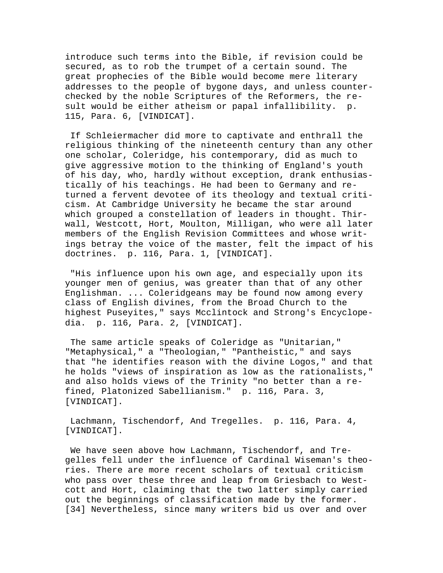introduce such terms into the Bible, if revision could be secured, as to rob the trumpet of a certain sound. The great prophecies of the Bible would become mere literary addresses to the people of bygone days, and unless counterchecked by the noble Scriptures of the Reformers, the result would be either atheism or papal infallibility. p. 115, Para. 6, [VINDICAT].

 If Schleiermacher did more to captivate and enthrall the religious thinking of the nineteenth century than any other one scholar, Coleridge, his contemporary, did as much to give aggressive motion to the thinking of England's youth of his day, who, hardly without exception, drank enthusiastically of his teachings. He had been to Germany and returned a fervent devotee of its theology and textual criticism. At Cambridge University he became the star around which grouped a constellation of leaders in thought. Thirwall, Westcott, Hort, Moulton, Milligan, who were all later members of the English Revision Committees and whose writings betray the voice of the master, felt the impact of his doctrines. p. 116, Para. 1, [VINDICAT].

 "His influence upon his own age, and especially upon its younger men of genius, was greater than that of any other Englishman. ... Coleridgeans may be found now among every class of English divines, from the Broad Church to the highest Puseyites," says Mcclintock and Strong's Encyclopedia. p. 116, Para. 2, [VINDICAT].

 The same article speaks of Coleridge as "Unitarian," "Metaphysical," a "Theologian," "Pantheistic," and says that "he identifies reason with the divine Logos," and that he holds "views of inspiration as low as the rationalists," and also holds views of the Trinity "no better than a refined, Platonized Sabellianism." p. 116, Para. 3, [VINDICAT].

 Lachmann, Tischendorf, And Tregelles. p. 116, Para. 4, [VINDICAT].

 We have seen above how Lachmann, Tischendorf, and Tregelles fell under the influence of Cardinal Wiseman's theories. There are more recent scholars of textual criticism who pass over these three and leap from Griesbach to Westcott and Hort, claiming that the two latter simply carried out the beginnings of classification made by the former. [34] Nevertheless, since many writers bid us over and over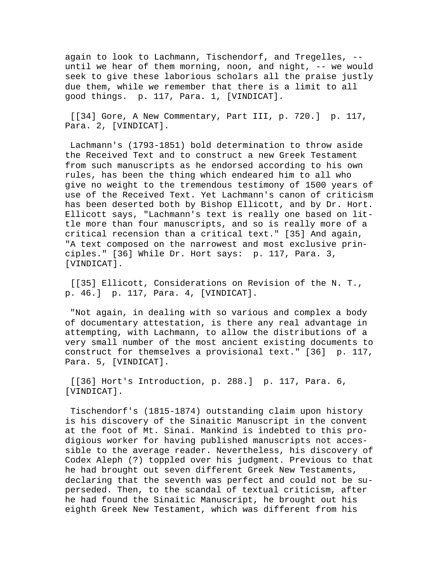again to look to Lachmann, Tischendorf, and Tregelles, - until we hear of them morning, noon, and night, -- we would seek to give these laborious scholars all the praise justly due them, while we remember that there is a limit to all good things. p. 117, Para. 1, [VINDICAT].

 [[34] Gore, A New Commentary, Part III, p. 720.] p. 117, Para. 2, [VINDICAT].

 Lachmann's (1793-1851) bold determination to throw aside the Received Text and to construct a new Greek Testament from such manuscripts as he endorsed according to his own rules, has been the thing which endeared him to all who give no weight to the tremendous testimony of 1500 years of use of the Received Text. Yet Lachmann's canon of criticism has been deserted both by Bishop Ellicott, and by Dr. Hort. Ellicott says, "Lachmann's text is really one based on little more than four manuscripts, and so is really more of a critical recension than a critical text." [35] And again, "A text composed on the narrowest and most exclusive principles." [36] While Dr. Hort says: p. 117, Para. 3, [VINDICAT].

 [[35] Ellicott, Considerations on Revision of the N. T., p. 46.] p. 117, Para. 4, [VINDICAT].

 "Not again, in dealing with so various and complex a body of documentary attestation, is there any real advantage in attempting, with Lachmann, to allow the distributions of a very small number of the most ancient existing documents to construct for themselves a provisional text." [36] p. 117, Para. 5, [VINDICAT].

 [[36] Hort's Introduction, p. 288.] p. 117, Para. 6, [VINDICAT].

 Tischendorf's (1815-1874) outstanding claim upon history is his discovery of the Sinaitic Manuscript in the convent at the foot of Mt. Sinai. Mankind is indebted to this prodigious worker for having published manuscripts not accessible to the average reader. Nevertheless, his discovery of Codex Aleph (?) toppled over his judgment. Previous to that he had brought out seven different Greek New Testaments, declaring that the seventh was perfect and could not be superseded. Then, to the scandal of textual criticism, after he had found the Sinaitic Manuscript, he brought out his eighth Greek New Testament, which was different from his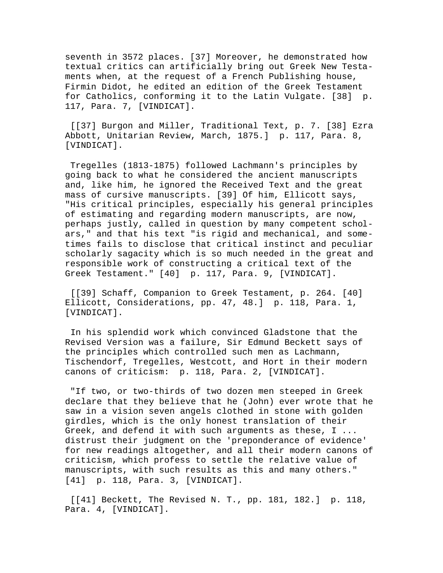seventh in 3572 places. [37] Moreover, he demonstrated how textual critics can artificially bring out Greek New Testaments when, at the request of a French Publishing house, Firmin Didot, he edited an edition of the Greek Testament for Catholics, conforming it to the Latin Vulgate. [38] p. 117, Para. 7, [VINDICAT].

 [[37] Burgon and Miller, Traditional Text, p. 7. [38] Ezra Abbott, Unitarian Review, March, 1875.] p. 117, Para. 8, [VINDICAT].

 Tregelles (1813-1875) followed Lachmann's principles by going back to what he considered the ancient manuscripts and, like him, he ignored the Received Text and the great mass of cursive manuscripts. [39] Of him, Ellicott says, "His critical principles, especially his general principles of estimating and regarding modern manuscripts, are now, perhaps justly, called in question by many competent scholars," and that his text "is rigid and mechanical, and sometimes fails to disclose that critical instinct and peculiar scholarly sagacity which is so much needed in the great and responsible work of constructing a critical text of the Greek Testament." [40] p. 117, Para. 9, [VINDICAT].

 [[39] Schaff, Companion to Greek Testament, p. 264. [40] Ellicott, Considerations, pp. 47, 48.] p. 118, Para. 1, [VINDICAT].

 In his splendid work which convinced Gladstone that the Revised Version was a failure, Sir Edmund Beckett says of the principles which controlled such men as Lachmann, Tischendorf, Tregelles, Westcott, and Hort in their modern canons of criticism: p. 118, Para. 2, [VINDICAT].

 "If two, or two-thirds of two dozen men steeped in Greek declare that they believe that he (John) ever wrote that he saw in a vision seven angels clothed in stone with golden girdles, which is the only honest translation of their Greek, and defend it with such arguments as these, I ... distrust their judgment on the 'preponderance of evidence' for new readings altogether, and all their modern canons of criticism, which profess to settle the relative value of manuscripts, with such results as this and many others." [41] p. 118, Para. 3, [VINDICAT].

 [[41] Beckett, The Revised N. T., pp. 181, 182.] p. 118, Para. 4, [VINDICAT].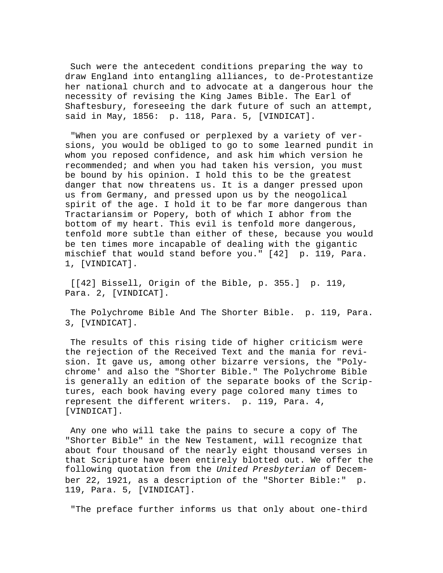Such were the antecedent conditions preparing the way to draw England into entangling alliances, to de-Protestantize her national church and to advocate at a dangerous hour the necessity of revising the King James Bible. The Earl of Shaftesbury, foreseeing the dark future of such an attempt, said in May, 1856: p. 118, Para. 5, [VINDICAT].

 "When you are confused or perplexed by a variety of versions, you would be obliged to go to some learned pundit in whom you reposed confidence, and ask him which version he recommended; and when you had taken his version, you must be bound by his opinion. I hold this to be the greatest danger that now threatens us. It is a danger pressed upon us from Germany, and pressed upon us by the neogolical spirit of the age. I hold it to be far more dangerous than Tractariansim or Popery, both of which I abhor from the bottom of my heart. This evil is tenfold more dangerous, tenfold more subtle than either of these, because you would be ten times more incapable of dealing with the gigantic mischief that would stand before you." [42] p. 119, Para. 1, [VINDICAT].

 [[42] Bissell, Origin of the Bible, p. 355.] p. 119, Para. 2, [VINDICAT].

 The Polychrome Bible And The Shorter Bible. p. 119, Para. 3, [VINDICAT].

 The results of this rising tide of higher criticism were the rejection of the Received Text and the mania for revision. It gave us, among other bizarre versions, the "Polychrome' and also the "Shorter Bible." The Polychrome Bible is generally an edition of the separate books of the Scriptures, each book having every page colored many times to represent the different writers. p. 119, Para. 4, [VINDICAT].

 Any one who will take the pains to secure a copy of The "Shorter Bible" in the New Testament, will recognize that about four thousand of the nearly eight thousand verses in that Scripture have been entirely blotted out. We offer the following quotation from the *United Presbyterian* of December 22, 1921, as a description of the "Shorter Bible:" p. 119, Para. 5, [VINDICAT].

"The preface further informs us that only about one-third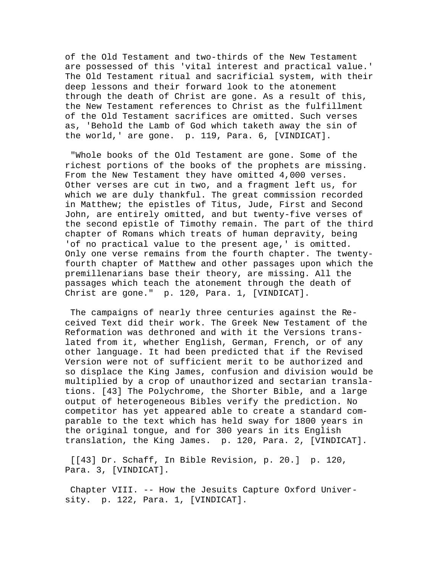of the Old Testament and two-thirds of the New Testament are possessed of this 'vital interest and practical value.' The Old Testament ritual and sacrificial system, with their deep lessons and their forward look to the atonement through the death of Christ are gone. As a result of this, the New Testament references to Christ as the fulfillment of the Old Testament sacrifices are omitted. Such verses as, 'Behold the Lamb of God which taketh away the sin of the world,' are gone. p. 119, Para. 6, [VINDICAT].

 "Whole books of the Old Testament are gone. Some of the richest portions of the books of the prophets are missing. From the New Testament they have omitted 4,000 verses. Other verses are cut in two, and a fragment left us, for which we are duly thankful. The great commission recorded in Matthew; the epistles of Titus, Jude, First and Second John, are entirely omitted, and but twenty-five verses of the second epistle of Timothy remain. The part of the third chapter of Romans which treats of human depravity, being 'of no practical value to the present age,' is omitted. Only one verse remains from the fourth chapter. The twentyfourth chapter of Matthew and other passages upon which the premillenarians base their theory, are missing. All the passages which teach the atonement through the death of Christ are gone." p. 120, Para. 1, [VINDICAT].

 The campaigns of nearly three centuries against the Received Text did their work. The Greek New Testament of the Reformation was dethroned and with it the Versions translated from it, whether English, German, French, or of any other language. It had been predicted that if the Revised Version were not of sufficient merit to be authorized and so displace the King James, confusion and division would be multiplied by a crop of unauthorized and sectarian translations. [43] The Polychrome, the Shorter Bible, and a large output of heterogeneous Bibles verify the prediction. No competitor has yet appeared able to create a standard comparable to the text which has held sway for 1800 years in the original tongue, and for 300 years in its English translation, the King James. p. 120, Para. 2, [VINDICAT].

 [[43] Dr. Schaff, In Bible Revision, p. 20.] p. 120, Para. 3, [VINDICAT].

 Chapter VIII. -- How the Jesuits Capture Oxford University. p. 122, Para. 1, [VINDICAT].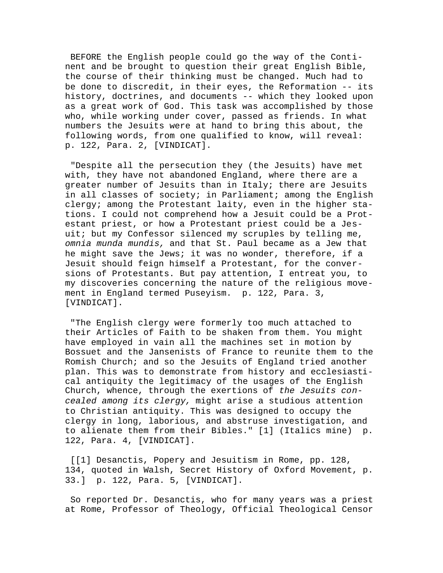BEFORE the English people could go the way of the Continent and be brought to question their great English Bible, the course of their thinking must be changed. Much had to be done to discredit, in their eyes, the Reformation -- its history, doctrines, and documents -- which they looked upon as a great work of God. This task was accomplished by those who, while working under cover, passed as friends. In what numbers the Jesuits were at hand to bring this about, the following words, from one qualified to know, will reveal: p. 122, Para. 2, [VINDICAT].

 "Despite all the persecution they (the Jesuits) have met with, they have not abandoned England, where there are a greater number of Jesuits than in Italy; there are Jesuits in all classes of society; in Parliament; among the English clergy; among the Protestant laity, even in the higher stations. I could not comprehend how a Jesuit could be a Protestant priest, or how a Protestant priest could be a Jesuit; but my Confessor silenced my scruples by telling me, *omnia munda mundis,* and that St. Paul became as a Jew that he might save the Jews; it was no wonder, therefore, if a Jesuit should feign himself a Protestant, for the conversions of Protestants. But pay attention, I entreat you, to my discoveries concerning the nature of the religious movement in England termed Puseyism. p. 122, Para. 3, [VINDICAT].

 "The English clergy were formerly too much attached to their Articles of Faith to be shaken from them. You might have employed in vain all the machines set in motion by Bossuet and the Jansenists of France to reunite them to the Romish Church; and so the Jesuits of England tried another plan. This was to demonstrate from history and ecclesiastical antiquity the legitimacy of the usages of the English Church, whence, through the exertions of *the Jesuits concealed among its clergy,* might arise a studious attention to Christian antiquity. This was designed to occupy the clergy in long, laborious, and abstruse investigation, and to alienate them from their Bibles." [1] (Italics mine) p. 122, Para. 4, [VINDICAT].

 [[1] Desanctis, Popery and Jesuitism in Rome, pp. 128, 134, quoted in Walsh, Secret History of Oxford Movement, p. 33.] p. 122, Para. 5, [VINDICAT].

 So reported Dr. Desanctis, who for many years was a priest at Rome, Professor of Theology, Official Theological Censor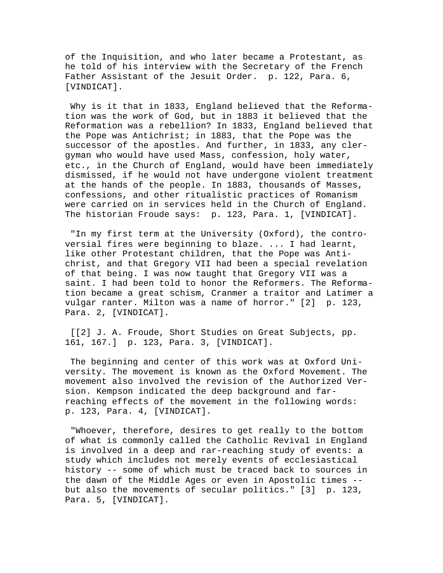of the Inquisition, and who later became a Protestant, as he told of his interview with the Secretary of the French Father Assistant of the Jesuit Order. p. 122, Para. 6, [VINDICAT].

 Why is it that in 1833, England believed that the Reformation was the work of God, but in 1883 it believed that the Reformation was a rebellion? In 1833, England believed that the Pope was Antichrist; in 1883, that the Pope was the successor of the apostles. And further, in 1833, any clergyman who would have used Mass, confession, holy water, etc., in the Church of England, would have been immediately dismissed, if he would not have undergone violent treatment at the hands of the people. In 1883, thousands of Masses, confessions, and other ritualistic practices of Romanism were carried on in services held in the Church of England. The historian Froude says: p. 123, Para. 1, [VINDICAT].

 "In my first term at the University (Oxford), the controversial fires were beginning to blaze. ... I had learnt, like other Protestant children, that the Pope was Antichrist, and that Gregory VII had been a special revelation of that being. I was now taught that Gregory VII was a saint. I had been told to honor the Reformers. The Reformation became a great schism, Cranmer a traitor and Latimer a vulgar ranter. Milton was a name of horror." [2] p. 123, Para. 2, [VINDICAT].

 [[2] J. A. Froude, Short Studies on Great Subjects, pp. 161, 167.] p. 123, Para. 3, [VINDICAT].

 The beginning and center of this work was at Oxford University. The movement is known as the Oxford Movement. The movement also involved the revision of the Authorized Version. Kempson indicated the deep background and farreaching effects of the movement in the following words: p. 123, Para. 4, [VINDICAT].

 "Whoever, therefore, desires to get really to the bottom of what is commonly called the Catholic Revival in England is involved in a deep and rar-reaching study of events: a study which includes not merely events of ecclesiastical history -- some of which must be traced back to sources in the dawn of the Middle Ages or even in Apostolic times - but also the movements of secular politics." [3] p. 123, Para. 5, [VINDICAT].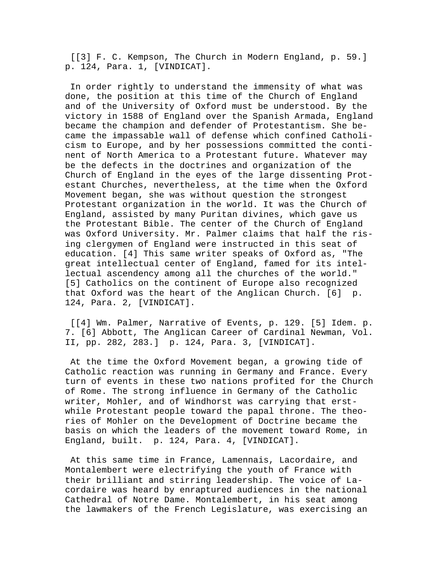[[3] F. C. Kempson, The Church in Modern England, p. 59.] p. 124, Para. 1, [VINDICAT].

 In order rightly to understand the immensity of what was done, the position at this time of the Church of England and of the University of Oxford must be understood. By the victory in 1588 of England over the Spanish Armada, England became the champion and defender of Protestantism. She became the impassable wall of defense which confined Catholicism to Europe, and by her possessions committed the continent of North America to a Protestant future. Whatever may be the defects in the doctrines and organization of the Church of England in the eyes of the large dissenting Protestant Churches, nevertheless, at the time when the Oxford Movement began, she was without question the strongest Protestant organization in the world. It was the Church of England, assisted by many Puritan divines, which gave us the Protestant Bible. The center of the Church of England was Oxford University. Mr. Palmer claims that half the rising clergymen of England were instructed in this seat of education. [4] This same writer speaks of Oxford as, "The great intellectual center of England, famed for its intellectual ascendency among all the churches of the world." [5] Catholics on the continent of Europe also recognized that Oxford was the heart of the Anglican Church. [6] p. 124, Para. 2, [VINDICAT].

 [[4] Wm. Palmer, Narrative of Events, p. 129. [5] Idem. p. 7. [6] Abbott, The Anglican Career of Cardinal Newman, Vol. II, pp. 282, 283.] p. 124, Para. 3, [VINDICAT].

 At the time the Oxford Movement began, a growing tide of Catholic reaction was running in Germany and France. Every turn of events in these two nations profited for the Church of Rome. The strong influence in Germany of the Catholic writer, Mohler, and of Windhorst was carrying that erstwhile Protestant people toward the papal throne. The theories of Mohler on the Development of Doctrine became the basis on which the leaders of the movement toward Rome, in England, built. p. 124, Para. 4, [VINDICAT].

 At this same time in France, Lamennais, Lacordaire, and Montalembert were electrifying the youth of France with their brilliant and stirring leadership. The voice of Lacordaire was heard by enraptured audiences in the national Cathedral of Notre Dame. Montalembert, in his seat among the lawmakers of the French Legislature, was exercising an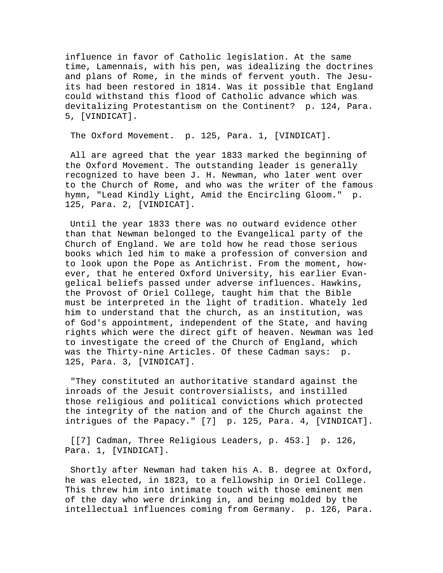influence in favor of Catholic legislation. At the same time, Lamennais, with his pen, was idealizing the doctrines and plans of Rome, in the minds of fervent youth. The Jesuits had been restored in 1814. Was it possible that England could withstand this flood of Catholic advance which was devitalizing Protestantism on the Continent? p. 124, Para. 5, [VINDICAT].

The Oxford Movement. p. 125, Para. 1, [VINDICAT].

 All are agreed that the year 1833 marked the beginning of the Oxford Movement. The outstanding leader is generally recognized to have been J. H. Newman, who later went over to the Church of Rome, and who was the writer of the famous hymn, "Lead Kindly Light, Amid the Encircling Gloom." p. 125, Para. 2, [VINDICAT].

 Until the year 1833 there was no outward evidence other than that Newman belonged to the Evangelical party of the Church of England. We are told how he read those serious books which led him to make a profession of conversion and to look upon the Pope as Antichrist. From the moment, however, that he entered Oxford University, his earlier Evangelical beliefs passed under adverse influences. Hawkins, the Provost of Oriel College, taught him that the Bible must be interpreted in the light of tradition. Whately led him to understand that the church, as an institution, was of God's appointment, independent of the State, and having rights which were the direct gift of heaven. Newman was led to investigate the creed of the Church of England, which was the Thirty-nine Articles. Of these Cadman says: p. 125, Para. 3, [VINDICAT].

 "They constituted an authoritative standard against the inroads of the Jesuit controversialists, and instilled those religious and political convictions which protected the integrity of the nation and of the Church against the intrigues of the Papacy." [7] p. 125, Para. 4, [VINDICAT].

 [[7] Cadman, Three Religious Leaders, p. 453.] p. 126, Para. 1, [VINDICAT].

 Shortly after Newman had taken his A. B. degree at Oxford, he was elected, in 1823, to a fellowship in Oriel College. This threw him into intimate touch with those eminent men of the day who were drinking in, and being molded by the intellectual influences coming from Germany. p. 126, Para.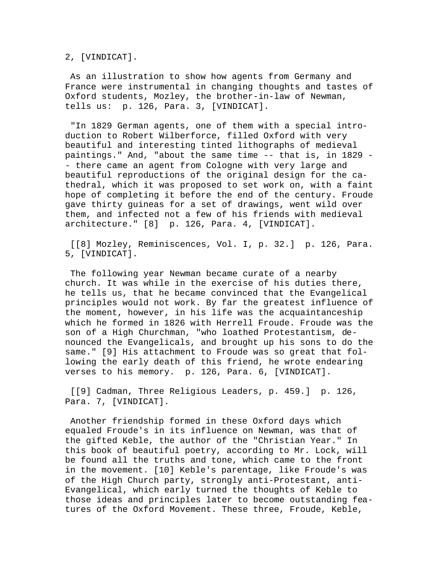2, [VINDICAT].

 As an illustration to show how agents from Germany and France were instrumental in changing thoughts and tastes of Oxford students, Mozley, the brother-in-law of Newman, tells us: p. 126, Para. 3, [VINDICAT].

 "In 1829 German agents, one of them with a special introduction to Robert Wilberforce, filled Oxford with very beautiful and interesting tinted lithographs of medieval paintings." And, "about the same time -- that is, in 1829 - - there came an agent from Cologne with very large and beautiful reproductions of the original design for the cathedral, which it was proposed to set work on, with a faint hope of completing it before the end of the century. Froude gave thirty guineas for a set of drawings, went wild over them, and infected not a few of his friends with medieval architecture." [8] p. 126, Para. 4, [VINDICAT].

 [[8] Mozley, Reminiscences, Vol. I, p. 32.] p. 126, Para. 5, [VINDICAT].

 The following year Newman became curate of a nearby church. It was while in the exercise of his duties there, he tells us, that he became convinced that the Evangelical principles would not work. By far the greatest influence of the moment, however, in his life was the acquaintanceship which he formed in 1826 with Herrell Froude. Froude was the son of a High Churchman, "who loathed Protestantism, denounced the Evangelicals, and brought up his sons to do the same." [9] His attachment to Froude was so great that following the early death of this friend, he wrote endearing verses to his memory. p. 126, Para. 6, [VINDICAT].

 [[9] Cadman, Three Religious Leaders, p. 459.] p. 126, Para. 7, [VINDICAT].

 Another friendship formed in these Oxford days which equaled Froude's in its influence on Newman, was that of the gifted Keble, the author of the "Christian Year." In this book of beautiful poetry, according to Mr. Lock, will be found all the truths and tone, which came to the front in the movement. [10] Keble's parentage, like Froude's was of the High Church party, strongly anti-Protestant, anti-Evangelical, which early turned the thoughts of Keble to those ideas and principles later to become outstanding features of the Oxford Movement. These three, Froude, Keble,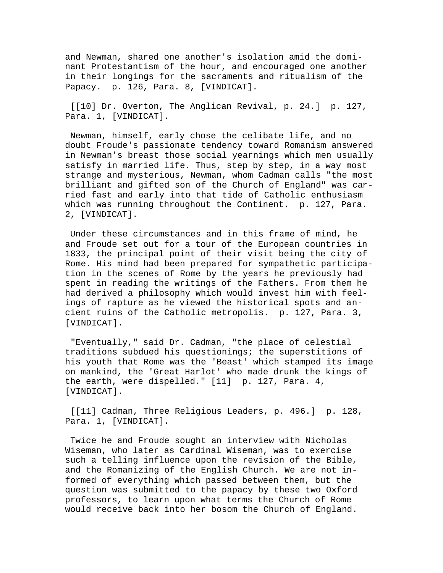and Newman, shared one another's isolation amid the dominant Protestantism of the hour, and encouraged one another in their longings for the sacraments and ritualism of the Papacy. p. 126, Para. 8, [VINDICAT].

 [[10] Dr. Overton, The Anglican Revival, p. 24.] p. 127, Para. 1, [VINDICAT].

 Newman, himself, early chose the celibate life, and no doubt Froude's passionate tendency toward Romanism answered in Newman's breast those social yearnings which men usually satisfy in married life. Thus, step by step, in a way most strange and mysterious, Newman, whom Cadman calls "the most brilliant and gifted son of the Church of England" was carried fast and early into that tide of Catholic enthusiasm which was running throughout the Continent. p. 127, Para. 2, [VINDICAT].

 Under these circumstances and in this frame of mind, he and Froude set out for a tour of the European countries in 1833, the principal point of their visit being the city of Rome. His mind had been prepared for sympathetic participation in the scenes of Rome by the years he previously had spent in reading the writings of the Fathers. From them he had derived a philosophy which would invest him with feelings of rapture as he viewed the historical spots and ancient ruins of the Catholic metropolis. p. 127, Para. 3, [VINDICAT].

 "Eventually," said Dr. Cadman, "the place of celestial traditions subdued his questionings; the superstitions of his youth that Rome was the 'Beast' which stamped its image on mankind, the 'Great Harlot' who made drunk the kings of the earth, were dispelled." [11] p. 127, Para. 4, [VINDICAT].

 [[11] Cadman, Three Religious Leaders, p. 496.] p. 128, Para. 1, [VINDICAT].

 Twice he and Froude sought an interview with Nicholas Wiseman, who later as Cardinal Wiseman, was to exercise such a telling influence upon the revision of the Bible, and the Romanizing of the English Church. We are not informed of everything which passed between them, but the question was submitted to the papacy by these two Oxford professors, to learn upon what terms the Church of Rome would receive back into her bosom the Church of England.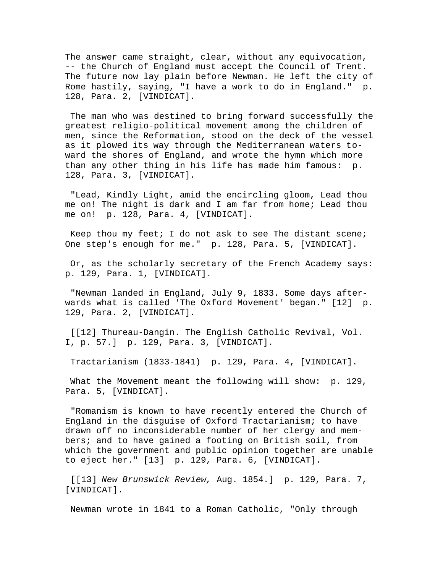The answer came straight, clear, without any equivocation, -- the Church of England must accept the Council of Trent. The future now lay plain before Newman. He left the city of Rome hastily, saying, "I have a work to do in England." p. 128, Para. 2, [VINDICAT].

 The man who was destined to bring forward successfully the greatest religio-political movement among the children of men, since the Reformation, stood on the deck of the vessel as it plowed its way through the Mediterranean waters toward the shores of England, and wrote the hymn which more than any other thing in his life has made him famous: p. 128, Para. 3, [VINDICAT].

 "Lead, Kindly Light, amid the encircling gloom, Lead thou me on! The night is dark and I am far from home; Lead thou me on! p. 128, Para. 4, [VINDICAT].

 Keep thou my feet; I do not ask to see The distant scene; One step's enough for me." p. 128, Para. 5, [VINDICAT].

 Or, as the scholarly secretary of the French Academy says: p. 129, Para. 1, [VINDICAT].

 "Newman landed in England, July 9, 1833. Some days afterwards what is called 'The Oxford Movement' began." [12] p. 129, Para. 2, [VINDICAT].

 [[12] Thureau-Dangin. The English Catholic Revival, Vol. I, p. 57.] p. 129, Para. 3, [VINDICAT].

Tractarianism (1833-1841) p. 129, Para. 4, [VINDICAT].

What the Movement meant the following will show: p. 129, Para. 5, [VINDICAT].

 "Romanism is known to have recently entered the Church of England in the disguise of Oxford Tractarianism; to have drawn off no inconsiderable number of her clergy and members; and to have gained a footing on British soil, from which the government and public opinion together are unable to eject her." [13] p. 129, Para. 6, [VINDICAT].

 [[13] *New Brunswick Review,* Aug. 1854.] p. 129, Para. 7, [VINDICAT].

Newman wrote in 1841 to a Roman Catholic, "Only through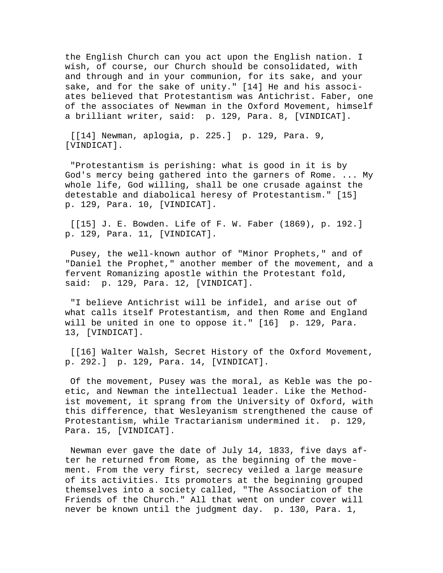the English Church can you act upon the English nation. I wish, of course, our Church should be consolidated, with and through and in your communion, for its sake, and your sake, and for the sake of unity." [14] He and his associates believed that Protestantism was Antichrist. Faber, one of the associates of Newman in the Oxford Movement, himself a brilliant writer, said: p. 129, Para. 8, [VINDICAT].

 [[14] Newman, aplogia, p. 225.] p. 129, Para. 9, [VINDICAT].

 "Protestantism is perishing: what is good in it is by God's mercy being gathered into the garners of Rome. ... My whole life, God willing, shall be one crusade against the detestable and diabolical heresy of Protestantism." [15] p. 129, Para. 10, [VINDICAT].

 [[15] J. E. Bowden. Life of F. W. Faber (1869), p. 192.] p. 129, Para. 11, [VINDICAT].

 Pusey, the well-known author of "Minor Prophets," and of "Daniel the Prophet," another member of the movement, and a fervent Romanizing apostle within the Protestant fold, said: p. 129, Para. 12, [VINDICAT].

 "I believe Antichrist will be infidel, and arise out of what calls itself Protestantism, and then Rome and England will be united in one to oppose it." [16] p. 129, Para. 13, [VINDICAT].

 [[16] Walter Walsh, Secret History of the Oxford Movement, p. 292.] p. 129, Para. 14, [VINDICAT].

 Of the movement, Pusey was the moral, as Keble was the poetic, and Newman the intellectual leader. Like the Methodist movement, it sprang from the University of Oxford, with this difference, that Wesleyanism strengthened the cause of Protestantism, while Tractarianism undermined it. p. 129, Para. 15, [VINDICAT].

 Newman ever gave the date of July 14, 1833, five days after he returned from Rome, as the beginning of the movement. From the very first, secrecy veiled a large measure of its activities. Its promoters at the beginning grouped themselves into a society called, "The Association of the Friends of the Church." All that went on under cover will never be known until the judgment day. p. 130, Para. 1,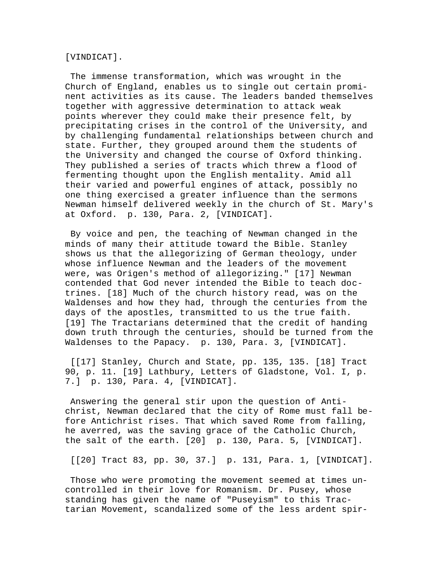[VINDICAT].

 The immense transformation, which was wrought in the Church of England, enables us to single out certain prominent activities as its cause. The leaders banded themselves together with aggressive determination to attack weak points wherever they could make their presence felt, by precipitating crises in the control of the University, and by challenging fundamental relationships between church and state. Further, they grouped around them the students of the University and changed the course of Oxford thinking. They published a series of tracts which threw a flood of fermenting thought upon the English mentality. Amid all their varied and powerful engines of attack, possibly no one thing exercised a greater influence than the sermons Newman himself delivered weekly in the church of St. Mary's at Oxford. p. 130, Para. 2, [VINDICAT].

 By voice and pen, the teaching of Newman changed in the minds of many their attitude toward the Bible. Stanley shows us that the allegorizing of German theology, under whose influence Newman and the leaders of the movement were, was Origen's method of allegorizing." [17] Newman contended that God never intended the Bible to teach doctrines. [18] Much of the church history read, was on the Waldenses and how they had, through the centuries from the days of the apostles, transmitted to us the true faith. [19] The Tractarians determined that the credit of handing down truth through the centuries, should be turned from the Waldenses to the Papacy. p. 130, Para. 3, [VINDICAT].

 [[17] Stanley, Church and State, pp. 135, 135. [18] Tract 90, p. 11. [19] Lathbury, Letters of Gladstone, Vol. I, p. 7.] p. 130, Para. 4, [VINDICAT].

 Answering the general stir upon the question of Antichrist, Newman declared that the city of Rome must fall before Antichrist rises. That which saved Rome from falling, he averred, was the saving grace of the Catholic Church, the salt of the earth. [20] p. 130, Para. 5, [VINDICAT].

[[20] Tract 83, pp. 30, 37.] p. 131, Para. 1, [VINDICAT].

 Those who were promoting the movement seemed at times uncontrolled in their love for Romanism. Dr. Pusey, whose standing has given the name of "Puseyism" to this Tractarian Movement, scandalized some of the less ardent spir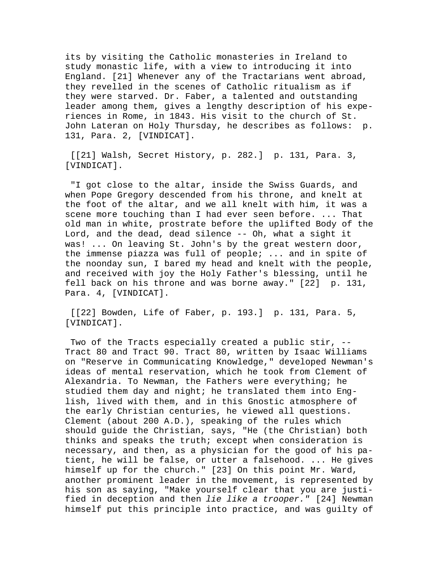its by visiting the Catholic monasteries in Ireland to study monastic life, with a view to introducing it into England. [21] Whenever any of the Tractarians went abroad, they revelled in the scenes of Catholic ritualism as if they were starved. Dr. Faber, a talented and outstanding leader among them, gives a lengthy description of his experiences in Rome, in 1843. His visit to the church of St. John Lateran on Holy Thursday, he describes as follows: p. 131, Para. 2, [VINDICAT].

 [[21] Walsh, Secret History, p. 282.] p. 131, Para. 3, [VINDICAT].

 "I got close to the altar, inside the Swiss Guards, and when Pope Gregory descended from his throne, and knelt at the foot of the altar, and we all knelt with him, it was a scene more touching than I had ever seen before. ... That old man in white, prostrate before the uplifted Body of the Lord, and the dead, dead silence -- Oh, what a sight it was! ... On leaving St. John's by the great western door, the immense piazza was full of people; ... and in spite of the noonday sun, I bared my head and knelt with the people, and received with joy the Holy Father's blessing, until he fell back on his throne and was borne away." [22] p. 131, Para. 4, [VINDICAT].

 [[22] Bowden, Life of Faber, p. 193.] p. 131, Para. 5, [VINDICAT].

 Two of the Tracts especially created a public stir, -- Tract 80 and Tract 90. Tract 80, written by Isaac Williams on "Reserve in Communicating Knowledge," developed Newman's ideas of mental reservation, which he took from Clement of Alexandria. To Newman, the Fathers were everything; he studied them day and night; he translated them into English, lived with them, and in this Gnostic atmosphere of the early Christian centuries, he viewed all questions. Clement (about 200 A.D.), speaking of the rules which should guide the Christian, says, "He (the Christian) both thinks and speaks the truth; except when consideration is necessary, and then, as a physician for the good of his patient, he will be false, or utter a falsehood. ... He gives himself up for the church." [23] On this point Mr. Ward, another prominent leader in the movement, is represented by his son as saying, "Make yourself clear that you are justified in deception and then *lie like a trooper."* [24] Newman himself put this principle into practice, and was guilty of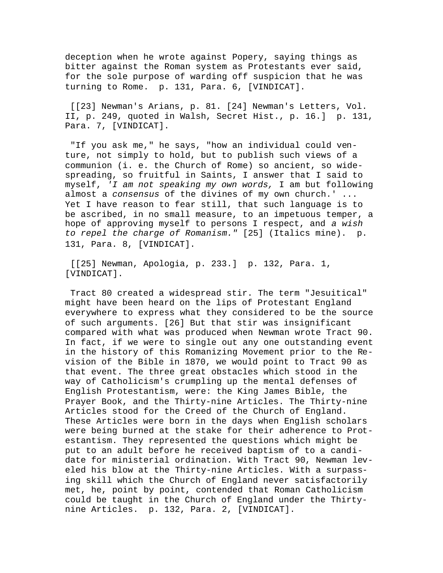deception when he wrote against Popery, saying things as bitter against the Roman system as Protestants ever said, for the sole purpose of warding off suspicion that he was turning to Rome. p. 131, Para. 6, [VINDICAT].

 [[23] Newman's Arians, p. 81. [24] Newman's Letters, Vol. II, p. 249, quoted in Walsh, Secret Hist., p. 16.] p. 131, Para. 7, [VINDICAT].

 "If you ask me," he says, "how an individual could venture, not simply to hold, but to publish such views of a communion (i. e. the Church of Rome) so ancient, so widespreading, so fruitful in Saints, I answer that I said to myself, *'I am not speaking my own words,* I am but following almost a *consensus* of the divines of my own church.' ... Yet I have reason to fear still, that such language is to be ascribed, in no small measure, to an impetuous temper, a hope of approving myself to persons I respect, and *a wish to repel the charge of Romanism."* [25] (Italics mine). p. 131, Para. 8, [VINDICAT].

 [[25] Newman, Apologia, p. 233.] p. 132, Para. 1, [VINDICAT].

 Tract 80 created a widespread stir. The term "Jesuitical" might have been heard on the lips of Protestant England everywhere to express what they considered to be the source of such arguments. [26] But that stir was insignificant compared with what was produced when Newman wrote Tract 90. In fact, if we were to single out any one outstanding event in the history of this Romanizing Movement prior to the Revision of the Bible in 1870, we would point to Tract 90 as that event. The three great obstacles which stood in the way of Catholicism's crumpling up the mental defenses of English Protestantism, were: the King James Bible, the Prayer Book, and the Thirty-nine Articles. The Thirty-nine Articles stood for the Creed of the Church of England. These Articles were born in the days when English scholars were being burned at the stake for their adherence to Protestantism. They represented the questions which might be put to an adult before he received baptism of to a candidate for ministerial ordination. With Tract 90, Newman leveled his blow at the Thirty-nine Articles. With a surpassing skill which the Church of England never satisfactorily met, he, point by point, contended that Roman Catholicism could be taught in the Church of England under the Thirtynine Articles. p. 132, Para. 2, [VINDICAT].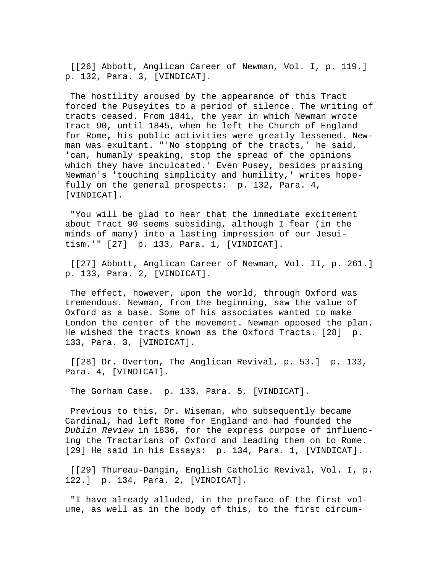[[26] Abbott, Anglican Career of Newman, Vol. I, p. 119.] p. 132, Para. 3, [VINDICAT].

 The hostility aroused by the appearance of this Tract forced the Puseyites to a period of silence. The writing of tracts ceased. From 1841, the year in which Newman wrote Tract 90, until 1845, when he left the Church of England for Rome, his public activities were greatly lessened. Newman was exultant. "'No stopping of the tracts,' he said, 'can, humanly speaking, stop the spread of the opinions which they have inculcated.' Even Pusey, besides praising Newman's 'touching simplicity and humility,' writes hopefully on the general prospects: p. 132, Para. 4, [VINDICAT].

 "You will be glad to hear that the immediate excitement about Tract 90 seems subsiding, although I fear (in the minds of many) into a lasting impression of our Jesuitism.'" [27] p. 133, Para. 1, [VINDICAT].

 [[27] Abbott, Anglican Career of Newman, Vol. II, p. 261.] p. 133, Para. 2, [VINDICAT].

 The effect, however, upon the world, through Oxford was tremendous. Newman, from the beginning, saw the value of Oxford as a base. Some of his associates wanted to make London the center of the movement. Newman opposed the plan. He wished the tracts known as the Oxford Tracts. [28] p. 133, Para. 3, [VINDICAT].

 [[28] Dr. Overton, The Anglican Revival, p. 53.] p. 133, Para. 4, [VINDICAT].

The Gorham Case. p. 133, Para. 5, [VINDICAT].

 Previous to this, Dr. Wiseman, who subsequently became Cardinal, had left Rome for England and had founded the *Dublin Review* in 1836, for the express purpose of influencing the Tractarians of Oxford and leading them on to Rome. [29] He said in his Essays: p. 134, Para. 1, [VINDICAT].

 [[29] Thureau-Dangin, English Catholic Revival, Vol. I, p. 122.] p. 134, Para. 2, [VINDICAT].

 "I have already alluded, in the preface of the first volume, as well as in the body of this, to the first circum-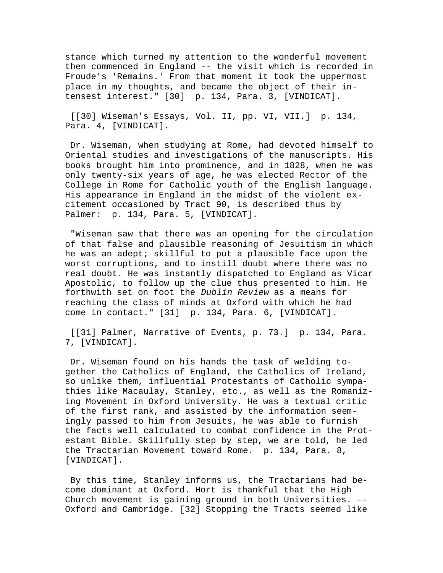stance which turned my attention to the wonderful movement then commenced in England -- the visit which is recorded in Froude's 'Remains.' From that moment it took the uppermost place in my thoughts, and became the object of their intensest interest." [30] p. 134, Para. 3, [VINDICAT].

 [[30] Wiseman's Essays, Vol. II, pp. VI, VII.] p. 134, Para. 4, [VINDICAT].

 Dr. Wiseman, when studying at Rome, had devoted himself to Oriental studies and investigations of the manuscripts. His books brought him into prominence, and in 1828, when he was only twenty-six years of age, he was elected Rector of the College in Rome for Catholic youth of the English language. His appearance in England in the midst of the violent excitement occasioned by Tract 90, is described thus by Palmer: p. 134, Para. 5, [VINDICAT].

 "Wiseman saw that there was an opening for the circulation of that false and plausible reasoning of Jesuitism in which he was an adept; skillful to put a plausible face upon the worst corruptions, and to instill doubt where there was no real doubt. He was instantly dispatched to England as Vicar Apostolic, to follow up the clue thus presented to him. He forthwith set on foot the *Dublin Review* as a means for reaching the class of minds at Oxford with which he had come in contact." [31] p. 134, Para. 6, [VINDICAT].

 [[31] Palmer, Narrative of Events, p. 73.] p. 134, Para. 7, [VINDICAT].

 Dr. Wiseman found on his hands the task of welding together the Catholics of England, the Catholics of Ireland, so unlike them, influential Protestants of Catholic sympathies like Macaulay, Stanley, etc., as well as the Romanizing Movement in Oxford University. He was a textual critic of the first rank, and assisted by the information seemingly passed to him from Jesuits, he was able to furnish the facts well calculated to combat confidence in the Protestant Bible. Skillfully step by step, we are told, he led the Tractarian Movement toward Rome. p. 134, Para. 8, [VINDICAT].

 By this time, Stanley informs us, the Tractarians had become dominant at Oxford. Hort is thankful that the High Church movement is gaining ground in both Universities. -- Oxford and Cambridge. [32] Stopping the Tracts seemed like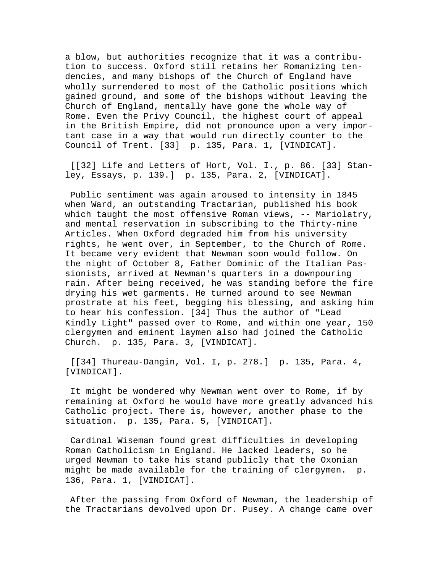a blow, but authorities recognize that it was a contribution to success. Oxford still retains her Romanizing tendencies, and many bishops of the Church of England have wholly surrendered to most of the Catholic positions which gained ground, and some of the bishops without leaving the Church of England, mentally have gone the whole way of Rome. Even the Privy Council, the highest court of appeal in the British Empire, did not pronounce upon a very important case in a way that would run directly counter to the Council of Trent. [33] p. 135, Para. 1, [VINDICAT].

 [[32] Life and Letters of Hort, Vol. I., p. 86. [33] Stanley, Essays, p. 139.] p. 135, Para. 2, [VINDICAT].

 Public sentiment was again aroused to intensity in 1845 when Ward, an outstanding Tractarian, published his book which taught the most offensive Roman views, -- Mariolatry, and mental reservation in subscribing to the Thirty-nine Articles. When Oxford degraded him from his university rights, he went over, in September, to the Church of Rome. It became very evident that Newman soon would follow. On the night of October 8, Father Dominic of the Italian Passionists, arrived at Newman's quarters in a downpouring rain. After being received, he was standing before the fire drying his wet garments. He turned around to see Newman prostrate at his feet, begging his blessing, and asking him to hear his confession. [34] Thus the author of "Lead Kindly Light" passed over to Rome, and within one year, 150 clergymen and eminent laymen also had joined the Catholic Church. p. 135, Para. 3, [VINDICAT].

 [[34] Thureau-Dangin, Vol. I, p. 278.] p. 135, Para. 4, [VINDICAT].

 It might be wondered why Newman went over to Rome, if by remaining at Oxford he would have more greatly advanced his Catholic project. There is, however, another phase to the situation. p. 135, Para. 5, [VINDICAT].

 Cardinal Wiseman found great difficulties in developing Roman Catholicism in England. He lacked leaders, so he urged Newman to take his stand publicly that the Oxonian might be made available for the training of clergymen. p. 136, Para. 1, [VINDICAT].

 After the passing from Oxford of Newman, the leadership of the Tractarians devolved upon Dr. Pusey. A change came over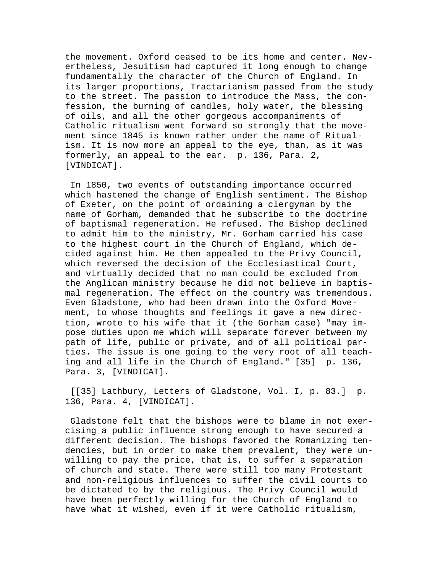the movement. Oxford ceased to be its home and center. Nevertheless, Jesuitism had captured it long enough to change fundamentally the character of the Church of England. In its larger proportions, Tractarianism passed from the study to the street. The passion to introduce the Mass, the confession, the burning of candles, holy water, the blessing of oils, and all the other gorgeous accompaniments of Catholic ritualism went forward so strongly that the movement since 1845 is known rather under the name of Ritualism. It is now more an appeal to the eye, than, as it was formerly, an appeal to the ear. p. 136, Para. 2, [VINDICAT].

 In 1850, two events of outstanding importance occurred which hastened the change of English sentiment. The Bishop of Exeter, on the point of ordaining a clergyman by the name of Gorham, demanded that he subscribe to the doctrine of baptismal regeneration. He refused. The Bishop declined to admit him to the ministry, Mr. Gorham carried his case to the highest court in the Church of England, which decided against him. He then appealed to the Privy Council, which reversed the decision of the Ecclesiastical Court, and virtually decided that no man could be excluded from the Anglican ministry because he did not believe in baptismal regeneration. The effect on the country was tremendous. Even Gladstone, who had been drawn into the Oxford Movement, to whose thoughts and feelings it gave a new direction, wrote to his wife that it (the Gorham case) "may impose duties upon me which will separate forever between my path of life, public or private, and of all political parties. The issue is one going to the very root of all teaching and all life in the Church of England." [35] p. 136, Para. 3, [VINDICAT].

 [[35] Lathbury, Letters of Gladstone, Vol. I, p. 83.] p. 136, Para. 4, [VINDICAT].

 Gladstone felt that the bishops were to blame in not exercising a public influence strong enough to have secured a different decision. The bishops favored the Romanizing tendencies, but in order to make them prevalent, they were unwilling to pay the price, that is, to suffer a separation of church and state. There were still too many Protestant and non-religious influences to suffer the civil courts to be dictated to by the religious. The Privy Council would have been perfectly willing for the Church of England to have what it wished, even if it were Catholic ritualism,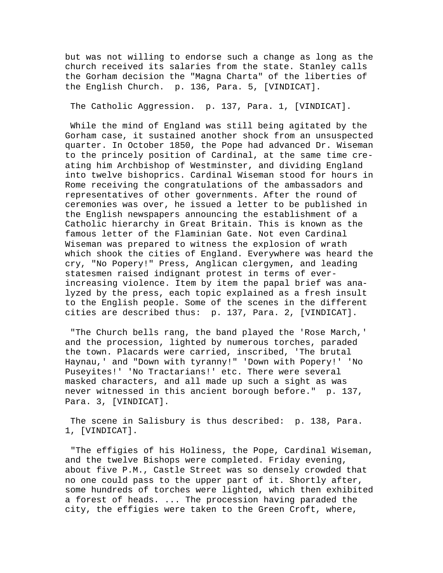but was not willing to endorse such a change as long as the church received its salaries from the state. Stanley calls the Gorham decision the "Magna Charta" of the liberties of the English Church. p. 136, Para. 5, [VINDICAT].

The Catholic Aggression. p. 137, Para. 1, [VINDICAT].

 While the mind of England was still being agitated by the Gorham case, it sustained another shock from an unsuspected quarter. In October 1850, the Pope had advanced Dr. Wiseman to the princely position of Cardinal, at the same time creating him Archbishop of Westminster, and dividing England into twelve bishoprics. Cardinal Wiseman stood for hours in Rome receiving the congratulations of the ambassadors and representatives of other governments. After the round of ceremonies was over, he issued a letter to be published in the English newspapers announcing the establishment of a Catholic hierarchy in Great Britain. This is known as the famous letter of the Flaminian Gate. Not even Cardinal Wiseman was prepared to witness the explosion of wrath which shook the cities of England. Everywhere was heard the cry, "No Popery!" Press, Anglican clergymen, and leading statesmen raised indignant protest in terms of everincreasing violence. Item by item the papal brief was analyzed by the press, each topic explained as a fresh insult to the English people. Some of the scenes in the different cities are described thus: p. 137, Para. 2, [VINDICAT].

 "The Church bells rang, the band played the 'Rose March,' and the procession, lighted by numerous torches, paraded the town. Placards were carried, inscribed, 'The brutal Haynau,' and "Down with tyranny!" 'Down with Popery!' 'No Puseyites!' 'No Tractarians!' etc. There were several masked characters, and all made up such a sight as was never witnessed in this ancient borough before." p. 137, Para. 3, [VINDICAT].

 The scene in Salisbury is thus described: p. 138, Para. 1, [VINDICAT].

 "The effigies of his Holiness, the Pope, Cardinal Wiseman, and the twelve Bishops were completed. Friday evening, about five P.M., Castle Street was so densely crowded that no one could pass to the upper part of it. Shortly after, some hundreds of torches were lighted, which then exhibited a forest of heads. ... The procession having paraded the city, the effigies were taken to the Green Croft, where,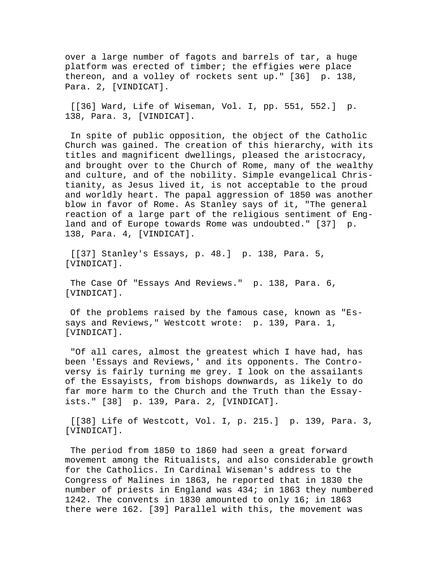over a large number of fagots and barrels of tar, a huge platform was erected of timber; the effigies were place thereon, and a volley of rockets sent up." [36] p. 138, Para. 2, [VINDICAT].

 [[36] Ward, Life of Wiseman, Vol. I, pp. 551, 552.] p. 138, Para. 3, [VINDICAT].

 In spite of public opposition, the object of the Catholic Church was gained. The creation of this hierarchy, with its titles and magnificent dwellings, pleased the aristocracy, and brought over to the Church of Rome, many of the wealthy and culture, and of the nobility. Simple evangelical Christianity, as Jesus lived it, is not acceptable to the proud and worldly heart. The papal aggression of 1850 was another blow in favor of Rome. As Stanley says of it, "The general reaction of a large part of the religious sentiment of England and of Europe towards Rome was undoubted." [37] p. 138, Para. 4, [VINDICAT].

 [[37] Stanley's Essays, p. 48.] p. 138, Para. 5, [VINDICAT].

 The Case Of "Essays And Reviews." p. 138, Para. 6, [VINDICAT].

 Of the problems raised by the famous case, known as "Essays and Reviews," Westcott wrote: p. 139, Para. 1, [VINDICAT].

 "Of all cares, almost the greatest which I have had, has been 'Essays and Reviews,' and its opponents. The Controversy is fairly turning me grey. I look on the assailants of the Essayists, from bishops downwards, as likely to do far more harm to the Church and the Truth than the Essayists." [38] p. 139, Para. 2, [VINDICAT].

 [[38] Life of Westcott, Vol. I, p. 215.] p. 139, Para. 3, [VINDICAT].

 The period from 1850 to 1860 had seen a great forward movement among the Ritualists, and also considerable growth for the Catholics. In Cardinal Wiseman's address to the Congress of Malines in 1863, he reported that in 1830 the number of priests in England was 434; in 1863 they numbered 1242. The convents in 1830 amounted to only 16; in 1863 there were 162. [39] Parallel with this, the movement was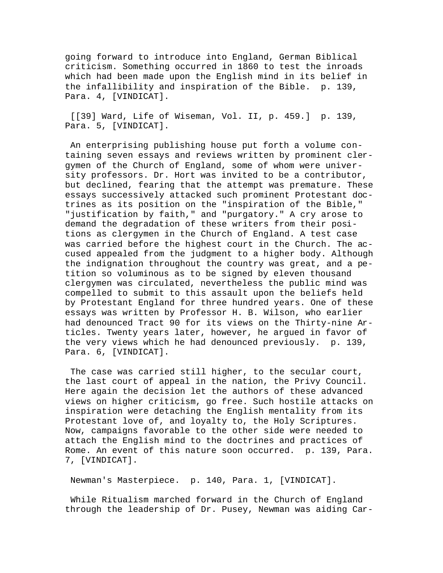going forward to introduce into England, German Biblical criticism. Something occurred in 1860 to test the inroads which had been made upon the English mind in its belief in the infallibility and inspiration of the Bible. p. 139, Para. 4, [VINDICAT].

 [[39] Ward, Life of Wiseman, Vol. II, p. 459.] p. 139, Para. 5, [VINDICAT].

 An enterprising publishing house put forth a volume containing seven essays and reviews written by prominent clergymen of the Church of England, some of whom were university professors. Dr. Hort was invited to be a contributor, but declined, fearing that the attempt was premature. These essays successively attacked such prominent Protestant doctrines as its position on the "inspiration of the Bible," "justification by faith," and "purgatory." A cry arose to demand the degradation of these writers from their positions as clergymen in the Church of England. A test case was carried before the highest court in the Church. The accused appealed from the judgment to a higher body. Although the indignation throughout the country was great, and a petition so voluminous as to be signed by eleven thousand clergymen was circulated, nevertheless the public mind was compelled to submit to this assault upon the beliefs held by Protestant England for three hundred years. One of these essays was written by Professor H. B. Wilson, who earlier had denounced Tract 90 for its views on the Thirty-nine Articles. Twenty years later, however, he argued in favor of the very views which he had denounced previously. p. 139, Para. 6, [VINDICAT].

 The case was carried still higher, to the secular court, the last court of appeal in the nation, the Privy Council. Here again the decision let the authors of these advanced views on higher criticism, go free. Such hostile attacks on inspiration were detaching the English mentality from its Protestant love of, and loyalty to, the Holy Scriptures. Now, campaigns favorable to the other side were needed to attach the English mind to the doctrines and practices of Rome. An event of this nature soon occurred. p. 139, Para. 7, [VINDICAT].

Newman's Masterpiece. p. 140, Para. 1, [VINDICAT].

 While Ritualism marched forward in the Church of England through the leadership of Dr. Pusey, Newman was aiding Car-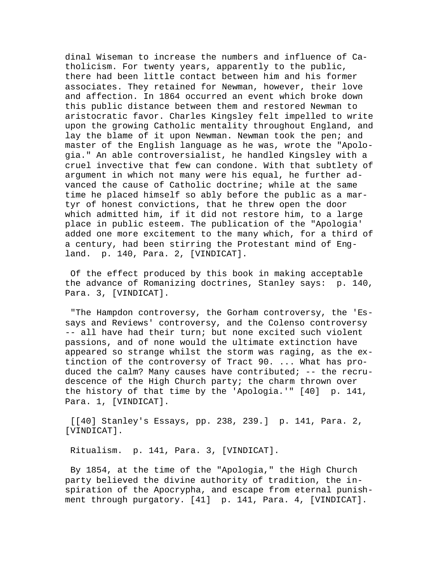dinal Wiseman to increase the numbers and influence of Catholicism. For twenty years, apparently to the public, there had been little contact between him and his former associates. They retained for Newman, however, their love and affection. In 1864 occurred an event which broke down this public distance between them and restored Newman to aristocratic favor. Charles Kingsley felt impelled to write upon the growing Catholic mentality throughout England, and lay the blame of it upon Newman. Newman took the pen; and master of the English language as he was, wrote the "Apologia." An able controversialist, he handled Kingsley with a cruel invective that few can condone. With that subtlety of argument in which not many were his equal, he further advanced the cause of Catholic doctrine; while at the same time he placed himself so ably before the public as a martyr of honest convictions, that he threw open the door which admitted him, if it did not restore him, to a large place in public esteem. The publication of the "Apologia' added one more excitement to the many which, for a third of a century, had been stirring the Protestant mind of England. p. 140, Para. 2, [VINDICAT].

 Of the effect produced by this book in making acceptable the advance of Romanizing doctrines, Stanley says: p. 140, Para. 3, [VINDICAT].

 "The Hampdon controversy, the Gorham controversy, the 'Essays and Reviews' controversy, and the Colenso controversy -- all have had their turn; but none excited such violent passions, and of none would the ultimate extinction have appeared so strange whilst the storm was raging, as the extinction of the controversy of Tract 90. ... What has produced the calm? Many causes have contributed; -- the recrudescence of the High Church party; the charm thrown over the history of that time by the 'Apologia.'" [40] p. 141, Para. 1, [VINDICAT].

 [[40] Stanley's Essays, pp. 238, 239.] p. 141, Para. 2, [VINDICAT].

Ritualism. p. 141, Para. 3, [VINDICAT].

 By 1854, at the time of the "Apologia," the High Church party believed the divine authority of tradition, the inspiration of the Apocrypha, and escape from eternal punishment through purgatory. [41] p. 141, Para. 4, [VINDICAT].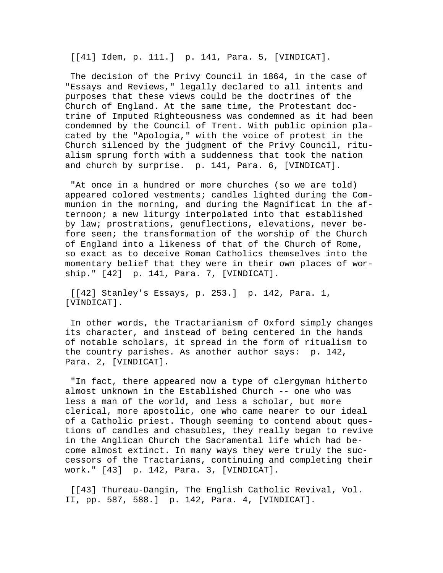[[41] Idem, p. 111.] p. 141, Para. 5, [VINDICAT].

 The decision of the Privy Council in 1864, in the case of "Essays and Reviews," legally declared to all intents and purposes that these views could be the doctrines of the Church of England. At the same time, the Protestant doctrine of Imputed Righteousness was condemned as it had been condemned by the Council of Trent. With public opinion placated by the "Apologia," with the voice of protest in the Church silenced by the judgment of the Privy Council, ritualism sprung forth with a suddenness that took the nation and church by surprise. p. 141, Para. 6, [VINDICAT].

 "At once in a hundred or more churches (so we are told) appeared colored vestments; candles lighted during the Communion in the morning, and during the Magnificat in the afternoon; a new liturgy interpolated into that established by law; prostrations, genuflections, elevations, never before seen; the transformation of the worship of the Church of England into a likeness of that of the Church of Rome, so exact as to deceive Roman Catholics themselves into the momentary belief that they were in their own places of worship." [42] p. 141, Para. 7, [VINDICAT].

 [[42] Stanley's Essays, p. 253.] p. 142, Para. 1, [VINDICAT].

 In other words, the Tractarianism of Oxford simply changes its character, and instead of being centered in the hands of notable scholars, it spread in the form of ritualism to the country parishes. As another author says: p. 142, Para. 2, [VINDICAT].

 "In fact, there appeared now a type of clergyman hitherto almost unknown in the Established Church -- one who was less a man of the world, and less a scholar, but more clerical, more apostolic, one who came nearer to our ideal of a Catholic priest. Though seeming to contend about questions of candles and chasubles, they really began to revive in the Anglican Church the Sacramental life which had become almost extinct. In many ways they were truly the successors of the Tractarians, continuing and completing their work." [43] p. 142, Para. 3, [VINDICAT].

 [[43] Thureau-Dangin, The English Catholic Revival, Vol. II, pp. 587, 588.] p. 142, Para. 4, [VINDICAT].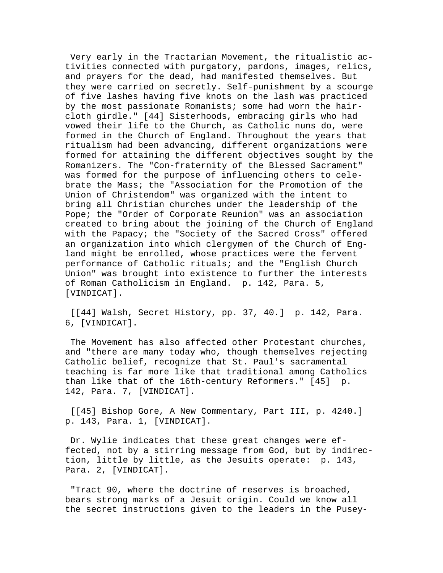Very early in the Tractarian Movement, the ritualistic activities connected with purgatory, pardons, images, relics, and prayers for the dead, had manifested themselves. But they were carried on secretly. Self-punishment by a scourge of five lashes having five knots on the lash was practiced by the most passionate Romanists; some had worn the haircloth girdle." [44] Sisterhoods, embracing girls who had vowed their life to the Church, as Catholic nuns do, were formed in the Church of England. Throughout the years that ritualism had been advancing, different organizations were formed for attaining the different objectives sought by the Romanizers. The "Con-fraternity of the Blessed Sacrament" was formed for the purpose of influencing others to celebrate the Mass; the "Association for the Promotion of the Union of Christendom" was organized with the intent to bring all Christian churches under the leadership of the Pope; the "Order of Corporate Reunion" was an association created to bring about the joining of the Church of England with the Papacy; the "Society of the Sacred Cross" offered an organization into which clergymen of the Church of England might be enrolled, whose practices were the fervent performance of Catholic rituals; and the "English Church Union" was brought into existence to further the interests of Roman Catholicism in England. p. 142, Para. 5, [VINDICAT].

 [[44] Walsh, Secret History, pp. 37, 40.] p. 142, Para. 6, [VINDICAT].

 The Movement has also affected other Protestant churches, and "there are many today who, though themselves rejecting Catholic belief, recognize that St. Paul's sacramental teaching is far more like that traditional among Catholics than like that of the 16th-century Reformers." [45] p. 142, Para. 7, [VINDICAT].

 [[45] Bishop Gore, A New Commentary, Part III, p. 4240.] p. 143, Para. 1, [VINDICAT].

 Dr. Wylie indicates that these great changes were effected, not by a stirring message from God, but by indirection, little by little, as the Jesuits operate: p. 143, Para. 2, [VINDICAT].

 "Tract 90, where the doctrine of reserves is broached, bears strong marks of a Jesuit origin. Could we know all the secret instructions given to the leaders in the Pusey-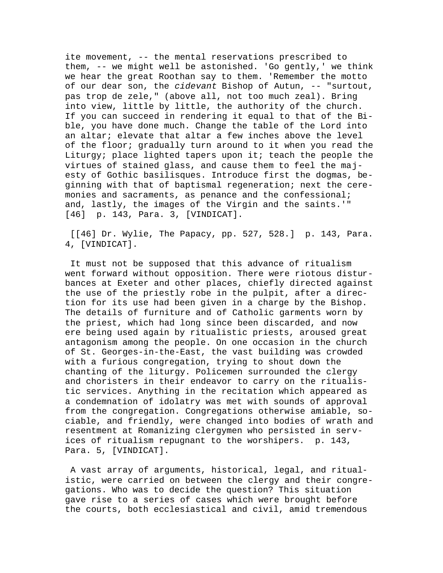ite movement, -- the mental reservations prescribed to them, -- we might well be astonished. 'Go gently,' we think we hear the great Roothan say to them. 'Remember the motto of our dear son, the *cidevant* Bishop of Autun, -- "surtout, pas trop de zele," (above all, not too much zeal). Bring into view, little by little, the authority of the church. If you can succeed in rendering it equal to that of the Bible, you have done much. Change the table of the Lord into an altar; elevate that altar a few inches above the level of the floor; gradually turn around to it when you read the Liturgy; place lighted tapers upon it; teach the people the virtues of stained glass, and cause them to feel the majesty of Gothic basilisques. Introduce first the dogmas, beginning with that of baptismal regeneration; next the ceremonies and sacraments, as penance and the confessional; and, lastly, the images of the Virgin and the saints.'" [46] p. 143, Para. 3, [VINDICAT].

 [[46] Dr. Wylie, The Papacy, pp. 527, 528.] p. 143, Para. 4, [VINDICAT].

 It must not be supposed that this advance of ritualism went forward without opposition. There were riotous disturbances at Exeter and other places, chiefly directed against the use of the priestly robe in the pulpit, after a direction for its use had been given in a charge by the Bishop. The details of furniture and of Catholic garments worn by the priest, which had long since been discarded, and now ere being used again by ritualistic priests, aroused great antagonism among the people. On one occasion in the church of St. Georges-in-the-East, the vast building was crowded with a furious congregation, trying to shout down the chanting of the liturgy. Policemen surrounded the clergy and choristers in their endeavor to carry on the ritualistic services. Anything in the recitation which appeared as a condemnation of idolatry was met with sounds of approval from the congregation. Congregations otherwise amiable, sociable, and friendly, were changed into bodies of wrath and resentment at Romanizing clergymen who persisted in services of ritualism repugnant to the worshipers. p. 143, Para. 5, [VINDICAT].

 A vast array of arguments, historical, legal, and ritualistic, were carried on between the clergy and their congregations. Who was to decide the question? This situation gave rise to a series of cases which were brought before the courts, both ecclesiastical and civil, amid tremendous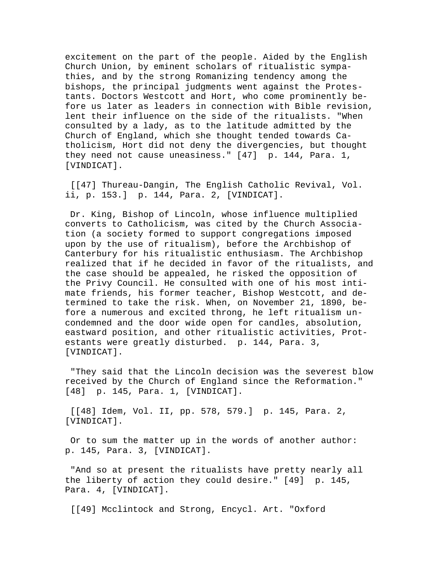excitement on the part of the people. Aided by the English Church Union, by eminent scholars of ritualistic sympathies, and by the strong Romanizing tendency among the bishops, the principal judgments went against the Protestants. Doctors Westcott and Hort, who come prominently before us later as leaders in connection with Bible revision, lent their influence on the side of the ritualists. "When consulted by a lady, as to the latitude admitted by the Church of England, which she thought tended towards Catholicism, Hort did not deny the divergencies, but thought they need not cause uneasiness." [47] p. 144, Para. 1, [VINDICAT].

 [[47] Thureau-Dangin, The English Catholic Revival, Vol. ii, p. 153.] p. 144, Para. 2, [VINDICAT].

 Dr. King, Bishop of Lincoln, whose influence multiplied converts to Catholicism, was cited by the Church Association (a society formed to support congregations imposed upon by the use of ritualism), before the Archbishop of Canterbury for his ritualistic enthusiasm. The Archbishop realized that if he decided in favor of the ritualists, and the case should be appealed, he risked the opposition of the Privy Council. He consulted with one of his most intimate friends, his former teacher, Bishop Westcott, and determined to take the risk. When, on November 21, 1890, before a numerous and excited throng, he left ritualism uncondemned and the door wide open for candles, absolution, eastward position, and other ritualistic activities, Protestants were greatly disturbed. p. 144, Para. 3, [VINDICAT].

 "They said that the Lincoln decision was the severest blow received by the Church of England since the Reformation." [48] p. 145, Para. 1, [VINDICAT].

 [[48] Idem, Vol. II, pp. 578, 579.] p. 145, Para. 2, [VINDICAT].

 Or to sum the matter up in the words of another author: p. 145, Para. 3, [VINDICAT].

 "And so at present the ritualists have pretty nearly all the liberty of action they could desire." [49] p. 145, Para. 4, [VINDICAT].

[[49] Mcclintock and Strong, Encycl. Art. "Oxford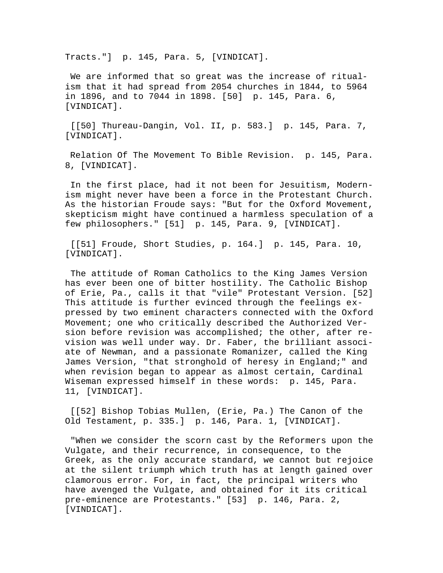Tracts."] p. 145, Para. 5, [VINDICAT].

 We are informed that so great was the increase of ritualism that it had spread from 2054 churches in 1844, to 5964 in 1896, and to 7044 in 1898. [50] p. 145, Para. 6, [VINDICAT].

 [[50] Thureau-Dangin, Vol. II, p. 583.] p. 145, Para. 7, [VINDICAT].

 Relation Of The Movement To Bible Revision. p. 145, Para. 8, [VINDICAT].

 In the first place, had it not been for Jesuitism, Modernism might never have been a force in the Protestant Church. As the historian Froude says: "But for the Oxford Movement, skepticism might have continued a harmless speculation of a few philosophers." [51] p. 145, Para. 9, [VINDICAT].

 [[51] Froude, Short Studies, p. 164.] p. 145, Para. 10, [VINDICAT].

 The attitude of Roman Catholics to the King James Version has ever been one of bitter hostility. The Catholic Bishop of Erie, Pa., calls it that "vile" Protestant Version. [52] This attitude is further evinced through the feelings expressed by two eminent characters connected with the Oxford Movement; one who critically described the Authorized Version before revision was accomplished; the other, after revision was well under way. Dr. Faber, the brilliant associate of Newman, and a passionate Romanizer, called the King James Version, "that stronghold of heresy in England;" and when revision began to appear as almost certain, Cardinal Wiseman expressed himself in these words: p. 145, Para. 11, [VINDICAT].

 [[52] Bishop Tobias Mullen, (Erie, Pa.) The Canon of the Old Testament, p. 335.] p. 146, Para. 1, [VINDICAT].

 "When we consider the scorn cast by the Reformers upon the Vulgate, and their recurrence, in consequence, to the Greek, as the only accurate standard, we cannot but rejoice at the silent triumph which truth has at length gained over clamorous error. For, in fact, the principal writers who have avenged the Vulgate, and obtained for it its critical pre-eminence are Protestants." [53] p. 146, Para. 2, [VINDICAT].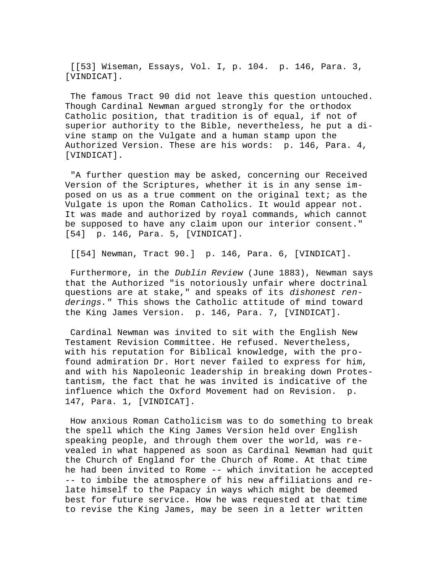[[53] Wiseman, Essays, Vol. I, p. 104. p. 146, Para. 3, [VINDICAT].

 The famous Tract 90 did not leave this question untouched. Though Cardinal Newman argued strongly for the orthodox Catholic position, that tradition is of equal, if not of superior authority to the Bible, nevertheless, he put a divine stamp on the Vulgate and a human stamp upon the Authorized Version. These are his words: p. 146, Para. 4, [VINDICAT].

 "A further question may be asked, concerning our Received Version of the Scriptures, whether it is in any sense imposed on us as a true comment on the original text; as the Vulgate is upon the Roman Catholics. It would appear not. It was made and authorized by royal commands, which cannot be supposed to have any claim upon our interior consent." [54] p. 146, Para. 5, [VINDICAT].

[[54] Newman, Tract 90.] p. 146, Para. 6, [VINDICAT].

 Furthermore, in the *Dublin Review* (June 1883), Newman says that the Authorized "is notoriously unfair where doctrinal questions are at stake," and speaks of its *dishonest renderings."* This shows the Catholic attitude of mind toward the King James Version. p. 146, Para. 7, [VINDICAT].

 Cardinal Newman was invited to sit with the English New Testament Revision Committee. He refused. Nevertheless, with his reputation for Biblical knowledge, with the profound admiration Dr. Hort never failed to express for him, and with his Napoleonic leadership in breaking down Protestantism, the fact that he was invited is indicative of the influence which the Oxford Movement had on Revision. p. 147, Para. 1, [VINDICAT].

 How anxious Roman Catholicism was to do something to break the spell which the King James Version held over English speaking people, and through them over the world, was revealed in what happened as soon as Cardinal Newman had quit the Church of England for the Church of Rome. At that time he had been invited to Rome -- which invitation he accepted -- to imbibe the atmosphere of his new affiliations and relate himself to the Papacy in ways which might be deemed best for future service. How he was requested at that time to revise the King James, may be seen in a letter written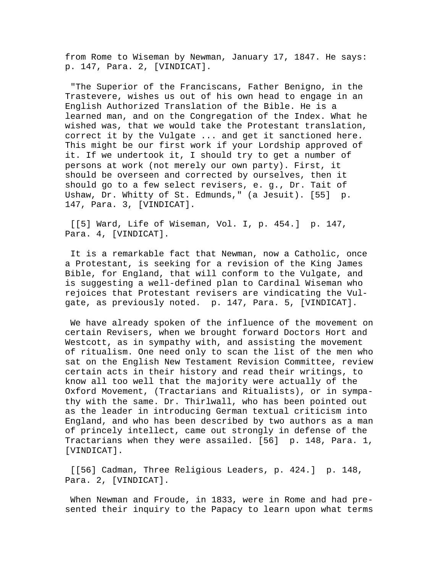from Rome to Wiseman by Newman, January 17, 1847. He says: p. 147, Para. 2, [VINDICAT].

 "The Superior of the Franciscans, Father Benigno, in the Trastevere, wishes us out of his own head to engage in an English Authorized Translation of the Bible. He is a learned man, and on the Congregation of the Index. What he wished was, that we would take the Protestant translation, correct it by the Vulgate ... and get it sanctioned here. This might be our first work if your Lordship approved of it. If we undertook it, I should try to get a number of persons at work (not merely our own party). First, it should be overseen and corrected by ourselves, then it should go to a few select revisers, e. g., Dr. Tait of Ushaw, Dr. Whitty of St. Edmunds," (a Jesuit). [55] p. 147, Para. 3, [VINDICAT].

 [[5] Ward, Life of Wiseman, Vol. I, p. 454.] p. 147, Para. 4, [VINDICAT].

 It is a remarkable fact that Newman, now a Catholic, once a Protestant, is seeking for a revision of the King James Bible, for England, that will conform to the Vulgate, and is suggesting a well-defined plan to Cardinal Wiseman who rejoices that Protestant revisers are vindicating the Vulgate, as previously noted. p. 147, Para. 5, [VINDICAT].

 We have already spoken of the influence of the movement on certain Revisers, when we brought forward Doctors Hort and Westcott, as in sympathy with, and assisting the movement of ritualism. One need only to scan the list of the men who sat on the English New Testament Revision Committee, review certain acts in their history and read their writings, to know all too well that the majority were actually of the Oxford Movement, (Tractarians and Ritualists), or in sympathy with the same. Dr. Thirlwall, who has been pointed out as the leader in introducing German textual criticism into England, and who has been described by two authors as a man of princely intellect, came out strongly in defense of the Tractarians when they were assailed. [56] p. 148, Para. 1, [VINDICAT].

 [[56] Cadman, Three Religious Leaders, p. 424.] p. 148, Para. 2, [VINDICAT].

 When Newman and Froude, in 1833, were in Rome and had presented their inquiry to the Papacy to learn upon what terms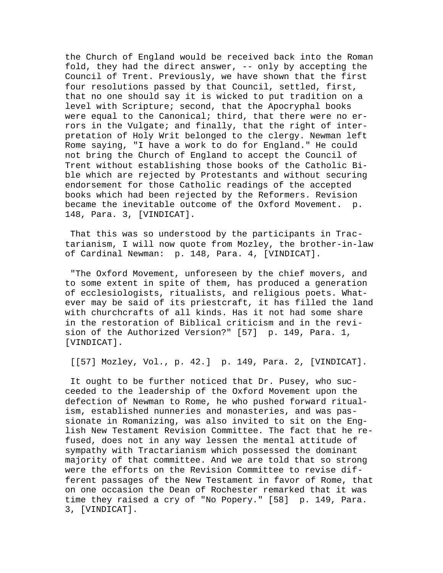the Church of England would be received back into the Roman fold, they had the direct answer, -- only by accepting the Council of Trent. Previously, we have shown that the first four resolutions passed by that Council, settled, first, that no one should say it is wicked to put tradition on a level with Scripture; second, that the Apocryphal books were equal to the Canonical; third, that there were no errors in the Vulgate; and finally, that the right of interpretation of Holy Writ belonged to the clergy. Newman left Rome saying, "I have a work to do for England." He could not bring the Church of England to accept the Council of Trent without establishing those books of the Catholic Bible which are rejected by Protestants and without securing endorsement for those Catholic readings of the accepted books which had been rejected by the Reformers. Revision became the inevitable outcome of the Oxford Movement. p. 148, Para. 3, [VINDICAT].

 That this was so understood by the participants in Tractarianism, I will now quote from Mozley, the brother-in-law of Cardinal Newman: p. 148, Para. 4, [VINDICAT].

 "The Oxford Movement, unforeseen by the chief movers, and to some extent in spite of them, has produced a generation of ecclesiologists, ritualists, and religious poets. Whatever may be said of its priestcraft, it has filled the land with churchcrafts of all kinds. Has it not had some share in the restoration of Biblical criticism and in the revision of the Authorized Version?" [57] p. 149, Para. 1, [VINDICAT].

[[57] Mozley, Vol., p. 42.] p. 149, Para. 2, [VINDICAT].

 It ought to be further noticed that Dr. Pusey, who succeeded to the leadership of the Oxford Movement upon the defection of Newman to Rome, he who pushed forward ritualism, established nunneries and monasteries, and was passionate in Romanizing, was also invited to sit on the English New Testament Revision Committee. The fact that he refused, does not in any way lessen the mental attitude of sympathy with Tractarianism which possessed the dominant majority of that committee. And we are told that so strong were the efforts on the Revision Committee to revise different passages of the New Testament in favor of Rome, that on one occasion the Dean of Rochester remarked that it was time they raised a cry of "No Popery." [58] p. 149, Para. 3, [VINDICAT].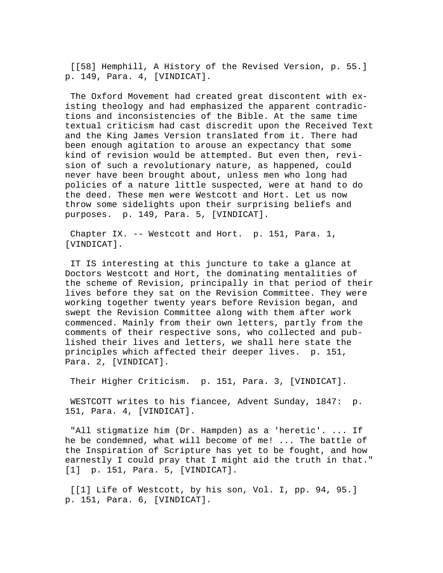[[58] Hemphill, A History of the Revised Version, p. 55.] p. 149, Para. 4, [VINDICAT].

 The Oxford Movement had created great discontent with existing theology and had emphasized the apparent contradictions and inconsistencies of the Bible. At the same time textual criticism had cast discredit upon the Received Text and the King James Version translated from it. There had been enough agitation to arouse an expectancy that some kind of revision would be attempted. But even then, revision of such a revolutionary nature, as happened, could never have been brought about, unless men who long had policies of a nature little suspected, were at hand to do the deed. These men were Westcott and Hort. Let us now throw some sidelights upon their surprising beliefs and purposes. p. 149, Para. 5, [VINDICAT].

 Chapter IX. -- Westcott and Hort. p. 151, Para. 1, [VINDICAT].

 IT IS interesting at this juncture to take a glance at Doctors Westcott and Hort, the dominating mentalities of the scheme of Revision, principally in that period of their lives before they sat on the Revision Committee. They were working together twenty years before Revision began, and swept the Revision Committee along with them after work commenced. Mainly from their own letters, partly from the comments of their respective sons, who collected and published their lives and letters, we shall here state the principles which affected their deeper lives. p. 151, Para. 2, [VINDICAT].

Their Higher Criticism. p. 151, Para. 3, [VINDICAT].

 WESTCOTT writes to his fiancee, Advent Sunday, 1847: p. 151, Para. 4, [VINDICAT].

 "All stigmatize him (Dr. Hampden) as a 'heretic'. ... If he be condemned, what will become of me! ... The battle of the Inspiration of Scripture has yet to be fought, and how earnestly I could pray that I might aid the truth in that." [1] p. 151, Para. 5, [VINDICAT].

 [[1] Life of Westcott, by his son, Vol. I, pp. 94, 95.] p. 151, Para. 6, [VINDICAT].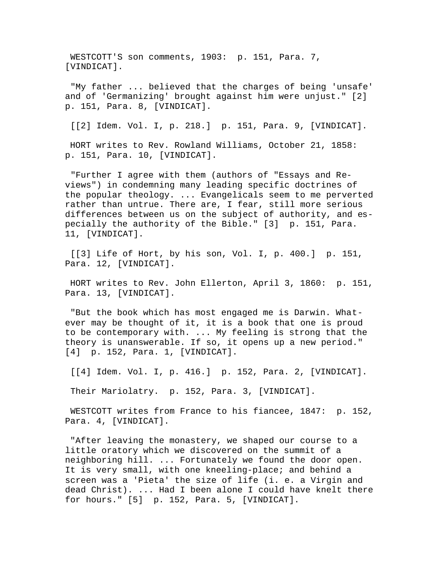WESTCOTT'S son comments, 1903: p. 151, Para. 7, [VINDICAT].

 "My father ... believed that the charges of being 'unsafe' and of 'Germanizing' brought against him were unjust." [2] p. 151, Para. 8, [VINDICAT].

[[2] Idem. Vol. I, p. 218.] p. 151, Para. 9, [VINDICAT].

 HORT writes to Rev. Rowland Williams, October 21, 1858: p. 151, Para. 10, [VINDICAT].

 "Further I agree with them (authors of "Essays and Reviews") in condemning many leading specific doctrines of the popular theology. ... Evangelicals seem to me perverted rather than untrue. There are, I fear, still more serious differences between us on the subject of authority, and especially the authority of the Bible." [3] p. 151, Para. 11, [VINDICAT].

 [[3] Life of Hort, by his son, Vol. I, p. 400.] p. 151, Para. 12, [VINDICAT].

 HORT writes to Rev. John Ellerton, April 3, 1860: p. 151, Para. 13, [VINDICAT].

 "But the book which has most engaged me is Darwin. Whatever may be thought of it, it is a book that one is proud to be contemporary with. ... My feeling is strong that the theory is unanswerable. If so, it opens up a new period." [4] p. 152, Para. 1, [VINDICAT].

[[4] Idem. Vol. I, p. 416.] p. 152, Para. 2, [VINDICAT].

Their Mariolatry. p. 152, Para. 3, [VINDICAT].

 WESTCOTT writes from France to his fiancee, 1847: p. 152, Para. 4, [VINDICAT].

 "After leaving the monastery, we shaped our course to a little oratory which we discovered on the summit of a neighboring hill. ... Fortunately we found the door open. It is very small, with one kneeling-place; and behind a screen was a 'Pieta' the size of life (i. e. a Virgin and dead Christ). ... Had I been alone I could have knelt there for hours." [5] p. 152, Para. 5, [VINDICAT].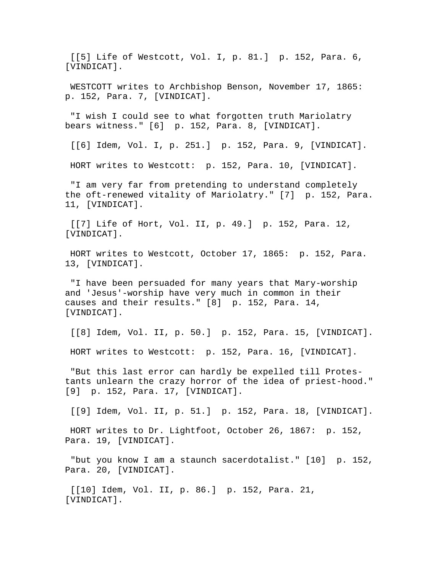[[5] Life of Westcott, Vol. I, p. 81.] p. 152, Para. 6, [VINDICAT].

 WESTCOTT writes to Archbishop Benson, November 17, 1865: p. 152, Para. 7, [VINDICAT].

 "I wish I could see to what forgotten truth Mariolatry bears witness." [6] p. 152, Para. 8, [VINDICAT].

[[6] Idem, Vol. I, p. 251.] p. 152, Para. 9, [VINDICAT].

HORT writes to Westcott: p. 152, Para. 10, [VINDICAT].

 "I am very far from pretending to understand completely the oft-renewed vitality of Mariolatry." [7] p. 152, Para. 11, [VINDICAT].

 [[7] Life of Hort, Vol. II, p. 49.] p. 152, Para. 12, [VINDICAT].

 HORT writes to Westcott, October 17, 1865: p. 152, Para. 13, [VINDICAT].

 "I have been persuaded for many years that Mary-worship and 'Jesus'-worship have very much in common in their causes and their results." [8] p. 152, Para. 14, [VINDICAT].

 [[8] Idem, Vol. II, p. 50.] p. 152, Para. 15, [VINDICAT]. HORT writes to Westcott: p. 152, Para. 16, [VINDICAT].

 "But this last error can hardly be expelled till Protestants unlearn the crazy horror of the idea of priest-hood." [9] p. 152, Para. 17, [VINDICAT].

[[9] Idem, Vol. II, p. 51.] p. 152, Para. 18, [VINDICAT].

 HORT writes to Dr. Lightfoot, October 26, 1867: p. 152, Para. 19, [VINDICAT].

 "but you know I am a staunch sacerdotalist." [10] p. 152, Para. 20, [VINDICAT].

 [[10] Idem, Vol. II, p. 86.] p. 152, Para. 21, [VINDICAT].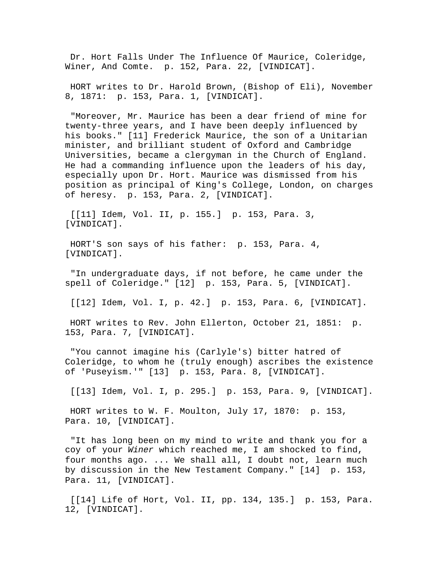Dr. Hort Falls Under The Influence Of Maurice, Coleridge, Winer, And Comte. p. 152, Para. 22, [VINDICAT].

 HORT writes to Dr. Harold Brown, (Bishop of Eli), November 8, 1871: p. 153, Para. 1, [VINDICAT].

 "Moreover, Mr. Maurice has been a dear friend of mine for twenty-three years, and I have been deeply influenced by his books." [11] Frederick Maurice, the son of a Unitarian minister, and brilliant student of Oxford and Cambridge Universities, became a clergyman in the Church of England. He had a commanding influence upon the leaders of his day, especially upon Dr. Hort. Maurice was dismissed from his position as principal of King's College, London, on charges of heresy. p. 153, Para. 2, [VINDICAT].

 [[11] Idem, Vol. II, p. 155.] p. 153, Para. 3, [VINDICAT].

 HORT'S son says of his father: p. 153, Para. 4, [VINDICAT].

 "In undergraduate days, if not before, he came under the spell of Coleridge." [12] p. 153, Para. 5, [VINDICAT].

[[12] Idem, Vol. I, p. 42.] p. 153, Para. 6, [VINDICAT].

 HORT writes to Rev. John Ellerton, October 21, 1851: p. 153, Para. 7, [VINDICAT].

 "You cannot imagine his (Carlyle's) bitter hatred of Coleridge, to whom he (truly enough) ascribes the existence of 'Puseyism.'" [13] p. 153, Para. 8, [VINDICAT].

[[13] Idem, Vol. I, p. 295.] p. 153, Para. 9, [VINDICAT].

 HORT writes to W. F. Moulton, July 17, 1870: p. 153, Para. 10, [VINDICAT].

 "It has long been on my mind to write and thank you for a coy of your *Winer* which reached me, I am shocked to find, four months ago. ... We shall all, I doubt not, learn much by discussion in the New Testament Company." [14] p. 153, Para. 11, [VINDICAT].

 [[14] Life of Hort, Vol. II, pp. 134, 135.] p. 153, Para. 12, [VINDICAT].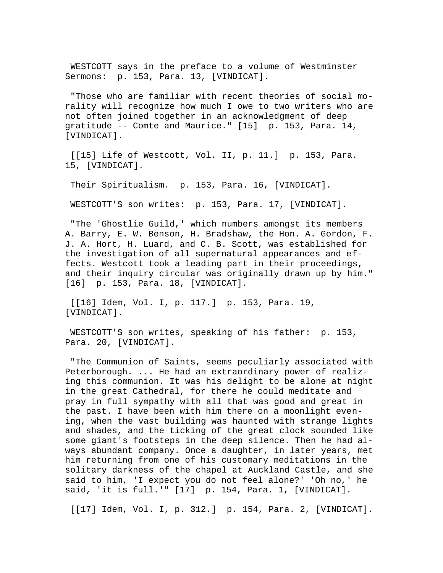WESTCOTT says in the preface to a volume of Westminster Sermons: p. 153, Para. 13, [VINDICAT].

 "Those who are familiar with recent theories of social morality will recognize how much I owe to two writers who are not often joined together in an acknowledgment of deep gratitude -- Comte and Maurice." [15] p. 153, Para. 14, [VINDICAT].

 [[15] Life of Westcott, Vol. II, p. 11.] p. 153, Para. 15, [VINDICAT].

Their Spiritualism. p. 153, Para. 16, [VINDICAT].

WESTCOTT'S son writes: p. 153, Para. 17, [VINDICAT].

 "The 'Ghostlie Guild,' which numbers amongst its members A. Barry, E. W. Benson, H. Bradshaw, the Hon. A. Gordon, F. J. A. Hort, H. Luard, and C. B. Scott, was established for the investigation of all supernatural appearances and effects. Westcott took a leading part in their proceedings, and their inquiry circular was originally drawn up by him." [16] p. 153, Para. 18, [VINDICAT].

 [[16] Idem, Vol. I, p. 117.] p. 153, Para. 19, [VINDICAT].

 WESTCOTT'S son writes, speaking of his father: p. 153, Para. 20, [VINDICAT].

 "The Communion of Saints, seems peculiarly associated with Peterborough. ... He had an extraordinary power of realizing this communion. It was his delight to be alone at night in the great Cathedral, for there he could meditate and pray in full sympathy with all that was good and great in the past. I have been with him there on a moonlight evening, when the vast building was haunted with strange lights and shades, and the ticking of the great clock sounded like some giant's footsteps in the deep silence. Then he had always abundant company. Once a daughter, in later years, met him returning from one of his customary meditations in the solitary darkness of the chapel at Auckland Castle, and she said to him, 'I expect you do not feel alone?' 'Oh no,' he said, 'it is full.'" [17] p. 154, Para. 1, [VINDICAT].

[[17] Idem, Vol. I, p. 312.] p. 154, Para. 2, [VINDICAT].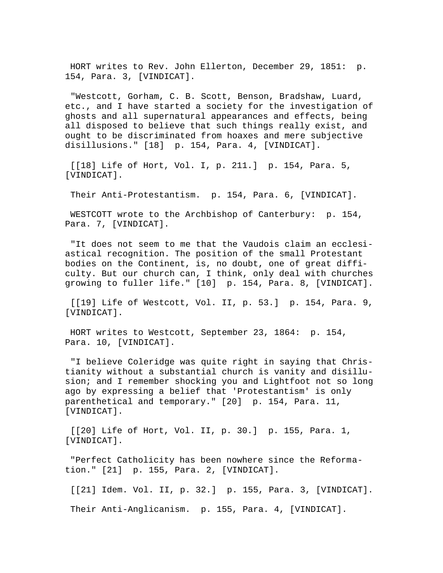HORT writes to Rev. John Ellerton, December 29, 1851: p. 154, Para. 3, [VINDICAT].

 "Westcott, Gorham, C. B. Scott, Benson, Bradshaw, Luard, etc., and I have started a society for the investigation of ghosts and all supernatural appearances and effects, being all disposed to believe that such things really exist, and ought to be discriminated from hoaxes and mere subjective disillusions." [18] p. 154, Para. 4, [VINDICAT].

 [[18] Life of Hort, Vol. I, p. 211.] p. 154, Para. 5, [VINDICAT].

Their Anti-Protestantism. p. 154, Para. 6, [VINDICAT].

 WESTCOTT wrote to the Archbishop of Canterbury: p. 154, Para. 7, [VINDICAT].

 "It does not seem to me that the Vaudois claim an ecclesiastical recognition. The position of the small Protestant bodies on the Continent, is, no doubt, one of great difficulty. But our church can, I think, only deal with churches growing to fuller life." [10] p. 154, Para. 8, [VINDICAT].

 [[19] Life of Westcott, Vol. II, p. 53.] p. 154, Para. 9, [VINDICAT].

 HORT writes to Westcott, September 23, 1864: p. 154, Para. 10, [VINDICAT].

 "I believe Coleridge was quite right in saying that Christianity without a substantial church is vanity and disillusion; and I remember shocking you and Lightfoot not so long ago by expressing a belief that 'Protestantism' is only parenthetical and temporary." [20] p. 154, Para. 11, [VINDICAT].

 [[20] Life of Hort, Vol. II, p. 30.] p. 155, Para. 1, [VINDICAT].

 "Perfect Catholicity has been nowhere since the Reformation." [21] p. 155, Para. 2, [VINDICAT].

 [[21] Idem. Vol. II, p. 32.] p. 155, Para. 3, [VINDICAT]. Their Anti-Anglicanism. p. 155, Para. 4, [VINDICAT].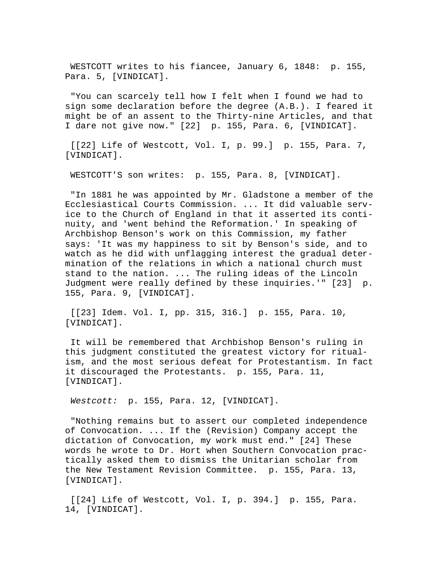WESTCOTT writes to his fiancee, January 6, 1848: p. 155, Para. 5, [VINDICAT].

 "You can scarcely tell how I felt when I found we had to sign some declaration before the degree (A.B.). I feared it might be of an assent to the Thirty-nine Articles, and that I dare not give now." [22] p. 155, Para. 6, [VINDICAT].

 [[22] Life of Westcott, Vol. I, p. 99.] p. 155, Para. 7, [VINDICAT].

WESTCOTT'S son writes: p. 155, Para. 8, [VINDICAT].

 "In 1881 he was appointed by Mr. Gladstone a member of the Ecclesiastical Courts Commission. ... It did valuable service to the Church of England in that it asserted its continuity, and 'went behind the Reformation.' In speaking of Archbishop Benson's work on this Commission, my father says: 'It was my happiness to sit by Benson's side, and to watch as he did with unflagging interest the gradual determination of the relations in which a national church must stand to the nation. ... The ruling ideas of the Lincoln Judgment were really defined by these inquiries.'" [23] p. 155, Para. 9, [VINDICAT].

 [[23] Idem. Vol. I, pp. 315, 316.] p. 155, Para. 10, [VINDICAT].

 It will be remembered that Archbishop Benson's ruling in this judgment constituted the greatest victory for ritualism, and the most serious defeat for Protestantism. In fact it discouraged the Protestants. p. 155, Para. 11, [VINDICAT].

 *Westcott:* p. 155, Para. 12, [VINDICAT].

 "Nothing remains but to assert our completed independence of Convocation. ... If the (Revision) Company accept the dictation of Convocation, my work must end." [24] These words he wrote to Dr. Hort when Southern Convocation practically asked them to dismiss the Unitarian scholar from the New Testament Revision Committee. p. 155, Para. 13, [VINDICAT].

 [[24] Life of Westcott, Vol. I, p. 394.] p. 155, Para. 14, [VINDICAT].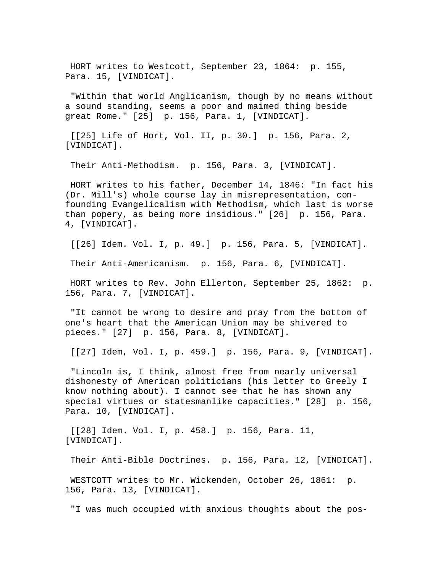HORT writes to Westcott, September 23, 1864: p. 155, Para. 15, [VINDICAT].

 "Within that world Anglicanism, though by no means without a sound standing, seems a poor and maimed thing beside great Rome." [25] p. 156, Para. 1, [VINDICAT].

 [[25] Life of Hort, Vol. II, p. 30.] p. 156, Para. 2, [VINDICAT].

Their Anti-Methodism. p. 156, Para. 3, [VINDICAT].

 HORT writes to his father, December 14, 1846: "In fact his (Dr. Mill's) whole course lay in misrepresentation, confounding Evangelicalism with Methodism, which last is worse than popery, as being more insidious." [26] p. 156, Para. 4, [VINDICAT].

[[26] Idem. Vol. I, p. 49.] p. 156, Para. 5, [VINDICAT].

Their Anti-Americanism. p. 156, Para. 6, [VINDICAT].

 HORT writes to Rev. John Ellerton, September 25, 1862: p. 156, Para. 7, [VINDICAT].

 "It cannot be wrong to desire and pray from the bottom of one's heart that the American Union may be shivered to pieces." [27] p. 156, Para. 8, [VINDICAT].

[[27] Idem, Vol. I, p. 459.] p. 156, Para. 9, [VINDICAT].

 "Lincoln is, I think, almost free from nearly universal dishonesty of American politicians (his letter to Greely I know nothing about). I cannot see that he has shown any special virtues or statesmanlike capacities." [28] p. 156, Para. 10, [VINDICAT].

 [[28] Idem. Vol. I, p. 458.] p. 156, Para. 11, [VINDICAT].

Their Anti-Bible Doctrines. p. 156, Para. 12, [VINDICAT].

 WESTCOTT writes to Mr. Wickenden, October 26, 1861: p. 156, Para. 13, [VINDICAT].

"I was much occupied with anxious thoughts about the pos-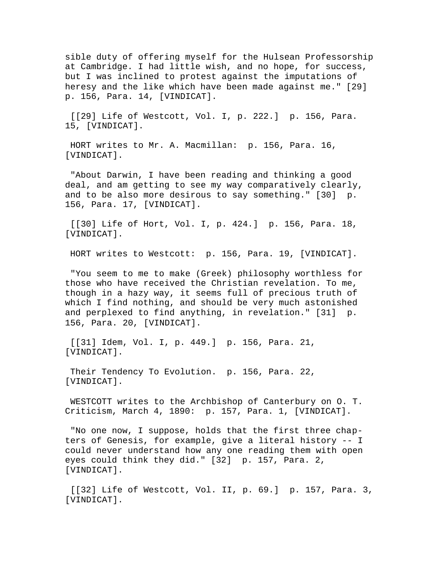sible duty of offering myself for the Hulsean Professorship at Cambridge. I had little wish, and no hope, for success, but I was inclined to protest against the imputations of heresy and the like which have been made against me." [29] p. 156, Para. 14, [VINDICAT].

 [[29] Life of Westcott, Vol. I, p. 222.] p. 156, Para. 15, [VINDICAT].

 HORT writes to Mr. A. Macmillan: p. 156, Para. 16, [VINDICAT].

 "About Darwin, I have been reading and thinking a good deal, and am getting to see my way comparatively clearly, and to be also more desirous to say something." [30] p. 156, Para. 17, [VINDICAT].

 [[30] Life of Hort, Vol. I, p. 424.] p. 156, Para. 18, [VINDICAT].

HORT writes to Westcott: p. 156, Para. 19, [VINDICAT].

 "You seem to me to make (Greek) philosophy worthless for those who have received the Christian revelation. To me, though in a hazy way, it seems full of precious truth of which I find nothing, and should be very much astonished and perplexed to find anything, in revelation." [31] p. 156, Para. 20, [VINDICAT].

 [[31] Idem, Vol. I, p. 449.] p. 156, Para. 21, [VINDICAT].

 Their Tendency To Evolution. p. 156, Para. 22, [VINDICAT].

 WESTCOTT writes to the Archbishop of Canterbury on O. T. Criticism, March 4, 1890: p. 157, Para. 1, [VINDICAT].

 "No one now, I suppose, holds that the first three chapters of Genesis, for example, give a literal history -- I could never understand how any one reading them with open eyes could think they did." [32] p. 157, Para. 2, [VINDICAT].

 [[32] Life of Westcott, Vol. II, p. 69.] p. 157, Para. 3, [VINDICAT].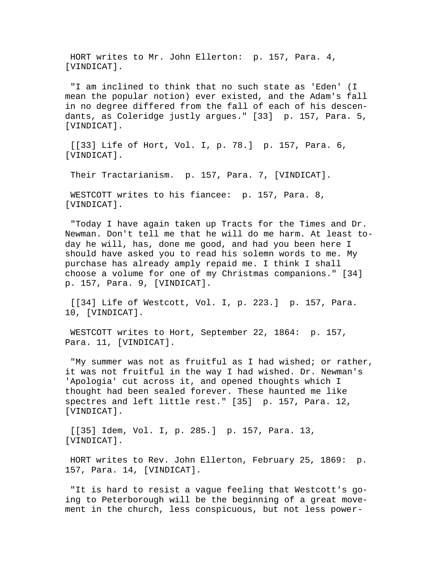HORT writes to Mr. John Ellerton: p. 157, Para. 4, [VINDICAT].

 "I am inclined to think that no such state as 'Eden' (I mean the popular notion) ever existed, and the Adam's fall in no degree differed from the fall of each of his descendants, as Coleridge justly argues." [33] p. 157, Para. 5, [VINDICAT].

 [[33] Life of Hort, Vol. I, p. 78.] p. 157, Para. 6, [VINDICAT].

Their Tractarianism. p. 157, Para. 7, [VINDICAT].

WESTCOTT writes to his fiancee: p. 157, Para. 8, [VINDICAT].

 "Today I have again taken up Tracts for the Times and Dr. Newman. Don't tell me that he will do me harm. At least today he will, has, done me good, and had you been here I should have asked you to read his solemn words to me. My purchase has already amply repaid me. I think I shall choose a volume for one of my Christmas companions." [34] p. 157, Para. 9, [VINDICAT].

 [[34] Life of Westcott, Vol. I, p. 223.] p. 157, Para. 10, [VINDICAT].

 WESTCOTT writes to Hort, September 22, 1864: p. 157, Para. 11, [VINDICAT].

 "My summer was not as fruitful as I had wished; or rather, it was not fruitful in the way I had wished. Dr. Newman's 'Apologia' cut across it, and opened thoughts which I thought had been sealed forever. These haunted me like spectres and left little rest." [35] p. 157, Para. 12, [VINDICAT].

 [[35] Idem, Vol. I, p. 285.] p. 157, Para. 13, [VINDICAT].

 HORT writes to Rev. John Ellerton, February 25, 1869: p. 157, Para. 14, [VINDICAT].

 "It is hard to resist a vague feeling that Westcott's going to Peterborough will be the beginning of a great movement in the church, less conspicuous, but not less power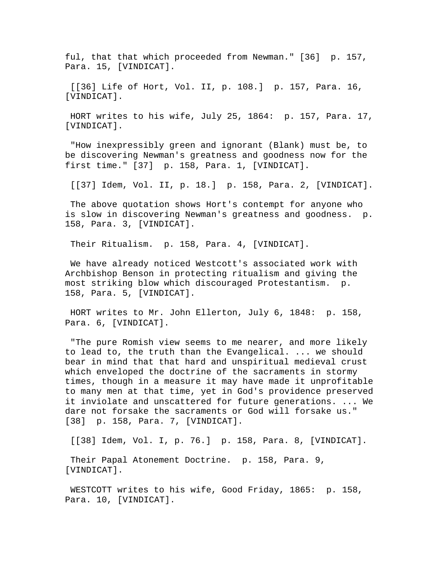ful, that that which proceeded from Newman." [36] p. 157, Para. 15, [VINDICAT].

 [[36] Life of Hort, Vol. II, p. 108.] p. 157, Para. 16, [VINDICAT].

 HORT writes to his wife, July 25, 1864: p. 157, Para. 17, [VINDICAT].

 "How inexpressibly green and ignorant (Blank) must be, to be discovering Newman's greatness and goodness now for the first time." [37] p. 158, Para. 1, [VINDICAT].

[[37] Idem, Vol. II, p. 18.] p. 158, Para. 2, [VINDICAT].

 The above quotation shows Hort's contempt for anyone who is slow in discovering Newman's greatness and goodness. p. 158, Para. 3, [VINDICAT].

Their Ritualism. p. 158, Para. 4, [VINDICAT].

 We have already noticed Westcott's associated work with Archbishop Benson in protecting ritualism and giving the most striking blow which discouraged Protestantism. p. 158, Para. 5, [VINDICAT].

 HORT writes to Mr. John Ellerton, July 6, 1848: p. 158, Para. 6, [VINDICAT].

 "The pure Romish view seems to me nearer, and more likely to lead to, the truth than the Evangelical. ... we should bear in mind that that hard and unspiritual medieval crust which enveloped the doctrine of the sacraments in stormy times, though in a measure it may have made it unprofitable to many men at that time, yet in God's providence preserved it inviolate and unscattered for future generations. ... We dare not forsake the sacraments or God will forsake us." [38] p. 158, Para. 7, [VINDICAT].

[[38] Idem, Vol. I, p. 76.] p. 158, Para. 8, [VINDICAT].

 Their Papal Atonement Doctrine. p. 158, Para. 9, [VINDICAT].

 WESTCOTT writes to his wife, Good Friday, 1865: p. 158, Para. 10, [VINDICAT].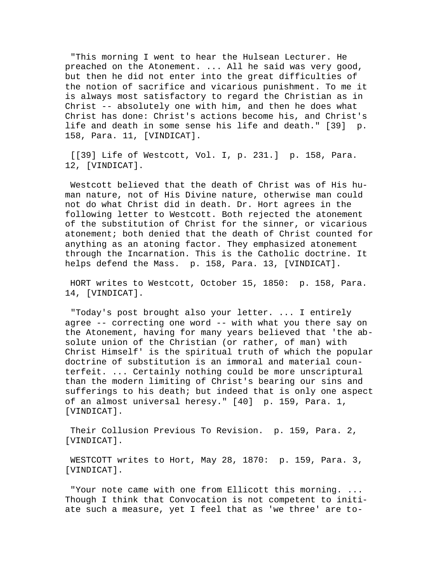"This morning I went to hear the Hulsean Lecturer. He preached on the Atonement. ... All he said was very good, but then he did not enter into the great difficulties of the notion of sacrifice and vicarious punishment. To me it is always most satisfactory to regard the Christian as in Christ -- absolutely one with him, and then he does what Christ has done: Christ's actions become his, and Christ's life and death in some sense his life and death." [39] p. 158, Para. 11, [VINDICAT].

 [[39] Life of Westcott, Vol. I, p. 231.] p. 158, Para. 12, [VINDICAT].

 Westcott believed that the death of Christ was of His human nature, not of His Divine nature, otherwise man could not do what Christ did in death. Dr. Hort agrees in the following letter to Westcott. Both rejected the atonement of the substitution of Christ for the sinner, or vicarious atonement; both denied that the death of Christ counted for anything as an atoning factor. They emphasized atonement through the Incarnation. This is the Catholic doctrine. It helps defend the Mass. p. 158, Para. 13, [VINDICAT].

 HORT writes to Westcott, October 15, 1850: p. 158, Para. 14, [VINDICAT].

 "Today's post brought also your letter. ... I entirely agree -- correcting one word -- with what you there say on the Atonement, having for many years believed that 'the absolute union of the Christian (or rather, of man) with Christ Himself' is the spiritual truth of which the popular doctrine of substitution is an immoral and material counterfeit. ... Certainly nothing could be more unscriptural than the modern limiting of Christ's bearing our sins and sufferings to his death; but indeed that is only one aspect of an almost universal heresy." [40] p. 159, Para. 1, [VINDICAT].

 Their Collusion Previous To Revision. p. 159, Para. 2, [VINDICAT].

 WESTCOTT writes to Hort, May 28, 1870: p. 159, Para. 3, [VINDICAT].

 "Your note came with one from Ellicott this morning. ... Though I think that Convocation is not competent to initiate such a measure, yet I feel that as 'we three' are to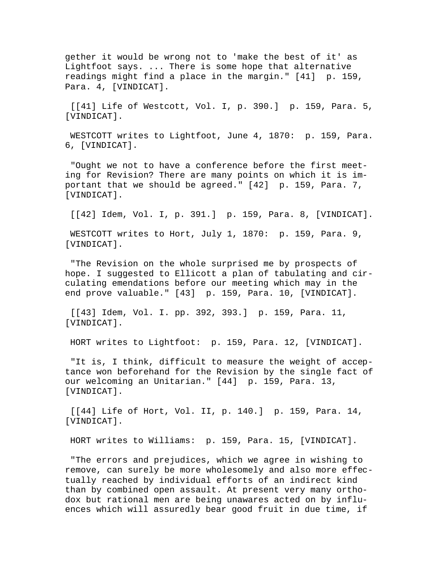gether it would be wrong not to 'make the best of it' as Lightfoot says. ... There is some hope that alternative readings might find a place in the margin." [41] p. 159, Para. 4, [VINDICAT].

 [[41] Life of Westcott, Vol. I, p. 390.] p. 159, Para. 5, [VINDICAT].

 WESTCOTT writes to Lightfoot, June 4, 1870: p. 159, Para. 6, [VINDICAT].

 "Ought we not to have a conference before the first meeting for Revision? There are many points on which it is important that we should be agreed." [42] p. 159, Para. 7, [VINDICAT].

[[42] Idem, Vol. I, p. 391.] p. 159, Para. 8, [VINDICAT].

 WESTCOTT writes to Hort, July 1, 1870: p. 159, Para. 9, [VINDICAT].

 "The Revision on the whole surprised me by prospects of hope. I suggested to Ellicott a plan of tabulating and circulating emendations before our meeting which may in the end prove valuable." [43] p. 159, Para. 10, [VINDICAT].

 [[43] Idem, Vol. I. pp. 392, 393.] p. 159, Para. 11, [VINDICAT].

HORT writes to Lightfoot: p. 159, Para. 12, [VINDICAT].

 "It is, I think, difficult to measure the weight of acceptance won beforehand for the Revision by the single fact of our welcoming an Unitarian." [44] p. 159, Para. 13, [VINDICAT].

 [[44] Life of Hort, Vol. II, p. 140.] p. 159, Para. 14, [VINDICAT].

HORT writes to Williams: p. 159, Para. 15, [VINDICAT].

 "The errors and prejudices, which we agree in wishing to remove, can surely be more wholesomely and also more effectually reached by individual efforts of an indirect kind than by combined open assault. At present very many orthodox but rational men are being unawares acted on by influences which will assuredly bear good fruit in due time, if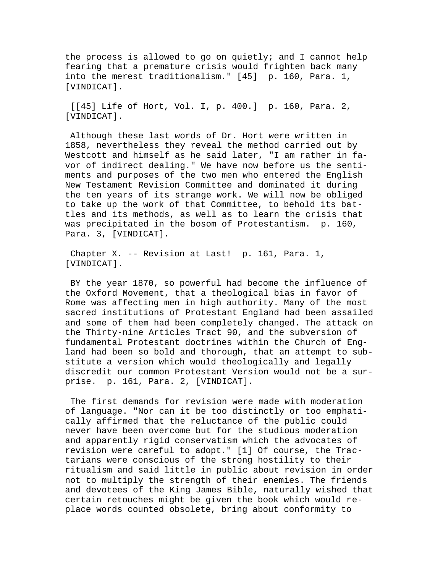the process is allowed to go on quietly; and I cannot help fearing that a premature crisis would frighten back many into the merest traditionalism." [45] p. 160, Para. 1, [VINDICAT].

 [[45] Life of Hort, Vol. I, p. 400.] p. 160, Para. 2, [VINDICAT].

 Although these last words of Dr. Hort were written in 1858, nevertheless they reveal the method carried out by Westcott and himself as he said later, "I am rather in favor of indirect dealing." We have now before us the sentiments and purposes of the two men who entered the English New Testament Revision Committee and dominated it during the ten years of its strange work. We will now be obliged to take up the work of that Committee, to behold its battles and its methods, as well as to learn the crisis that was precipitated in the bosom of Protestantism. p. 160, Para. 3, [VINDICAT].

 Chapter X. -- Revision at Last! p. 161, Para. 1, [VINDICAT].

 BY the year 1870, so powerful had become the influence of the Oxford Movement, that a theological bias in favor of Rome was affecting men in high authority. Many of the most sacred institutions of Protestant England had been assailed and some of them had been completely changed. The attack on the Thirty-nine Articles Tract 90, and the subversion of fundamental Protestant doctrines within the Church of England had been so bold and thorough, that an attempt to substitute a version which would theologically and legally discredit our common Protestant Version would not be a surprise. p. 161, Para. 2, [VINDICAT].

 The first demands for revision were made with moderation of language. "Nor can it be too distinctly or too emphatically affirmed that the reluctance of the public could never have been overcome but for the studious moderation and apparently rigid conservatism which the advocates of revision were careful to adopt." [1] Of course, the Tractarians were conscious of the strong hostility to their ritualism and said little in public about revision in order not to multiply the strength of their enemies. The friends and devotees of the King James Bible, naturally wished that certain retouches might be given the book which would replace words counted obsolete, bring about conformity to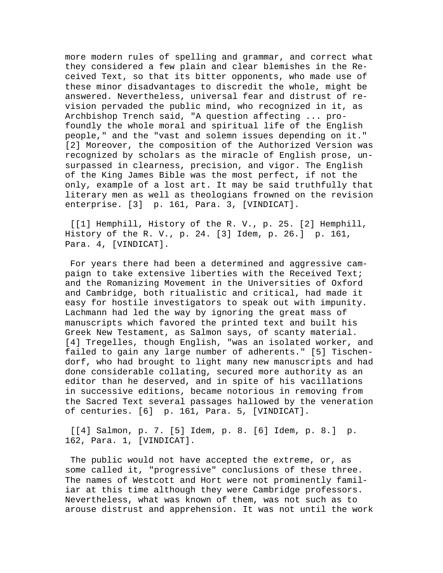more modern rules of spelling and grammar, and correct what they considered a few plain and clear blemishes in the Received Text, so that its bitter opponents, who made use of these minor disadvantages to discredit the whole, might be answered. Nevertheless, universal fear and distrust of revision pervaded the public mind, who recognized in it, as Archbishop Trench said, "A question affecting ... profoundly the whole moral and spiritual life of the English people," and the "vast and solemn issues depending on it." [2] Moreover, the composition of the Authorized Version was recognized by scholars as the miracle of English prose, unsurpassed in clearness, precision, and vigor. The English of the King James Bible was the most perfect, if not the only, example of a lost art. It may be said truthfully that literary men as well as theologians frowned on the revision enterprise. [3] p. 161, Para. 3, [VINDICAT].

 [[1] Hemphill, History of the R. V., p. 25. [2] Hemphill, History of the R. V., p. 24. [3] Idem, p. 26.] p. 161, Para. 4, [VINDICAT].

 For years there had been a determined and aggressive campaign to take extensive liberties with the Received Text; and the Romanizing Movement in the Universities of Oxford and Cambridge, both ritualistic and critical, had made it easy for hostile investigators to speak out with impunity. Lachmann had led the way by ignoring the great mass of manuscripts which favored the printed text and built his Greek New Testament, as Salmon says, of scanty material. [4] Tregelles, though English, "was an isolated worker, and failed to gain any large number of adherents." [5] Tischendorf, who had brought to light many new manuscripts and had done considerable collating, secured more authority as an editor than he deserved, and in spite of his vacillations in successive editions, became notorious in removing from the Sacred Text several passages hallowed by the veneration of centuries. [6] p. 161, Para. 5, [VINDICAT].

 [[4] Salmon, p. 7. [5] Idem, p. 8. [6] Idem, p. 8.] p. 162, Para. 1, [VINDICAT].

 The public would not have accepted the extreme, or, as some called it, "progressive" conclusions of these three. The names of Westcott and Hort were not prominently familiar at this time although they were Cambridge professors. Nevertheless, what was known of them, was not such as to arouse distrust and apprehension. It was not until the work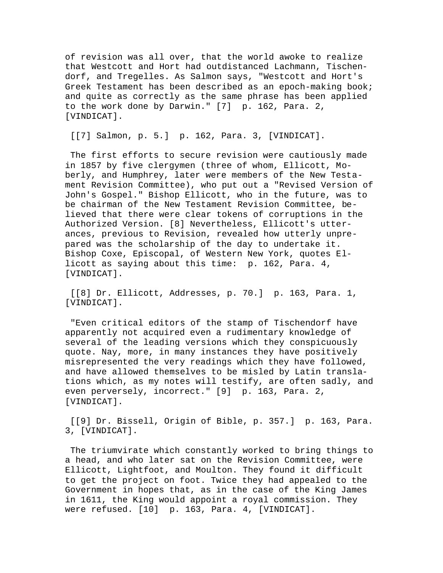of revision was all over, that the world awoke to realize that Westcott and Hort had outdistanced Lachmann, Tischendorf, and Tregelles. As Salmon says, "Westcott and Hort's Greek Testament has been described as an epoch-making book; and quite as correctly as the same phrase has been applied to the work done by Darwin." [7] p. 162, Para. 2, [VINDICAT].

[[7] Salmon, p. 5.] p. 162, Para. 3, [VINDICAT].

 The first efforts to secure revision were cautiously made in 1857 by five clergymen (three of whom, Ellicott, Moberly, and Humphrey, later were members of the New Testament Revision Committee), who put out a "Revised Version of John's Gospel." Bishop Ellicott, who in the future, was to be chairman of the New Testament Revision Committee, believed that there were clear tokens of corruptions in the Authorized Version. [8] Nevertheless, Ellicott's utterances, previous to Revision, revealed how utterly unprepared was the scholarship of the day to undertake it. Bishop Coxe, Episcopal, of Western New York, quotes Ellicott as saying about this time: p. 162, Para. 4, [VINDICAT].

 [[8] Dr. Ellicott, Addresses, p. 70.] p. 163, Para. 1, [VINDICAT].

 "Even critical editors of the stamp of Tischendorf have apparently not acquired even a rudimentary knowledge of several of the leading versions which they conspicuously quote. Nay, more, in many instances they have positively misrepresented the very readings which they have followed, and have allowed themselves to be misled by Latin translations which, as my notes will testify, are often sadly, and even perversely, incorrect." [9] p. 163, Para. 2, [VINDICAT].

 [[9] Dr. Bissell, Origin of Bible, p. 357.] p. 163, Para. 3, [VINDICAT].

 The triumvirate which constantly worked to bring things to a head, and who later sat on the Revision Committee, were Ellicott, Lightfoot, and Moulton. They found it difficult to get the project on foot. Twice they had appealed to the Government in hopes that, as in the case of the King James in 1611, the King would appoint a royal commission. They were refused. [10] p. 163, Para. 4, [VINDICAT].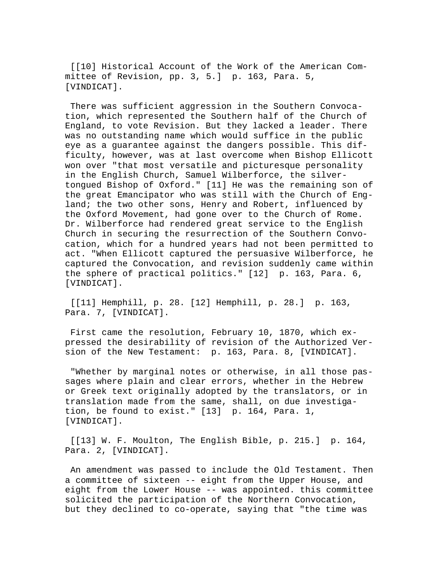[[10] Historical Account of the Work of the American Committee of Revision, pp. 3, 5.] p. 163, Para. 5, [VINDICAT].

 There was sufficient aggression in the Southern Convocation, which represented the Southern half of the Church of England, to vote Revision. But they lacked a leader. There was no outstanding name which would suffice in the public eye as a guarantee against the dangers possible. This difficulty, however, was at last overcome when Bishop Ellicott won over "that most versatile and picturesque personality in the English Church, Samuel Wilberforce, the silvertongued Bishop of Oxford." [11] He was the remaining son of the great Emancipator who was still with the Church of England; the two other sons, Henry and Robert, influenced by the Oxford Movement, had gone over to the Church of Rome. Dr. Wilberforce had rendered great service to the English Church in securing the resurrection of the Southern Convocation, which for a hundred years had not been permitted to act. "When Ellicott captured the persuasive Wilberforce, he captured the Convocation, and revision suddenly came within the sphere of practical politics." [12] p. 163, Para. 6, [VINDICAT].

 [[11] Hemphill, p. 28. [12] Hemphill, p. 28.] p. 163, Para. 7, [VINDICAT].

 First came the resolution, February 10, 1870, which expressed the desirability of revision of the Authorized Version of the New Testament: p. 163, Para. 8, [VINDICAT].

 "Whether by marginal notes or otherwise, in all those passages where plain and clear errors, whether in the Hebrew or Greek text originally adopted by the translators, or in translation made from the same, shall, on due investigation, be found to exist." [13] p. 164, Para. 1, [VINDICAT].

 [[13] W. F. Moulton, The English Bible, p. 215.] p. 164, Para. 2, [VINDICAT].

 An amendment was passed to include the Old Testament. Then a committee of sixteen -- eight from the Upper House, and eight from the Lower House -- was appointed. this committee solicited the participation of the Northern Convocation, but they declined to co-operate, saying that "the time was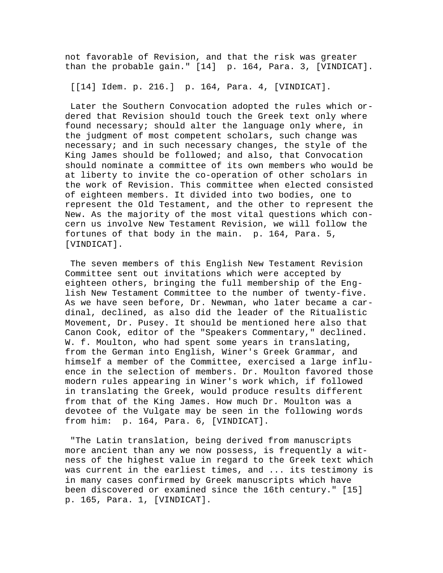not favorable of Revision, and that the risk was greater than the probable gain." [14] p. 164, Para. 3, [VINDICAT].

[[14] Idem. p. 216.] p. 164, Para. 4, [VINDICAT].

 Later the Southern Convocation adopted the rules which ordered that Revision should touch the Greek text only where found necessary; should alter the language only where, in the judgment of most competent scholars, such change was necessary; and in such necessary changes, the style of the King James should be followed; and also, that Convocation should nominate a committee of its own members who would be at liberty to invite the co-operation of other scholars in the work of Revision. This committee when elected consisted of eighteen members. It divided into two bodies, one to represent the Old Testament, and the other to represent the New. As the majority of the most vital questions which concern us involve New Testament Revision, we will follow the fortunes of that body in the main. p. 164, Para. 5, [VINDICAT].

 The seven members of this English New Testament Revision Committee sent out invitations which were accepted by eighteen others, bringing the full membership of the English New Testament Committee to the number of twenty-five. As we have seen before, Dr. Newman, who later became a cardinal, declined, as also did the leader of the Ritualistic Movement, Dr. Pusey. It should be mentioned here also that Canon Cook, editor of the "Speakers Commentary," declined. W. f. Moulton, who had spent some years in translating, from the German into English, Winer's Greek Grammar, and himself a member of the Committee, exercised a large influence in the selection of members. Dr. Moulton favored those modern rules appearing in Winer's work which, if followed in translating the Greek, would produce results different from that of the King James. How much Dr. Moulton was a devotee of the Vulgate may be seen in the following words from him: p. 164, Para. 6, [VINDICAT].

 "The Latin translation, being derived from manuscripts more ancient than any we now possess, is frequently a witness of the highest value in regard to the Greek text which was current in the earliest times, and ... its testimony is in many cases confirmed by Greek manuscripts which have been discovered or examined since the 16th century." [15] p. 165, Para. 1, [VINDICAT].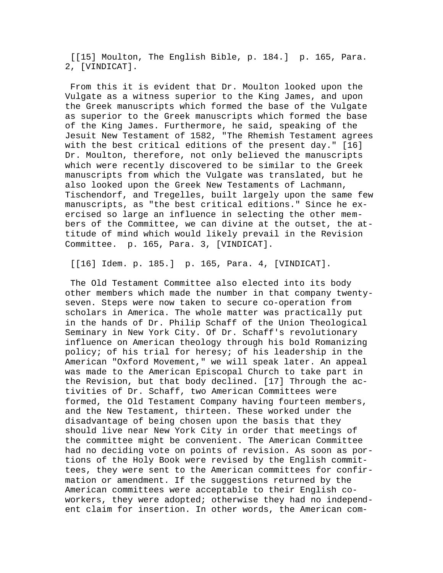[[15] Moulton, The English Bible, p. 184.] p. 165, Para. 2, [VINDICAT].

 From this it is evident that Dr. Moulton looked upon the Vulgate as a witness superior to the King James, and upon the Greek manuscripts which formed the base of the Vulgate as superior to the Greek manuscripts which formed the base of the King James. Furthermore, he said, speaking of the Jesuit New Testament of 1582, "The Rhemish Testament agrees with the best critical editions of the present day." [16] Dr. Moulton, therefore, not only believed the manuscripts which were recently discovered to be similar to the Greek manuscripts from which the Vulgate was translated, but he also looked upon the Greek New Testaments of Lachmann, Tischendorf, and Tregelles, built largely upon the same few manuscripts, as "the best critical editions." Since he exercised so large an influence in selecting the other members of the Committee, we can divine at the outset, the attitude of mind which would likely prevail in the Revision Committee. p. 165, Para. 3, [VINDICAT].

[[16] Idem. p. 185.] p. 165, Para. 4, [VINDICAT].

 The Old Testament Committee also elected into its body other members which made the number in that company twentyseven. Steps were now taken to secure co-operation from scholars in America. The whole matter was practically put in the hands of Dr. Philip Schaff of the Union Theological Seminary in New York City. Of Dr. Schaff's revolutionary influence on American theology through his bold Romanizing policy; of his trial for heresy; of his leadership in the American "Oxford Movement," we will speak later. An appeal was made to the American Episcopal Church to take part in the Revision, but that body declined. [17] Through the activities of Dr. Schaff, two American Committees were formed, the Old Testament Company having fourteen members, and the New Testament, thirteen. These worked under the disadvantage of being chosen upon the basis that they should live near New York City in order that meetings of the committee might be convenient. The American Committee had no deciding vote on points of revision. As soon as portions of the Holy Book were revised by the English committees, they were sent to the American committees for confirmation or amendment. If the suggestions returned by the American committees were acceptable to their English coworkers, they were adopted; otherwise they had no independent claim for insertion. In other words, the American com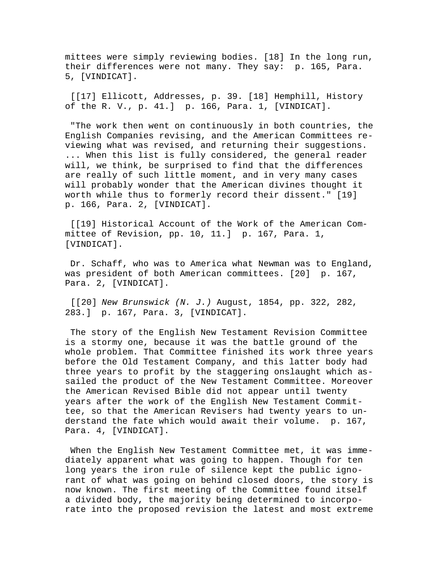mittees were simply reviewing bodies. [18] In the long run, their differences were not many. They say: p. 165, Para. 5, [VINDICAT].

 [[17] Ellicott, Addresses, p. 39. [18] Hemphill, History of the R. V., p. 41.] p. 166, Para. 1, [VINDICAT].

 "The work then went on continuously in both countries, the English Companies revising, and the American Committees reviewing what was revised, and returning their suggestions. ... When this list is fully considered, the general reader will, we think, be surprised to find that the differences are really of such little moment, and in very many cases will probably wonder that the American divines thought it worth while thus to formerly record their dissent." [19] p. 166, Para. 2, [VINDICAT].

 [[19] Historical Account of the Work of the American Committee of Revision, pp. 10, 11.] p. 167, Para. 1, [VINDICAT].

 Dr. Schaff, who was to America what Newman was to England, was president of both American committees. [20] p. 167, Para. 2, [VINDICAT].

 [[20] *New Brunswick (N. J.)* August, 1854, pp. 322, 282, 283.] p. 167, Para. 3, [VINDICAT].

 The story of the English New Testament Revision Committee is a stormy one, because it was the battle ground of the whole problem. That Committee finished its work three years before the Old Testament Company, and this latter body had three years to profit by the staggering onslaught which assailed the product of the New Testament Committee. Moreover the American Revised Bible did not appear until twenty years after the work of the English New Testament Committee, so that the American Revisers had twenty years to understand the fate which would await their volume. p. 167, Para. 4, [VINDICAT].

 When the English New Testament Committee met, it was immediately apparent what was going to happen. Though for ten long years the iron rule of silence kept the public ignorant of what was going on behind closed doors, the story is now known. The first meeting of the Committee found itself a divided body, the majority being determined to incorporate into the proposed revision the latest and most extreme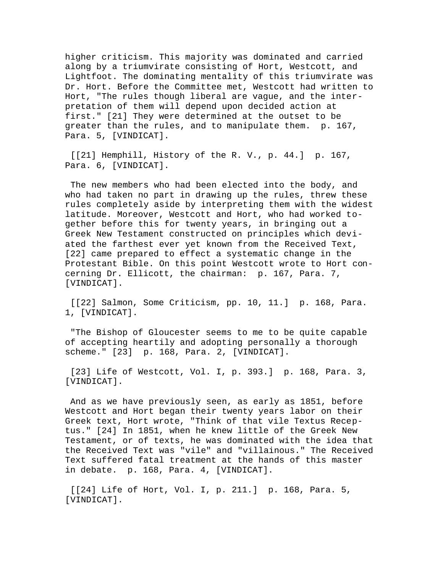higher criticism. This majority was dominated and carried along by a triumvirate consisting of Hort, Westcott, and Lightfoot. The dominating mentality of this triumvirate was Dr. Hort. Before the Committee met, Westcott had written to Hort, "The rules though liberal are vague, and the interpretation of them will depend upon decided action at first." [21] They were determined at the outset to be greater than the rules, and to manipulate them. p. 167, Para. 5, [VINDICAT].

 [[21] Hemphill, History of the R. V., p. 44.] p. 167, Para. 6, [VINDICAT].

 The new members who had been elected into the body, and who had taken no part in drawing up the rules, threw these rules completely aside by interpreting them with the widest latitude. Moreover, Westcott and Hort, who had worked together before this for twenty years, in bringing out a Greek New Testament constructed on principles which deviated the farthest ever yet known from the Received Text, [22] came prepared to effect a systematic change in the Protestant Bible. On this point Westcott wrote to Hort concerning Dr. Ellicott, the chairman: p. 167, Para. 7, [VINDICAT].

 [[22] Salmon, Some Criticism, pp. 10, 11.] p. 168, Para. 1, [VINDICAT].

 "The Bishop of Gloucester seems to me to be quite capable of accepting heartily and adopting personally a thorough scheme." [23] p. 168, Para. 2, [VINDICAT].

 [23] Life of Westcott, Vol. I, p. 393.] p. 168, Para. 3, [VINDICAT].

 And as we have previously seen, as early as 1851, before Westcott and Hort began their twenty years labor on their Greek text, Hort wrote, "Think of that vile Textus Receptus." [24] In 1851, when he knew little of the Greek New Testament, or of texts, he was dominated with the idea that the Received Text was "vile" and "villainous." The Received Text suffered fatal treatment at the hands of this master in debate. p. 168, Para. 4, [VINDICAT].

 [[24] Life of Hort, Vol. I, p. 211.] p. 168, Para. 5, [VINDICAT].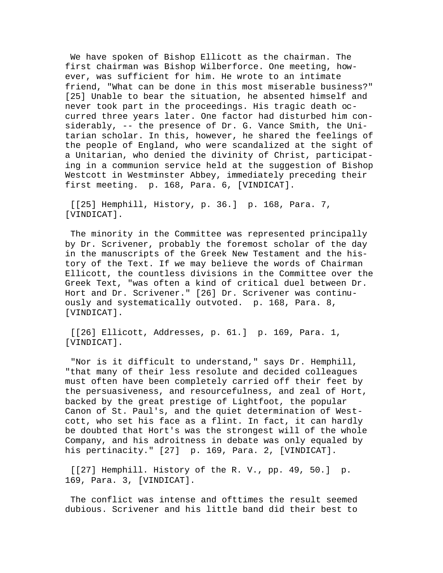We have spoken of Bishop Ellicott as the chairman. The first chairman was Bishop Wilberforce. One meeting, however, was sufficient for him. He wrote to an intimate friend, "What can be done in this most miserable business?" [25] Unable to bear the situation, he absented himself and never took part in the proceedings. His tragic death occurred three years later. One factor had disturbed him considerably, -- the presence of Dr. G. Vance Smith, the Unitarian scholar. In this, however, he shared the feelings of the people of England, who were scandalized at the sight of a Unitarian, who denied the divinity of Christ, participating in a communion service held at the suggestion of Bishop Westcott in Westminster Abbey, immediately preceding their first meeting. p. 168, Para. 6, [VINDICAT].

 [[25] Hemphill, History, p. 36.] p. 168, Para. 7, [VINDICAT].

 The minority in the Committee was represented principally by Dr. Scrivener, probably the foremost scholar of the day in the manuscripts of the Greek New Testament and the history of the Text. If we may believe the words of Chairman Ellicott, the countless divisions in the Committee over the Greek Text, "was often a kind of critical duel between Dr. Hort and Dr. Scrivener." [26] Dr. Scrivener was continuously and systematically outvoted. p. 168, Para. 8, [VINDICAT].

 [[26] Ellicott, Addresses, p. 61.] p. 169, Para. 1, [VINDICAT].

 "Nor is it difficult to understand," says Dr. Hemphill, "that many of their less resolute and decided colleagues must often have been completely carried off their feet by the persuasiveness, and resourcefulness, and zeal of Hort, backed by the great prestige of Lightfoot, the popular Canon of St. Paul's, and the quiet determination of Westcott, who set his face as a flint. In fact, it can hardly be doubted that Hort's was the strongest will of the whole Company, and his adroitness in debate was only equaled by his pertinacity." [27] p. 169, Para. 2, [VINDICAT].

 [[27] Hemphill. History of the R. V., pp. 49, 50.] p. 169, Para. 3, [VINDICAT].

 The conflict was intense and ofttimes the result seemed dubious. Scrivener and his little band did their best to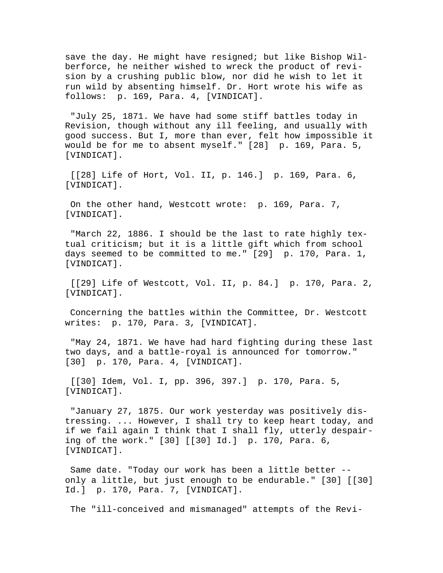save the day. He might have resigned; but like Bishop Wilberforce, he neither wished to wreck the product of revision by a crushing public blow, nor did he wish to let it run wild by absenting himself. Dr. Hort wrote his wife as follows: p. 169, Para. 4, [VINDICAT].

 "July 25, 1871. We have had some stiff battles today in Revision, though without any ill feeling, and usually with good success. But I, more than ever, felt how impossible it would be for me to absent myself." [28] p. 169, Para. 5, [VINDICAT].

 [[28] Life of Hort, Vol. II, p. 146.] p. 169, Para. 6, [VINDICAT].

 On the other hand, Westcott wrote: p. 169, Para. 7, [VINDICAT].

 "March 22, 1886. I should be the last to rate highly textual criticism; but it is a little gift which from school days seemed to be committed to me." [29] p. 170, Para. 1, [VINDICAT].

 [[29] Life of Westcott, Vol. II, p. 84.] p. 170, Para. 2, [VINDICAT].

 Concerning the battles within the Committee, Dr. Westcott writes: p. 170, Para. 3, [VINDICAT].

 "May 24, 1871. We have had hard fighting during these last two days, and a battle-royal is announced for tomorrow." [30] p. 170, Para. 4, [VINDICAT].

 [[30] Idem, Vol. I, pp. 396, 397.] p. 170, Para. 5, [VINDICAT].

 "January 27, 1875. Our work yesterday was positively distressing. ... However, I shall try to keep heart today, and if we fail again I think that I shall fly, utterly despairing of the work." [30] [[30] Id.] p. 170, Para. 6, [VINDICAT].

 Same date. "Today our work has been a little better - only a little, but just enough to be endurable." [30] [[30] Id.] p. 170, Para. 7, [VINDICAT].

The "ill-conceived and mismanaged" attempts of the Revi-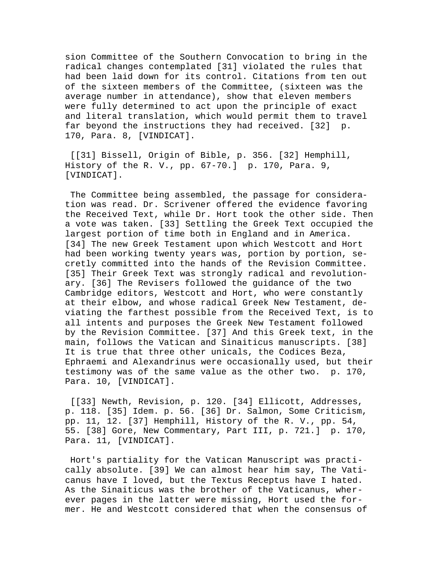sion Committee of the Southern Convocation to bring in the radical changes contemplated [31] violated the rules that had been laid down for its control. Citations from ten out of the sixteen members of the Committee, (sixteen was the average number in attendance), show that eleven members were fully determined to act upon the principle of exact and literal translation, which would permit them to travel far beyond the instructions they had received. [32] p. 170, Para. 8, [VINDICAT].

 [[31] Bissell, Origin of Bible, p. 356. [32] Hemphill, History of the R. V., pp. 67-70.] p. 170, Para. 9, [VINDICAT].

 The Committee being assembled, the passage for consideration was read. Dr. Scrivener offered the evidence favoring the Received Text, while Dr. Hort took the other side. Then a vote was taken. [33] Settling the Greek Text occupied the largest portion of time both in England and in America. [34] The new Greek Testament upon which Westcott and Hort had been working twenty years was, portion by portion, secretly committed into the hands of the Revision Committee. [35] Their Greek Text was strongly radical and revolutionary. [36] The Revisers followed the guidance of the two Cambridge editors, Westcott and Hort, who were constantly at their elbow, and whose radical Greek New Testament, deviating the farthest possible from the Received Text, is to all intents and purposes the Greek New Testament followed by the Revision Committee. [37] And this Greek text, in the main, follows the Vatican and Sinaiticus manuscripts. [38] It is true that three other unicals, the Codices Beza, Ephraemi and Alexandrinus were occasionally used, but their testimony was of the same value as the other two. p. 170, Para. 10, [VINDICAT].

 [[33] Newth, Revision, p. 120. [34] Ellicott, Addresses, p. 118. [35] Idem. p. 56. [36] Dr. Salmon, Some Criticism, pp. 11, 12. [37] Hemphill, History of the R. V., pp. 54, 55. [38] Gore, New Commentary, Part III, p. 721.] p. 170, Para. 11, [VINDICAT].

 Hort's partiality for the Vatican Manuscript was practically absolute. [39] We can almost hear him say, The Vaticanus have I loved, but the Textus Receptus have I hated. As the Sinaiticus was the brother of the Vaticanus, wherever pages in the latter were missing, Hort used the former. He and Westcott considered that when the consensus of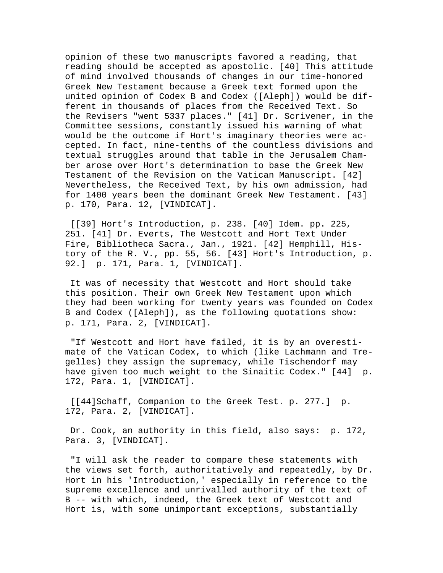opinion of these two manuscripts favored a reading, that reading should be accepted as apostolic. [40] This attitude of mind involved thousands of changes in our time-honored Greek New Testament because a Greek text formed upon the united opinion of Codex B and Codex ([Aleph]) would be different in thousands of places from the Received Text. So the Revisers "went 5337 places." [41] Dr. Scrivener, in the Committee sessions, constantly issued his warning of what would be the outcome if Hort's imaginary theories were accepted. In fact, nine-tenths of the countless divisions and textual struggles around that table in the Jerusalem Chamber arose over Hort's determination to base the Greek New Testament of the Revision on the Vatican Manuscript. [42] Nevertheless, the Received Text, by his own admission, had for 1400 years been the dominant Greek New Testament. [43] p. 170, Para. 12, [VINDICAT].

 [[39] Hort's Introduction, p. 238. [40] Idem. pp. 225, 251. [41] Dr. Everts, The Westcott and Hort Text Under Fire, Bibliotheca Sacra., Jan., 1921. [42] Hemphill, History of the R. V., pp. 55, 56. [43] Hort's Introduction, p. 92.] p. 171, Para. 1, [VINDICAT].

 It was of necessity that Westcott and Hort should take this position. Their own Greek New Testament upon which they had been working for twenty years was founded on Codex B and Codex ([Aleph]), as the following quotations show: p. 171, Para. 2, [VINDICAT].

 "If Westcott and Hort have failed, it is by an overestimate of the Vatican Codex, to which (like Lachmann and Tregelles) they assign the supremacy, while Tischendorf may have given too much weight to the Sinaitic Codex." [44] p. 172, Para. 1, [VINDICAT].

 [[44]Schaff, Companion to the Greek Test. p. 277.] p. 172, Para. 2, [VINDICAT].

 Dr. Cook, an authority in this field, also says: p. 172, Para. 3, [VINDICAT].

 "I will ask the reader to compare these statements with the views set forth, authoritatively and repeatedly, by Dr. Hort in his 'Introduction,' especially in reference to the supreme excellence and unrivalled authority of the text of B -- with which, indeed, the Greek text of Westcott and Hort is, with some unimportant exceptions, substantially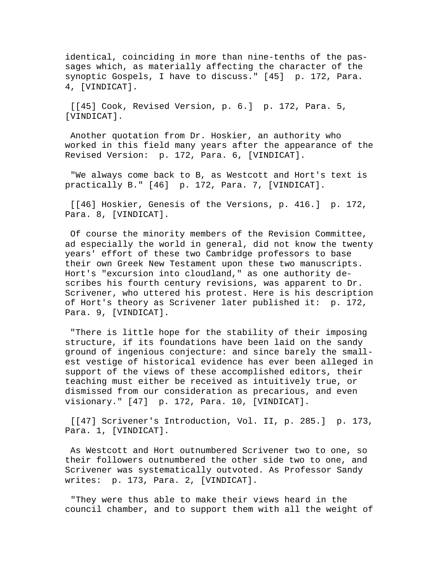identical, coinciding in more than nine-tenths of the passages which, as materially affecting the character of the synoptic Gospels, I have to discuss." [45] p. 172, Para. 4, [VINDICAT].

 [[45] Cook, Revised Version, p. 6.] p. 172, Para. 5, [VINDICAT].

 Another quotation from Dr. Hoskier, an authority who worked in this field many years after the appearance of the Revised Version: p. 172, Para. 6, [VINDICAT].

 "We always come back to B, as Westcott and Hort's text is practically B." [46] p. 172, Para. 7, [VINDICAT].

 [[46] Hoskier, Genesis of the Versions, p. 416.] p. 172, Para. 8, [VINDICAT].

 Of course the minority members of the Revision Committee, ad especially the world in general, did not know the twenty years' effort of these two Cambridge professors to base their own Greek New Testament upon these two manuscripts. Hort's "excursion into cloudland," as one authority describes his fourth century revisions, was apparent to Dr. Scrivener, who uttered his protest. Here is his description of Hort's theory as Scrivener later published it: p. 172, Para. 9, [VINDICAT].

 "There is little hope for the stability of their imposing structure, if its foundations have been laid on the sandy ground of ingenious conjecture: and since barely the smallest vestige of historical evidence has ever been alleged in support of the views of these accomplished editors, their teaching must either be received as intuitively true, or dismissed from our consideration as precarious, and even visionary." [47] p. 172, Para. 10, [VINDICAT].

 [[47] Scrivener's Introduction, Vol. II, p. 285.] p. 173, Para. 1, [VINDICAT].

 As Westcott and Hort outnumbered Scrivener two to one, so their followers outnumbered the other side two to one, and Scrivener was systematically outvoted. As Professor Sandy writes: p. 173, Para. 2, [VINDICAT].

 "They were thus able to make their views heard in the council chamber, and to support them with all the weight of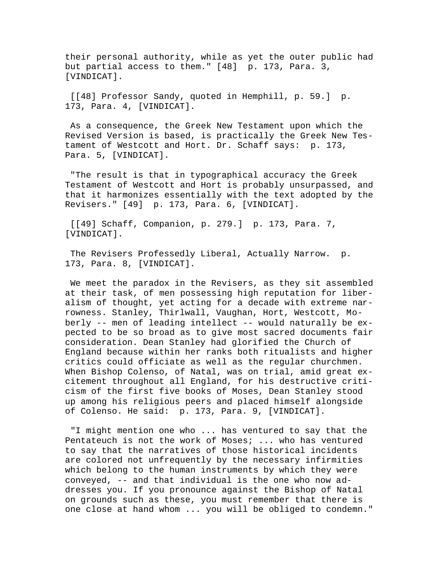their personal authority, while as yet the outer public had but partial access to them." [48] p. 173, Para. 3, [VINDICAT].

 [[48] Professor Sandy, quoted in Hemphill, p. 59.] p. 173, Para. 4, [VINDICAT].

 As a consequence, the Greek New Testament upon which the Revised Version is based, is practically the Greek New Testament of Westcott and Hort. Dr. Schaff says: p. 173, Para. 5, [VINDICAT].

 "The result is that in typographical accuracy the Greek Testament of Westcott and Hort is probably unsurpassed, and that it harmonizes essentially with the text adopted by the Revisers." [49] p. 173, Para. 6, [VINDICAT].

 [[49] Schaff, Companion, p. 279.] p. 173, Para. 7, [VINDICAT].

 The Revisers Professedly Liberal, Actually Narrow. p. 173, Para. 8, [VINDICAT].

 We meet the paradox in the Revisers, as they sit assembled at their task, of men possessing high reputation for liberalism of thought, yet acting for a decade with extreme narrowness. Stanley, Thirlwall, Vaughan, Hort, Westcott, Moberly -- men of leading intellect -- would naturally be expected to be so broad as to give most sacred documents fair consideration. Dean Stanley had glorified the Church of England because within her ranks both ritualists and higher critics could officiate as well as the regular churchmen. When Bishop Colenso, of Natal, was on trial, amid great excitement throughout all England, for his destructive criticism of the first five books of Moses, Dean Stanley stood up among his religious peers and placed himself alongside of Colenso. He said: p. 173, Para. 9, [VINDICAT].

 "I might mention one who ... has ventured to say that the Pentateuch is not the work of Moses; ... who has ventured to say that the narratives of those historical incidents are colored not unfrequently by the necessary infirmities which belong to the human instruments by which they were conveyed, -- and that individual is the one who now addresses you. If you pronounce against the Bishop of Natal on grounds such as these, you must remember that there is one close at hand whom ... you will be obliged to condemn."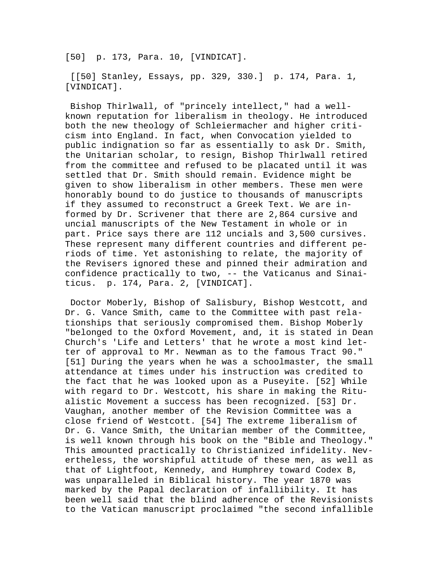[50] p. 173, Para. 10, [VINDICAT].

 [[50] Stanley, Essays, pp. 329, 330.] p. 174, Para. 1, [VINDICAT].

 Bishop Thirlwall, of "princely intellect," had a wellknown reputation for liberalism in theology. He introduced both the new theology of Schleiermacher and higher criticism into England. In fact, when Convocation yielded to public indignation so far as essentially to ask Dr. Smith, the Unitarian scholar, to resign, Bishop Thirlwall retired from the committee and refused to be placated until it was settled that Dr. Smith should remain. Evidence might be given to show liberalism in other members. These men were honorably bound to do justice to thousands of manuscripts if they assumed to reconstruct a Greek Text. We are informed by Dr. Scrivener that there are 2,864 cursive and uncial manuscripts of the New Testament in whole or in part. Price says there are 112 uncials and 3,500 cursives. These represent many different countries and different periods of time. Yet astonishing to relate, the majority of the Revisers ignored these and pinned their admiration and confidence practically to two, -- the Vaticanus and Sinaiticus. p. 174, Para. 2, [VINDICAT].

 Doctor Moberly, Bishop of Salisbury, Bishop Westcott, and Dr. G. Vance Smith, came to the Committee with past relationships that seriously compromised them. Bishop Moberly "belonged to the Oxford Movement, and, it is stated in Dean Church's 'Life and Letters' that he wrote a most kind letter of approval to Mr. Newman as to the famous Tract 90." [51] During the years when he was a schoolmaster, the small attendance at times under his instruction was credited to the fact that he was looked upon as a Puseyite. [52] While with regard to Dr. Westcott, his share in making the Ritualistic Movement a success has been recognized. [53] Dr. Vaughan, another member of the Revision Committee was a close friend of Westcott. [54] The extreme liberalism of Dr. G. Vance Smith, the Unitarian member of the Committee, is well known through his book on the "Bible and Theology." This amounted practically to Christianized infidelity. Nevertheless, the worshipful attitude of these men, as well as that of Lightfoot, Kennedy, and Humphrey toward Codex B, was unparalleled in Biblical history. The year 1870 was marked by the Papal declaration of infallibility. It has been well said that the blind adherence of the Revisionists to the Vatican manuscript proclaimed "the second infallible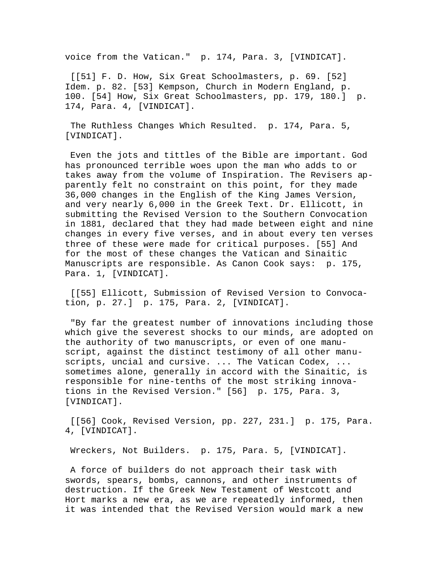voice from the Vatican." p. 174, Para. 3, [VINDICAT].

 [[51] F. D. How, Six Great Schoolmasters, p. 69. [52] Idem. p. 82. [53] Kempson, Church in Modern England, p. 100. [54] How, Six Great Schoolmasters, pp. 179, 180.] p. 174, Para. 4, [VINDICAT].

 The Ruthless Changes Which Resulted. p. 174, Para. 5, [VINDICAT].

 Even the jots and tittles of the Bible are important. God has pronounced terrible woes upon the man who adds to or takes away from the volume of Inspiration. The Revisers apparently felt no constraint on this point, for they made 36,000 changes in the English of the King James Version, and very nearly 6,000 in the Greek Text. Dr. Ellicott, in submitting the Revised Version to the Southern Convocation in 1881, declared that they had made between eight and nine changes in every five verses, and in about every ten verses three of these were made for critical purposes. [55] And for the most of these changes the Vatican and Sinaitic Manuscripts are responsible. As Canon Cook says: p. 175, Para. 1, [VINDICAT].

 [[55] Ellicott, Submission of Revised Version to Convocation, p. 27.] p. 175, Para. 2, [VINDICAT].

 "By far the greatest number of innovations including those which give the severest shocks to our minds, are adopted on the authority of two manuscripts, or even of one manuscript, against the distinct testimony of all other manuscripts, uncial and cursive. ... The Vatican Codex, ... sometimes alone, generally in accord with the Sinaitic, is responsible for nine-tenths of the most striking innovations in the Revised Version." [56] p. 175, Para. 3, [VINDICAT].

 [[56] Cook, Revised Version, pp. 227, 231.] p. 175, Para. 4, [VINDICAT].

Wreckers, Not Builders. p. 175, Para. 5, [VINDICAT].

 A force of builders do not approach their task with swords, spears, bombs, cannons, and other instruments of destruction. If the Greek New Testament of Westcott and Hort marks a new era, as we are repeatedly informed, then it was intended that the Revised Version would mark a new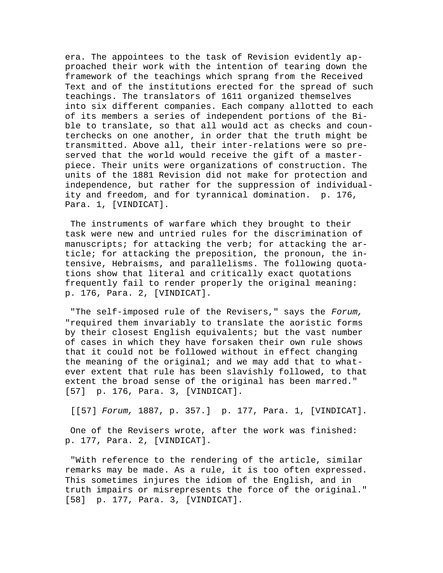era. The appointees to the task of Revision evidently approached their work with the intention of tearing down the framework of the teachings which sprang from the Received Text and of the institutions erected for the spread of such teachings. The translators of 1611 organized themselves into six different companies. Each company allotted to each of its members a series of independent portions of the Bible to translate, so that all would act as checks and counterchecks on one another, in order that the truth might be transmitted. Above all, their inter-relations were so preserved that the world would receive the gift of a masterpiece. Their units were organizations of construction. The units of the 1881 Revision did not make for protection and independence, but rather for the suppression of individuality and freedom, and for tyrannical domination. p. 176, Para. 1, [VINDICAT].

 The instruments of warfare which they brought to their task were new and untried rules for the discrimination of manuscripts; for attacking the verb; for attacking the article; for attacking the preposition, the pronoun, the intensive, Hebraisms, and parallelisms. The following quotations show that literal and critically exact quotations frequently fail to render properly the original meaning: p. 176, Para. 2, [VINDICAT].

 "The self-imposed rule of the Revisers," says the *Forum,* "required them invariably to translate the aoristic forms by their closest English equivalents; but the vast number of cases in which they have forsaken their own rule shows that it could not be followed without in effect changing the meaning of the original; and we may add that to whatever extent that rule has been slavishly followed, to that extent the broad sense of the original has been marred." [57] p. 176, Para. 3, [VINDICAT].

[[57] *Forum,* 1887, p. 357.] p. 177, Para. 1, [VINDICAT].

 One of the Revisers wrote, after the work was finished: p. 177, Para. 2, [VINDICAT].

 "With reference to the rendering of the article, similar remarks may be made. As a rule, it is too often expressed. This sometimes injures the idiom of the English, and in truth impairs or misrepresents the force of the original." [58] p. 177, Para. 3, [VINDICAT].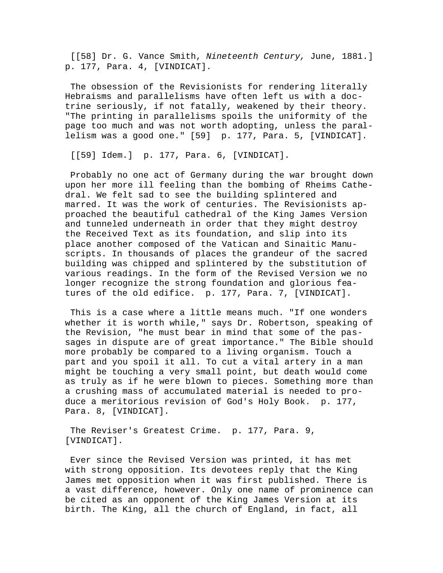[[58] Dr. G. Vance Smith, *Nineteenth Century,* June, 1881.] p. 177, Para. 4, [VINDICAT].

 The obsession of the Revisionists for rendering literally Hebraisms and parallelisms have often left us with a doctrine seriously, if not fatally, weakened by their theory. "The printing in parallelisms spoils the uniformity of the page too much and was not worth adopting, unless the parallelism was a good one." [59] p. 177, Para. 5, [VINDICAT].

[[59] Idem.] p. 177, Para. 6, [VINDICAT].

 Probably no one act of Germany during the war brought down upon her more ill feeling than the bombing of Rheims Cathedral. We felt sad to see the building splintered and marred. It was the work of centuries. The Revisionists approached the beautiful cathedral of the King James Version and tunneled underneath in order that they might destroy the Received Text as its foundation, and slip into its place another composed of the Vatican and Sinaitic Manuscripts. In thousands of places the grandeur of the sacred building was chipped and splintered by the substitution of various readings. In the form of the Revised Version we no longer recognize the strong foundation and glorious features of the old edifice. p. 177, Para. 7, [VINDICAT].

 This is a case where a little means much. "If one wonders whether it is worth while," says Dr. Robertson, speaking of the Revision, "he must bear in mind that some of the passages in dispute are of great importance." The Bible should more probably be compared to a living organism. Touch a part and you spoil it all. To cut a vital artery in a man might be touching a very small point, but death would come as truly as if he were blown to pieces. Something more than a crushing mass of accumulated material is needed to produce a meritorious revision of God's Holy Book. p. 177, Para. 8, [VINDICAT].

The Reviser's Greatest Crime. p. 177, Para. 9, [VINDICAT].

 Ever since the Revised Version was printed, it has met with strong opposition. Its devotees reply that the King James met opposition when it was first published. There is a vast difference, however. Only one name of prominence can be cited as an opponent of the King James Version at its birth. The King, all the church of England, in fact, all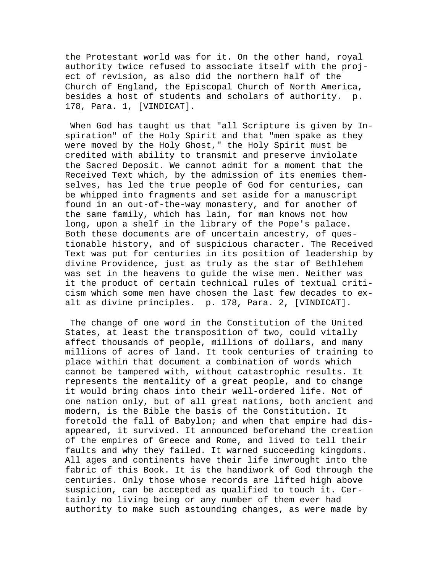the Protestant world was for it. On the other hand, royal authority twice refused to associate itself with the project of revision, as also did the northern half of the Church of England, the Episcopal Church of North America, besides a host of students and scholars of authority. p. 178, Para. 1, [VINDICAT].

 When God has taught us that "all Scripture is given by Inspiration" of the Holy Spirit and that "men spake as they were moved by the Holy Ghost," the Holy Spirit must be credited with ability to transmit and preserve inviolate the Sacred Deposit. We cannot admit for a moment that the Received Text which, by the admission of its enemies themselves, has led the true people of God for centuries, can be whipped into fragments and set aside for a manuscript found in an out-of-the-way monastery, and for another of the same family, which has lain, for man knows not how long, upon a shelf in the library of the Pope's palace. Both these documents are of uncertain ancestry, of questionable history, and of suspicious character. The Received Text was put for centuries in its position of leadership by divine Providence, just as truly as the star of Bethlehem was set in the heavens to guide the wise men. Neither was it the product of certain technical rules of textual criticism which some men have chosen the last few decades to exalt as divine principles. p. 178, Para. 2, [VINDICAT].

 The change of one word in the Constitution of the United States, at least the transposition of two, could vitally affect thousands of people, millions of dollars, and many millions of acres of land. It took centuries of training to place within that document a combination of words which cannot be tampered with, without catastrophic results. It represents the mentality of a great people, and to change it would bring chaos into their well-ordered life. Not of one nation only, but of all great nations, both ancient and modern, is the Bible the basis of the Constitution. It foretold the fall of Babylon; and when that empire had disappeared, it survived. It announced beforehand the creation of the empires of Greece and Rome, and lived to tell their faults and why they failed. It warned succeeding kingdoms. All ages and continents have their life inwrought into the fabric of this Book. It is the handiwork of God through the centuries. Only those whose records are lifted high above suspicion, can be accepted as qualified to touch it. Certainly no living being or any number of them ever had authority to make such astounding changes, as were made by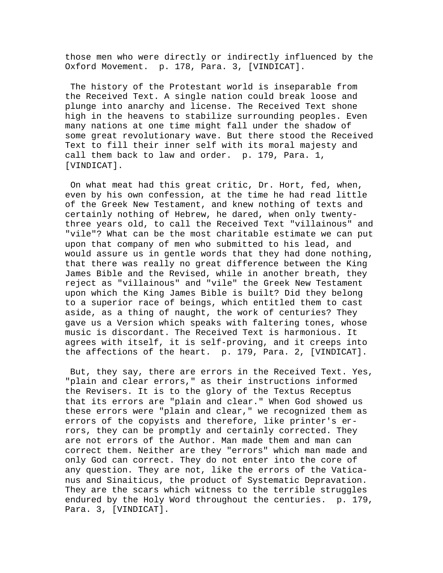those men who were directly or indirectly influenced by the Oxford Movement. p. 178, Para. 3, [VINDICAT].

 The history of the Protestant world is inseparable from the Received Text. A single nation could break loose and plunge into anarchy and license. The Received Text shone high in the heavens to stabilize surrounding peoples. Even many nations at one time might fall under the shadow of some great revolutionary wave. But there stood the Received Text to fill their inner self with its moral majesty and call them back to law and order. p. 179, Para. 1, [VINDICAT].

 On what meat had this great critic, Dr. Hort, fed, when, even by his own confession, at the time he had read little of the Greek New Testament, and knew nothing of texts and certainly nothing of Hebrew, he dared, when only twentythree years old, to call the Received Text "villainous" and "vile"? What can be the most charitable estimate we can put upon that company of men who submitted to his lead, and would assure us in gentle words that they had done nothing, that there was really no great difference between the King James Bible and the Revised, while in another breath, they reject as "villainous" and "vile" the Greek New Testament upon which the King James Bible is built? Did they belong to a superior race of beings, which entitled them to cast aside, as a thing of naught, the work of centuries? They gave us a Version which speaks with faltering tones, whose music is discordant. The Received Text is harmonious. It agrees with itself, it is self-proving, and it creeps into the affections of the heart. p. 179, Para. 2, [VINDICAT].

 But, they say, there are errors in the Received Text. Yes, "plain and clear errors," as their instructions informed the Revisers. It is to the glory of the Textus Receptus that its errors are "plain and clear." When God showed us these errors were "plain and clear," we recognized them as errors of the copyists and therefore, like printer's errors, they can be promptly and certainly corrected. They are not errors of the Author. Man made them and man can correct them. Neither are they "errors" which man made and only God can correct. They do not enter into the core of any question. They are not, like the errors of the Vaticanus and Sinaiticus, the product of Systematic Depravation. They are the scars which witness to the terrible struggles endured by the Holy Word throughout the centuries. p. 179, Para. 3, [VINDICAT].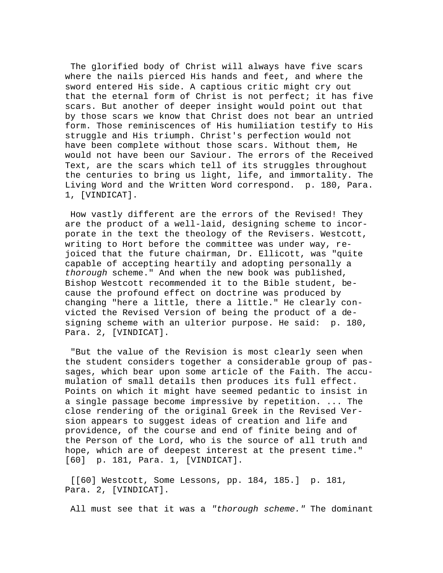The glorified body of Christ will always have five scars where the nails pierced His hands and feet, and where the sword entered His side. A captious critic might cry out that the eternal form of Christ is not perfect; it has five scars. But another of deeper insight would point out that by those scars we know that Christ does not bear an untried form. Those reminiscences of His humiliation testify to His struggle and His triumph. Christ's perfection would not have been complete without those scars. Without them, He would not have been our Saviour. The errors of the Received Text, are the scars which tell of its struggles throughout the centuries to bring us light, life, and immortality. The Living Word and the Written Word correspond. p. 180, Para. 1, [VINDICAT].

 How vastly different are the errors of the Revised! They are the product of a well-laid, designing scheme to incorporate in the text the theology of the Revisers. Westcott, writing to Hort before the committee was under way, rejoiced that the future chairman, Dr. Ellicott, was "quite capable of accepting heartily and adopting personally a *thorough* scheme." And when the new book was published, Bishop Westcott recommended it to the Bible student, because the profound effect on doctrine was produced by changing "here a little, there a little." He clearly convicted the Revised Version of being the product of a designing scheme with an ulterior purpose. He said: p. 180, Para. 2, [VINDICAT].

 "But the value of the Revision is most clearly seen when the student considers together a considerable group of passages, which bear upon some article of the Faith. The accumulation of small details then produces its full effect. Points on which it might have seemed pedantic to insist in a single passage become impressive by repetition. ... The close rendering of the original Greek in the Revised Version appears to suggest ideas of creation and life and providence, of the course and end of finite being and of the Person of the Lord, who is the source of all truth and hope, which are of deepest interest at the present time." [60] p. 181, Para. 1, [VINDICAT].

 [[60] Westcott, Some Lessons, pp. 184, 185.] p. 181, Para. 2, [VINDICAT].

All must see that it was a *"thorough scheme."* The dominant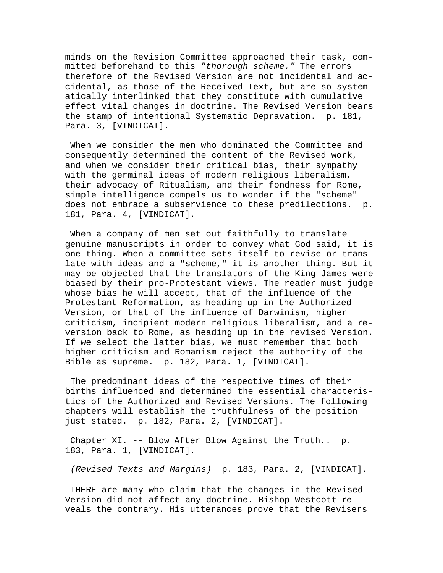minds on the Revision Committee approached their task, committed beforehand to this *"thorough scheme."* The errors therefore of the Revised Version are not incidental and accidental, as those of the Received Text, but are so systematically interlinked that they constitute with cumulative effect vital changes in doctrine. The Revised Version bears the stamp of intentional Systematic Depravation. p. 181, Para. 3, [VINDICAT].

 When we consider the men who dominated the Committee and consequently determined the content of the Revised work, and when we consider their critical bias, their sympathy with the germinal ideas of modern religious liberalism, their advocacy of Ritualism, and their fondness for Rome, simple intelligence compels us to wonder if the "scheme" does not embrace a subservience to these predilections. p. 181, Para. 4, [VINDICAT].

 When a company of men set out faithfully to translate genuine manuscripts in order to convey what God said, it is one thing. When a committee sets itself to revise or translate with ideas and a "scheme," it is another thing. But it may be objected that the translators of the King James were biased by their pro-Protestant views. The reader must judge whose bias he will accept, that of the influence of the Protestant Reformation, as heading up in the Authorized Version, or that of the influence of Darwinism, higher criticism, incipient modern religious liberalism, and a reversion back to Rome, as heading up in the revised Version. If we select the latter bias, we must remember that both higher criticism and Romanism reject the authority of the Bible as supreme. p. 182, Para. 1, [VINDICAT].

 The predominant ideas of the respective times of their births influenced and determined the essential characteristics of the Authorized and Revised Versions. The following chapters will establish the truthfulness of the position just stated. p. 182, Para. 2, [VINDICAT].

 Chapter XI. -- Blow After Blow Against the Truth.. p. 183, Para. 1, [VINDICAT].

 *(Revised Texts and Margins)* p. 183, Para. 2, [VINDICAT].

 THERE are many who claim that the changes in the Revised Version did not affect any doctrine. Bishop Westcott reveals the contrary. His utterances prove that the Revisers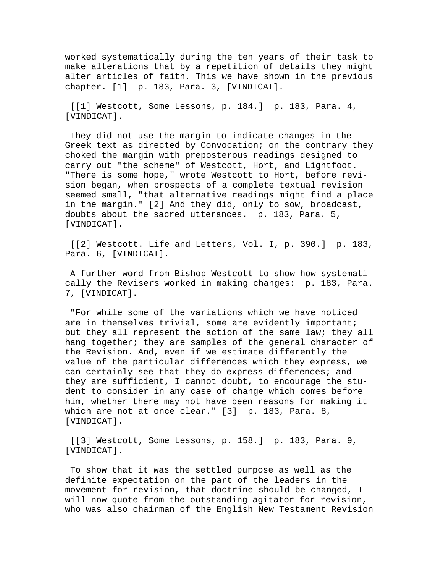worked systematically during the ten years of their task to make alterations that by a repetition of details they might alter articles of faith. This we have shown in the previous chapter. [1] p. 183, Para. 3, [VINDICAT].

 [[1] Westcott, Some Lessons, p. 184.] p. 183, Para. 4, [VINDICAT].

 They did not use the margin to indicate changes in the Greek text as directed by Convocation; on the contrary they choked the margin with preposterous readings designed to carry out "the scheme" of Westcott, Hort, and Lightfoot. "There is some hope," wrote Westcott to Hort, before revision began, when prospects of a complete textual revision seemed small, "that alternative readings might find a place in the margin." [2] And they did, only to sow, broadcast, doubts about the sacred utterances. p. 183, Para. 5, [VINDICAT].

 [[2] Westcott. Life and Letters, Vol. I, p. 390.] p. 183, Para. 6, [VINDICAT].

 A further word from Bishop Westcott to show how systematically the Revisers worked in making changes: p. 183, Para. 7, [VINDICAT].

 "For while some of the variations which we have noticed are in themselves trivial, some are evidently important; but they all represent the action of the same law; they all hang together; they are samples of the general character of the Revision. And, even if we estimate differently the value of the particular differences which they express, we can certainly see that they do express differences; and they are sufficient, I cannot doubt, to encourage the student to consider in any case of change which comes before him, whether there may not have been reasons for making it which are not at once clear." [3] p. 183, Para. 8, [VINDICAT].

 [[3] Westcott, Some Lessons, p. 158.] p. 183, Para. 9, [VINDICAT].

 To show that it was the settled purpose as well as the definite expectation on the part of the leaders in the movement for revision, that doctrine should be changed, I will now quote from the outstanding agitator for revision, who was also chairman of the English New Testament Revision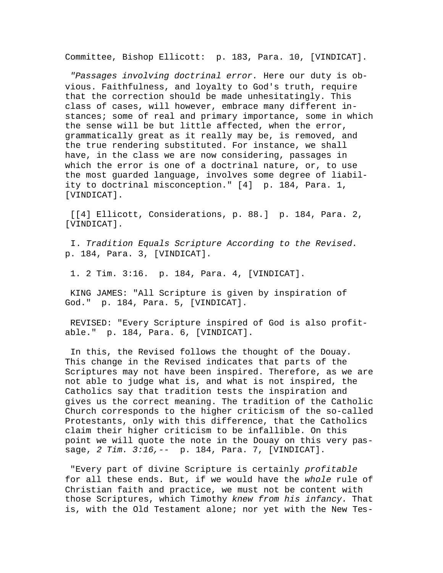Committee, Bishop Ellicott: p. 183, Para. 10, [VINDICAT].

 *"Passages involving doctrinal error.* Here our duty is obvious. Faithfulness, and loyalty to God's truth, require that the correction should be made unhesitatingly. This class of cases, will however, embrace many different instances; some of real and primary importance, some in which the sense will be but little affected, when the error, grammatically great as it really may be, is removed, and the true rendering substituted. For instance, we shall have, in the class we are now considering, passages in which the error is one of a doctrinal nature, or, to use the most guarded language, involves some degree of liability to doctrinal misconception." [4] p. 184, Para. 1, [VINDICAT].

 [[4] Ellicott, Considerations, p. 88.] p. 184, Para. 2, [VINDICAT].

 I. *Tradition Equals Scripture According to the Revised.* p. 184, Para. 3, [VINDICAT].

1. 2 Tim. 3:16. p. 184, Para. 4, [VINDICAT].

 KING JAMES: "All Scripture is given by inspiration of God." p. 184, Para. 5, [VINDICAT].

 REVISED: "Every Scripture inspired of God is also profitable." p. 184, Para. 6, [VINDICAT].

 In this, the Revised follows the thought of the Douay. This change in the Revised indicates that parts of the Scriptures may not have been inspired. Therefore, as we are not able to judge what is, and what is not inspired, the Catholics say that tradition tests the inspiration and gives us the correct meaning. The tradition of the Catholic Church corresponds to the higher criticism of the so-called Protestants, only with this difference, that the Catholics claim their higher criticism to be infallible. On this point we will quote the note in the Douay on this very passage, *2 Tim. 3:16,--* p. 184, Para. 7, [VINDICAT].

 "Every part of divine Scripture is certainly *profitable* for all these ends. But, if we would have the *whole* rule of Christian faith and practice, we must not be content with those Scriptures, which Timothy *knew from his infancy.* That is, with the Old Testament alone; nor yet with the New Tes-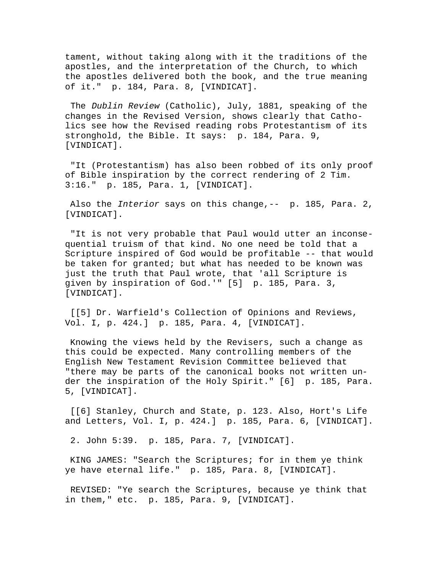tament, without taking along with it the traditions of the apostles, and the interpretation of the Church, to which the apostles delivered both the book, and the true meaning of it." p. 184, Para. 8, [VINDICAT].

 The *Dublin Review* (Catholic), July, 1881, speaking of the changes in the Revised Version, shows clearly that Catholics see how the Revised reading robs Protestantism of its stronghold, the Bible. It says: p. 184, Para. 9, [VINDICAT].

 "It (Protestantism) has also been robbed of its only proof of Bible inspiration by the correct rendering of 2 Tim. 3:16." p. 185, Para. 1, [VINDICAT].

 Also the *Interior* says on this change,-- p. 185, Para. 2, [VINDICAT].

 "It is not very probable that Paul would utter an inconsequential truism of that kind. No one need be told that a Scripture inspired of God would be profitable -- that would be taken for granted; but what has needed to be known was just the truth that Paul wrote, that 'all Scripture is given by inspiration of God.'" [5] p. 185, Para. 3, [VINDICAT].

 [[5] Dr. Warfield's Collection of Opinions and Reviews, Vol. I, p. 424.] p. 185, Para. 4, [VINDICAT].

 Knowing the views held by the Revisers, such a change as this could be expected. Many controlling members of the English New Testament Revision Committee believed that "there may be parts of the canonical books not written under the inspiration of the Holy Spirit." [6] p. 185, Para. 5, [VINDICAT].

 [[6] Stanley, Church and State, p. 123. Also, Hort's Life and Letters, Vol. I, p. 424.] p. 185, Para. 6, [VINDICAT].

2. John 5:39. p. 185, Para. 7, [VINDICAT].

 KING JAMES: "Search the Scriptures; for in them ye think ye have eternal life." p. 185, Para. 8, [VINDICAT].

 REVISED: "Ye search the Scriptures, because ye think that in them," etc. p. 185, Para. 9, [VINDICAT].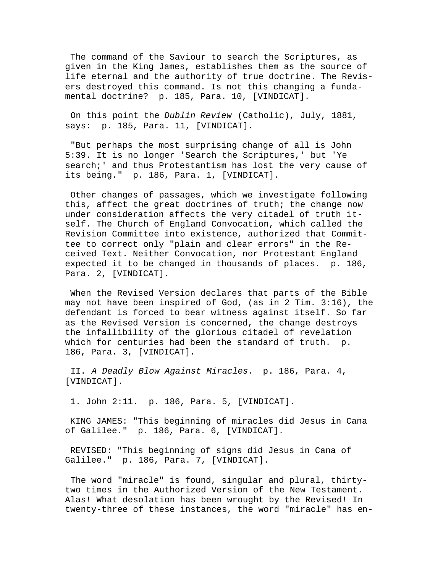The command of the Saviour to search the Scriptures, as given in the King James, establishes them as the source of life eternal and the authority of true doctrine. The Revisers destroyed this command. Is not this changing a fundamental doctrine? p. 185, Para. 10, [VINDICAT].

 On this point the *Dublin Review* (Catholic), July, 1881, says: p. 185, Para. 11, [VINDICAT].

 "But perhaps the most surprising change of all is John 5:39. It is no longer 'Search the Scriptures,' but 'Ye search;' and thus Protestantism has lost the very cause of its being." p. 186, Para. 1, [VINDICAT].

 Other changes of passages, which we investigate following this, affect the great doctrines of truth; the change now under consideration affects the very citadel of truth itself. The Church of England Convocation, which called the Revision Committee into existence, authorized that Committee to correct only "plain and clear errors" in the Received Text. Neither Convocation, nor Protestant England expected it to be changed in thousands of places. p. 186, Para. 2, [VINDICAT].

 When the Revised Version declares that parts of the Bible may not have been inspired of God, (as in 2 Tim. 3:16), the defendant is forced to bear witness against itself. So far as the Revised Version is concerned, the change destroys the infallibility of the glorious citadel of revelation which for centuries had been the standard of truth. p. 186, Para. 3, [VINDICAT].

 II. *A Deadly Blow Against Miracles.* p. 186, Para. 4, [VINDICAT].

1. John 2:11. p. 186, Para. 5, [VINDICAT].

 KING JAMES: "This beginning of miracles did Jesus in Cana of Galilee." p. 186, Para. 6, [VINDICAT].

 REVISED: "This beginning of signs did Jesus in Cana of Galilee." p. 186, Para. 7, [VINDICAT].

 The word "miracle" is found, singular and plural, thirtytwo times in the Authorized Version of the New Testament. Alas! What desolation has been wrought by the Revised! In twenty-three of these instances, the word "miracle" has en-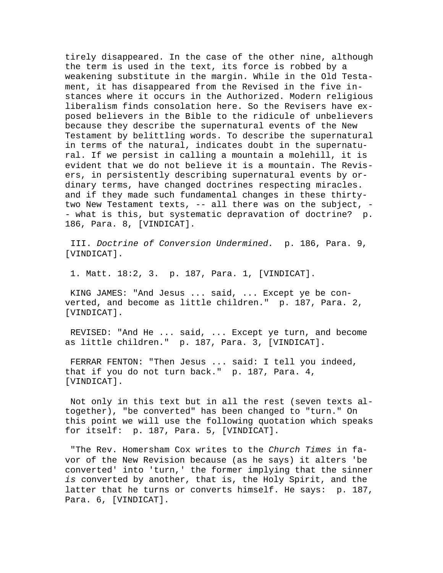tirely disappeared. In the case of the other nine, although the term is used in the text, its force is robbed by a weakening substitute in the margin. While in the Old Testament, it has disappeared from the Revised in the five instances where it occurs in the Authorized. Modern religious liberalism finds consolation here. So the Revisers have exposed believers in the Bible to the ridicule of unbelievers because they describe the supernatural events of the New Testament by belittling words. To describe the supernatural in terms of the natural, indicates doubt in the supernatural. If we persist in calling a mountain a molehill, it is evident that we do not believe it is a mountain. The Revisers, in persistently describing supernatural events by ordinary terms, have changed doctrines respecting miracles. and if they made such fundamental changes in these thirtytwo New Testament texts, -- all there was on the subject, -- what is this, but systematic depravation of doctrine? p. 186, Para. 8, [VINDICAT].

 III. *Doctrine of Conversion Undermined.* p. 186, Para. 9, [VINDICAT].

1. Matt. 18:2, 3. p. 187, Para. 1, [VINDICAT].

 KING JAMES: "And Jesus ... said, ... Except ye be converted, and become as little children." p. 187, Para. 2, [VINDICAT].

 REVISED: "And He ... said, ... Except ye turn, and become as little children." p. 187, Para. 3, [VINDICAT].

 FERRAR FENTON: "Then Jesus ... said: I tell you indeed, that if you do not turn back." p. 187, Para. 4, [VINDICAT].

 Not only in this text but in all the rest (seven texts altogether), "be converted" has been changed to "turn." On this point we will use the following quotation which speaks for itself: p. 187, Para. 5, [VINDICAT].

 "The Rev. Homersham Cox writes to the *Church Times* in favor of the New Revision because (as he says) it alters 'be converted' into 'turn,' the former implying that the sinner *is* converted by another, that is, the Holy Spirit, and the latter that he turns or converts himself. He says: p. 187, Para. 6, [VINDICAT].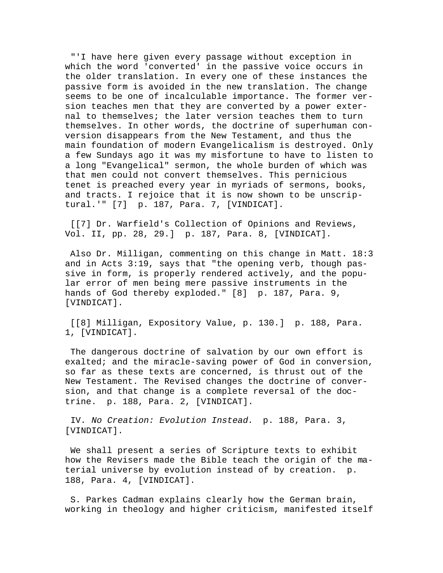"'I have here given every passage without exception in which the word 'converted' in the passive voice occurs in the older translation. In every one of these instances the passive form is avoided in the new translation. The change seems to be one of incalculable importance. The former version teaches men that they are converted by a power external to themselves; the later version teaches them to turn themselves. In other words, the doctrine of superhuman conversion disappears from the New Testament, and thus the main foundation of modern Evangelicalism is destroyed. Only a few Sundays ago it was my misfortune to have to listen to a long "Evangelical" sermon, the whole burden of which was that men could not convert themselves. This pernicious tenet is preached every year in myriads of sermons, books, and tracts. I rejoice that it is now shown to be unscriptural.'" [7] p. 187, Para. 7, [VINDICAT].

 [[7] Dr. Warfield's Collection of Opinions and Reviews, Vol. II, pp. 28, 29.] p. 187, Para. 8, [VINDICAT].

 Also Dr. Milligan, commenting on this change in Matt. 18:3 and in Acts 3:19, says that "the opening verb, though passive in form, is properly rendered actively, and the popular error of men being mere passive instruments in the hands of God thereby exploded." [8] p. 187, Para. 9, [VINDICAT].

 [[8] Milligan, Expository Value, p. 130.] p. 188, Para. 1, [VINDICAT].

 The dangerous doctrine of salvation by our own effort is exalted; and the miracle-saving power of God in conversion, so far as these texts are concerned, is thrust out of the New Testament. The Revised changes the doctrine of conversion, and that change is a complete reversal of the doctrine. p. 188, Para. 2, [VINDICAT].

 IV. *No Creation: Evolution Instead.* p. 188, Para. 3, [VINDICAT].

 We shall present a series of Scripture texts to exhibit how the Revisers made the Bible teach the origin of the material universe by evolution instead of by creation. p. 188, Para. 4, [VINDICAT].

 S. Parkes Cadman explains clearly how the German brain, working in theology and higher criticism, manifested itself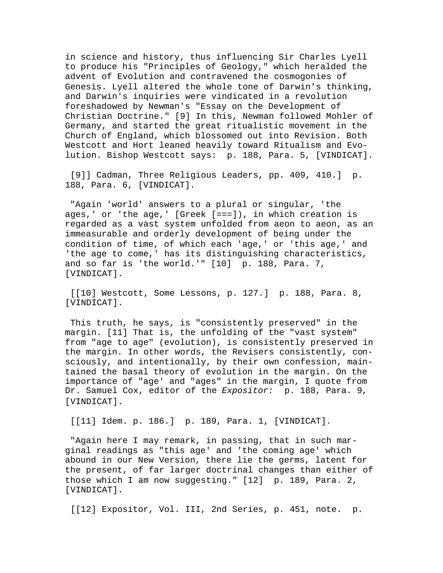in science and history, thus influencing Sir Charles Lyell to produce his "Principles of Geology," which heralded the advent of Evolution and contravened the cosmogonies of Genesis. Lyell altered the whole tone of Darwin's thinking, and Darwin's inquiries were vindicated in a revolution foreshadowed by Newman's "Essay on the Development of Christian Doctrine." [9] In this, Newman followed Mohler of Germany, and started the great ritualistic movement in the Church of England, which blossomed out into Revision. Both Westcott and Hort leaned heavily toward Ritualism and Evolution. Bishop Westcott says: p. 188, Para. 5, [VINDICAT].

 [9]] Cadman, Three Religious Leaders, pp. 409, 410.] p. 188, Para. 6, [VINDICAT].

 "Again 'world' answers to a plural or singular, 'the ages,' or 'the age,' [Greek [===]), in which creation is regarded as a vast system unfolded from aeon to aeon, as an immeasurable and orderly development of being under the condition of time, of which each 'age,' or 'this age,' and 'the age to come,' has its distinguishing characteristics, and so far is 'the world.'" [10] p. 188, Para. 7, [VINDICAT].

 [[10] Westcott, Some Lessons, p. 127.] p. 188, Para. 8, [VINDICAT].

 This truth, he says, is "consistently preserved" in the margin. [11] That is, the unfolding of the "vast system" from "age to age" (evolution), is consistently preserved in the margin. In other words, the Revisers consistently, consciously, and intentionally, by their own confession, maintained the basal theory of evolution in the margin. On the importance of "age' and "ages" in the margin, I quote from Dr. Samuel Cox, editor of the *Expositor:* p. 188, Para. 9, [VINDICAT].

[[11] Idem. p. 186.] p. 189, Para. 1, [VINDICAT].

 "Again here I may remark, in passing, that in such marginal readings as "this age' and 'the coming age' which abound in our New Version, there lie the germs, latent for the present, of far larger doctrinal changes than either of those which I am now suggesting." [12] p. 189, Para. 2, [VINDICAT].

[[12] Expositor, Vol. III, 2nd Series, p. 451, note. p.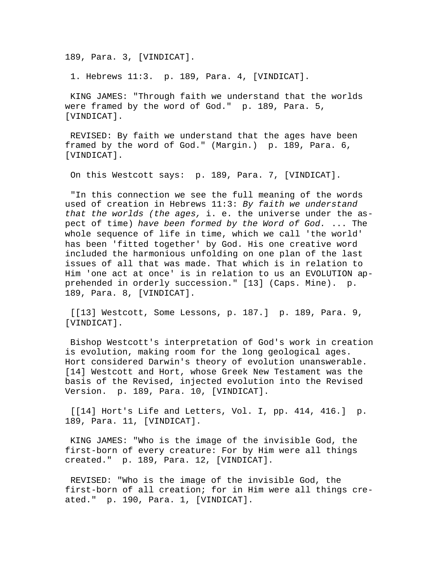189, Para. 3, [VINDICAT].

1. Hebrews 11:3. p. 189, Para. 4, [VINDICAT].

 KING JAMES: "Through faith we understand that the worlds were framed by the word of God." p. 189, Para. 5, [VINDICAT].

 REVISED: By faith we understand that the ages have been framed by the word of God." (Margin.) p. 189, Para. 6, [VINDICAT].

On this Westcott says: p. 189, Para. 7, [VINDICAT].

 "In this connection we see the full meaning of the words used of creation in Hebrews 11:3: *By faith we understand that the worlds (the ages,* i. e. the universe under the aspect of time) *have been formed by the Word of God.* ... The whole sequence of life in time, which we call 'the world' has been 'fitted together' by God. His one creative word included the harmonious unfolding on one plan of the last issues of all that was made. That which is in relation to Him 'one act at once' is in relation to us an EVOLUTION apprehended in orderly succession." [13] (Caps. Mine). p. 189, Para. 8, [VINDICAT].

 [[13] Westcott, Some Lessons, p. 187.] p. 189, Para. 9, [VINDICAT].

 Bishop Westcott's interpretation of God's work in creation is evolution, making room for the long geological ages. Hort considered Darwin's theory of evolution unanswerable. [14] Westcott and Hort, whose Greek New Testament was the basis of the Revised, injected evolution into the Revised Version. p. 189, Para. 10, [VINDICAT].

 [[14] Hort's Life and Letters, Vol. I, pp. 414, 416.] p. 189, Para. 11, [VINDICAT].

 KING JAMES: "Who is the image of the invisible God, the first-born of every creature: For by Him were all things created." p. 189, Para. 12, [VINDICAT].

 REVISED: "Who is the image of the invisible God, the first-born of all creation; for in Him were all things created." p. 190, Para. 1, [VINDICAT].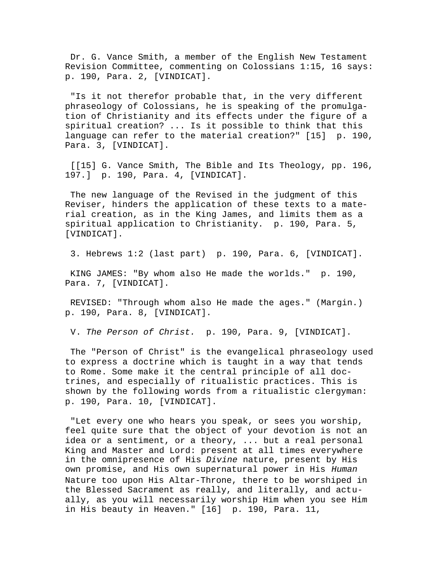Dr. G. Vance Smith, a member of the English New Testament Revision Committee, commenting on Colossians 1:15, 16 says: p. 190, Para. 2, [VINDICAT].

 "Is it not therefor probable that, in the very different phraseology of Colossians, he is speaking of the promulgation of Christianity and its effects under the figure of a spiritual creation? ... Is it possible to think that this language can refer to the material creation?" [15] p. 190, Para. 3, [VINDICAT].

 [[15] G. Vance Smith, The Bible and Its Theology, pp. 196, 197.] p. 190, Para. 4, [VINDICAT].

 The new language of the Revised in the judgment of this Reviser, hinders the application of these texts to a material creation, as in the King James, and limits them as a spiritual application to Christianity. p. 190, Para. 5, [VINDICAT].

3. Hebrews 1:2 (last part) p. 190, Para. 6, [VINDICAT].

 KING JAMES: "By whom also He made the worlds." p. 190, Para. 7, [VINDICAT].

 REVISED: "Through whom also He made the ages." (Margin.) p. 190, Para. 8, [VINDICAT].

V. *The Person of Christ.* p. 190, Para. 9, [VINDICAT].

 The "Person of Christ" is the evangelical phraseology used to express a doctrine which is taught in a way that tends to Rome. Some make it the central principle of all doctrines, and especially of ritualistic practices. This is shown by the following words from a ritualistic clergyman: p. 190, Para. 10, [VINDICAT].

 "Let every one who hears you speak, or sees you worship, feel quite sure that the object of your devotion is not an idea or a sentiment, or a theory, ... but a real personal King and Master and Lord: present at all times everywhere in the omnipresence of His *Divine* nature, present by His own promise, and His own supernatural power in His *Human* Nature too upon His Altar-Throne, there to be worshiped in the Blessed Sacrament as really, and literally, and actually, as you will necessarily worship Him when you see Him in His beauty in Heaven." [16] p. 190, Para. 11,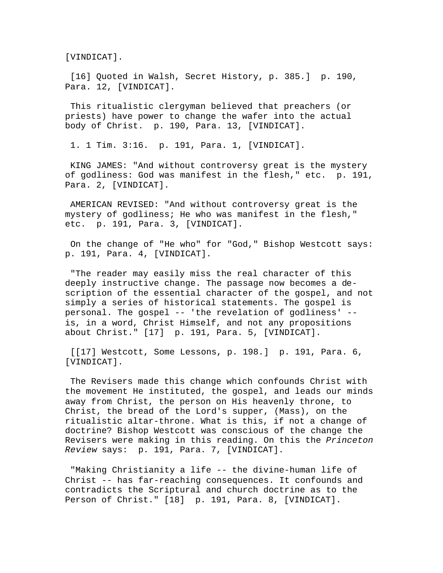[VINDICAT].

 [16] Quoted in Walsh, Secret History, p. 385.] p. 190, Para. 12, [VINDICAT].

 This ritualistic clergyman believed that preachers (or priests) have power to change the wafer into the actual body of Christ. p. 190, Para. 13, [VINDICAT].

1. 1 Tim. 3:16. p. 191, Para. 1, [VINDICAT].

 KING JAMES: "And without controversy great is the mystery of godliness: God was manifest in the flesh," etc. p. 191, Para. 2, [VINDICAT].

 AMERICAN REVISED: "And without controversy great is the mystery of godliness; He who was manifest in the flesh," etc. p. 191, Para. 3, [VINDICAT].

 On the change of "He who" for "God," Bishop Westcott says: p. 191, Para. 4, [VINDICAT].

 "The reader may easily miss the real character of this deeply instructive change. The passage now becomes a description of the essential character of the gospel, and not simply a series of historical statements. The gospel is personal. The gospel -- 'the revelation of godliness' - is, in a word, Christ Himself, and not any propositions about Christ." [17] p. 191, Para. 5, [VINDICAT].

 [[17] Westcott, Some Lessons, p. 198.] p. 191, Para. 6, [VINDICAT].

 The Revisers made this change which confounds Christ with the movement He instituted, the gospel, and leads our minds away from Christ, the person on His heavenly throne, to Christ, the bread of the Lord's supper, (Mass), on the ritualistic altar-throne. What is this, if not a change of doctrine? Bishop Westcott was conscious of the change the Revisers were making in this reading. On this the *Princeton Review* says: p. 191, Para. 7, [VINDICAT].

 "Making Christianity a life -- the divine-human life of Christ -- has far-reaching consequences. It confounds and contradicts the Scriptural and church doctrine as to the Person of Christ." [18] p. 191, Para. 8, [VINDICAT].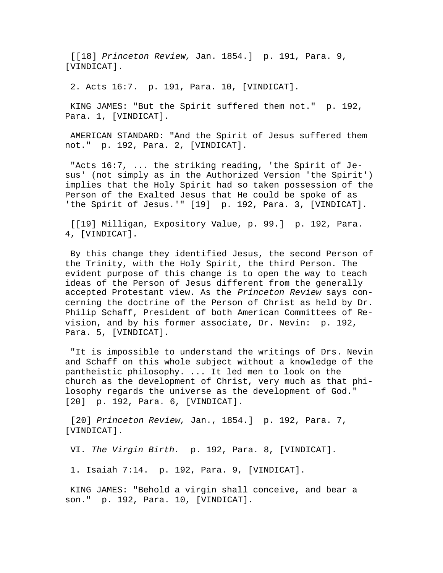[[18] *Princeton Review,* Jan. 1854.] p. 191, Para. 9, [VINDICAT].

2. Acts 16:7. p. 191, Para. 10, [VINDICAT].

 KING JAMES: "But the Spirit suffered them not." p. 192, Para. 1, [VINDICAT].

 AMERICAN STANDARD: "And the Spirit of Jesus suffered them not." p. 192, Para. 2, [VINDICAT].

 "Acts 16:7, ... the striking reading, 'the Spirit of Jesus' (not simply as in the Authorized Version 'the Spirit') implies that the Holy Spirit had so taken possession of the Person of the Exalted Jesus that He could be spoke of as 'the Spirit of Jesus.'" [19] p. 192, Para. 3, [VINDICAT].

 [[19] Milligan, Expository Value, p. 99.] p. 192, Para. 4, [VINDICAT].

 By this change they identified Jesus, the second Person of the Trinity, with the Holy Spirit, the third Person. The evident purpose of this change is to open the way to teach ideas of the Person of Jesus different from the generally accepted Protestant view. As the *Princeton Review* says concerning the doctrine of the Person of Christ as held by Dr. Philip Schaff, President of both American Committees of Revision, and by his former associate, Dr. Nevin: p. 192, Para. 5, [VINDICAT].

 "It is impossible to understand the writings of Drs. Nevin and Schaff on this whole subject without a knowledge of the pantheistic philosophy. ... It led men to look on the church as the development of Christ, very much as that philosophy regards the universe as the development of God." [20] p. 192, Para. 6, [VINDICAT].

 [20] *Princeton Review,* Jan., 1854.] p. 192, Para. 7, [VINDICAT].

VI. *The Virgin Birth.* p. 192, Para. 8, [VINDICAT].

1. Isaiah 7:14. p. 192, Para. 9, [VINDICAT].

 KING JAMES: "Behold a virgin shall conceive, and bear a son." p. 192, Para. 10, [VINDICAT].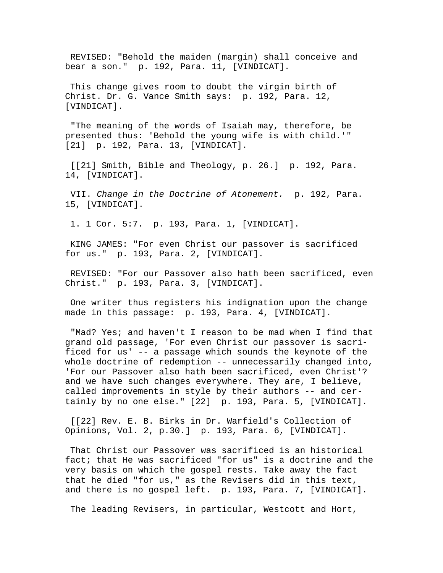REVISED: "Behold the maiden (margin) shall conceive and bear a son." p. 192, Para. 11, [VINDICAT].

 This change gives room to doubt the virgin birth of Christ. Dr. G. Vance Smith says: p. 192, Para. 12, [VINDICAT].

 "The meaning of the words of Isaiah may, therefore, be presented thus: 'Behold the young wife is with child.'" [21] p. 192, Para. 13, [VINDICAT].

 [[21] Smith, Bible and Theology, p. 26.] p. 192, Para. 14, [VINDICAT].

 VII. *Change in the Doctrine of Atonement.* p. 192, Para. 15, [VINDICAT].

1. 1 Cor. 5:7. p. 193, Para. 1, [VINDICAT].

 KING JAMES: "For even Christ our passover is sacrificed for us." p. 193, Para. 2, [VINDICAT].

 REVISED: "For our Passover also hath been sacrificed, even Christ." p. 193, Para. 3, [VINDICAT].

 One writer thus registers his indignation upon the change made in this passage: p. 193, Para. 4, [VINDICAT].

 "Mad? Yes; and haven't I reason to be mad when I find that grand old passage, 'For even Christ our passover is sacrificed for us' -- a passage which sounds the keynote of the whole doctrine of redemption -- unnecessarily changed into, 'For our Passover also hath been sacrificed, even Christ'? and we have such changes everywhere. They are, I believe, called improvements in style by their authors -- and certainly by no one else." [22] p. 193, Para. 5, [VINDICAT].

 [[22] Rev. E. B. Birks in Dr. Warfield's Collection of Opinions, Vol. 2, p.30.] p. 193, Para. 6, [VINDICAT].

 That Christ our Passover was sacrificed is an historical fact; that He was sacrificed "for us" is a doctrine and the very basis on which the gospel rests. Take away the fact that he died "for us," as the Revisers did in this text, and there is no gospel left. p. 193, Para. 7, [VINDICAT].

The leading Revisers, in particular, Westcott and Hort,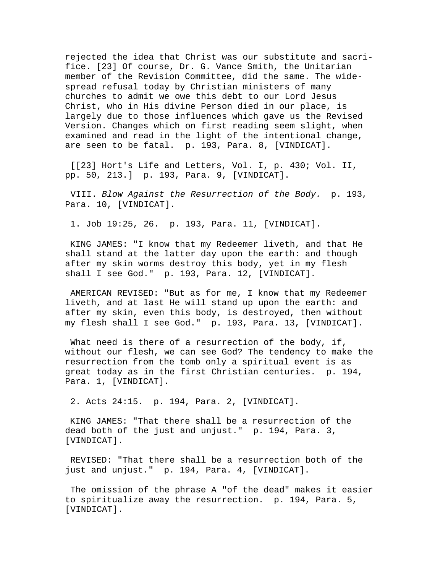rejected the idea that Christ was our substitute and sacrifice. [23] Of course, Dr. G. Vance Smith, the Unitarian member of the Revision Committee, did the same. The widespread refusal today by Christian ministers of many churches to admit we owe this debt to our Lord Jesus Christ, who in His divine Person died in our place, is largely due to those influences which gave us the Revised Version. Changes which on first reading seem slight, when examined and read in the light of the intentional change, are seen to be fatal. p. 193, Para. 8, [VINDICAT].

 [[23] Hort's Life and Letters, Vol. I, p. 430; Vol. II, pp. 50, 213.] p. 193, Para. 9, [VINDICAT].

 VIII. *Blow Against the Resurrection of the Body.* p. 193, Para. 10, [VINDICAT].

1. Job 19:25, 26. p. 193, Para. 11, [VINDICAT].

 KING JAMES: "I know that my Redeemer liveth, and that He shall stand at the latter day upon the earth: and though after my skin worms destroy this body, yet in my flesh shall I see God." p. 193, Para. 12, [VINDICAT].

 AMERICAN REVISED: "But as for me, I know that my Redeemer liveth, and at last He will stand up upon the earth: and after my skin, even this body, is destroyed, then without my flesh shall I see God." p. 193, Para. 13, [VINDICAT].

What need is there of a resurrection of the body, if, without our flesh, we can see God? The tendency to make the resurrection from the tomb only a spiritual event is as great today as in the first Christian centuries. p. 194, Para. 1, [VINDICAT].

2. Acts 24:15. p. 194, Para. 2, [VINDICAT].

 KING JAMES: "That there shall be a resurrection of the dead both of the just and unjust." p. 194, Para. 3, [VINDICAT].

 REVISED: "That there shall be a resurrection both of the just and unjust." p. 194, Para. 4, [VINDICAT].

 The omission of the phrase A "of the dead" makes it easier to spiritualize away the resurrection. p. 194, Para. 5, [VINDICAT].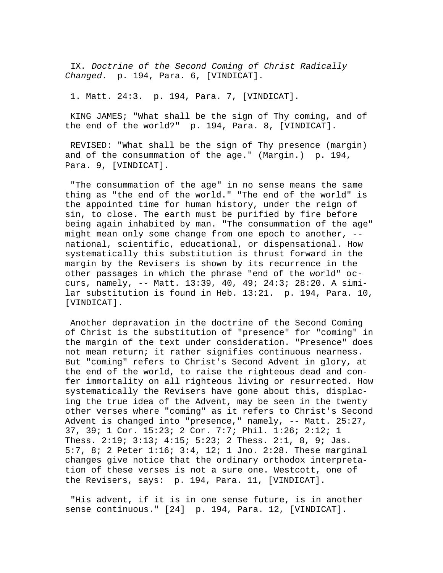IX. *Doctrine of the Second Coming of Christ Radically Changed.* p. 194, Para. 6, [VINDICAT].

1. Matt. 24:3. p. 194, Para. 7, [VINDICAT].

 KING JAMES; "What shall be the sign of Thy coming, and of the end of the world?" p. 194, Para. 8, [VINDICAT].

 REVISED: "What shall be the sign of Thy presence (margin) and of the consummation of the age." (Margin.) p. 194, Para. 9, [VINDICAT].

 "The consummation of the age" in no sense means the same thing as "the end of the world." "The end of the world" is the appointed time for human history, under the reign of sin, to close. The earth must be purified by fire before being again inhabited by man. "The consummation of the age" might mean only some change from one epoch to another, - national, scientific, educational, or dispensational. How systematically this substitution is thrust forward in the margin by the Revisers is shown by its recurrence in the other passages in which the phrase "end of the world" occurs, namely, -- Matt. 13:39, 40, 49; 24:3; 28:20. A similar substitution is found in Heb. 13:21. p. 194, Para. 10, [VINDICAT].

 Another depravation in the doctrine of the Second Coming of Christ is the substitution of "presence" for "coming" in the margin of the text under consideration. "Presence" does not mean return; it rather signifies continuous nearness. But "coming" refers to Christ's Second Advent in glory, at the end of the world, to raise the righteous dead and confer immortality on all righteous living or resurrected. How systematically the Revisers have gone about this, displacing the true idea of the Advent, may be seen in the twenty other verses where "coming" as it refers to Christ's Second Advent is changed into "presence," namely, -- Matt. 25:27, 37, 39; 1 Cor. 15:23; 2 Cor. 7:7; Phil. 1:26; 2:12; 1 Thess. 2:19; 3:13; 4:15; 5:23; 2 Thess. 2:1, 8, 9; Jas. 5:7, 8; 2 Peter 1:16; 3:4, 12; 1 Jno. 2:28. These marginal changes give notice that the ordinary orthodox interpretation of these verses is not a sure one. Westcott, one of the Revisers, says: p. 194, Para. 11, [VINDICAT].

 "His advent, if it is in one sense future, is in another sense continuous." [24] p. 194, Para. 12, [VINDICAT].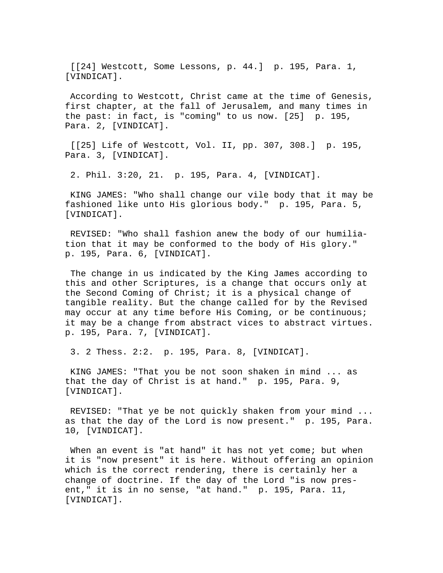[[24] Westcott, Some Lessons, p. 44.] p. 195, Para. 1, [VINDICAT].

 According to Westcott, Christ came at the time of Genesis, first chapter, at the fall of Jerusalem, and many times in the past: in fact, is "coming" to us now. [25] p. 195, Para. 2, [VINDICAT].

 [[25] Life of Westcott, Vol. II, pp. 307, 308.] p. 195, Para. 3, [VINDICAT].

2. Phil. 3:20, 21. p. 195, Para. 4, [VINDICAT].

 KING JAMES: "Who shall change our vile body that it may be fashioned like unto His glorious body." p. 195, Para. 5, [VINDICAT].

 REVISED: "Who shall fashion anew the body of our humiliation that it may be conformed to the body of His glory." p. 195, Para. 6, [VINDICAT].

 The change in us indicated by the King James according to this and other Scriptures, is a change that occurs only at the Second Coming of Christ; it is a physical change of tangible reality. But the change called for by the Revised may occur at any time before His Coming, or be continuous; it may be a change from abstract vices to abstract virtues. p. 195, Para. 7, [VINDICAT].

3. 2 Thess. 2:2. p. 195, Para. 8, [VINDICAT].

 KING JAMES: "That you be not soon shaken in mind ... as that the day of Christ is at hand." p. 195, Para. 9, [VINDICAT].

 REVISED: "That ye be not quickly shaken from your mind ... as that the day of the Lord is now present." p. 195, Para. 10, [VINDICAT].

When an event is "at hand" it has not yet come; but when it is "now present" it is here. Without offering an opinion which is the correct rendering, there is certainly her a change of doctrine. If the day of the Lord "is now present," it is in no sense, "at hand." p. 195, Para. 11, [VINDICAT].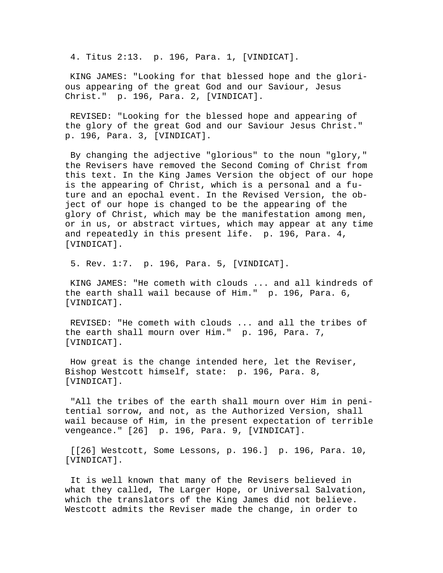4. Titus 2:13. p. 196, Para. 1, [VINDICAT].

 KING JAMES: "Looking for that blessed hope and the glorious appearing of the great God and our Saviour, Jesus Christ." p. 196, Para. 2, [VINDICAT].

 REVISED: "Looking for the blessed hope and appearing of the glory of the great God and our Saviour Jesus Christ." p. 196, Para. 3, [VINDICAT].

 By changing the adjective "glorious" to the noun "glory," the Revisers have removed the Second Coming of Christ from this text. In the King James Version the object of our hope is the appearing of Christ, which is a personal and a future and an epochal event. In the Revised Version, the object of our hope is changed to be the appearing of the glory of Christ, which may be the manifestation among men, or in us, or abstract virtues, which may appear at any time and repeatedly in this present life. p. 196, Para. 4, [VINDICAT].

5. Rev. 1:7. p. 196, Para. 5, [VINDICAT].

 KING JAMES: "He cometh with clouds ... and all kindreds of the earth shall wail because of Him." p. 196, Para. 6, [VINDICAT].

 REVISED: "He cometh with clouds ... and all the tribes of the earth shall mourn over Him." p. 196, Para. 7, [VINDICAT].

 How great is the change intended here, let the Reviser, Bishop Westcott himself, state: p. 196, Para. 8, [VINDICAT].

"All the tribes of the earth shall mourn over Him in penitential sorrow, and not, as the Authorized Version, shall wail because of Him, in the present expectation of terrible vengeance." [26] p. 196, Para. 9, [VINDICAT].

 [[26] Westcott, Some Lessons, p. 196.] p. 196, Para. 10, [VINDICAT].

 It is well known that many of the Revisers believed in what they called, The Larger Hope, or Universal Salvation, which the translators of the King James did not believe. Westcott admits the Reviser made the change, in order to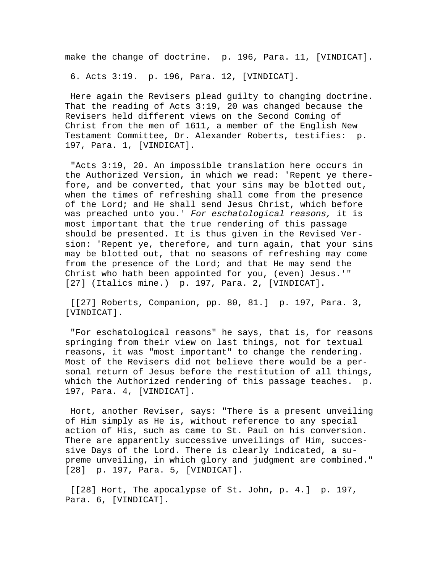make the change of doctrine. p. 196, Para. 11, [VINDICAT].

6. Acts 3:19. p. 196, Para. 12, [VINDICAT].

 Here again the Revisers plead guilty to changing doctrine. That the reading of Acts 3:19, 20 was changed because the Revisers held different views on the Second Coming of Christ from the men of 1611, a member of the English New Testament Committee, Dr. Alexander Roberts, testifies: p. 197, Para. 1, [VINDICAT].

 "Acts 3:19, 20. An impossible translation here occurs in the Authorized Version, in which we read: 'Repent ye therefore, and be converted, that your sins may be blotted out, when the times of refreshing shall come from the presence of the Lord; and He shall send Jesus Christ, which before was preached unto you.' *For eschatological reasons,* it is most important that the true rendering of this passage should be presented. It is thus given in the Revised Version: 'Repent ye, therefore, and turn again, that your sins may be blotted out, that no seasons of refreshing may come from the presence of the Lord; and that He may send the Christ who hath been appointed for you, (even) Jesus.'" [27] (Italics mine.) p. 197, Para. 2, [VINDICAT].

 [[27] Roberts, Companion, pp. 80, 81.] p. 197, Para. 3, [VINDICAT].

 "For eschatological reasons" he says, that is, for reasons springing from their view on last things, not for textual reasons, it was "most important" to change the rendering. Most of the Revisers did not believe there would be a personal return of Jesus before the restitution of all things, which the Authorized rendering of this passage teaches. p. 197, Para. 4, [VINDICAT].

 Hort, another Reviser, says: "There is a present unveiling of Him simply as He is, without reference to any special action of His, such as came to St. Paul on his conversion. There are apparently successive unveilings of Him, successive Days of the Lord. There is clearly indicated, a supreme unveiling, in which glory and judgment are combined." [28] p. 197, Para. 5, [VINDICAT].

 [[28] Hort, The apocalypse of St. John, p. 4.] p. 197, Para. 6, [VINDICAT].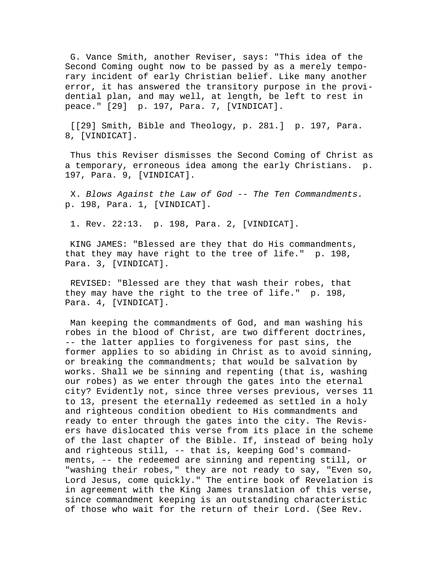G. Vance Smith, another Reviser, says: "This idea of the Second Coming ought now to be passed by as a merely temporary incident of early Christian belief. Like many another error, it has answered the transitory purpose in the providential plan, and may well, at length, be left to rest in peace." [29] p. 197, Para. 7, [VINDICAT].

 [[29] Smith, Bible and Theology, p. 281.] p. 197, Para. 8, [VINDICAT].

 Thus this Reviser dismisses the Second Coming of Christ as a temporary, erroneous idea among the early Christians. p. 197, Para. 9, [VINDICAT].

 X. *Blows Against the Law of God -- The Ten Commandments.* p. 198, Para. 1, [VINDICAT].

1. Rev. 22:13. p. 198, Para. 2, [VINDICAT].

 KING JAMES: "Blessed are they that do His commandments, that they may have right to the tree of life." p. 198, Para. 3, [VINDICAT].

 REVISED: "Blessed are they that wash their robes, that they may have the right to the tree of life." p. 198, Para. 4, [VINDICAT].

 Man keeping the commandments of God, and man washing his robes in the blood of Christ, are two different doctrines, -- the latter applies to forgiveness for past sins, the former applies to so abiding in Christ as to avoid sinning, or breaking the commandments; that would be salvation by works. Shall we be sinning and repenting (that is, washing our robes) as we enter through the gates into the eternal city? Evidently not, since three verses previous, verses 11 to 13, present the eternally redeemed as settled in a holy and righteous condition obedient to His commandments and ready to enter through the gates into the city. The Revisers have dislocated this verse from its place in the scheme of the last chapter of the Bible. If, instead of being holy and righteous still, -- that is, keeping God's commandments, -- the redeemed are sinning and repenting still, or "washing their robes," they are not ready to say, "Even so, Lord Jesus, come quickly." The entire book of Revelation is in agreement with the King James translation of this verse, since commandment keeping is an outstanding characteristic of those who wait for the return of their Lord. (See Rev.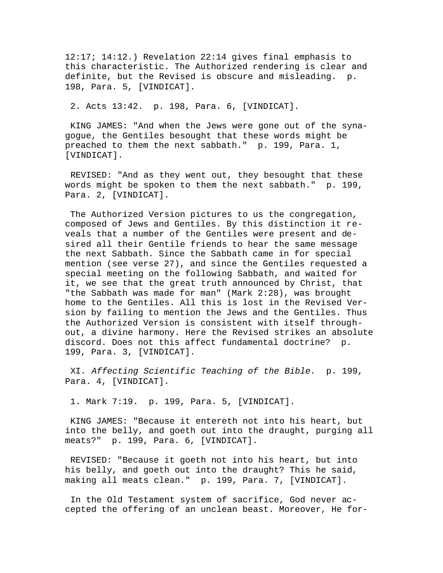12:17; 14:12.) Revelation 22:14 gives final emphasis to this characteristic. The Authorized rendering is clear and definite, but the Revised is obscure and misleading. p. 198, Para. 5, [VINDICAT].

2. Acts 13:42. p. 198, Para. 6, [VINDICAT].

 KING JAMES: "And when the Jews were gone out of the synagogue, the Gentiles besought that these words might be preached to them the next sabbath." p. 199, Para. 1, [VINDICAT].

 REVISED: "And as they went out, they besought that these words might be spoken to them the next sabbath." p. 199, Para. 2, [VINDICAT].

 The Authorized Version pictures to us the congregation, composed of Jews and Gentiles. By this distinction it reveals that a number of the Gentiles were present and desired all their Gentile friends to hear the same message the next Sabbath. Since the Sabbath came in for special mention (see verse 27), and since the Gentiles requested a special meeting on the following Sabbath, and waited for it, we see that the great truth announced by Christ, that "the Sabbath was made for man" (Mark 2:28), was brought home to the Gentiles. All this is lost in the Revised Version by failing to mention the Jews and the Gentiles. Thus the Authorized Version is consistent with itself throughout, a divine harmony. Here the Revised strikes an absolute discord. Does not this affect fundamental doctrine? p. 199, Para. 3, [VINDICAT].

 XI. *Affecting Scientific Teaching of the Bible.* p. 199, Para. 4, [VINDICAT].

1. Mark 7:19. p. 199, Para. 5, [VINDICAT].

 KING JAMES: "Because it entereth not into his heart, but into the belly, and goeth out into the draught, purging all meats?" p. 199, Para. 6, [VINDICAT].

 REVISED: "Because it goeth not into his heart, but into his belly, and goeth out into the draught? This he said, making all meats clean." p. 199, Para. 7, [VINDICAT].

 In the Old Testament system of sacrifice, God never accepted the offering of an unclean beast. Moreover, He for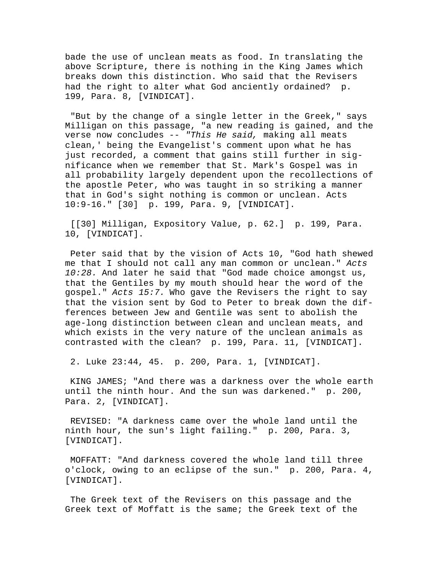bade the use of unclean meats as food. In translating the above Scripture, there is nothing in the King James which breaks down this distinction. Who said that the Revisers had the right to alter what God anciently ordained? p. 199, Para. 8, [VINDICAT].

 "But by the change of a single letter in the Greek," says Milligan on this passage, "a new reading is gained, and the verse now concludes -- *"This He said,* making all meats clean,' being the Evangelist's comment upon what he has just recorded, a comment that gains still further in significance when we remember that St. Mark's Gospel was in all probability largely dependent upon the recollections of the apostle Peter, who was taught in so striking a manner that in God's sight nothing is common or unclean. Acts 10:9-16." [30] p. 199, Para. 9, [VINDICAT].

 [[30] Milligan, Expository Value, p. 62.] p. 199, Para. 10, [VINDICAT].

 Peter said that by the vision of Acts 10, "God hath shewed me that I should not call any man common or unclean." *Acts 10:28.* And later he said that "God made choice amongst us, that the Gentiles by my mouth should hear the word of the gospel." *Acts 15:7.* Who gave the Revisers the right to say that the vision sent by God to Peter to break down the differences between Jew and Gentile was sent to abolish the age-long distinction between clean and unclean meats, and which exists in the very nature of the unclean animals as contrasted with the clean? p. 199, Para. 11, [VINDICAT].

2. Luke 23:44, 45. p. 200, Para. 1, [VINDICAT].

 KING JAMES; "And there was a darkness over the whole earth until the ninth hour. And the sun was darkened." p. 200, Para. 2, [VINDICAT].

 REVISED: "A darkness came over the whole land until the ninth hour, the sun's light failing." p. 200, Para. 3, [VINDICAT].

 MOFFATT: "And darkness covered the whole land till three o'clock, owing to an eclipse of the sun." p. 200, Para. 4, [VINDICAT].

 The Greek text of the Revisers on this passage and the Greek text of Moffatt is the same; the Greek text of the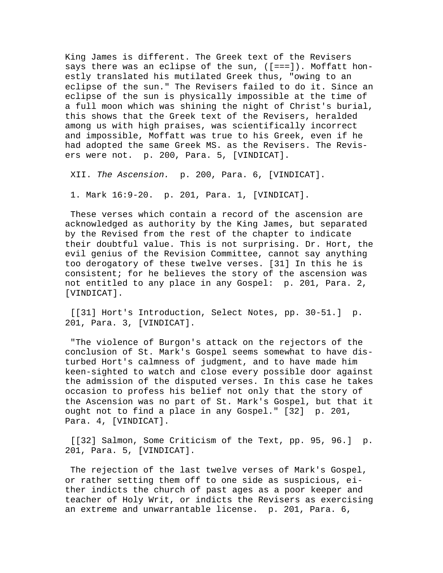King James is different. The Greek text of the Revisers says there was an eclipse of the sun, ([===]). Moffatt honestly translated his mutilated Greek thus, "owing to an eclipse of the sun." The Revisers failed to do it. Since an eclipse of the sun is physically impossible at the time of a full moon which was shining the night of Christ's burial, this shows that the Greek text of the Revisers, heralded among us with high praises, was scientifically incorrect and impossible, Moffatt was true to his Greek, even if he had adopted the same Greek MS. as the Revisers. The Revisers were not. p. 200, Para. 5, [VINDICAT].

XII. *The Ascension.* p. 200, Para. 6, [VINDICAT].

1. Mark 16:9-20. p. 201, Para. 1, [VINDICAT].

 These verses which contain a record of the ascension are acknowledged as authority by the King James, but separated by the Revised from the rest of the chapter to indicate their doubtful value. This is not surprising. Dr. Hort, the evil genius of the Revision Committee, cannot say anything too derogatory of these twelve verses. [31] In this he is consistent; for he believes the story of the ascension was not entitled to any place in any Gospel: p. 201, Para. 2, [VINDICAT].

 [[31] Hort's Introduction, Select Notes, pp. 30-51.] p. 201, Para. 3, [VINDICAT].

 "The violence of Burgon's attack on the rejectors of the conclusion of St. Mark's Gospel seems somewhat to have disturbed Hort's calmness of judgment, and to have made him keen-sighted to watch and close every possible door against the admission of the disputed verses. In this case he takes occasion to profess his belief not only that the story of the Ascension was no part of St. Mark's Gospel, but that it ought not to find a place in any Gospel." [32] p. 201, Para. 4, [VINDICAT].

 [[32] Salmon, Some Criticism of the Text, pp. 95, 96.] p. 201, Para. 5, [VINDICAT].

 The rejection of the last twelve verses of Mark's Gospel, or rather setting them off to one side as suspicious, either indicts the church of past ages as a poor keeper and teacher of Holy Writ, or indicts the Revisers as exercising an extreme and unwarrantable license. p. 201, Para. 6,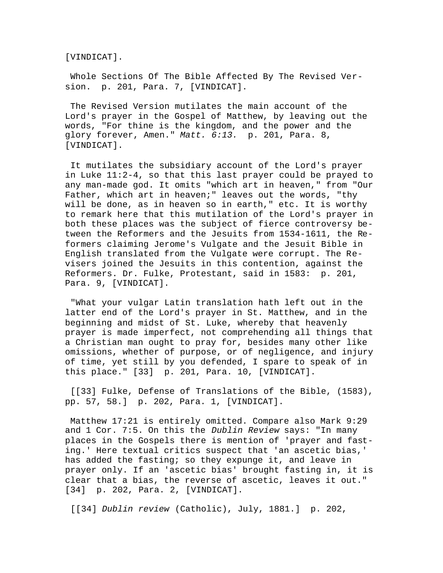[VINDICAT].

 Whole Sections Of The Bible Affected By The Revised Version. p. 201, Para. 7, [VINDICAT].

 The Revised Version mutilates the main account of the Lord's prayer in the Gospel of Matthew, by leaving out the words, "For thine is the kingdom, and the power and the glory forever, Amen." *Matt. 6:13.* p. 201, Para. 8, [VINDICAT].

 It mutilates the subsidiary account of the Lord's prayer in Luke 11:2-4, so that this last prayer could be prayed to any man-made god. It omits "which art in heaven," from "Our Father, which art in heaven;" leaves out the words, "thy will be done, as in heaven so in earth," etc. It is worthy to remark here that this mutilation of the Lord's prayer in both these places was the subject of fierce controversy between the Reformers and the Jesuits from 1534-1611, the Reformers claiming Jerome's Vulgate and the Jesuit Bible in English translated from the Vulgate were corrupt. The Revisers joined the Jesuits in this contention, against the Reformers. Dr. Fulke, Protestant, said in 1583: p. 201, Para. 9, [VINDICAT].

 "What your vulgar Latin translation hath left out in the latter end of the Lord's prayer in St. Matthew, and in the beginning and midst of St. Luke, whereby that heavenly prayer is made imperfect, not comprehending all things that a Christian man ought to pray for, besides many other like omissions, whether of purpose, or of negligence, and injury of time, yet still by you defended, I spare to speak of in this place." [33] p. 201, Para. 10, [VINDICAT].

 [[33] Fulke, Defense of Translations of the Bible, (1583), pp. 57, 58.] p. 202, Para. 1, [VINDICAT].

 Matthew 17:21 is entirely omitted. Compare also Mark 9:29 and 1 Cor. 7:5. On this the *Dublin Review* says: "In many places in the Gospels there is mention of 'prayer and fasting.' Here textual critics suspect that 'an ascetic bias,' has added the fasting; so they expunge it, and leave in prayer only. If an 'ascetic bias' brought fasting in, it is clear that a bias, the reverse of ascetic, leaves it out." [34] p. 202, Para. 2, [VINDICAT].

[[34] *Dublin review* (Catholic), July, 1881.] p. 202,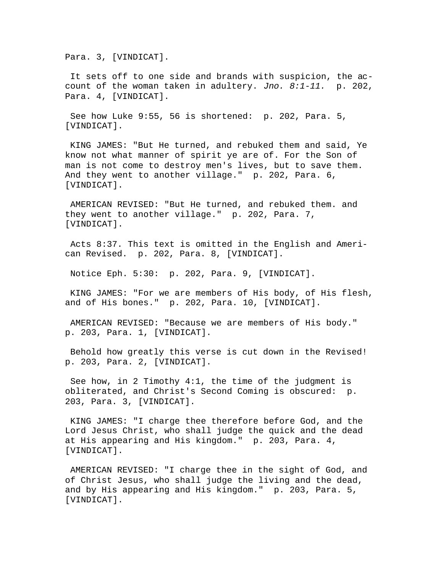Para. 3, [VINDICAT].

 It sets off to one side and brands with suspicion, the account of the woman taken in adultery. *Jno. 8:1-11.* p. 202, Para. 4, [VINDICAT].

 See how Luke 9:55, 56 is shortened: p. 202, Para. 5, [VINDICAT].

 KING JAMES: "But He turned, and rebuked them and said, Ye know not what manner of spirit ye are of. For the Son of man is not come to destroy men's lives, but to save them. And they went to another village." p. 202, Para. 6, [VINDICAT].

 AMERICAN REVISED: "But He turned, and rebuked them. and they went to another village." p. 202, Para. 7, [VINDICAT].

 Acts 8:37. This text is omitted in the English and American Revised. p. 202, Para. 8, [VINDICAT].

Notice Eph. 5:30: p. 202, Para. 9, [VINDICAT].

 KING JAMES: "For we are members of His body, of His flesh, and of His bones." p. 202, Para. 10, [VINDICAT].

 AMERICAN REVISED: "Because we are members of His body." p. 203, Para. 1, [VINDICAT].

 Behold how greatly this verse is cut down in the Revised! p. 203, Para. 2, [VINDICAT].

 See how, in 2 Timothy 4:1, the time of the judgment is obliterated, and Christ's Second Coming is obscured: p. 203, Para. 3, [VINDICAT].

 KING JAMES: "I charge thee therefore before God, and the Lord Jesus Christ, who shall judge the quick and the dead at His appearing and His kingdom." p. 203, Para. 4, [VINDICAT].

 AMERICAN REVISED: "I charge thee in the sight of God, and of Christ Jesus, who shall judge the living and the dead, and by His appearing and His kingdom." p. 203, Para. 5, [VINDICAT].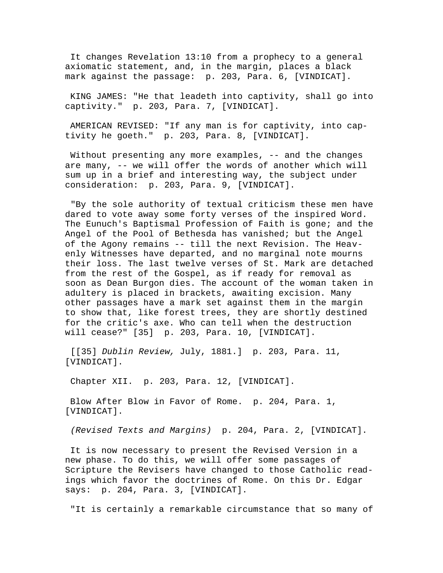It changes Revelation 13:10 from a prophecy to a general axiomatic statement, and, in the margin, places a black mark against the passage: p. 203, Para. 6, [VINDICAT].

 KING JAMES: "He that leadeth into captivity, shall go into captivity." p. 203, Para. 7, [VINDICAT].

 AMERICAN REVISED: "If any man is for captivity, into captivity he goeth." p. 203, Para. 8, [VINDICAT].

Without presenting any more examples, -- and the changes are many, -- we will offer the words of another which will sum up in a brief and interesting way, the subject under consideration: p. 203, Para. 9, [VINDICAT].

 "By the sole authority of textual criticism these men have dared to vote away some forty verses of the inspired Word. The Eunuch's Baptismal Profession of Faith is gone; and the Angel of the Pool of Bethesda has vanished; but the Angel of the Agony remains -- till the next Revision. The Heavenly Witnesses have departed, and no marginal note mourns their loss. The last twelve verses of St. Mark are detached from the rest of the Gospel, as if ready for removal as soon as Dean Burgon dies. The account of the woman taken in adultery is placed in brackets, awaiting excision. Many other passages have a mark set against them in the margin to show that, like forest trees, they are shortly destined for the critic's axe. Who can tell when the destruction will cease?" [35] p. 203, Para. 10, [VINDICAT].

 [[35] *Dublin Review,* July, 1881.] p. 203, Para. 11, [VINDICAT].

Chapter XII. p. 203, Para. 12, [VINDICAT].

 Blow After Blow in Favor of Rome. p. 204, Para. 1, [VINDICAT].

 *(Revised Texts and Margins)* p. 204, Para. 2, [VINDICAT].

 It is now necessary to present the Revised Version in a new phase. To do this, we will offer some passages of Scripture the Revisers have changed to those Catholic readings which favor the doctrines of Rome. On this Dr. Edgar says: p. 204, Para. 3, [VINDICAT].

"It is certainly a remarkable circumstance that so many of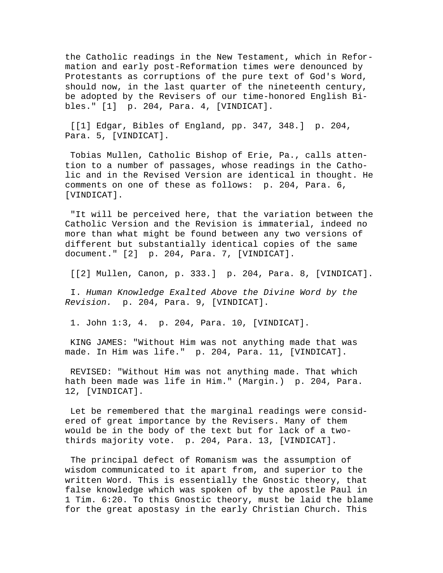the Catholic readings in the New Testament, which in Reformation and early post-Reformation times were denounced by Protestants as corruptions of the pure text of God's Word, should now, in the last quarter of the nineteenth century, be adopted by the Revisers of our time-honored English Bibles." [1] p. 204, Para. 4, [VINDICAT].

 [[1] Edgar, Bibles of England, pp. 347, 348.] p. 204, Para. 5, [VINDICAT].

 Tobias Mullen, Catholic Bishop of Erie, Pa., calls attention to a number of passages, whose readings in the Catholic and in the Revised Version are identical in thought. He comments on one of these as follows: p. 204, Para. 6, [VINDICAT].

 "It will be perceived here, that the variation between the Catholic Version and the Revision is immaterial, indeed no more than what might be found between any two versions of different but substantially identical copies of the same document." [2] p. 204, Para. 7, [VINDICAT].

[[2] Mullen, Canon, p. 333.] p. 204, Para. 8, [VINDICAT].

 I. *Human Knowledge Exalted Above the Divine Word by the Revision.* p. 204, Para. 9, [VINDICAT].

1. John 1:3, 4. p. 204, Para. 10, [VINDICAT].

 KING JAMES: "Without Him was not anything made that was made. In Him was life." p. 204, Para. 11, [VINDICAT].

 REVISED: "Without Him was not anything made. That which hath been made was life in Him." (Margin.) p. 204, Para. 12, [VINDICAT].

 Let be remembered that the marginal readings were considered of great importance by the Revisers. Many of them would be in the body of the text but for lack of a twothirds majority vote. p. 204, Para. 13, [VINDICAT].

 The principal defect of Romanism was the assumption of wisdom communicated to it apart from, and superior to the written Word. This is essentially the Gnostic theory, that false knowledge which was spoken of by the apostle Paul in 1 Tim. 6:20. To this Gnostic theory, must be laid the blame for the great apostasy in the early Christian Church. This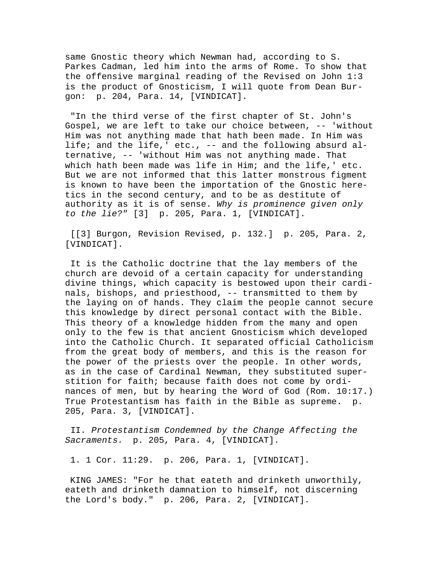same Gnostic theory which Newman had, according to S. Parkes Cadman, led him into the arms of Rome. To show that the offensive marginal reading of the Revised on John 1:3 is the product of Gnosticism, I will quote from Dean Burgon: p. 204, Para. 14, [VINDICAT].

 "In the third verse of the first chapter of St. John's Gospel, we are left to take our choice between, -- 'without Him was not anything made that hath been made. In Him was life; and the life,' etc., -- and the following absurd alternative, -- 'without Him was not anything made. That which hath been made was life in Him; and the life,' etc. But we are not informed that this latter monstrous figment is known to have been the importation of the Gnostic heretics in the second century, and to be as destitute of authority as it is of sense. *Why is prominence given only to the lie?"* [3] p. 205, Para. 1, [VINDICAT].

 [[3] Burgon, Revision Revised, p. 132.] p. 205, Para. 2, [VINDICAT].

 It is the Catholic doctrine that the lay members of the church are devoid of a certain capacity for understanding divine things, which capacity is bestowed upon their cardinals, bishops, and priesthood, -- transmitted to them by the laying on of hands. They claim the people cannot secure this knowledge by direct personal contact with the Bible. This theory of a knowledge hidden from the many and open only to the few is that ancient Gnosticism which developed into the Catholic Church. It separated official Catholicism from the great body of members, and this is the reason for the power of the priests over the people. In other words, as in the case of Cardinal Newman, they substituted superstition for faith; because faith does not come by ordinances of men, but by hearing the Word of God (Rom. 10:17.) True Protestantism has faith in the Bible as supreme. p. 205, Para. 3, [VINDICAT].

 II. *Protestantism Condemned by the Change Affecting the Sacraments.* p. 205, Para. 4, [VINDICAT].

1. 1 Cor. 11:29. p. 206, Para. 1, [VINDICAT].

 KING JAMES: "For he that eateth and drinketh unworthily, eateth and drinketh damnation to himself, not discerning the Lord's body." p. 206, Para. 2, [VINDICAT].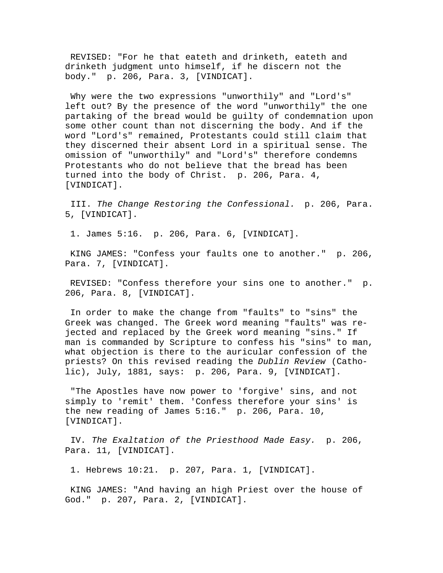REVISED: "For he that eateth and drinketh, eateth and drinketh judgment unto himself, if he discern not the body." p. 206, Para. 3, [VINDICAT].

 Why were the two expressions "unworthily" and "Lord's" left out? By the presence of the word "unworthily" the one partaking of the bread would be guilty of condemnation upon some other count than not discerning the body. And if the word "Lord's" remained, Protestants could still claim that they discerned their absent Lord in a spiritual sense. The omission of "unworthily" and "Lord's" therefore condemns Protestants who do not believe that the bread has been turned into the body of Christ. p. 206, Para. 4, [VINDICAT].

 III. *The Change Restoring the Confessional.* p. 206, Para. 5, [VINDICAT].

1. James 5:16. p. 206, Para. 6, [VINDICAT].

 KING JAMES: "Confess your faults one to another." p. 206, Para. 7, [VINDICAT].

 REVISED: "Confess therefore your sins one to another." p. 206, Para. 8, [VINDICAT].

 In order to make the change from "faults" to "sins" the Greek was changed. The Greek word meaning "faults" was rejected and replaced by the Greek word meaning "sins." If man is commanded by Scripture to confess his "sins" to man, what objection is there to the auricular confession of the priests? On this revised reading the *Dublin Review* (Catholic), July, 1881, says: p. 206, Para. 9, [VINDICAT].

 "The Apostles have now power to 'forgive' sins, and not simply to 'remit' them. 'Confess therefore your sins' is the new reading of James 5:16." p. 206, Para. 10, [VINDICAT].

 IV. *The Exaltation of the Priesthood Made Easy.* p. 206, Para. 11, [VINDICAT].

1. Hebrews 10:21. p. 207, Para. 1, [VINDICAT].

 KING JAMES: "And having an high Priest over the house of God." p. 207, Para. 2, [VINDICAT].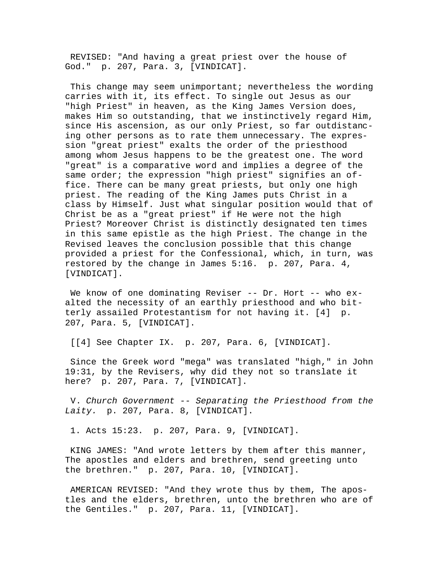REVISED: "And having a great priest over the house of God." p. 207, Para. 3, [VINDICAT].

 This change may seem unimportant; nevertheless the wording carries with it, its effect. To single out Jesus as our "high Priest" in heaven, as the King James Version does, makes Him so outstanding, that we instinctively regard Him, since His ascension, as our only Priest, so far outdistancing other persons as to rate them unnecessary. The expression "great priest" exalts the order of the priesthood among whom Jesus happens to be the greatest one. The word "great" is a comparative word and implies a degree of the same order; the expression "high priest" signifies an office. There can be many great priests, but only one high priest. The reading of the King James puts Christ in a class by Himself. Just what singular position would that of Christ be as a "great priest" if He were not the high Priest? Moreover Christ is distinctly designated ten times in this same epistle as the high Priest. The change in the Revised leaves the conclusion possible that this change provided a priest for the Confessional, which, in turn, was restored by the change in James 5:16. p. 207, Para. 4, [VINDICAT].

We know of one dominating Reviser -- Dr. Hort -- who exalted the necessity of an earthly priesthood and who bitterly assailed Protestantism for not having it. [4] p. 207, Para. 5, [VINDICAT].

[[4] See Chapter IX. p. 207, Para. 6, [VINDICAT].

 Since the Greek word "mega" was translated "high," in John 19:31, by the Revisers, why did they not so translate it here? p. 207, Para. 7, [VINDICAT].

 V. *Church Government -- Separating the Priesthood from the Laity.* p. 207, Para. 8, [VINDICAT].

1. Acts 15:23. p. 207, Para. 9, [VINDICAT].

 KING JAMES: "And wrote letters by them after this manner, The apostles and elders and brethren, send greeting unto the brethren." p. 207, Para. 10, [VINDICAT].

 AMERICAN REVISED: "And they wrote thus by them, The apostles and the elders, brethren, unto the brethren who are of the Gentiles." p. 207, Para. 11, [VINDICAT].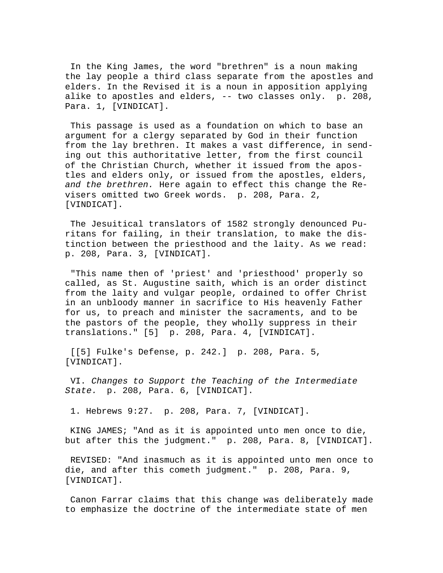In the King James, the word "brethren" is a noun making the lay people a third class separate from the apostles and elders. In the Revised it is a noun in apposition applying alike to apostles and elders, -- two classes only. p. 208, Para. 1, [VINDICAT].

 This passage is used as a foundation on which to base an argument for a clergy separated by God in their function from the lay brethren. It makes a vast difference, in sending out this authoritative letter, from the first council of the Christian Church, whether it issued from the apostles and elders only, or issued from the apostles, elders, *and the brethren.* Here again to effect this change the Revisers omitted two Greek words. p. 208, Para. 2, [VINDICAT].

 The Jesuitical translators of 1582 strongly denounced Puritans for failing, in their translation, to make the distinction between the priesthood and the laity. As we read: p. 208, Para. 3, [VINDICAT].

 "This name then of 'priest' and 'priesthood' properly so called, as St. Augustine saith, which is an order distinct from the laity and vulgar people, ordained to offer Christ in an unbloody manner in sacrifice to His heavenly Father for us, to preach and minister the sacraments, and to be the pastors of the people, they wholly suppress in their translations." [5] p. 208, Para. 4, [VINDICAT].

 [[5] Fulke's Defense, p. 242.] p. 208, Para. 5, [VINDICAT].

 VI. *Changes to Support the Teaching of the Intermediate State.* p. 208, Para. 6, [VINDICAT].

1. Hebrews 9:27. p. 208, Para. 7, [VINDICAT].

 KING JAMES; "And as it is appointed unto men once to die, but after this the judgment." p. 208, Para. 8, [VINDICAT].

 REVISED: "And inasmuch as it is appointed unto men once to die, and after this cometh judgment." p. 208, Para. 9, [VINDICAT].

 Canon Farrar claims that this change was deliberately made to emphasize the doctrine of the intermediate state of men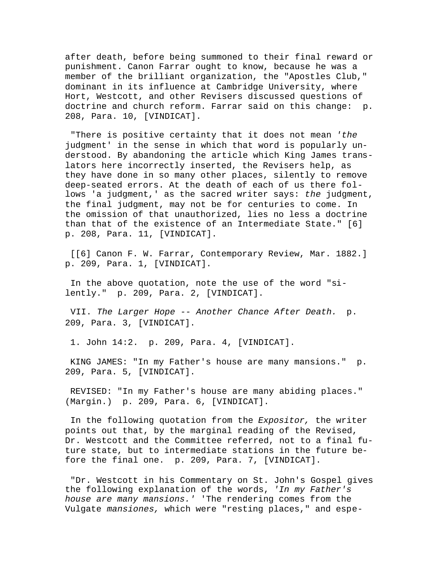after death, before being summoned to their final reward or punishment. Canon Farrar ought to know, because he was a member of the brilliant organization, the "Apostles Club," dominant in its influence at Cambridge University, where Hort, Westcott, and other Revisers discussed questions of doctrine and church reform. Farrar said on this change: p. 208, Para. 10, [VINDICAT].

 "There is positive certainty that it does not mean *'the* judgment' in the sense in which that word is popularly understood. By abandoning the article which King James translators here incorrectly inserted, the Revisers help, as they have done in so many other places, silently to remove deep-seated errors. At the death of each of us there follows 'a judgment,' as the sacred writer says: *the* judgment, the final judgment, may not be for centuries to come. In the omission of that unauthorized, lies no less a doctrine than that of the existence of an Intermediate State." [6] p. 208, Para. 11, [VINDICAT].

 [[6] Canon F. W. Farrar, Contemporary Review, Mar. 1882.] p. 209, Para. 1, [VINDICAT].

 In the above quotation, note the use of the word "silently." p. 209, Para. 2, [VINDICAT].

 VII. *The Larger Hope -- Another Chance After Death.* p. 209, Para. 3, [VINDICAT].

1. John 14:2. p. 209, Para. 4, [VINDICAT].

 KING JAMES: "In my Father's house are many mansions." p. 209, Para. 5, [VINDICAT].

 REVISED: "In my Father's house are many abiding places." (Margin.) p. 209, Para. 6, [VINDICAT].

 In the following quotation from the *Expositor,* the writer points out that, by the marginal reading of the Revised, Dr. Westcott and the Committee referred, not to a final future state, but to intermediate stations in the future before the final one. p. 209, Para. 7, [VINDICAT].

 "Dr. Westcott in his Commentary on St. John's Gospel gives the following explanation of the words, *'In my Father's house are many mansions.'* 'The rendering comes from the Vulgate *mansiones,* which were "resting places," and espe-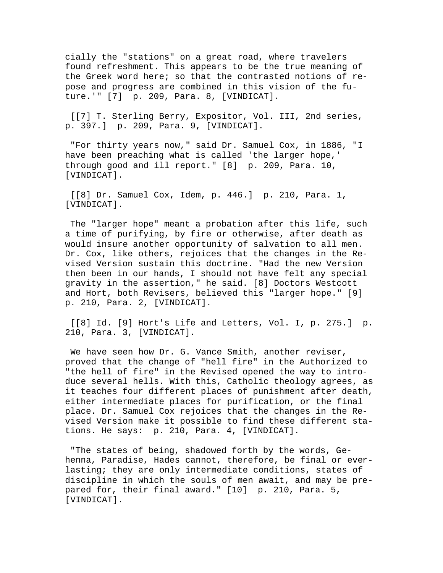cially the "stations" on a great road, where travelers found refreshment. This appears to be the true meaning of the Greek word here; so that the contrasted notions of repose and progress are combined in this vision of the future.'" [7] p. 209, Para. 8, [VINDICAT].

 [[7] T. Sterling Berry, Expositor, Vol. III, 2nd series, p. 397.] p. 209, Para. 9, [VINDICAT].

 "For thirty years now," said Dr. Samuel Cox, in 1886, "I have been preaching what is called 'the larger hope,' through good and ill report." [8] p. 209, Para. 10, [VINDICAT].

 [[8] Dr. Samuel Cox, Idem, p. 446.] p. 210, Para. 1, [VINDICAT].

 The "larger hope" meant a probation after this life, such a time of purifying, by fire or otherwise, after death as would insure another opportunity of salvation to all men. Dr. Cox, like others, rejoices that the changes in the Revised Version sustain this doctrine. "Had the new Version then been in our hands, I should not have felt any special gravity in the assertion," he said. [8] Doctors Westcott and Hort, both Revisers, believed this "larger hope." [9] p. 210, Para. 2, [VINDICAT].

 [[8] Id. [9] Hort's Life and Letters, Vol. I, p. 275.] p. 210, Para. 3, [VINDICAT].

 We have seen how Dr. G. Vance Smith, another reviser, proved that the change of "hell fire" in the Authorized to "the hell of fire" in the Revised opened the way to introduce several hells. With this, Catholic theology agrees, as it teaches four different places of punishment after death, either intermediate places for purification, or the final place. Dr. Samuel Cox rejoices that the changes in the Revised Version make it possible to find these different stations. He says: p. 210, Para. 4, [VINDICAT].

 "The states of being, shadowed forth by the words, Gehenna, Paradise, Hades cannot, therefore, be final or everlasting; they are only intermediate conditions, states of discipline in which the souls of men await, and may be prepared for, their final award." [10] p. 210, Para. 5, [VINDICAT].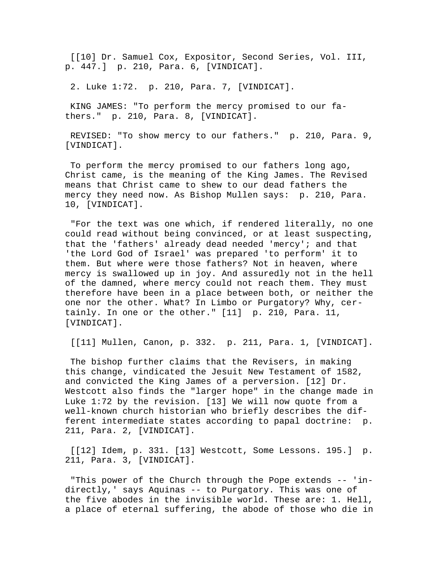[[10] Dr. Samuel Cox, Expositor, Second Series, Vol. III, p. 447.] p. 210, Para. 6, [VINDICAT].

2. Luke 1:72. p. 210, Para. 7, [VINDICAT].

 KING JAMES: "To perform the mercy promised to our fathers." p. 210, Para. 8, [VINDICAT].

 REVISED: "To show mercy to our fathers." p. 210, Para. 9, [VINDICAT].

 To perform the mercy promised to our fathers long ago, Christ came, is the meaning of the King James. The Revised means that Christ came to shew to our dead fathers the mercy they need now. As Bishop Mullen says: p. 210, Para. 10, [VINDICAT].

 "For the text was one which, if rendered literally, no one could read without being convinced, or at least suspecting, that the 'fathers' already dead needed 'mercy'; and that 'the Lord God of Israel' was prepared 'to perform' it to them. But where were those fathers? Not in heaven, where mercy is swallowed up in joy. And assuredly not in the hell of the damned, where mercy could not reach them. They must therefore have been in a place between both, or neither the one nor the other. What? In Limbo or Purgatory? Why, certainly. In one or the other." [11] p. 210, Para. 11, [VINDICAT].

[[11] Mullen, Canon, p. 332. p. 211, Para. 1, [VINDICAT].

 The bishop further claims that the Revisers, in making this change, vindicated the Jesuit New Testament of 1582, and convicted the King James of a perversion. [12] Dr. Westcott also finds the "larger hope" in the change made in Luke 1:72 by the revision. [13] We will now quote from a well-known church historian who briefly describes the different intermediate states according to papal doctrine: p. 211, Para. 2, [VINDICAT].

 [[12] Idem, p. 331. [13] Westcott, Some Lessons. 195.] p. 211, Para. 3, [VINDICAT].

 "This power of the Church through the Pope extends -- 'indirectly,' says Aquinas -- to Purgatory. This was one of the five abodes in the invisible world. These are: 1. Hell, a place of eternal suffering, the abode of those who die in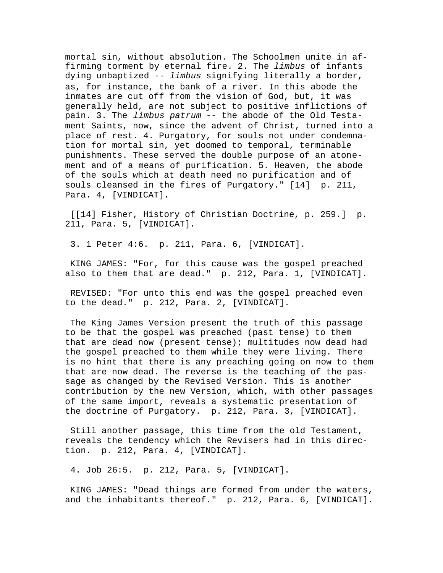mortal sin, without absolution. The Schoolmen unite in affirming torment by eternal fire. 2. The *limbus* of infants dying unbaptized -- *limbus* signifying literally a border, as, for instance, the bank of a river. In this abode the inmates are cut off from the vision of God, but, it was generally held, are not subject to positive inflictions of pain. 3. The *limbus patrum* -- the abode of the Old Testament Saints, now, since the advent of Christ, turned into a place of rest. 4. Purgatory, for souls not under condemnation for mortal sin, yet doomed to temporal, terminable punishments. These served the double purpose of an atonement and of a means of purification. 5. Heaven, the abode of the souls which at death need no purification and of souls cleansed in the fires of Purgatory." [14] p. 211, Para. 4, [VINDICAT].

 [[14] Fisher, History of Christian Doctrine, p. 259.] p. 211, Para. 5, [VINDICAT].

3. 1 Peter 4:6. p. 211, Para. 6, [VINDICAT].

 KING JAMES: "For, for this cause was the gospel preached also to them that are dead." p. 212, Para. 1, [VINDICAT].

 REVISED: "For unto this end was the gospel preached even to the dead." p. 212, Para. 2, [VINDICAT].

 The King James Version present the truth of this passage to be that the gospel was preached (past tense) to them that are dead now (present tense); multitudes now dead had the gospel preached to them while they were living. There is no hint that there is any preaching going on now to them that are now dead. The reverse is the teaching of the passage as changed by the Revised Version. This is another contribution by the new Version, which, with other passages of the same import, reveals a systematic presentation of the doctrine of Purgatory. p. 212, Para. 3, [VINDICAT].

 Still another passage, this time from the old Testament, reveals the tendency which the Revisers had in this direction. p. 212, Para. 4, [VINDICAT].

4. Job 26:5. p. 212, Para. 5, [VINDICAT].

 KING JAMES: "Dead things are formed from under the waters, and the inhabitants thereof." p. 212, Para. 6, [VINDICAT].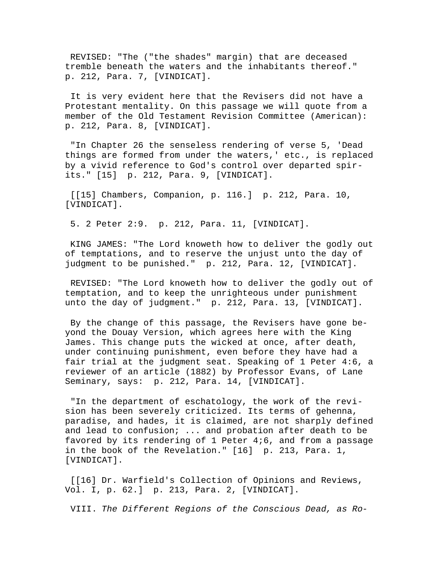REVISED: "The ("the shades" margin) that are deceased tremble beneath the waters and the inhabitants thereof." p. 212, Para. 7, [VINDICAT].

 It is very evident here that the Revisers did not have a Protestant mentality. On this passage we will quote from a member of the Old Testament Revision Committee (American): p. 212, Para. 8, [VINDICAT].

 "In Chapter 26 the senseless rendering of verse 5, 'Dead things are formed from under the waters,' etc., is replaced by a vivid reference to God's control over departed spirits." [15] p. 212, Para. 9, [VINDICAT].

 [[15] Chambers, Companion, p. 116.] p. 212, Para. 10, [VINDICAT].

5. 2 Peter 2:9. p. 212, Para. 11, [VINDICAT].

 KING JAMES: "The Lord knoweth how to deliver the godly out of temptations, and to reserve the unjust unto the day of judgment to be punished." p. 212, Para. 12, [VINDICAT].

 REVISED: "The Lord knoweth how to deliver the godly out of temptation, and to keep the unrighteous under punishment unto the day of judgment." p. 212, Para. 13, [VINDICAT].

 By the change of this passage, the Revisers have gone beyond the Douay Version, which agrees here with the King James. This change puts the wicked at once, after death, under continuing punishment, even before they have had a fair trial at the judgment seat. Speaking of 1 Peter 4:6, a reviewer of an article (1882) by Professor Evans, of Lane Seminary, says: p. 212, Para. 14, [VINDICAT].

 "In the department of eschatology, the work of the revision has been severely criticized. Its terms of gehenna, paradise, and hades, it is claimed, are not sharply defined and lead to confusion; ... and probation after death to be favored by its rendering of 1 Peter 4;6, and from a passage in the book of the Revelation." [16] p. 213, Para. 1, [VINDICAT].

 [[16] Dr. Warfield's Collection of Opinions and Reviews, Vol. I, p. 62.] p. 213, Para. 2, [VINDICAT].

VIII. *The Different Regions of the Conscious Dead, as Ro-*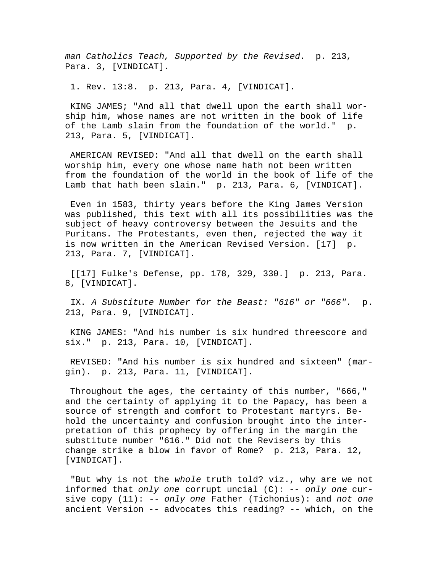*man Catholics Teach, Supported by the Revised.* p. 213, Para. 3, [VINDICAT].

1. Rev. 13:8. p. 213, Para. 4, [VINDICAT].

 KING JAMES; "And all that dwell upon the earth shall worship him, whose names are not written in the book of life of the Lamb slain from the foundation of the world." p. 213, Para. 5, [VINDICAT].

 AMERICAN REVISED: "And all that dwell on the earth shall worship him, every one whose name hath not been written from the foundation of the world in the book of life of the Lamb that hath been slain." p. 213, Para. 6, [VINDICAT].

 Even in 1583, thirty years before the King James Version was published, this text with all its possibilities was the subject of heavy controversy between the Jesuits and the Puritans. The Protestants, even then, rejected the way it is now written in the American Revised Version. [17] p. 213, Para. 7, [VINDICAT].

 [[17] Fulke's Defense, pp. 178, 329, 330.] p. 213, Para. 8, [VINDICAT].

 IX. *A Substitute Number for the Beast: "616" or "666".* p. 213, Para. 9, [VINDICAT].

 KING JAMES: "And his number is six hundred threescore and six." p. 213, Para. 10, [VINDICAT].

 REVISED: "And his number is six hundred and sixteen" (margin). p. 213, Para. 11, [VINDICAT].

 Throughout the ages, the certainty of this number, "666," and the certainty of applying it to the Papacy, has been a source of strength and comfort to Protestant martyrs. Behold the uncertainty and confusion brought into the interpretation of this prophecy by offering in the margin the substitute number "616." Did not the Revisers by this change strike a blow in favor of Rome? p. 213, Para. 12, [VINDICAT].

 "But why is not the *whole* truth told? viz., why are we not informed that *only one* corrupt uncial (C): -- *only one* cursive copy (11): -- *only one* Father (Tichonius): and *not one* ancient Version -- advocates this reading? -- which, on the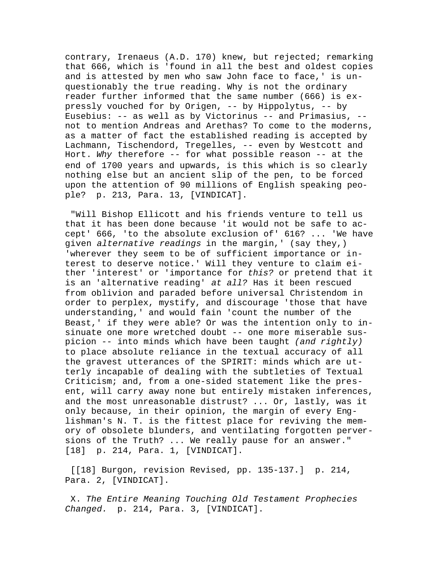contrary, Irenaeus (A.D. 170) knew, but rejected; remarking that 666, which is 'found in all the best and oldest copies and is attested by men who saw John face to face,' is unquestionably the true reading. Why is not the ordinary reader further informed that the same number (666) is expressly vouched for by Origen, -- by Hippolytus, -- by Eusebius: -- as well as by Victorinus -- and Primasius, - not to mention Andreas and Arethas? To come to the moderns, as a matter of fact the established reading is accepted by Lachmann, Tischendord, Tregelles, -- even by Westcott and Hort. *Why* therefore -- for what possible reason -- at the end of 1700 years and upwards, is this which is so clearly nothing else but an ancient slip of the pen, to be forced upon the attention of 90 millions of English speaking people? p. 213, Para. 13, [VINDICAT].

 "Will Bishop Ellicott and his friends venture to tell us that it has been done because 'it would not be safe to accept' 666, 'to the absolute exclusion of' 616? ... 'We have given *alternative readings* in the margin,' (say they,) 'wherever they seem to be of sufficient importance or interest to deserve notice.' Will they venture to claim either 'interest' or 'importance for *this?* or pretend that it is an 'alternative reading' *at all?* Has it been rescued from oblivion and paraded before universal Christendom in order to perplex, mystify, and discourage 'those that have understanding,' and would fain 'count the number of the Beast,' if they were able? Or was the intention only to insinuate one more wretched doubt -- one more miserable suspicion -- into minds which have been taught *(and rightly)* to place absolute reliance in the textual accuracy of all the gravest utterances of the SPIRIT: minds which are utterly incapable of dealing with the subtleties of Textual Criticism; and, from a one-sided statement like the present, will carry away none but entirely mistaken inferences, and the most unreasonable distrust? ... Or, lastly, was it only because, in their opinion, the margin of every Englishman's N. T. is the fittest place for reviving the memory of obsolete blunders, and ventilating forgotten perversions of the Truth? ... We really pause for an answer." [18] p. 214, Para. 1, [VINDICAT].

 [[18] Burgon, revision Revised, pp. 135-137.] p. 214, Para. 2, [VINDICAT].

 X. *The Entire Meaning Touching Old Testament Prophecies Changed.* p. 214, Para. 3, [VINDICAT].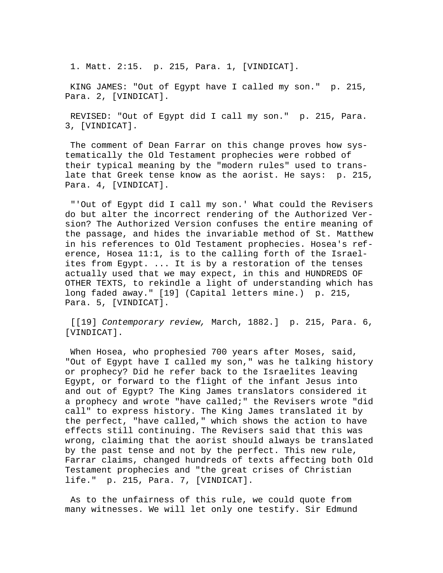1. Matt. 2:15. p. 215, Para. 1, [VINDICAT].

 KING JAMES: "Out of Egypt have I called my son." p. 215, Para. 2, [VINDICAT].

 REVISED: "Out of Egypt did I call my son." p. 215, Para. 3, [VINDICAT].

 The comment of Dean Farrar on this change proves how systematically the Old Testament prophecies were robbed of their typical meaning by the "modern rules" used to translate that Greek tense know as the aorist. He says: p. 215, Para. 4, [VINDICAT].

 "'Out of Egypt did I call my son.' What could the Revisers do but alter the incorrect rendering of the Authorized Version? The Authorized Version confuses the entire meaning of the passage, and hides the invariable method of St. Matthew in his references to Old Testament prophecies. Hosea's reference, Hosea 11:1, is to the calling forth of the Israelites from Egypt. ... It is by a restoration of the tenses actually used that we may expect, in this and HUNDREDS OF OTHER TEXTS, to rekindle a light of understanding which has long faded away." [19] (Capital letters mine.) p. 215, Para. 5, [VINDICAT].

 [[19] *Contemporary review,* March, 1882.] p. 215, Para. 6, [VINDICAT].

 When Hosea, who prophesied 700 years after Moses, said, "Out of Egypt have I called my son," was he talking history or prophecy? Did he refer back to the Israelites leaving Egypt, or forward to the flight of the infant Jesus into and out of Egypt? The King James translators considered it a prophecy and wrote "have called;" the Revisers wrote "did call" to express history. The King James translated it by the perfect, "have called," which shows the action to have effects still continuing. The Revisers said that this was wrong, claiming that the aorist should always be translated by the past tense and not by the perfect. This new rule, Farrar claims, changed hundreds of texts affecting both Old Testament prophecies and "the great crises of Christian life." p. 215, Para. 7, [VINDICAT].

 As to the unfairness of this rule, we could quote from many witnesses. We will let only one testify. Sir Edmund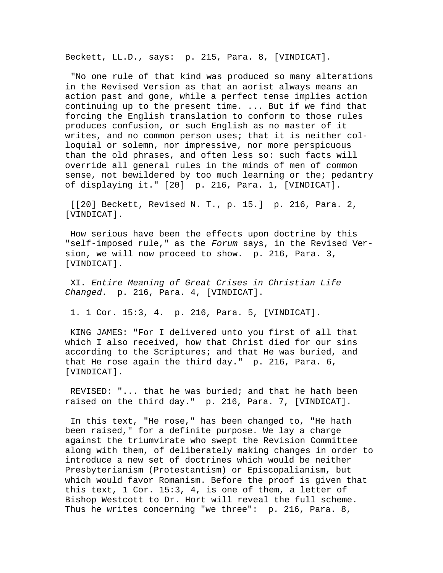Beckett, LL.D., says: p. 215, Para. 8, [VINDICAT].

 "No one rule of that kind was produced so many alterations in the Revised Version as that an aorist always means an action past and gone, while a perfect tense implies action continuing up to the present time. ... But if we find that forcing the English translation to conform to those rules produces confusion, or such English as no master of it writes, and no common person uses; that it is neither colloquial or solemn, nor impressive, nor more perspicuous than the old phrases, and often less so: such facts will override all general rules in the minds of men of common sense, not bewildered by too much learning or the; pedantry of displaying it." [20] p. 216, Para. 1, [VINDICAT].

 [[20] Beckett, Revised N. T., p. 15.] p. 216, Para. 2, [VINDICAT].

 How serious have been the effects upon doctrine by this "self-imposed rule," as the *Forum* says, in the Revised Version, we will now proceed to show. p. 216, Para. 3, [VINDICAT].

 XI. *Entire Meaning of Great Crises in Christian Life Changed.* p. 216, Para. 4, [VINDICAT].

1. 1 Cor. 15:3, 4. p. 216, Para. 5, [VINDICAT].

 KING JAMES: "For I delivered unto you first of all that which I also received, how that Christ died for our sins according to the Scriptures; and that He was buried, and that He rose again the third day." p. 216, Para. 6, [VINDICAT].

 REVISED: "... that he was buried; and that he hath been raised on the third day." p. 216, Para. 7, [VINDICAT].

 In this text, "He rose," has been changed to, "He hath been raised," for a definite purpose. We lay a charge against the triumvirate who swept the Revision Committee along with them, of deliberately making changes in order to introduce a new set of doctrines which would be neither Presbyterianism (Protestantism) or Episcopalianism, but which would favor Romanism. Before the proof is given that this text, 1 Cor. 15:3, 4, is one of them, a letter of Bishop Westcott to Dr. Hort will reveal the full scheme. Thus he writes concerning "we three": p. 216, Para. 8,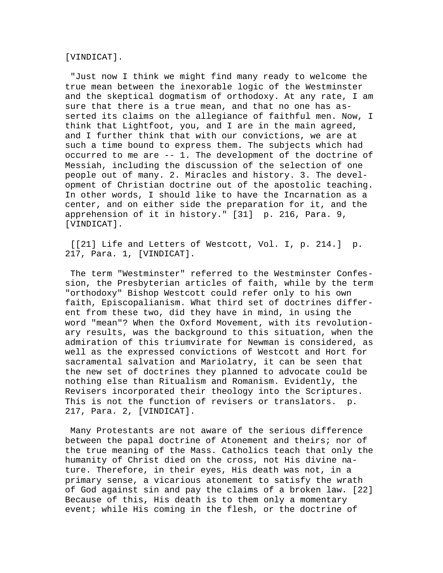[VINDICAT].

 "Just now I think we might find many ready to welcome the true mean between the inexorable logic of the Westminster and the skeptical dogmatism of orthodoxy. At any rate, I am sure that there is a true mean, and that no one has asserted its claims on the allegiance of faithful men. Now, I think that Lightfoot, you, and I are in the main agreed, and I further think that with our convictions, we are at such a time bound to express them. The subjects which had occurred to me are -- 1. The development of the doctrine of Messiah, including the discussion of the selection of one people out of many. 2. Miracles and history. 3. The development of Christian doctrine out of the apostolic teaching. In other words, I should like to have the Incarnation as a center, and on either side the preparation for it, and the apprehension of it in history." [31] p. 216, Para. 9, [VINDICAT].

 [[21] Life and Letters of Westcott, Vol. I, p. 214.] p. 217, Para. 1, [VINDICAT].

 The term "Westminster" referred to the Westminster Confession, the Presbyterian articles of faith, while by the term "orthodoxy" Bishop Westcott could refer only to his own faith, Episcopalianism. What third set of doctrines different from these two, did they have in mind, in using the word "mean"? When the Oxford Movement, with its revolutionary results, was the background to this situation, when the admiration of this triumvirate for Newman is considered, as well as the expressed convictions of Westcott and Hort for sacramental salvation and Mariolatry, it can be seen that the new set of doctrines they planned to advocate could be nothing else than Ritualism and Romanism. Evidently, the Revisers incorporated their theology into the Scriptures. This is not the function of revisers or translators. p. 217, Para. 2, [VINDICAT].

 Many Protestants are not aware of the serious difference between the papal doctrine of Atonement and theirs; nor of the true meaning of the Mass. Catholics teach that only the humanity of Christ died on the cross, not His divine nature. Therefore, in their eyes, His death was not, in a primary sense, a vicarious atonement to satisfy the wrath of God against sin and pay the claims of a broken law. [22] Because of this, His death is to them only a momentary event; while His coming in the flesh, or the doctrine of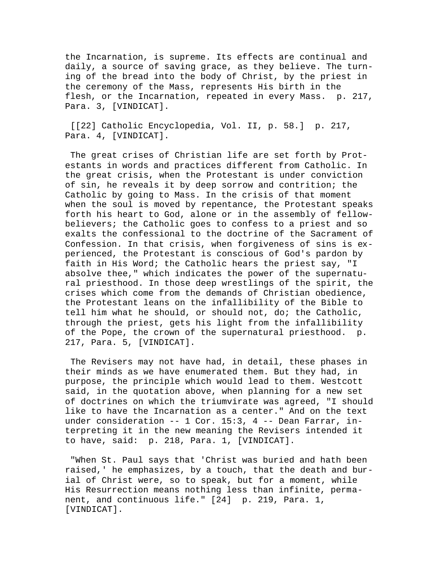the Incarnation, is supreme. Its effects are continual and daily, a source of saving grace, as they believe. The turning of the bread into the body of Christ, by the priest in the ceremony of the Mass, represents His birth in the flesh, or the Incarnation, repeated in every Mass. p. 217, Para. 3, [VINDICAT].

 [[22] Catholic Encyclopedia, Vol. II, p. 58.] p. 217, Para. 4, [VINDICAT].

 The great crises of Christian life are set forth by Protestants in words and practices different from Catholic. In the great crisis, when the Protestant is under conviction of sin, he reveals it by deep sorrow and contrition; the Catholic by going to Mass. In the crisis of that moment when the soul is moved by repentance, the Protestant speaks forth his heart to God, alone or in the assembly of fellowbelievers; the Catholic goes to confess to a priest and so exalts the confessional to the doctrine of the Sacrament of Confession. In that crisis, when forgiveness of sins is experienced, the Protestant is conscious of God's pardon by faith in His Word; the Catholic hears the priest say, "I absolve thee," which indicates the power of the supernatural priesthood. In those deep wrestlings of the spirit, the crises which come from the demands of Christian obedience, the Protestant leans on the infallibility of the Bible to tell him what he should, or should not, do; the Catholic, through the priest, gets his light from the infallibility of the Pope, the crown of the supernatural priesthood. p. 217, Para. 5, [VINDICAT].

 The Revisers may not have had, in detail, these phases in their minds as we have enumerated them. But they had, in purpose, the principle which would lead to them. Westcott said, in the quotation above, when planning for a new set of doctrines on which the triumvirate was agreed, "I should like to have the Incarnation as a center." And on the text under consideration -- 1 Cor. 15:3, 4 -- Dean Farrar, interpreting it in the new meaning the Revisers intended it to have, said: p. 218, Para. 1, [VINDICAT].

 "When St. Paul says that 'Christ was buried and hath been raised,' he emphasizes, by a touch, that the death and burial of Christ were, so to speak, but for a moment, while His Resurrection means nothing less than infinite, permanent, and continuous life." [24] p. 219, Para. 1, [VINDICAT].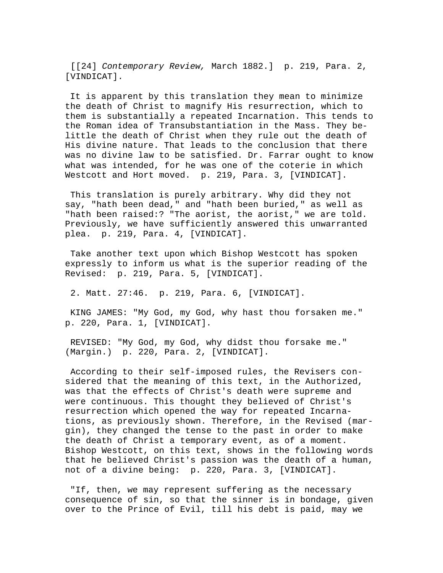[[24] *Contemporary Review,* March 1882.] p. 219, Para. 2, [VINDICAT].

 It is apparent by this translation they mean to minimize the death of Christ to magnify His resurrection, which to them is substantially a repeated Incarnation. This tends to the Roman idea of Transubstantiation in the Mass. They belittle the death of Christ when they rule out the death of His divine nature. That leads to the conclusion that there was no divine law to be satisfied. Dr. Farrar ought to know what was intended, for he was one of the coterie in which Westcott and Hort moved. p. 219, Para. 3, [VINDICAT].

 This translation is purely arbitrary. Why did they not say, "hath been dead," and "hath been buried," as well as "hath been raised:? "The aorist, the aorist," we are told. Previously, we have sufficiently answered this unwarranted plea. p. 219, Para. 4, [VINDICAT].

 Take another text upon which Bishop Westcott has spoken expressly to inform us what is the superior reading of the Revised: p. 219, Para. 5, [VINDICAT].

2. Matt. 27:46. p. 219, Para. 6, [VINDICAT].

 KING JAMES: "My God, my God, why hast thou forsaken me." p. 220, Para. 1, [VINDICAT].

 REVISED: "My God, my God, why didst thou forsake me." (Margin.) p. 220, Para. 2, [VINDICAT].

 According to their self-imposed rules, the Revisers considered that the meaning of this text, in the Authorized, was that the effects of Christ's death were supreme and were continuous. This thought they believed of Christ's resurrection which opened the way for repeated Incarnations, as previously shown. Therefore, in the Revised (margin), they changed the tense to the past in order to make the death of Christ a temporary event, as of a moment. Bishop Westcott, on this text, shows in the following words that he believed Christ's passion was the death of a human, not of a divine being: p. 220, Para. 3, [VINDICAT].

 "If, then, we may represent suffering as the necessary consequence of sin, so that the sinner is in bondage, given over to the Prince of Evil, till his debt is paid, may we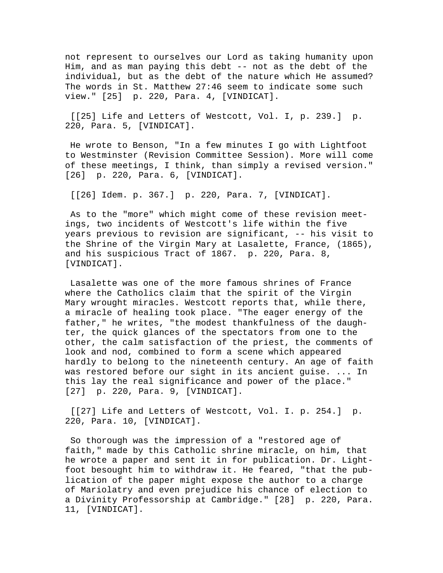not represent to ourselves our Lord as taking humanity upon Him, and as man paying this debt -- not as the debt of the individual, but as the debt of the nature which He assumed? The words in St. Matthew 27:46 seem to indicate some such view." [25] p. 220, Para. 4, [VINDICAT].

 [[25] Life and Letters of Westcott, Vol. I, p. 239.] p. 220, Para. 5, [VINDICAT].

 He wrote to Benson, "In a few minutes I go with Lightfoot to Westminster (Revision Committee Session). More will come of these meetings, I think, than simply a revised version." [26] p. 220, Para. 6, [VINDICAT].

[[26] Idem. p. 367.] p. 220, Para. 7, [VINDICAT].

 As to the "more" which might come of these revision meetings, two incidents of Westcott's life within the five years previous to revision are significant, -- his visit to the Shrine of the Virgin Mary at Lasalette, France, (1865), and his suspicious Tract of 1867. p. 220, Para. 8, [VINDICAT].

 Lasalette was one of the more famous shrines of France where the Catholics claim that the spirit of the Virgin Mary wrought miracles. Westcott reports that, while there, a miracle of healing took place. "The eager energy of the father," he writes, "the modest thankfulness of the daughter, the quick glances of the spectators from one to the other, the calm satisfaction of the priest, the comments of look and nod, combined to form a scene which appeared hardly to belong to the nineteenth century. An age of faith was restored before our sight in its ancient guise. ... In this lay the real significance and power of the place." [27] p. 220, Para. 9, [VINDICAT].

 [[27] Life and Letters of Westcott, Vol. I. p. 254.] p. 220, Para. 10, [VINDICAT].

 So thorough was the impression of a "restored age of faith," made by this Catholic shrine miracle, on him, that he wrote a paper and sent it in for publication. Dr. Lightfoot besought him to withdraw it. He feared, "that the publication of the paper might expose the author to a charge of Mariolatry and even prejudice his chance of election to a Divinity Professorship at Cambridge." [28] p. 220, Para. 11, [VINDICAT].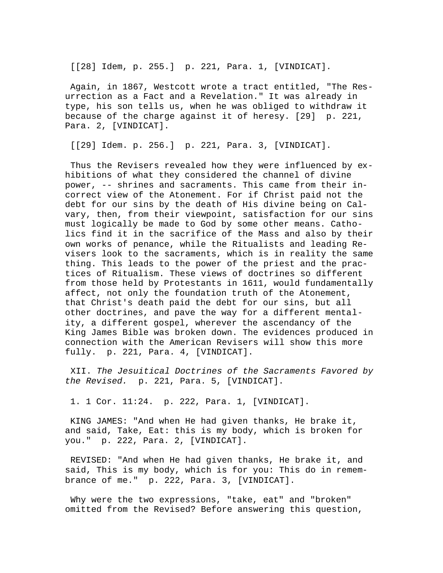[[28] Idem, p. 255.] p. 221, Para. 1, [VINDICAT].

 Again, in 1867, Westcott wrote a tract entitled, "The Resurrection as a Fact and a Revelation." It was already in type, his son tells us, when he was obliged to withdraw it because of the charge against it of heresy. [29] p. 221, Para. 2, [VINDICAT].

[[29] Idem. p. 256.] p. 221, Para. 3, [VINDICAT].

 Thus the Revisers revealed how they were influenced by exhibitions of what they considered the channel of divine power, -- shrines and sacraments. This came from their incorrect view of the Atonement. For if Christ paid not the debt for our sins by the death of His divine being on Calvary, then, from their viewpoint, satisfaction for our sins must logically be made to God by some other means. Catholics find it in the sacrifice of the Mass and also by their own works of penance, while the Ritualists and leading Revisers look to the sacraments, which is in reality the same thing. This leads to the power of the priest and the practices of Ritualism. These views of doctrines so different from those held by Protestants in 1611, would fundamentally affect, not only the foundation truth of the Atonement, that Christ's death paid the debt for our sins, but all other doctrines, and pave the way for a different mentality, a different gospel, wherever the ascendancy of the King James Bible was broken down. The evidences produced in connection with the American Revisers will show this more fully. p. 221, Para. 4, [VINDICAT].

 XII. *The Jesuitical Doctrines of the Sacraments Favored by the Revised.* p. 221, Para. 5, [VINDICAT].

1. 1 Cor. 11:24. p. 222, Para. 1, [VINDICAT].

 KING JAMES: "And when He had given thanks, He brake it, and said, Take, Eat: this is my body, which is broken for you." p. 222, Para. 2, [VINDICAT].

 REVISED: "And when He had given thanks, He brake it, and said, This is my body, which is for you: This do in remembrance of me." p. 222, Para. 3, [VINDICAT].

 Why were the two expressions, "take, eat" and "broken" omitted from the Revised? Before answering this question,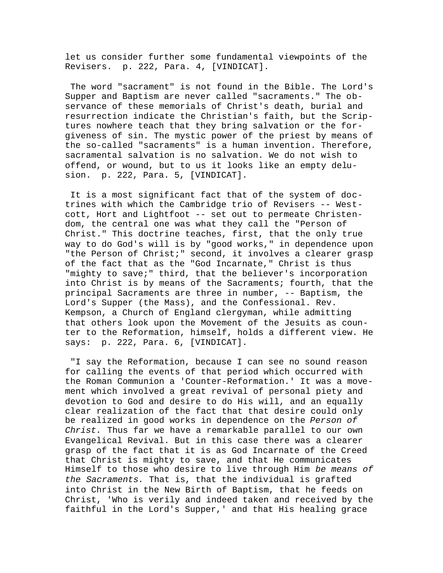let us consider further some fundamental viewpoints of the Revisers. p. 222, Para. 4, [VINDICAT].

 The word "sacrament" is not found in the Bible. The Lord's Supper and Baptism are never called "sacraments." The observance of these memorials of Christ's death, burial and resurrection indicate the Christian's faith, but the Scriptures nowhere teach that they bring salvation or the forgiveness of sin. The mystic power of the priest by means of the so-called "sacraments" is a human invention. Therefore, sacramental salvation is no salvation. We do not wish to offend, or wound, but to us it looks like an empty delusion. p. 222, Para. 5, [VINDICAT].

 It is a most significant fact that of the system of doctrines with which the Cambridge trio of Revisers -- Westcott, Hort and Lightfoot -- set out to permeate Christendom, the central one was what they call the "Person of Christ." This doctrine teaches, first, that the only true way to do God's will is by "good works," in dependence upon "the Person of Christ;" second, it involves a clearer grasp of the fact that as the "God Incarnate," Christ is thus "mighty to save;" third, that the believer's incorporation into Christ is by means of the Sacraments; fourth, that the principal Sacraments are three in number, -- Baptism, the Lord's Supper (the Mass), and the Confessional. Rev. Kempson, a Church of England clergyman, while admitting that others look upon the Movement of the Jesuits as counter to the Reformation, himself, holds a different view. He says: p. 222, Para. 6, [VINDICAT].

 "I say the Reformation, because I can see no sound reason for calling the events of that period which occurred with the Roman Communion a 'Counter-Reformation.' It was a movement which involved a great revival of personal piety and devotion to God and desire to do His will, and an equally clear realization of the fact that that desire could only be realized in good works in dependence on the *Person of Christ.* Thus far we have a remarkable parallel to our own Evangelical Revival. But in this case there was a clearer grasp of the fact that it is as God Incarnate of the Creed that Christ is mighty to save, and that He communicates Himself to those who desire to live through Him *be means of the Sacraments.* That is, that the individual is grafted into Christ in the New Birth of Baptism, that he feeds on Christ, 'Who is verily and indeed taken and received by the faithful in the Lord's Supper,' and that His healing grace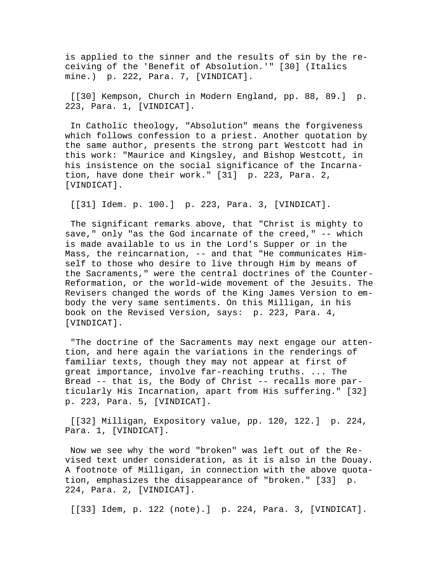is applied to the sinner and the results of sin by the receiving of the 'Benefit of Absolution.'" [30] (Italics mine.) p. 222, Para. 7, [VINDICAT].

 [[30] Kempson, Church in Modern England, pp. 88, 89.] p. 223, Para. 1, [VINDICAT].

 In Catholic theology, "Absolution" means the forgiveness which follows confession to a priest. Another quotation by the same author, presents the strong part Westcott had in this work: "Maurice and Kingsley, and Bishop Westcott, in his insistence on the social significance of the Incarnation, have done their work." [31] p. 223, Para. 2, [VINDICAT].

[[31] Idem. p. 100.] p. 223, Para. 3, [VINDICAT].

 The significant remarks above, that "Christ is mighty to save," only "as the God incarnate of the creed," -- which is made available to us in the Lord's Supper or in the Mass, the reincarnation, -- and that "He communicates Himself to those who desire to live through Him by means of the Sacraments," were the central doctrines of the Counter-Reformation, or the world-wide movement of the Jesuits. The Revisers changed the words of the King James Version to embody the very same sentiments. On this Milligan, in his book on the Revised Version, says: p. 223, Para. 4, [VINDICAT].

 "The doctrine of the Sacraments may next engage our attention, and here again the variations in the renderings of familiar texts, though they may not appear at first of great importance, involve far-reaching truths. ... The Bread -- that is, the Body of Christ -- recalls more particularly His Incarnation, apart from His suffering." [32] p. 223, Para. 5, [VINDICAT].

 [[32] Milligan, Expository value, pp. 120, 122.] p. 224, Para. 1, [VINDICAT].

 Now we see why the word "broken" was left out of the Revised text under consideration, as it is also in the Douay. A footnote of Milligan, in connection with the above quotation, emphasizes the disappearance of "broken." [33] p. 224, Para. 2, [VINDICAT].

[[33] Idem, p. 122 (note).] p. 224, Para. 3, [VINDICAT].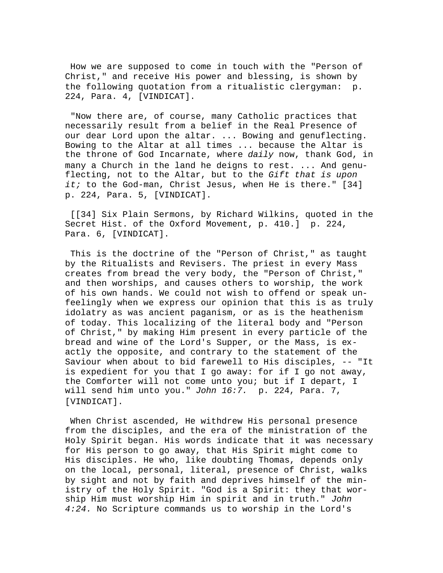How we are supposed to come in touch with the "Person of Christ," and receive His power and blessing, is shown by the following quotation from a ritualistic clergyman: p. 224, Para. 4, [VINDICAT].

 "Now there are, of course, many Catholic practices that necessarily result from a belief in the Real Presence of our dear Lord upon the altar. ... Bowing and genuflecting. Bowing to the Altar at all times ... because the Altar is the throne of God Incarnate, where *daily* now, thank God, in many a Church in the land he deigns to rest. ... And genuflecting, not to the Altar, but to the *Gift that is upon it;* to the God-man, Christ Jesus, when He is there." [34] p. 224, Para. 5, [VINDICAT].

 [[34] Six Plain Sermons, by Richard Wilkins, quoted in the Secret Hist. of the Oxford Movement, p. 410.] p. 224, Para. 6, [VINDICAT].

 This is the doctrine of the "Person of Christ," as taught by the Ritualists and Revisers. The priest in every Mass creates from bread the very body, the "Person of Christ," and then worships, and causes others to worship, the work of his own hands. We could not wish to offend or speak unfeelingly when we express our opinion that this is as truly idolatry as was ancient paganism, or as is the heathenism of today. This localizing of the literal body and "Person of Christ," by making Him present in every particle of the bread and wine of the Lord's Supper, or the Mass, is exactly the opposite, and contrary to the statement of the Saviour when about to bid farewell to His disciples, -- "It is expedient for you that I go away: for if I go not away, the Comforter will not come unto you; but if I depart, I will send him unto you." *John 16:7.* p. 224, Para. 7, [VINDICAT].

 When Christ ascended, He withdrew His personal presence from the disciples, and the era of the ministration of the Holy Spirit began. His words indicate that it was necessary for His person to go away, that His Spirit might come to His disciples. He who, like doubting Thomas, depends only on the local, personal, literal, presence of Christ, walks by sight and not by faith and deprives himself of the ministry of the Holy Spirit. "God is a Spirit: they that worship Him must worship Him in spirit and in truth." *John 4:24.* No Scripture commands us to worship in the Lord's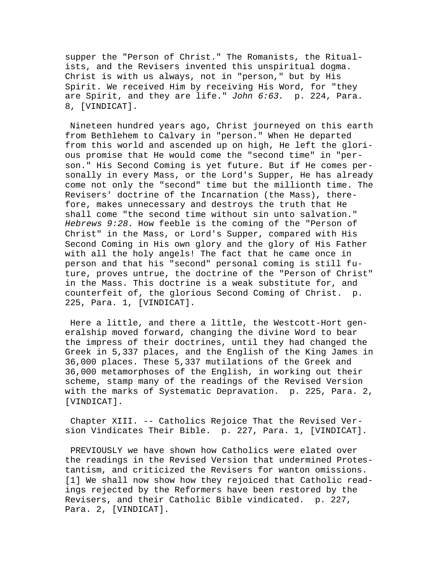supper the "Person of Christ." The Romanists, the Ritualists, and the Revisers invented this unspiritual dogma. Christ is with us always, not in "person," but by His Spirit. We received Him by receiving His Word, for "they are Spirit, and they are life." *John 6:63.* p. 224, Para. 8, [VINDICAT].

 Nineteen hundred years ago, Christ journeyed on this earth from Bethlehem to Calvary in "person." When He departed from this world and ascended up on high, He left the glorious promise that He would come the "second time" in "person." His Second Coming is yet future. But if He comes personally in every Mass, or the Lord's Supper, He has already come not only the "second" time but the millionth time. The Revisers' doctrine of the Incarnation (the Mass), therefore, makes unnecessary and destroys the truth that He shall come "the second time without sin unto salvation." *Hebrews 9:28.* How feeble is the coming of the "Person of Christ" in the Mass, or Lord's Supper, compared with His Second Coming in His own glory and the glory of His Father with all the holy angels! The fact that he came once in person and that his "second" personal coming is still future, proves untrue, the doctrine of the "Person of Christ" in the Mass. This doctrine is a weak substitute for, and counterfeit of, the glorious Second Coming of Christ. p. 225, Para. 1, [VINDICAT].

 Here a little, and there a little, the Westcott-Hort generalship moved forward, changing the divine Word to bear the impress of their doctrines, until they had changed the Greek in 5,337 places, and the English of the King James in 36,000 places. These 5,337 mutilations of the Greek and 36,000 metamorphoses of the English, in working out their scheme, stamp many of the readings of the Revised Version with the marks of Systematic Depravation. p. 225, Para. 2, [VINDICAT].

 Chapter XIII. -- Catholics Rejoice That the Revised Version Vindicates Their Bible. p. 227, Para. 1, [VINDICAT].

 PREVIOUSLY we have shown how Catholics were elated over the readings in the Revised Version that undermined Protestantism, and criticized the Revisers for wanton omissions. [1] We shall now show how they rejoiced that Catholic readings rejected by the Reformers have been restored by the Revisers, and their Catholic Bible vindicated. p. 227, Para. 2, [VINDICAT].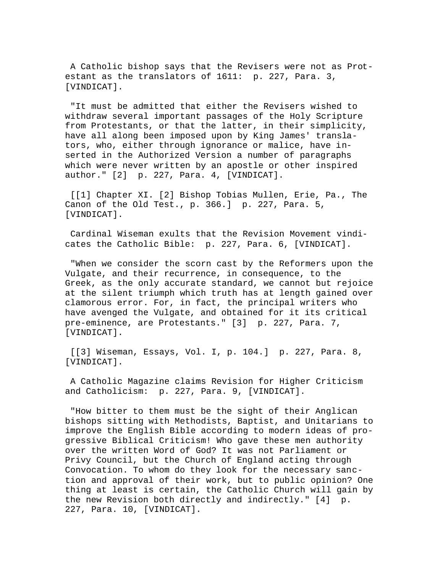A Catholic bishop says that the Revisers were not as Protestant as the translators of 1611: p. 227, Para. 3, [VINDICAT].

 "It must be admitted that either the Revisers wished to withdraw several important passages of the Holy Scripture from Protestants, or that the latter, in their simplicity, have all along been imposed upon by King James' translators, who, either through ignorance or malice, have inserted in the Authorized Version a number of paragraphs which were never written by an apostle or other inspired author." [2] p. 227, Para. 4, [VINDICAT].

 [[1] Chapter XI. [2] Bishop Tobias Mullen, Erie, Pa., The Canon of the Old Test., p. 366.] p. 227, Para. 5, [VINDICAT].

 Cardinal Wiseman exults that the Revision Movement vindicates the Catholic Bible: p. 227, Para. 6, [VINDICAT].

 "When we consider the scorn cast by the Reformers upon the Vulgate, and their recurrence, in consequence, to the Greek, as the only accurate standard, we cannot but rejoice at the silent triumph which truth has at length gained over clamorous error. For, in fact, the principal writers who have avenged the Vulgate, and obtained for it its critical pre-eminence, are Protestants." [3] p. 227, Para. 7, [VINDICAT].

 [[3] Wiseman, Essays, Vol. I, p. 104.] p. 227, Para. 8, [VINDICAT].

 A Catholic Magazine claims Revision for Higher Criticism and Catholicism: p. 227, Para. 9, [VINDICAT].

 "How bitter to them must be the sight of their Anglican bishops sitting with Methodists, Baptist, and Unitarians to improve the English Bible according to modern ideas of progressive Biblical Criticism! Who gave these men authority over the written Word of God? It was not Parliament or Privy Council, but the Church of England acting through Convocation. To whom do they look for the necessary sanction and approval of their work, but to public opinion? One thing at least is certain, the Catholic Church will gain by the new Revision both directly and indirectly." [4] p. 227, Para. 10, [VINDICAT].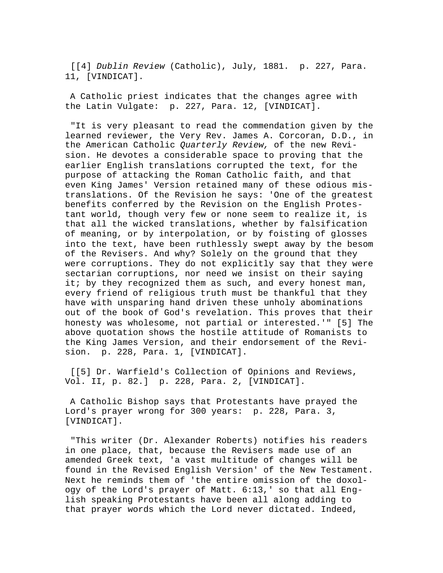[[4] *Dublin Review* (Catholic), July, 1881. p. 227, Para. 11, [VINDICAT].

 A Catholic priest indicates that the changes agree with the Latin Vulgate: p. 227, Para. 12, [VINDICAT].

 "It is very pleasant to read the commendation given by the learned reviewer, the Very Rev. James A. Corcoran, D.D., in the American Catholic *Quarterly Review,* of the new Revision. He devotes a considerable space to proving that the earlier English translations corrupted the text, for the purpose of attacking the Roman Catholic faith, and that even King James' Version retained many of these odious mistranslations. Of the Revision he says: 'One of the greatest benefits conferred by the Revision on the English Protestant world, though very few or none seem to realize it, is that all the wicked translations, whether by falsification of meaning, or by interpolation, or by foisting of glosses into the text, have been ruthlessly swept away by the besom of the Revisers. And why? Solely on the ground that they were corruptions. They do not explicitly say that they were sectarian corruptions, nor need we insist on their saying it; by they recognized them as such, and every honest man, every friend of religious truth must be thankful that they have with unsparing hand driven these unholy abominations out of the book of God's revelation. This proves that their honesty was wholesome, not partial or interested.'" [5] The above quotation shows the hostile attitude of Romanists to the King James Version, and their endorsement of the Revision. p. 228, Para. 1, [VINDICAT].

 [[5] Dr. Warfield's Collection of Opinions and Reviews, Vol. II, p. 82.] p. 228, Para. 2, [VINDICAT].

 A Catholic Bishop says that Protestants have prayed the Lord's prayer wrong for 300 years: p. 228, Para. 3, [VINDICAT].

 "This writer (Dr. Alexander Roberts) notifies his readers in one place, that, because the Revisers made use of an amended Greek text, 'a vast multitude of changes will be found in the Revised English Version' of the New Testament. Next he reminds them of 'the entire omission of the doxology of the Lord's prayer of Matt. 6:13,' so that all English speaking Protestants have been all along adding to that prayer words which the Lord never dictated. Indeed,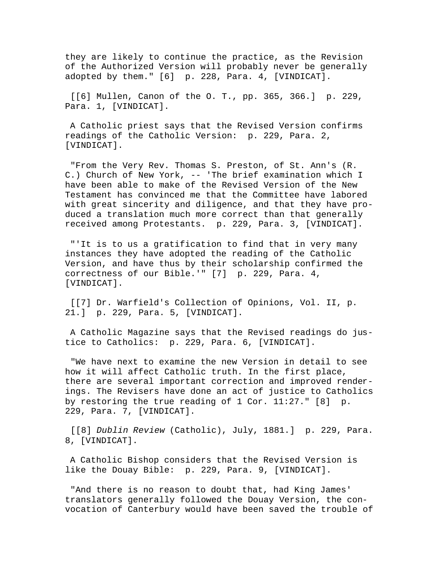they are likely to continue the practice, as the Revision of the Authorized Version will probably never be generally adopted by them." [6] p. 228, Para. 4, [VINDICAT].

 [[6] Mullen, Canon of the O. T., pp. 365, 366.] p. 229, Para. 1, [VINDICAT].

 A Catholic priest says that the Revised Version confirms readings of the Catholic Version: p. 229, Para. 2, [VINDICAT].

 "From the Very Rev. Thomas S. Preston, of St. Ann's (R. C.) Church of New York, -- 'The brief examination which I have been able to make of the Revised Version of the New Testament has convinced me that the Committee have labored with great sincerity and diligence, and that they have produced a translation much more correct than that generally received among Protestants. p. 229, Para. 3, [VINDICAT].

 "'It is to us a gratification to find that in very many instances they have adopted the reading of the Catholic Version, and have thus by their scholarship confirmed the correctness of our Bible.'" [7] p. 229, Para. 4, [VINDICAT].

 [[7] Dr. Warfield's Collection of Opinions, Vol. II, p. 21.] p. 229, Para. 5, [VINDICAT].

 A Catholic Magazine says that the Revised readings do justice to Catholics: p. 229, Para. 6, [VINDICAT].

 "We have next to examine the new Version in detail to see how it will affect Catholic truth. In the first place, there are several important correction and improved renderings. The Revisers have done an act of justice to Catholics by restoring the true reading of 1 Cor. 11:27." [8] p. 229, Para. 7, [VINDICAT].

 [[8] *Dublin Review* (Catholic), July, 1881.] p. 229, Para. 8, [VINDICAT].

 A Catholic Bishop considers that the Revised Version is like the Douay Bible: p. 229, Para. 9, [VINDICAT].

 "And there is no reason to doubt that, had King James' translators generally followed the Douay Version, the convocation of Canterbury would have been saved the trouble of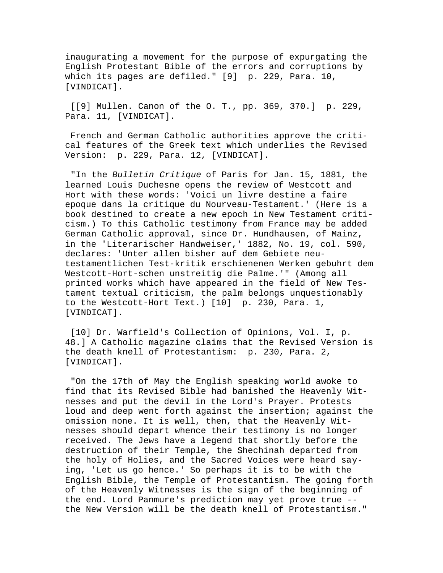inaugurating a movement for the purpose of expurgating the English Protestant Bible of the errors and corruptions by which its pages are defiled." [9] p. 229, Para. 10, [VINDICAT].

 [[9] Mullen. Canon of the O. T., pp. 369, 370.] p. 229, Para. 11, [VINDICAT].

 French and German Catholic authorities approve the critical features of the Greek text which underlies the Revised Version: p. 229, Para. 12, [VINDICAT].

 "In the *Bulletin Critique* of Paris for Jan. 15, 1881, the learned Louis Duchesne opens the review of Westcott and Hort with these words: 'Voici un livre destine a faire epoque dans la critique du Nourveau-Testament.' (Here is a book destined to create a new epoch in New Testament criticism.) To this Catholic testimony from France may be added German Catholic approval, since Dr. Hundhausen, of Mainz, in the 'Literarischer Handweiser,' 1882, No. 19, col. 590, declares: 'Unter allen bisher auf dem Gebiete neutestamentlichen Test-kritik erschienenen Werken gebuhrt dem Westcott-Hort-schen unstreitig die Palme.'" (Among all printed works which have appeared in the field of New Testament textual criticism, the palm belongs unquestionably to the Westcott-Hort Text.) [10] p. 230, Para. 1, [VINDICAT].

 [10] Dr. Warfield's Collection of Opinions, Vol. I, p. 48.] A Catholic magazine claims that the Revised Version is the death knell of Protestantism: p. 230, Para. 2, [VINDICAT].

 "On the 17th of May the English speaking world awoke to find that its Revised Bible had banished the Heavenly Witnesses and put the devil in the Lord's Prayer. Protests loud and deep went forth against the insertion; against the omission none. It is well, then, that the Heavenly Witnesses should depart whence their testimony is no longer received. The Jews have a legend that shortly before the destruction of their Temple, the Shechinah departed from the holy of Holies, and the Sacred Voices were heard saying, 'Let us go hence.' So perhaps it is to be with the English Bible, the Temple of Protestantism. The going forth of the Heavenly Witnesses is the sign of the beginning of the end. Lord Panmure's prediction may yet prove true - the New Version will be the death knell of Protestantism."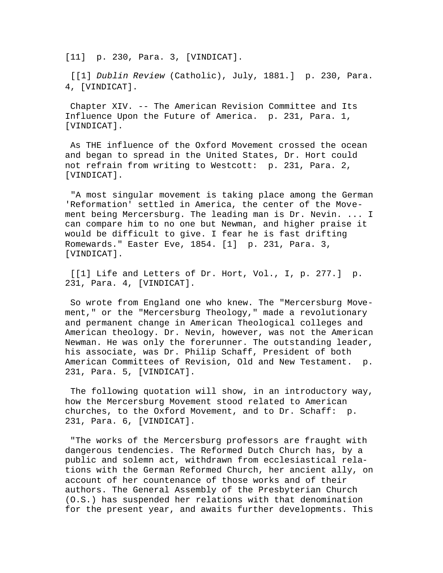[11] p. 230, Para. 3, [VINDICAT].

 [[1] *Dublin Review* (Catholic), July, 1881.] p. 230, Para. 4, [VINDICAT].

 Chapter XIV. -- The American Revision Committee and Its Influence Upon the Future of America. p. 231, Para. 1, [VINDICAT].

 As THE influence of the Oxford Movement crossed the ocean and began to spread in the United States, Dr. Hort could not refrain from writing to Westcott: p. 231, Para. 2, [VINDICAT].

 "A most singular movement is taking place among the German 'Reformation' settled in America, the center of the Movement being Mercersburg. The leading man is Dr. Nevin. ... I can compare him to no one but Newman, and higher praise it would be difficult to give. I fear he is fast drifting Romewards." Easter Eve, 1854. [1] p. 231, Para. 3, [VINDICAT].

 [[1] Life and Letters of Dr. Hort, Vol., I, p. 277.] p. 231, Para. 4, [VINDICAT].

 So wrote from England one who knew. The "Mercersburg Movement," or the "Mercersburg Theology," made a revolutionary and permanent change in American Theological colleges and American theology. Dr. Nevin, however, was not the American Newman. He was only the forerunner. The outstanding leader, his associate, was Dr. Philip Schaff, President of both American Committees of Revision, Old and New Testament. p. 231, Para. 5, [VINDICAT].

 The following quotation will show, in an introductory way, how the Mercersburg Movement stood related to American churches, to the Oxford Movement, and to Dr. Schaff: p. 231, Para. 6, [VINDICAT].

 "The works of the Mercersburg professors are fraught with dangerous tendencies. The Reformed Dutch Church has, by a public and solemn act, withdrawn from ecclesiastical relations with the German Reformed Church, her ancient ally, on account of her countenance of those works and of their authors. The General Assembly of the Presbyterian Church (O.S.) has suspended her relations with that denomination for the present year, and awaits further developments. This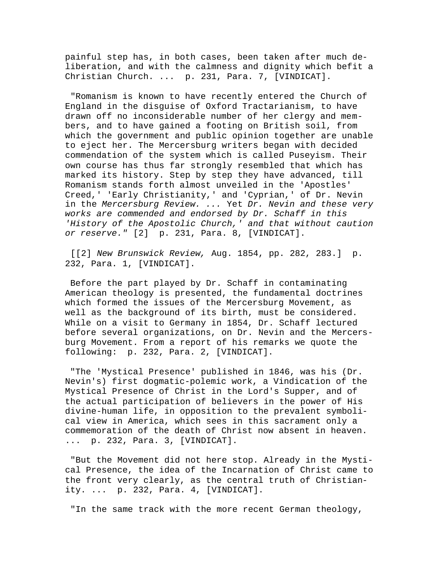painful step has, in both cases, been taken after much deliberation, and with the calmness and dignity which befit a Christian Church. ... p. 231, Para. 7, [VINDICAT].

 "Romanism is known to have recently entered the Church of England in the disguise of Oxford Tractarianism, to have drawn off no inconsiderable number of her clergy and members, and to have gained a footing on British soil, from which the government and public opinion together are unable to eject her. The Mercersburg writers began with decided commendation of the system which is called Puseyism. Their own course has thus far strongly resembled that which has marked its history. Step by step they have advanced, till Romanism stands forth almost unveiled in the 'Apostles' Creed,' 'Early Christianity,' and 'Cyprian,' of Dr. Nevin in the *Mercersburg Review. ...* Yet *Dr. Nevin and these very works are commended and endorsed by Dr. Schaff in this 'History of the Apostolic Church,' and that without caution or reserve."* [2] p. 231, Para. 8, [VINDICAT].

 [[2] *New Brunswick Review,* Aug. 1854, pp. 282, 283.] p. 232, Para. 1, [VINDICAT].

 Before the part played by Dr. Schaff in contaminating American theology is presented, the fundamental doctrines which formed the issues of the Mercersburg Movement, as well as the background of its birth, must be considered. While on a visit to Germany in 1854, Dr. Schaff lectured before several organizations, on Dr. Nevin and the Mercersburg Movement. From a report of his remarks we quote the following: p. 232, Para. 2, [VINDICAT].

 "The 'Mystical Presence' published in 1846, was his (Dr. Nevin's) first dogmatic-polemic work, a Vindication of the Mystical Presence of Christ in the Lord's Supper, and of the actual participation of believers in the power of His divine-human life, in opposition to the prevalent symbolical view in America, which sees in this sacrament only a commemoration of the death of Christ now absent in heaven. ... p. 232, Para. 3, [VINDICAT].

 "But the Movement did not here stop. Already in the Mystical Presence, the idea of the Incarnation of Christ came to the front very clearly, as the central truth of Christianity. ... p. 232, Para. 4, [VINDICAT].

"In the same track with the more recent German theology,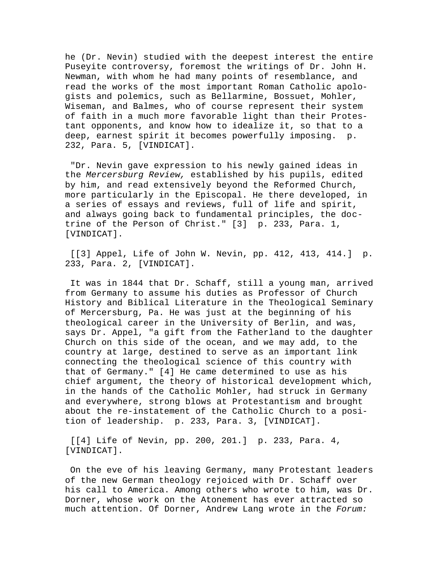he (Dr. Nevin) studied with the deepest interest the entire Puseyite controversy, foremost the writings of Dr. John H. Newman, with whom he had many points of resemblance, and read the works of the most important Roman Catholic apologists and polemics, such as Bellarmine, Bossuet, Mohler, Wiseman, and Balmes, who of course represent their system of faith in a much more favorable light than their Protestant opponents, and know how to idealize it, so that to a deep, earnest spirit it becomes powerfully imposing. p. 232, Para. 5, [VINDICAT].

 "Dr. Nevin gave expression to his newly gained ideas in the *Mercersburg Review,* established by his pupils, edited by him, and read extensively beyond the Reformed Church, more particularly in the Episcopal. He there developed, in a series of essays and reviews, full of life and spirit, and always going back to fundamental principles, the doctrine of the Person of Christ." [3] p. 233, Para. 1, [VINDICAT].

 [[3] Appel, Life of John W. Nevin, pp. 412, 413, 414.] p. 233, Para. 2, [VINDICAT].

 It was in 1844 that Dr. Schaff, still a young man, arrived from Germany to assume his duties as Professor of Church History and Biblical Literature in the Theological Seminary of Mercersburg, Pa. He was just at the beginning of his theological career in the University of Berlin, and was, says Dr. Appel, "a gift from the Fatherland to the daughter Church on this side of the ocean, and we may add, to the country at large, destined to serve as an important link connecting the theological science of this country with that of Germany." [4] He came determined to use as his chief argument, the theory of historical development which, in the hands of the Catholic Mohler, had struck in Germany and everywhere, strong blows at Protestantism and brought about the re-instatement of the Catholic Church to a position of leadership. p. 233, Para. 3, [VINDICAT].

 [[4] Life of Nevin, pp. 200, 201.] p. 233, Para. 4, [VINDICAT].

 On the eve of his leaving Germany, many Protestant leaders of the new German theology rejoiced with Dr. Schaff over his call to America. Among others who wrote to him, was Dr. Dorner, whose work on the Atonement has ever attracted so much attention. Of Dorner, Andrew Lang wrote in the *Forum:*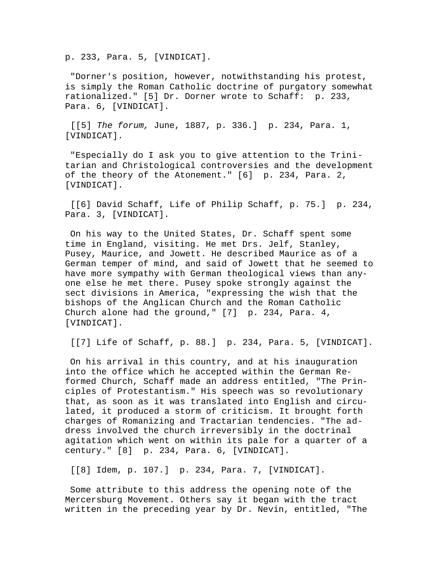p. 233, Para. 5, [VINDICAT].

 "Dorner's position, however, notwithstanding his protest, is simply the Roman Catholic doctrine of purgatory somewhat rationalized." [5] Dr. Dorner wrote to Schaff: p. 233, Para. 6, [VINDICAT].

 [[5] *The forum,* June, 1887, p. 336.] p. 234, Para. 1, [VINDICAT].

 "Especially do I ask you to give attention to the Trinitarian and Christological controversies and the development of the theory of the Atonement." [6] p. 234, Para. 2, [VINDICAT].

 [[6] David Schaff, Life of Philip Schaff, p. 75.] p. 234, Para. 3, [VINDICAT].

 On his way to the United States, Dr. Schaff spent some time in England, visiting. He met Drs. Jelf, Stanley, Pusey, Maurice, and Jowett. He described Maurice as of a German temper of mind, and said of Jowett that he seemed to have more sympathy with German theological views than anyone else he met there. Pusey spoke strongly against the sect divisions in America, "expressing the wish that the bishops of the Anglican Church and the Roman Catholic Church alone had the ground," [7] p. 234, Para. 4, [VINDICAT].

[[7] Life of Schaff, p. 88.] p. 234, Para. 5, [VINDICAT].

 On his arrival in this country, and at his inauguration into the office which he accepted within the German Reformed Church, Schaff made an address entitled, "The Principles of Protestantism." His speech was so revolutionary that, as soon as it was translated into English and circulated, it produced a storm of criticism. It brought forth charges of Romanizing and Tractarian tendencies. "The address involved the church irreversibly in the doctrinal agitation which went on within its pale for a quarter of a century." [8] p. 234, Para. 6, [VINDICAT].

[[8] Idem, p. 107.] p. 234, Para. 7, [VINDICAT].

 Some attribute to this address the opening note of the Mercersburg Movement. Others say it began with the tract written in the preceding year by Dr. Nevin, entitled, "The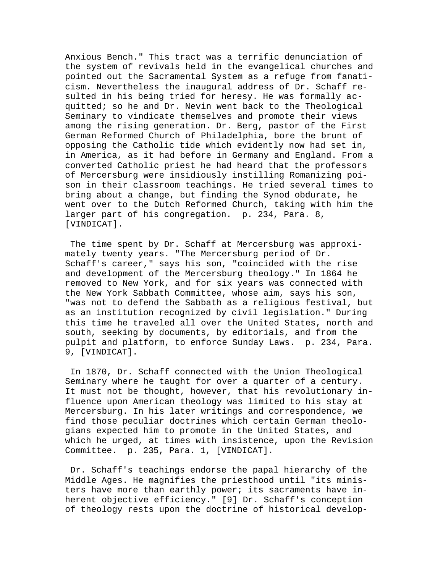Anxious Bench." This tract was a terrific denunciation of the system of revivals held in the evangelical churches and pointed out the Sacramental System as a refuge from fanaticism. Nevertheless the inaugural address of Dr. Schaff resulted in his being tried for heresy. He was formally acquitted; so he and Dr. Nevin went back to the Theological Seminary to vindicate themselves and promote their views among the rising generation. Dr. Berg, pastor of the First German Reformed Church of Philadelphia, bore the brunt of opposing the Catholic tide which evidently now had set in, in America, as it had before in Germany and England. From a converted Catholic priest he had heard that the professors of Mercersburg were insidiously instilling Romanizing poison in their classroom teachings. He tried several times to bring about a change, but finding the Synod obdurate, he went over to the Dutch Reformed Church, taking with him the larger part of his congregation. p. 234, Para. 8, [VINDICAT].

 The time spent by Dr. Schaff at Mercersburg was approximately twenty years. "The Mercersburg period of Dr. Schaff's career," says his son, "coincided with the rise and development of the Mercersburg theology." In 1864 he removed to New York, and for six years was connected with the New York Sabbath Committee, whose aim, says his son, "was not to defend the Sabbath as a religious festival, but as an institution recognized by civil legislation." During this time he traveled all over the United States, north and south, seeking by documents, by editorials, and from the pulpit and platform, to enforce Sunday Laws. p. 234, Para. 9, [VINDICAT].

 In 1870, Dr. Schaff connected with the Union Theological Seminary where he taught for over a quarter of a century. It must not be thought, however, that his revolutionary influence upon American theology was limited to his stay at Mercersburg. In his later writings and correspondence, we find those peculiar doctrines which certain German theologians expected him to promote in the United States, and which he urged, at times with insistence, upon the Revision Committee. p. 235, Para. 1, [VINDICAT].

 Dr. Schaff's teachings endorse the papal hierarchy of the Middle Ages. He magnifies the priesthood until "its ministers have more than earthly power; its sacraments have inherent objective efficiency." [9] Dr. Schaff's conception of theology rests upon the doctrine of historical develop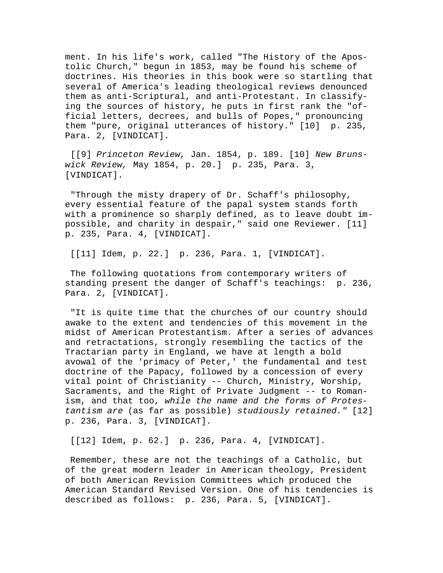ment. In his life's work, called "The History of the Apostolic Church," begun in 1853, may be found his scheme of doctrines. His theories in this book were so startling that several of America's leading theological reviews denounced them as anti-Scriptural, and anti-Protestant. In classifying the sources of history, he puts in first rank the "official letters, decrees, and bulls of Popes," pronouncing them "pure, original utterances of history." [10] p. 235, Para. 2, [VINDICAT].

 [[9] *Princeton Review,* Jan. 1854, p. 189. [10] *New Brunswick Review,* May 1854, p. 20.] p. 235, Para. 3, [VINDICAT].

 "Through the misty drapery of Dr. Schaff's philosophy, every essential feature of the papal system stands forth with a prominence so sharply defined, as to leave doubt impossible, and charity in despair," said one Reviewer. [11] p. 235, Para. 4, [VINDICAT].

[[11] Idem, p. 22.] p. 236, Para. 1, [VINDICAT].

 The following quotations from contemporary writers of standing present the danger of Schaff's teachings: p. 236, Para. 2, [VINDICAT].

 "It is quite time that the churches of our country should awake to the extent and tendencies of this movement in the midst of American Protestantism. After a series of advances and retractations, strongly resembling the tactics of the Tractarian party in England, we have at length a bold avowal of the 'primacy of Peter,' the fundamental and test doctrine of the Papacy, followed by a concession of every vital point of Christianity -- Church, Ministry, Worship, Sacraments, and the Right of Private Judgment -- to Romanism, and that too, *while the name and the forms of Protestantism are* (as far as possible) *studiously retained."* [12] p. 236, Para. 3, [VINDICAT].

[[12] Idem, p. 62.] p. 236, Para. 4, [VINDICAT].

 Remember, these are not the teachings of a Catholic, but of the great modern leader in American theology, President of both American Revision Committees which produced the American Standard Revised Version. One of his tendencies is described as follows: p. 236, Para. 5, [VINDICAT].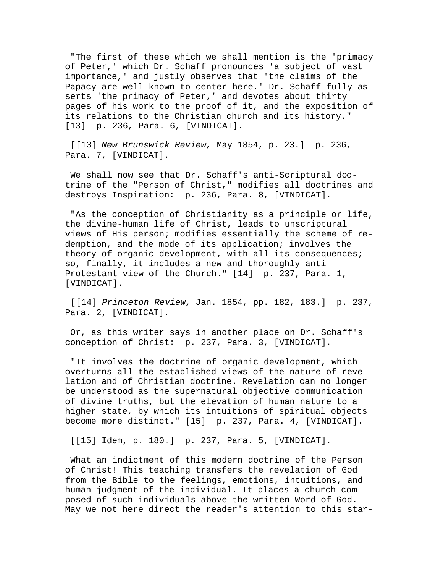"The first of these which we shall mention is the 'primacy of Peter,' which Dr. Schaff pronounces 'a subject of vast importance,' and justly observes that 'the claims of the Papacy are well known to center here.' Dr. Schaff fully asserts 'the primacy of Peter,' and devotes about thirty pages of his work to the proof of it, and the exposition of its relations to the Christian church and its history." [13] p. 236, Para. 6, [VINDICAT].

 [[13] *New Brunswick Review,* May 1854, p. 23.] p. 236, Para. 7, [VINDICAT].

We shall now see that Dr. Schaff's anti-Scriptural doctrine of the "Person of Christ," modifies all doctrines and destroys Inspiration: p. 236, Para. 8, [VINDICAT].

 "As the conception of Christianity as a principle or life, the divine-human life of Christ, leads to unscriptural views of His person; modifies essentially the scheme of redemption, and the mode of its application; involves the theory of organic development, with all its consequences; so, finally, it includes a new and thoroughly anti-Protestant view of the Church." [14] p. 237, Para. 1, [VINDICAT].

 [[14] *Princeton Review,* Jan. 1854, pp. 182, 183.] p. 237, Para. 2, [VINDICAT].

 Or, as this writer says in another place on Dr. Schaff's conception of Christ: p. 237, Para. 3, [VINDICAT].

 "It involves the doctrine of organic development, which overturns all the established views of the nature of revelation and of Christian doctrine. Revelation can no longer be understood as the supernatural objective communication of divine truths, but the elevation of human nature to a higher state, by which its intuitions of spiritual objects become more distinct." [15] p. 237, Para. 4, [VINDICAT].

[[15] Idem, p. 180.] p. 237, Para. 5, [VINDICAT].

 What an indictment of this modern doctrine of the Person of Christ! This teaching transfers the revelation of God from the Bible to the feelings, emotions, intuitions, and human judgment of the individual. It places a church composed of such individuals above the written Word of God. May we not here direct the reader's attention to this star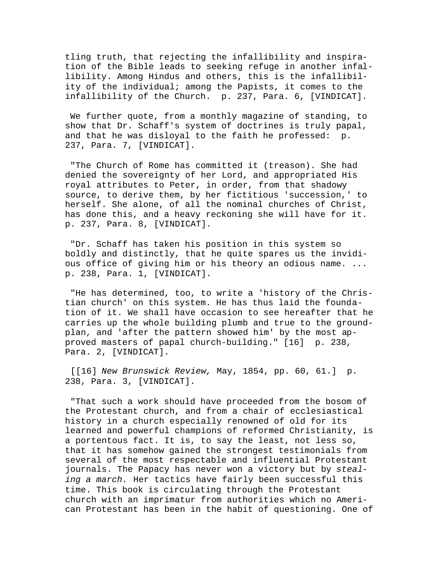tling truth, that rejecting the infallibility and inspiration of the Bible leads to seeking refuge in another infallibility. Among Hindus and others, this is the infallibility of the individual; among the Papists, it comes to the infallibility of the Church. p. 237, Para. 6, [VINDICAT].

 We further quote, from a monthly magazine of standing, to show that Dr. Schaff's system of doctrines is truly papal, and that he was disloyal to the faith he professed: p. 237, Para. 7, [VINDICAT].

 "The Church of Rome has committed it (treason). She had denied the sovereignty of her Lord, and appropriated His royal attributes to Peter, in order, from that shadowy source, to derive them, by her fictitious 'succession,' to herself. She alone, of all the nominal churches of Christ, has done this, and a heavy reckoning she will have for it. p. 237, Para. 8, [VINDICAT].

 "Dr. Schaff has taken his position in this system so boldly and distinctly, that he quite spares us the invidious office of giving him or his theory an odious name. ... p. 238, Para. 1, [VINDICAT].

 "He has determined, too, to write a 'history of the Christian church' on this system. He has thus laid the foundation of it. We shall have occasion to see hereafter that he carries up the whole building plumb and true to the groundplan, and 'after the pattern showed him' by the most approved masters of papal church-building." [16] p. 238, Para. 2, [VINDICAT].

 [[16] *New Brunswick Review,* May, 1854, pp. 60, 61.] p. 238, Para. 3, [VINDICAT].

 "That such a work should have proceeded from the bosom of the Protestant church, and from a chair of ecclesiastical history in a church especially renowned of old for its learned and powerful champions of reformed Christianity, is a portentous fact. It is, to say the least, not less so, that it has somehow gained the strongest testimonials from several of the most respectable and influential Protestant journals. The Papacy has never won a victory but by *stealing a march.* Her tactics have fairly been successful this time. This book is circulating through the Protestant church with an imprimatur from authorities which no American Protestant has been in the habit of questioning. One of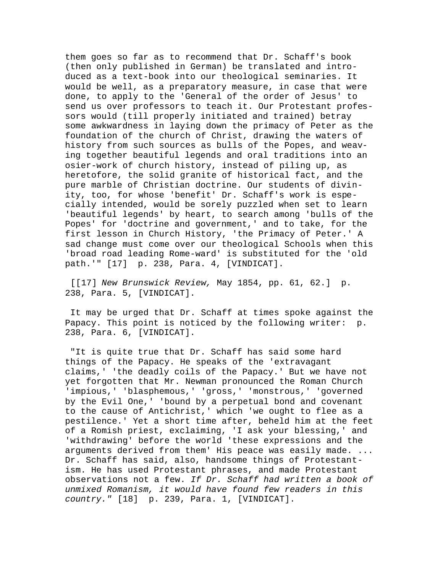them goes so far as to recommend that Dr. Schaff's book (then only published in German) be translated and introduced as a text-book into our theological seminaries. It would be well, as a preparatory measure, in case that were done, to apply to the 'General of the order of Jesus' to send us over professors to teach it. Our Protestant professors would (till properly initiated and trained) betray some awkwardness in laying down the primacy of Peter as the foundation of the church of Christ, drawing the waters of history from such sources as bulls of the Popes, and weaving together beautiful legends and oral traditions into an osier-work of church history, instead of piling up, as heretofore, the solid granite of historical fact, and the pure marble of Christian doctrine. Our students of divinity, too, for whose 'benefit' Dr. Schaff's work is especially intended, would be sorely puzzled when set to learn 'beautiful legends' by heart, to search among 'bulls of the Popes' for 'doctrine and government,' and to take, for the first lesson in Church History, 'the Primacy of Peter.' A sad change must come over our theological Schools when this 'broad road leading Rome-ward' is substituted for the 'old path.'" [17] p. 238, Para. 4, [VINDICAT].

 [[17] *New Brunswick Review,* May 1854, pp. 61, 62.] p. 238, Para. 5, [VINDICAT].

 It may be urged that Dr. Schaff at times spoke against the Papacy. This point is noticed by the following writer: p. 238, Para. 6, [VINDICAT].

 "It is quite true that Dr. Schaff has said some hard things of the Papacy. He speaks of the 'extravagant claims,' 'the deadly coils of the Papacy.' But we have not yet forgotten that Mr. Newman pronounced the Roman Church 'impious,' 'blasphemous,' 'gross,' 'monstrous,' 'governed by the Evil One,' 'bound by a perpetual bond and covenant to the cause of Antichrist,' which 'we ought to flee as a pestilence.' Yet a short time after, beheld him at the feet of a Romish priest, exclaiming, 'I ask your blessing,' and 'withdrawing' before the world 'these expressions and the arguments derived from them' His peace was easily made. ... Dr. Schaff has said, also, handsome things of Protestantism. He has used Protestant phrases, and made Protestant observations not a few. *If Dr. Schaff had written a book of unmixed Romanism, it would have found few readers in this country."* [18] p. 239, Para. 1, [VINDICAT].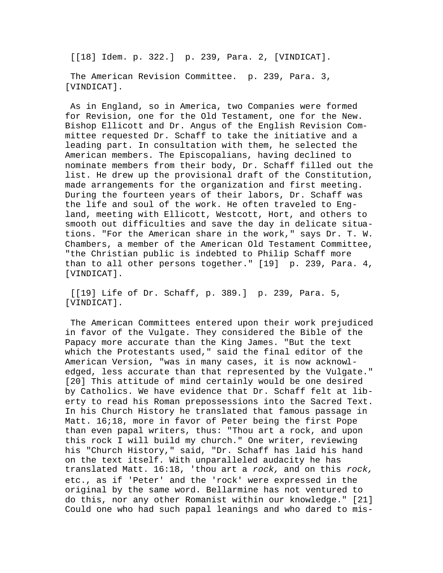[[18] Idem. p. 322.] p. 239, Para. 2, [VINDICAT].

 The American Revision Committee. p. 239, Para. 3, [VINDICAT].

 As in England, so in America, two Companies were formed for Revision, one for the Old Testament, one for the New. Bishop Ellicott and Dr. Angus of the English Revision Committee requested Dr. Schaff to take the initiative and a leading part. In consultation with them, he selected the American members. The Episcopalians, having declined to nominate members from their body, Dr. Schaff filled out the list. He drew up the provisional draft of the Constitution, made arrangements for the organization and first meeting. During the fourteen years of their labors, Dr. Schaff was the life and soul of the work. He often traveled to England, meeting with Ellicott, Westcott, Hort, and others to smooth out difficulties and save the day in delicate situations. "For the American share in the work," says Dr. T. W. Chambers, a member of the American Old Testament Committee, "the Christian public is indebted to Philip Schaff more than to all other persons together." [19] p. 239, Para. 4, [VINDICAT].

 [[19] Life of Dr. Schaff, p. 389.] p. 239, Para. 5, [VINDICAT].

 The American Committees entered upon their work prejudiced in favor of the Vulgate. They considered the Bible of the Papacy more accurate than the King James. "But the text which the Protestants used," said the final editor of the American Version, "was in many cases, it is now acknowledged, less accurate than that represented by the Vulgate." [20] This attitude of mind certainly would be one desired by Catholics. We have evidence that Dr. Schaff felt at liberty to read his Roman prepossessions into the Sacred Text. In his Church History he translated that famous passage in Matt. 16;18, more in favor of Peter being the first Pope than even papal writers, thus: "Thou art a rock, and upon this rock I will build my church." One writer, reviewing his "Church History," said, "Dr. Schaff has laid his hand on the text itself. With unparalleled audacity he has translated Matt. 16:18, 'thou art a *rock,* and on this *rock,* etc., as if 'Peter' and the 'rock' were expressed in the original by the same word. Bellarmine has not ventured to do this, nor any other Romanist within our knowledge." [21] Could one who had such papal leanings and who dared to mis-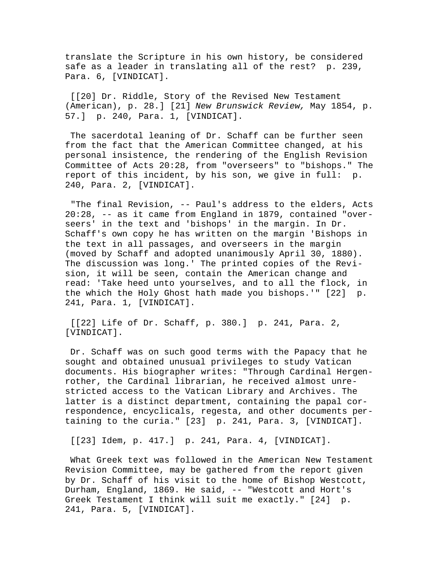translate the Scripture in his own history, be considered safe as a leader in translating all of the rest? p. 239, Para. 6, [VINDICAT].

 [[20] Dr. Riddle, Story of the Revised New Testament (American), p. 28.] [21] *New Brunswick Review,* May 1854, p. 57.] p. 240, Para. 1, [VINDICAT].

 The sacerdotal leaning of Dr. Schaff can be further seen from the fact that the American Committee changed, at his personal insistence, the rendering of the English Revision Committee of Acts 20:28, from "overseers" to "bishops." The report of this incident, by his son, we give in full: p. 240, Para. 2, [VINDICAT].

 "The final Revision, -- Paul's address to the elders, Acts 20:28, -- as it came from England in 1879, contained "overseers' in the text and 'bishops' in the margin. In Dr. Schaff's own copy he has written on the margin 'Bishops in the text in all passages, and overseers in the margin (moved by Schaff and adopted unanimously April 30, 1880). The discussion was long.' The printed copies of the Revision, it will be seen, contain the American change and read: 'Take heed unto yourselves, and to all the flock, in the which the Holy Ghost hath made you bishops.'" [22] p. 241, Para. 1, [VINDICAT].

 [[22] Life of Dr. Schaff, p. 380.] p. 241, Para. 2, [VINDICAT].

 Dr. Schaff was on such good terms with the Papacy that he sought and obtained unusual privileges to study Vatican documents. His biographer writes: "Through Cardinal Hergenrother, the Cardinal librarian, he received almost unrestricted access to the Vatican Library and Archives. The latter is a distinct department, containing the papal correspondence, encyclicals, regesta, and other documents pertaining to the curia." [23] p. 241, Para. 3, [VINDICAT].

[[23] Idem, p. 417.] p. 241, Para. 4, [VINDICAT].

 What Greek text was followed in the American New Testament Revision Committee, may be gathered from the report given by Dr. Schaff of his visit to the home of Bishop Westcott, Durham, England, 1869. He said, -- "Westcott and Hort's Greek Testament I think will suit me exactly." [24] p. 241, Para. 5, [VINDICAT].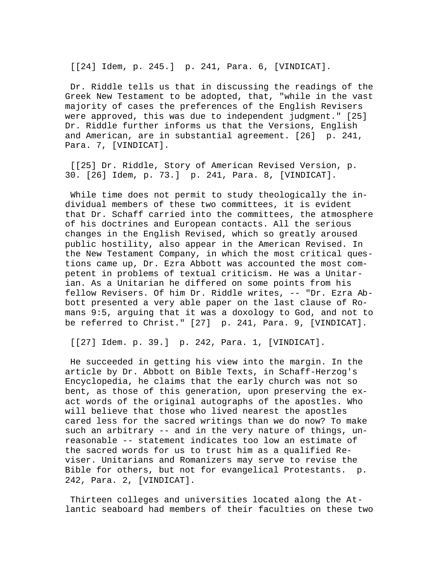[[24] Idem, p. 245.] p. 241, Para. 6, [VINDICAT].

 Dr. Riddle tells us that in discussing the readings of the Greek New Testament to be adopted, that, "while in the vast majority of cases the preferences of the English Revisers were approved, this was due to independent judgment." [25] Dr. Riddle further informs us that the Versions, English and American, are in substantial agreement. [26] p. 241, Para. 7, [VINDICAT].

 [[25] Dr. Riddle, Story of American Revised Version, p. 30. [26] Idem, p. 73.] p. 241, Para. 8, [VINDICAT].

While time does not permit to study theologically the individual members of these two committees, it is evident that Dr. Schaff carried into the committees, the atmosphere of his doctrines and European contacts. All the serious changes in the English Revised, which so greatly aroused public hostility, also appear in the American Revised. In the New Testament Company, in which the most critical questions came up, Dr. Ezra Abbott was accounted the most competent in problems of textual criticism. He was a Unitarian. As a Unitarian he differed on some points from his fellow Revisers. Of him Dr. Riddle writes, -- "Dr. Ezra Abbott presented a very able paper on the last clause of Romans 9:5, arguing that it was a doxology to God, and not to be referred to Christ." [27] p. 241, Para. 9, [VINDICAT].

[[27] Idem. p. 39.] p. 242, Para. 1, [VINDICAT].

 He succeeded in getting his view into the margin. In the article by Dr. Abbott on Bible Texts, in Schaff-Herzog's Encyclopedia, he claims that the early church was not so bent, as those of this generation, upon preserving the exact words of the original autographs of the apostles. Who will believe that those who lived nearest the apostles cared less for the sacred writings than we do now? To make such an arbitrary -- and in the very nature of things, unreasonable -- statement indicates too low an estimate of the sacred words for us to trust him as a qualified Reviser. Unitarians and Romanizers may serve to revise the Bible for others, but not for evangelical Protestants. p. 242, Para. 2, [VINDICAT].

 Thirteen colleges and universities located along the Atlantic seaboard had members of their faculties on these two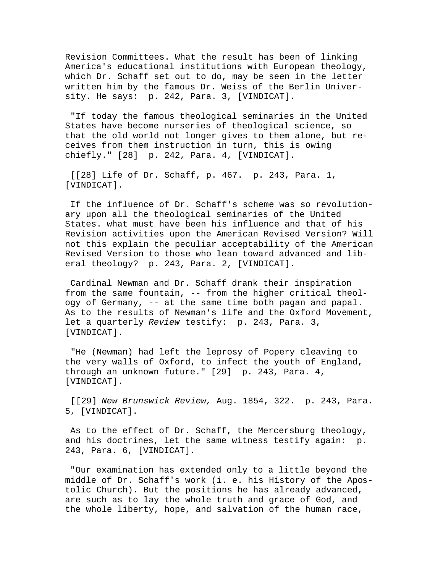Revision Committees. What the result has been of linking America's educational institutions with European theology, which Dr. Schaff set out to do, may be seen in the letter written him by the famous Dr. Weiss of the Berlin University. He says: p. 242, Para. 3, [VINDICAT].

 "If today the famous theological seminaries in the United States have become nurseries of theological science, so that the old world not longer gives to them alone, but receives from them instruction in turn, this is owing chiefly." [28] p. 242, Para. 4, [VINDICAT].

 [[28] Life of Dr. Schaff, p. 467. p. 243, Para. 1, [VINDICAT].

 If the influence of Dr. Schaff's scheme was so revolutionary upon all the theological seminaries of the United States. what must have been his influence and that of his Revision activities upon the American Revised Version? Will not this explain the peculiar acceptability of the American Revised Version to those who lean toward advanced and liberal theology? p. 243, Para. 2, [VINDICAT].

 Cardinal Newman and Dr. Schaff drank their inspiration from the same fountain, -- from the higher critical theology of Germany, -- at the same time both pagan and papal. As to the results of Newman's life and the Oxford Movement, let a quarterly *Review* testify: p. 243, Para. 3, [VINDICAT].

 "He (Newman) had left the leprosy of Popery cleaving to the very walls of Oxford, to infect the youth of England, through an unknown future." [29] p. 243, Para. 4, [VINDICAT].

 [[29] *New Brunswick Review,* Aug. 1854, 322. p. 243, Para. 5, [VINDICAT].

 As to the effect of Dr. Schaff, the Mercersburg theology, and his doctrines, let the same witness testify again: p. 243, Para. 6, [VINDICAT].

 "Our examination has extended only to a little beyond the middle of Dr. Schaff's work (i. e. his History of the Apostolic Church). But the positions he has already advanced, are such as to lay the whole truth and grace of God, and the whole liberty, hope, and salvation of the human race,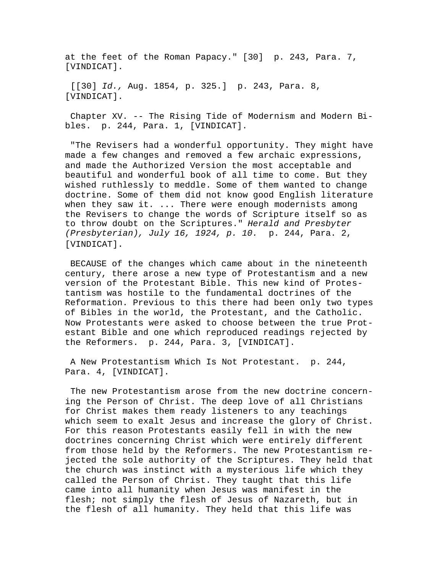at the feet of the Roman Papacy." [30] p. 243, Para. 7, [VINDICAT].

 [[30] *Id.,* Aug. 1854, p. 325.] p. 243, Para. 8, [VINDICAT].

 Chapter XV. -- The Rising Tide of Modernism and Modern Bibles. p. 244, Para. 1, [VINDICAT].

 "The Revisers had a wonderful opportunity. They might have made a few changes and removed a few archaic expressions, and made the Authorized Version the most acceptable and beautiful and wonderful book of all time to come. But they wished ruthlessly to meddle. Some of them wanted to change doctrine. Some of them did not know good English literature when they saw it. ... There were enough modernists among the Revisers to change the words of Scripture itself so as to throw doubt on the Scriptures." *Herald and Presbyter (Presbyterian), July 16, 1924, p. 10.* p. 244, Para. 2, [VINDICAT].

 BECAUSE of the changes which came about in the nineteenth century, there arose a new type of Protestantism and a new version of the Protestant Bible. This new kind of Protestantism was hostile to the fundamental doctrines of the Reformation. Previous to this there had been only two types of Bibles in the world, the Protestant, and the Catholic. Now Protestants were asked to choose between the true Protestant Bible and one which reproduced readings rejected by the Reformers. p. 244, Para. 3, [VINDICAT].

 A New Protestantism Which Is Not Protestant. p. 244, Para. 4, [VINDICAT].

 The new Protestantism arose from the new doctrine concerning the Person of Christ. The deep love of all Christians for Christ makes them ready listeners to any teachings which seem to exalt Jesus and increase the glory of Christ. For this reason Protestants easily fell in with the new doctrines concerning Christ which were entirely different from those held by the Reformers. The new Protestantism rejected the sole authority of the Scriptures. They held that the church was instinct with a mysterious life which they called the Person of Christ. They taught that this life came into all humanity when Jesus was manifest in the flesh; not simply the flesh of Jesus of Nazareth, but in the flesh of all humanity. They held that this life was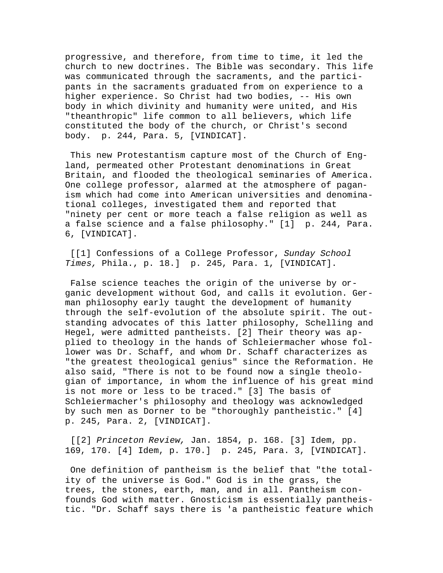progressive, and therefore, from time to time, it led the church to new doctrines. The Bible was secondary. This life was communicated through the sacraments, and the participants in the sacraments graduated from on experience to a higher experience. So Christ had two bodies, -- His own body in which divinity and humanity were united, and His "theanthropic" life common to all believers, which life constituted the body of the church, or Christ's second body. p. 244, Para. 5, [VINDICAT].

 This new Protestantism capture most of the Church of England, permeated other Protestant denominations in Great Britain, and flooded the theological seminaries of America. One college professor, alarmed at the atmosphere of paganism which had come into American universities and denominational colleges, investigated them and reported that "ninety per cent or more teach a false religion as well as a false science and a false philosophy." [1] p. 244, Para. 6, [VINDICAT].

 [[1] Confessions of a College Professor, *Sunday School Times,* Phila., p. 18.] p. 245, Para. 1, [VINDICAT].

 False science teaches the origin of the universe by organic development without God, and calls it evolution. German philosophy early taught the development of humanity through the self-evolution of the absolute spirit. The outstanding advocates of this latter philosophy, Schelling and Hegel, were admitted pantheists. [2] Their theory was applied to theology in the hands of Schleiermacher whose follower was Dr. Schaff, and whom Dr. Schaff characterizes as "the greatest theological genius" since the Reformation. He also said, "There is not to be found now a single theologian of importance, in whom the influence of his great mind is not more or less to be traced." [3] The basis of Schleiermacher's philosophy and theology was acknowledged by such men as Dorner to be "thoroughly pantheistic." [4] p. 245, Para. 2, [VINDICAT].

 [[2] *Princeton Review,* Jan. 1854, p. 168. [3] Idem, pp. 169, 170. [4] Idem, p. 170.] p. 245, Para. 3, [VINDICAT].

 One definition of pantheism is the belief that "the totality of the universe is God." God is in the grass, the trees, the stones, earth, man, and in all. Pantheism confounds God with matter. Gnosticism is essentially pantheistic. "Dr. Schaff says there is 'a pantheistic feature which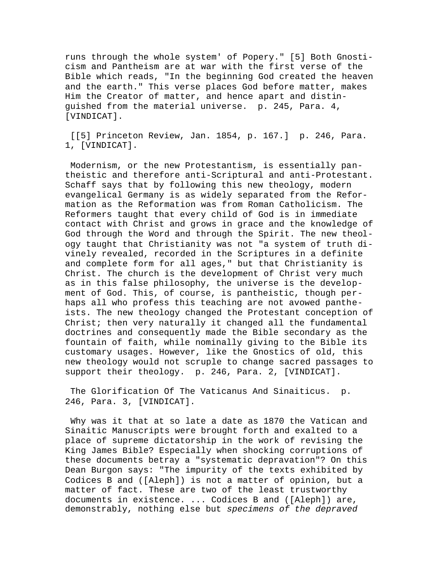runs through the whole system' of Popery." [5] Both Gnosticism and Pantheism are at war with the first verse of the Bible which reads, "In the beginning God created the heaven and the earth." This verse places God before matter, makes Him the Creator of matter, and hence apart and distinguished from the material universe. p. 245, Para. 4, [VINDICAT].

 [[5] Princeton Review, Jan. 1854, p. 167.] p. 246, Para. 1, [VINDICAT].

 Modernism, or the new Protestantism, is essentially pantheistic and therefore anti-Scriptural and anti-Protestant. Schaff says that by following this new theology, modern evangelical Germany is as widely separated from the Reformation as the Reformation was from Roman Catholicism. The Reformers taught that every child of God is in immediate contact with Christ and grows in grace and the knowledge of God through the Word and through the Spirit. The new theology taught that Christianity was not "a system of truth divinely revealed, recorded in the Scriptures in a definite and complete form for all ages," but that Christianity is Christ. The church is the development of Christ very much as in this false philosophy, the universe is the development of God. This, of course, is pantheistic, though perhaps all who profess this teaching are not avowed pantheists. The new theology changed the Protestant conception of Christ; then very naturally it changed all the fundamental doctrines and consequently made the Bible secondary as the fountain of faith, while nominally giving to the Bible its customary usages. However, like the Gnostics of old, this new theology would not scruple to change sacred passages to support their theology. p. 246, Para. 2, [VINDICAT].

 The Glorification Of The Vaticanus And Sinaiticus. p. 246, Para. 3, [VINDICAT].

 Why was it that at so late a date as 1870 the Vatican and Sinaitic Manuscripts were brought forth and exalted to a place of supreme dictatorship in the work of revising the King James Bible? Especially when shocking corruptions of these documents betray a "systematic depravation"? On this Dean Burgon says: "The impurity of the texts exhibited by Codices B and ([Aleph]) is not a matter of opinion, but a matter of fact. These are two of the least trustworthy documents in existence. ... Codices B and ([Aleph]) are, demonstrably, nothing else but *specimens of the depraved*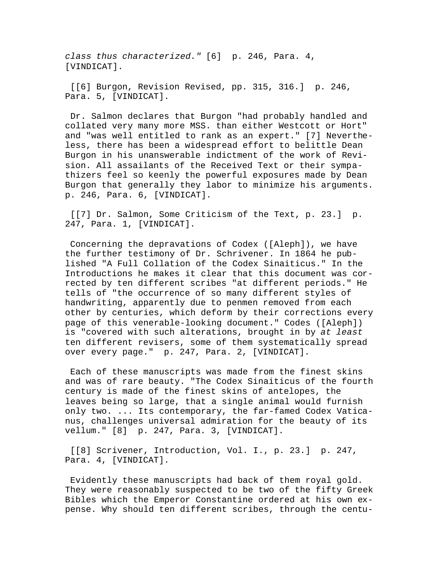*class thus characterized."* [6] p. 246, Para. 4, [VINDICAT].

 [[6] Burgon, Revision Revised, pp. 315, 316.] p. 246, Para. 5, [VINDICAT].

 Dr. Salmon declares that Burgon "had probably handled and collated very many more MSS. than either Westcott or Hort" and "was well entitled to rank as an expert." [7] Nevertheless, there has been a widespread effort to belittle Dean Burgon in his unanswerable indictment of the work of Revision. All assailants of the Received Text or their sympathizers feel so keenly the powerful exposures made by Dean Burgon that generally they labor to minimize his arguments. p. 246, Para. 6, [VINDICAT].

 [[7] Dr. Salmon, Some Criticism of the Text, p. 23.] p. 247, Para. 1, [VINDICAT].

 Concerning the depravations of Codex ([Aleph]), we have the further testimony of Dr. Schrivener. In 1864 he published "A Full Collation of the Codex Sinaiticus." In the Introductions he makes it clear that this document was corrected by ten different scribes "at different periods." He tells of "the occurrence of so many different styles of handwriting, apparently due to penmen removed from each other by centuries, which deform by their corrections every page of this venerable-looking document." Codes ([Aleph]) is "covered with such alterations, brought in by *at least* ten different revisers, some of them systematically spread over every page." p. 247, Para. 2, [VINDICAT].

 Each of these manuscripts was made from the finest skins and was of rare beauty. "The Codex Sinaiticus of the fourth century is made of the finest skins of antelopes, the leaves being so large, that a single animal would furnish only two. ... Its contemporary, the far-famed Codex Vaticanus, challenges universal admiration for the beauty of its vellum." [8] p. 247, Para. 3, [VINDICAT].

 [[8] Scrivener, Introduction, Vol. I., p. 23.] p. 247, Para. 4, [VINDICAT].

 Evidently these manuscripts had back of them royal gold. They were reasonably suspected to be two of the fifty Greek Bibles which the Emperor Constantine ordered at his own expense. Why should ten different scribes, through the centu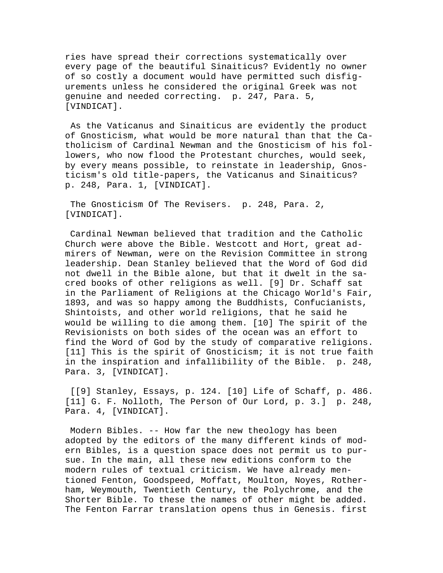ries have spread their corrections systematically over every page of the beautiful Sinaiticus? Evidently no owner of so costly a document would have permitted such disfigurements unless he considered the original Greek was not genuine and needed correcting. p. 247, Para. 5, [VINDICAT].

 As the Vaticanus and Sinaiticus are evidently the product of Gnosticism, what would be more natural than that the Catholicism of Cardinal Newman and the Gnosticism of his followers, who now flood the Protestant churches, would seek, by every means possible, to reinstate in leadership, Gnosticism's old title-papers, the Vaticanus and Sinaiticus? p. 248, Para. 1, [VINDICAT].

 The Gnosticism Of The Revisers. p. 248, Para. 2, [VINDICAT].

 Cardinal Newman believed that tradition and the Catholic Church were above the Bible. Westcott and Hort, great admirers of Newman, were on the Revision Committee in strong leadership. Dean Stanley believed that the Word of God did not dwell in the Bible alone, but that it dwelt in the sacred books of other religions as well. [9] Dr. Schaff sat in the Parliament of Religions at the Chicago World's Fair, 1893, and was so happy among the Buddhists, Confucianists, Shintoists, and other world religions, that he said he would be willing to die among them. [10] The spirit of the Revisionists on both sides of the ocean was an effort to find the Word of God by the study of comparative religions. [11] This is the spirit of Gnosticism; it is not true faith in the inspiration and infallibility of the Bible. p. 248, Para. 3, [VINDICAT].

 [[9] Stanley, Essays, p. 124. [10] Life of Schaff, p. 486. [11] G. F. Nolloth, The Person of Our Lord, p. 3.] p. 248, Para. 4, [VINDICAT].

 Modern Bibles. -- How far the new theology has been adopted by the editors of the many different kinds of modern Bibles, is a question space does not permit us to pursue. In the main, all these new editions conform to the modern rules of textual criticism. We have already mentioned Fenton, Goodspeed, Moffatt, Moulton, Noyes, Rotherham, Weymouth, Twentieth Century, the Polychrome, and the Shorter Bible. To these the names of other might be added. The Fenton Farrar translation opens thus in Genesis. first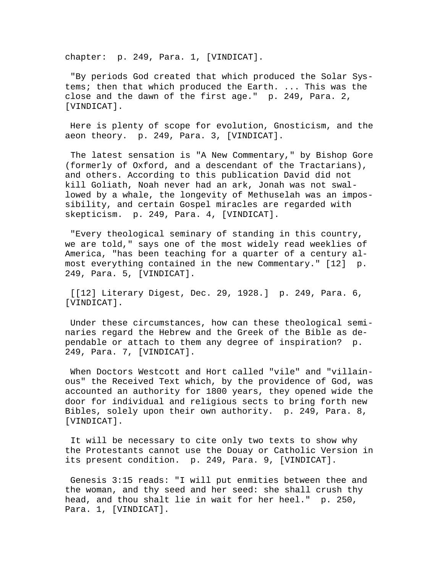chapter: p. 249, Para. 1, [VINDICAT].

 "By periods God created that which produced the Solar Systems; then that which produced the Earth. ... This was the close and the dawn of the first age." p. 249, Para. 2, [VINDICAT].

 Here is plenty of scope for evolution, Gnosticism, and the aeon theory. p. 249, Para. 3, [VINDICAT].

 The latest sensation is "A New Commentary," by Bishop Gore (formerly of Oxford, and a descendant of the Tractarians), and others. According to this publication David did not kill Goliath, Noah never had an ark, Jonah was not swallowed by a whale, the longevity of Methuselah was an impossibility, and certain Gospel miracles are regarded with skepticism. p. 249, Para. 4, [VINDICAT].

 "Every theological seminary of standing in this country, we are told," says one of the most widely read weeklies of America, "has been teaching for a quarter of a century almost everything contained in the new Commentary." [12] p. 249, Para. 5, [VINDICAT].

 [[12] Literary Digest, Dec. 29, 1928.] p. 249, Para. 6, [VINDICAT].

 Under these circumstances, how can these theological seminaries regard the Hebrew and the Greek of the Bible as dependable or attach to them any degree of inspiration? p. 249, Para. 7, [VINDICAT].

 When Doctors Westcott and Hort called "vile" and "villainous" the Received Text which, by the providence of God, was accounted an authority for 1800 years, they opened wide the door for individual and religious sects to bring forth new Bibles, solely upon their own authority. p. 249, Para. 8, [VINDICAT].

 It will be necessary to cite only two texts to show why the Protestants cannot use the Douay or Catholic Version in its present condition. p. 249, Para. 9, [VINDICAT].

 Genesis 3:15 reads: "I will put enmities between thee and the woman, and thy seed and her seed: she shall crush thy head, and thou shalt lie in wait for her heel." p. 250, Para. 1, [VINDICAT].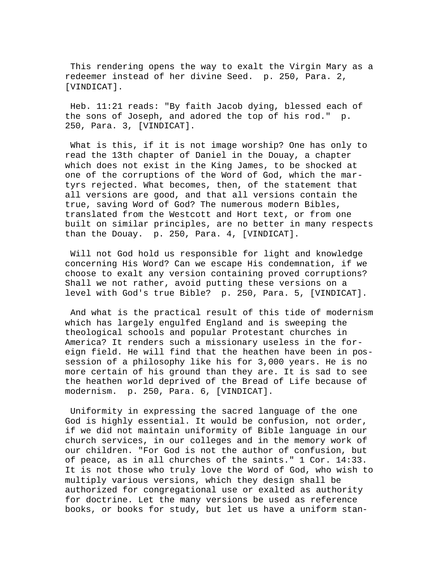This rendering opens the way to exalt the Virgin Mary as a redeemer instead of her divine Seed. p. 250, Para. 2, [VINDICAT].

 Heb. 11:21 reads: "By faith Jacob dying, blessed each of the sons of Joseph, and adored the top of his rod." p. 250, Para. 3, [VINDICAT].

 What is this, if it is not image worship? One has only to read the 13th chapter of Daniel in the Douay, a chapter which does not exist in the King James, to be shocked at one of the corruptions of the Word of God, which the martyrs rejected. What becomes, then, of the statement that all versions are good, and that all versions contain the true, saving Word of God? The numerous modern Bibles, translated from the Westcott and Hort text, or from one built on similar principles, are no better in many respects than the Douay. p. 250, Para. 4, [VINDICAT].

 Will not God hold us responsible for light and knowledge concerning His Word? Can we escape His condemnation, if we choose to exalt any version containing proved corruptions? Shall we not rather, avoid putting these versions on a level with God's true Bible? p. 250, Para. 5, [VINDICAT].

 And what is the practical result of this tide of modernism which has largely engulfed England and is sweeping the theological schools and popular Protestant churches in America? It renders such a missionary useless in the foreign field. He will find that the heathen have been in possession of a philosophy like his for 3,000 years. He is no more certain of his ground than they are. It is sad to see the heathen world deprived of the Bread of Life because of modernism. p. 250, Para. 6, [VINDICAT].

 Uniformity in expressing the sacred language of the one God is highly essential. It would be confusion, not order, if we did not maintain uniformity of Bible language in our church services, in our colleges and in the memory work of our children. "For God is not the author of confusion, but of peace, as in all churches of the saints." 1 Cor. 14:33. It is not those who truly love the Word of God, who wish to multiply various versions, which they design shall be authorized for congregational use or exalted as authority for doctrine. Let the many versions be used as reference books, or books for study, but let us have a uniform stan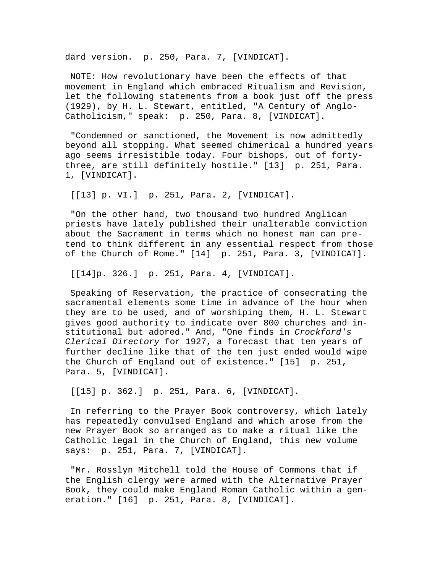dard version. p. 250, Para. 7, [VINDICAT].

 NOTE: How revolutionary have been the effects of that movement in England which embraced Ritualism and Revision, let the following statements from a book just off the press (1929), by H. L. Stewart, entitled, "A Century of Anglo-Catholicism," speak: p. 250, Para. 8, [VINDICAT].

 "Condemned or sanctioned, the Movement is now admittedly beyond all stopping. What seemed chimerical a hundred years ago seems irresistible today. Four bishops, out of fortythree, are still definitely hostile." [13] p. 251, Para. 1, [VINDICAT].

[[13] p. VI.] p. 251, Para. 2, [VINDICAT].

 "On the other hand, two thousand two hundred Anglican priests have lately published their unalterable conviction about the Sacrament in terms which no honest man can pretend to think different in any essential respect from those of the Church of Rome." [14] p. 251, Para. 3, [VINDICAT].

[[14]p. 326.] p. 251, Para. 4, [VINDICAT].

 Speaking of Reservation, the practice of consecrating the sacramental elements some time in advance of the hour when they are to be used, and of worshiping them, H. L. Stewart gives good authority to indicate over 800 churches and institutional but adored." And, "One finds in *Crockford's Clerical Directory* for 1927, a forecast that ten years of further decline like that of the ten just ended would wipe the Church of England out of existence." [15] p. 251, Para. 5, [VINDICAT].

[[15] p. 362.] p. 251, Para. 6, [VINDICAT].

 In referring to the Prayer Book controversy, which lately has repeatedly convulsed England and which arose from the new Prayer Book so arranged as to make a ritual like the Catholic legal in the Church of England, this new volume says: p. 251, Para. 7, [VINDICAT].

 "Mr. Rosslyn Mitchell told the House of Commons that if the English clergy were armed with the Alternative Prayer Book, they could make England Roman Catholic within a generation." [16] p. 251, Para. 8, [VINDICAT].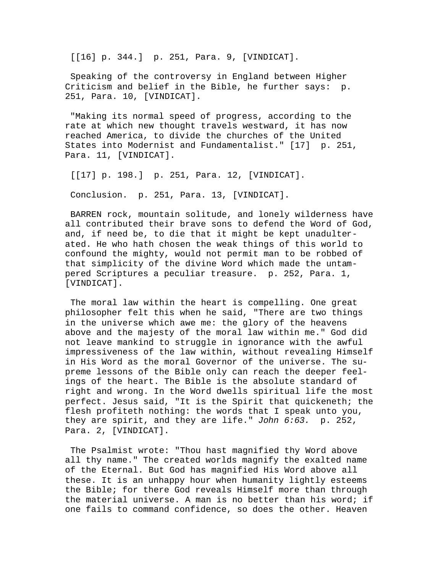[[16] p. 344.] p. 251, Para. 9, [VINDICAT].

 Speaking of the controversy in England between Higher Criticism and belief in the Bible, he further says: p. 251, Para. 10, [VINDICAT].

 "Making its normal speed of progress, according to the rate at which new thought travels westward, it has now reached America, to divide the churches of the United States into Modernist and Fundamentalist." [17] p. 251, Para. 11, [VINDICAT].

[[17] p. 198.] p. 251, Para. 12, [VINDICAT].

Conclusion. p. 251, Para. 13, [VINDICAT].

 BARREN rock, mountain solitude, and lonely wilderness have all contributed their brave sons to defend the Word of God, and, if need be, to die that it might be kept unadulterated. He who hath chosen the weak things of this world to confound the mighty, would not permit man to be robbed of that simplicity of the divine Word which made the untampered Scriptures a peculiar treasure. p. 252, Para. 1, [VINDICAT].

 The moral law within the heart is compelling. One great philosopher felt this when he said, "There are two things in the universe which awe me: the glory of the heavens above and the majesty of the moral law within me." God did not leave mankind to struggle in ignorance with the awful impressiveness of the law within, without revealing Himself in His Word as the moral Governor of the universe. The supreme lessons of the Bible only can reach the deeper feelings of the heart. The Bible is the absolute standard of right and wrong. In the Word dwells spiritual life the most perfect. Jesus said, "It is the Spirit that quickeneth; the flesh profiteth nothing: the words that I speak unto you, they are spirit, and they are life." *John 6:63.* p. 252, Para. 2, [VINDICAT].

 The Psalmist wrote: "Thou hast magnified thy Word above all thy name." The created worlds magnify the exalted name of the Eternal. But God has magnified His Word above all these. It is an unhappy hour when humanity lightly esteems the Bible; for there God reveals Himself more than through the material universe. A man is no better than his word; if one fails to command confidence, so does the other. Heaven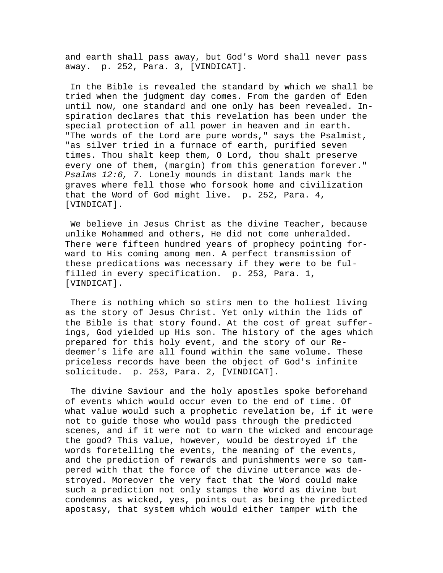and earth shall pass away, but God's Word shall never pass away. p. 252, Para. 3, [VINDICAT].

 In the Bible is revealed the standard by which we shall be tried when the judgment day comes. From the garden of Eden until now, one standard and one only has been revealed. Inspiration declares that this revelation has been under the special protection of all power in heaven and in earth. "The words of the Lord are pure words," says the Psalmist, "as silver tried in a furnace of earth, purified seven times. Thou shalt keep them, O Lord, thou shalt preserve every one of them, (margin) from this generation forever." *Psalms 12:6, 7.* Lonely mounds in distant lands mark the graves where fell those who forsook home and civilization that the Word of God might live. p. 252, Para. 4, [VINDICAT].

 We believe in Jesus Christ as the divine Teacher, because unlike Mohammed and others, He did not come unheralded. There were fifteen hundred years of prophecy pointing forward to His coming among men. A perfect transmission of these predications was necessary if they were to be fulfilled in every specification. p. 253, Para. 1, [VINDICAT].

 There is nothing which so stirs men to the holiest living as the story of Jesus Christ. Yet only within the lids of the Bible is that story found. At the cost of great sufferings, God yielded up His son. The history of the ages which prepared for this holy event, and the story of our Redeemer's life are all found within the same volume. These priceless records have been the object of God's infinite solicitude. p. 253, Para. 2, [VINDICAT].

 The divine Saviour and the holy apostles spoke beforehand of events which would occur even to the end of time. Of what value would such a prophetic revelation be, if it were not to guide those who would pass through the predicted scenes, and if it were not to warn the wicked and encourage the good? This value, however, would be destroyed if the words foretelling the events, the meaning of the events, and the prediction of rewards and punishments were so tampered with that the force of the divine utterance was destroyed. Moreover the very fact that the Word could make such a prediction not only stamps the Word as divine but condemns as wicked, yes, points out as being the predicted apostasy, that system which would either tamper with the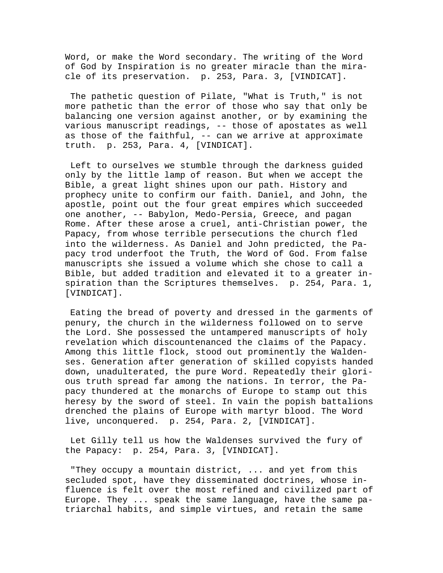Word, or make the Word secondary. The writing of the Word of God by Inspiration is no greater miracle than the miracle of its preservation. p. 253, Para. 3, [VINDICAT].

 The pathetic question of Pilate, "What is Truth," is not more pathetic than the error of those who say that only be balancing one version against another, or by examining the various manuscript readings, -- those of apostates as well as those of the faithful, -- can we arrive at approximate truth. p. 253, Para. 4, [VINDICAT].

 Left to ourselves we stumble through the darkness guided only by the little lamp of reason. But when we accept the Bible, a great light shines upon our path. History and prophecy unite to confirm our faith. Daniel, and John, the apostle, point out the four great empires which succeeded one another, -- Babylon, Medo-Persia, Greece, and pagan Rome. After these arose a cruel, anti-Christian power, the Papacy, from whose terrible persecutions the church fled into the wilderness. As Daniel and John predicted, the Papacy trod underfoot the Truth, the Word of God. From false manuscripts she issued a volume which she chose to call a Bible, but added tradition and elevated it to a greater inspiration than the Scriptures themselves. p. 254, Para. 1, [VINDICAT].

 Eating the bread of poverty and dressed in the garments of penury, the church in the wilderness followed on to serve the Lord. She possessed the untampered manuscripts of holy revelation which discountenanced the claims of the Papacy. Among this little flock, stood out prominently the Waldenses. Generation after generation of skilled copyists handed down, unadulterated, the pure Word. Repeatedly their glorious truth spread far among the nations. In terror, the Papacy thundered at the monarchs of Europe to stamp out this heresy by the sword of steel. In vain the popish battalions drenched the plains of Europe with martyr blood. The Word live, unconquered. p. 254, Para. 2, [VINDICAT].

 Let Gilly tell us how the Waldenses survived the fury of the Papacy: p. 254, Para. 3, [VINDICAT].

 "They occupy a mountain district, ... and yet from this secluded spot, have they disseminated doctrines, whose influence is felt over the most refined and civilized part of Europe. They ... speak the same language, have the same patriarchal habits, and simple virtues, and retain the same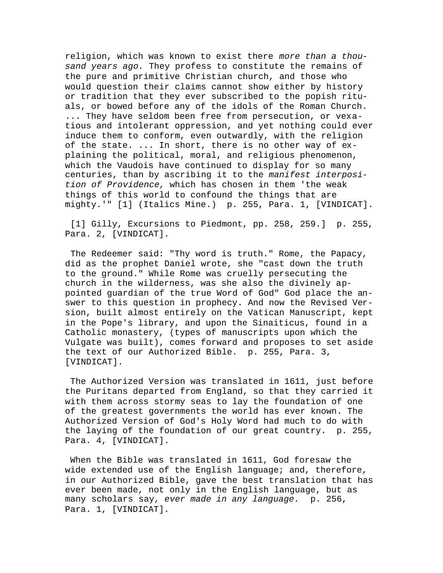religion, which was known to exist there *more than a thousand years ago.* They profess to constitute the remains of the pure and primitive Christian church, and those who would question their claims cannot show either by history or tradition that they ever subscribed to the popish rituals, or bowed before any of the idols of the Roman Church. ... They have seldom been free from persecution, or vexatious and intolerant oppression, and yet nothing could ever induce them to conform, even outwardly, with the religion of the state. ... In short, there is no other way of explaining the political, moral, and religious phenomenon, which the Vaudois have continued to display for so many centuries, than by ascribing it to the *manifest interposition of Providence,* which has chosen in them 'the weak things of this world to confound the things that are mighty.'" [1] (Italics Mine.) p. 255, Para. 1, [VINDICAT].

 [1] Gilly, Excursions to Piedmont, pp. 258, 259.] p. 255, Para. 2, [VINDICAT].

 The Redeemer said: "Thy word is truth." Rome, the Papacy, did as the prophet Daniel wrote, she "cast down the truth to the ground." While Rome was cruelly persecuting the church in the wilderness, was she also the divinely appointed guardian of the true Word of God" God place the answer to this question in prophecy. And now the Revised Version, built almost entirely on the Vatican Manuscript, kept in the Pope's library, and upon the Sinaiticus, found in a Catholic monastery, (types of manuscripts upon which the Vulgate was built), comes forward and proposes to set aside the text of our Authorized Bible. p. 255, Para. 3, [VINDICAT].

 The Authorized Version was translated in 1611, just before the Puritans departed from England, so that they carried it with them across stormy seas to lay the foundation of one of the greatest governments the world has ever known. The Authorized Version of God's Holy Word had much to do with the laying of the foundation of our great country. p. 255, Para. 4, [VINDICAT].

 When the Bible was translated in 1611, God foresaw the wide extended use of the English language; and, therefore, in our Authorized Bible, gave the best translation that has ever been made, not only in the English language, but as many scholars say, *ever made in any language.* p. 256, Para. 1, [VINDICAT].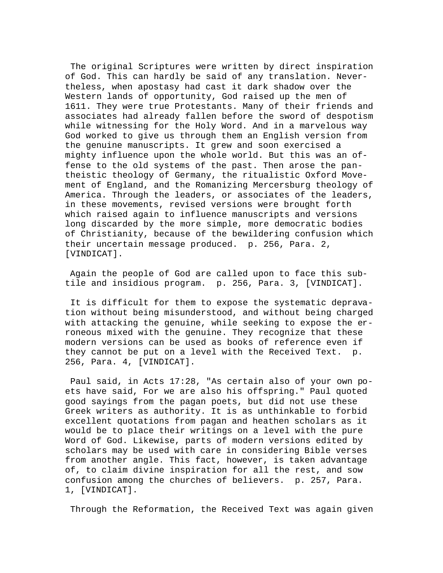The original Scriptures were written by direct inspiration of God. This can hardly be said of any translation. Nevertheless, when apostasy had cast it dark shadow over the Western lands of opportunity, God raised up the men of 1611. They were true Protestants. Many of their friends and associates had already fallen before the sword of despotism while witnessing for the Holy Word. And in a marvelous way God worked to give us through them an English version from the genuine manuscripts. It grew and soon exercised a mighty influence upon the whole world. But this was an offense to the old systems of the past. Then arose the pantheistic theology of Germany, the ritualistic Oxford Movement of England, and the Romanizing Mercersburg theology of America. Through the leaders, or associates of the leaders, in these movements, revised versions were brought forth which raised again to influence manuscripts and versions long discarded by the more simple, more democratic bodies of Christianity, because of the bewildering confusion which their uncertain message produced. p. 256, Para. 2, [VINDICAT].

 Again the people of God are called upon to face this subtile and insidious program. p. 256, Para. 3, [VINDICAT].

 It is difficult for them to expose the systematic depravation without being misunderstood, and without being charged with attacking the genuine, while seeking to expose the erroneous mixed with the genuine. They recognize that these modern versions can be used as books of reference even if they cannot be put on a level with the Received Text. p. 256, Para. 4, [VINDICAT].

 Paul said, in Acts 17:28, "As certain also of your own poets have said, For we are also his offspring." Paul quoted good sayings from the pagan poets, but did not use these Greek writers as authority. It is as unthinkable to forbid excellent quotations from pagan and heathen scholars as it would be to place their writings on a level with the pure Word of God. Likewise, parts of modern versions edited by scholars may be used with care in considering Bible verses from another angle. This fact, however, is taken advantage of, to claim divine inspiration for all the rest, and sow confusion among the churches of believers. p. 257, Para. 1, [VINDICAT].

Through the Reformation, the Received Text was again given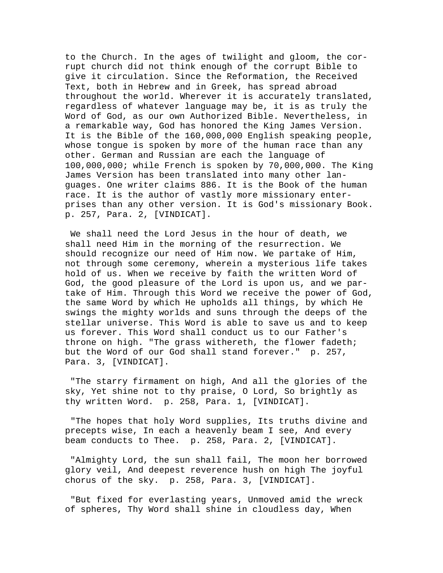to the Church. In the ages of twilight and gloom, the corrupt church did not think enough of the corrupt Bible to give it circulation. Since the Reformation, the Received Text, both in Hebrew and in Greek, has spread abroad throughout the world. Wherever it is accurately translated, regardless of whatever language may be, it is as truly the Word of God, as our own Authorized Bible. Nevertheless, in a remarkable way, God has honored the King James Version. It is the Bible of the 160,000,000 English speaking people, whose tongue is spoken by more of the human race than any other. German and Russian are each the language of 100,000,000; while French is spoken by 70,000,000. The King James Version has been translated into many other languages. One writer claims 886. It is the Book of the human race. It is the author of vastly more missionary enterprises than any other version. It is God's missionary Book. p. 257, Para. 2, [VINDICAT].

 We shall need the Lord Jesus in the hour of death, we shall need Him in the morning of the resurrection. We should recognize our need of Him now. We partake of Him, not through some ceremony, wherein a mysterious life takes hold of us. When we receive by faith the written Word of God, the good pleasure of the Lord is upon us, and we partake of Him. Through this Word we receive the power of God, the same Word by which He upholds all things, by which He swings the mighty worlds and suns through the deeps of the stellar universe. This Word is able to save us and to keep us forever. This Word shall conduct us to our Father's throne on high. "The grass withereth, the flower fadeth; but the Word of our God shall stand forever." p. 257, Para. 3, [VINDICAT].

 "The starry firmament on high, And all the glories of the sky, Yet shine not to thy praise, O Lord, So brightly as thy written Word. p. 258, Para. 1, [VINDICAT].

 "The hopes that holy Word supplies, Its truths divine and precepts wise, In each a heavenly beam I see, And every beam conducts to Thee. p. 258, Para. 2, [VINDICAT].

 "Almighty Lord, the sun shall fail, The moon her borrowed glory veil, And deepest reverence hush on high The joyful chorus of the sky. p. 258, Para. 3, [VINDICAT].

 "But fixed for everlasting years, Unmoved amid the wreck of spheres, Thy Word shall shine in cloudless day, When